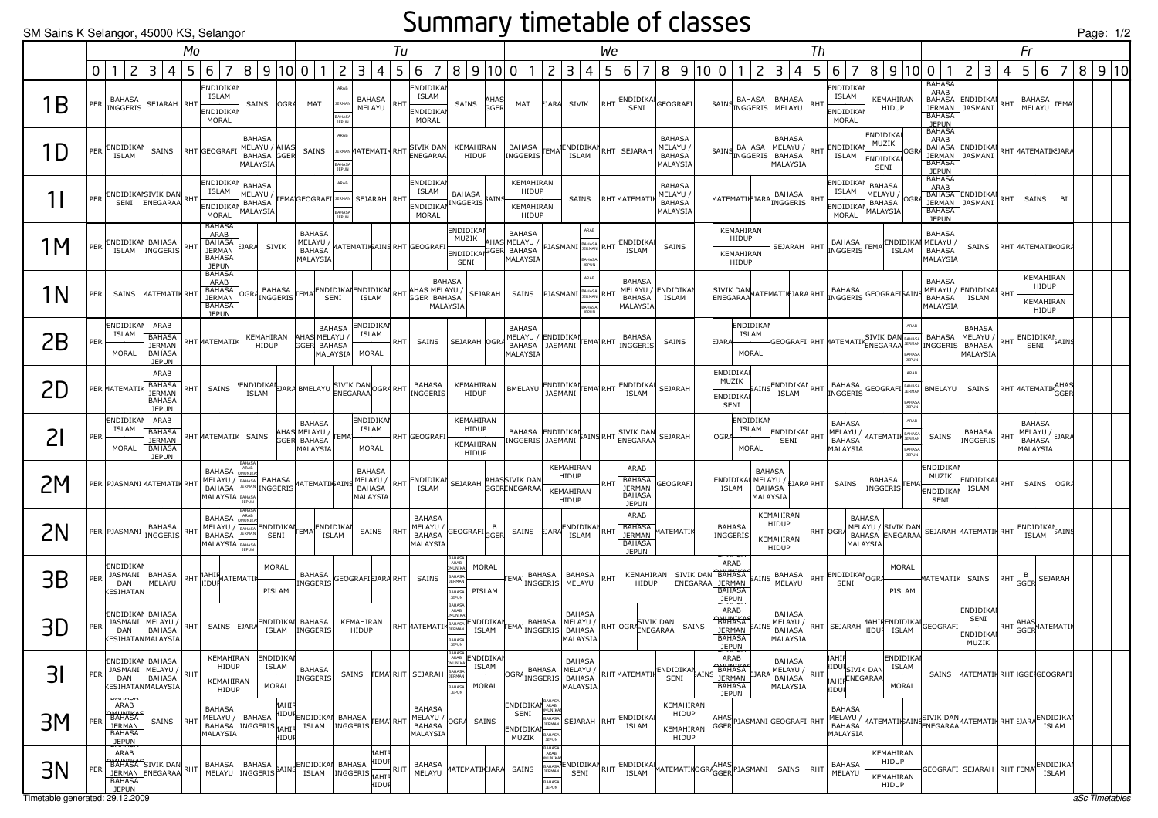#### Summary timetable of classes

| SM Sains K Selangor, 45000 KS, Selangor |     |                                                                         |                                                                                   |                                                                 |                |                                                                                   |                                                           |                               |                                                                  |                                       |                                                                |            |                                                               |                                                                            |                                   |                                                                   |                                                                                  |                                                          |     |                                                                                                                                                                                    |                                                                                    |       |               |                                                                                            |                                                                            |      |                                                                |                                                 |                            |                                                                                                               |                                         |            |                                                                | Page: 1/2 |  |
|-----------------------------------------|-----|-------------------------------------------------------------------------|-----------------------------------------------------------------------------------|-----------------------------------------------------------------|----------------|-----------------------------------------------------------------------------------|-----------------------------------------------------------|-------------------------------|------------------------------------------------------------------|---------------------------------------|----------------------------------------------------------------|------------|---------------------------------------------------------------|----------------------------------------------------------------------------|-----------------------------------|-------------------------------------------------------------------|----------------------------------------------------------------------------------|----------------------------------------------------------|-----|------------------------------------------------------------------------------------------------------------------------------------------------------------------------------------|------------------------------------------------------------------------------------|-------|---------------|--------------------------------------------------------------------------------------------|----------------------------------------------------------------------------|------|----------------------------------------------------------------|-------------------------------------------------|----------------------------|---------------------------------------------------------------------------------------------------------------|-----------------------------------------|------------|----------------------------------------------------------------|-----------|--|
|                                         |     |                                                                         |                                                                                   |                                                                 | Mo             |                                                                                   |                                                           |                               |                                                                  |                                       |                                                                | Tu         |                                                               |                                                                            |                                   |                                                                   |                                                                                  |                                                          | We  |                                                                                                                                                                                    |                                                                                    |       |               |                                                                                            |                                                                            | Th   |                                                                |                                                 |                            |                                                                                                               |                                         |            | Fr                                                             |           |  |
|                                         | 0   |                                                                         | 2<br>3                                                                            | 4                                                               | 5 <sup>1</sup> | 6 <sup>1</sup><br>$\overline{7}$                                                  | 8   9   10   0                                            |                               | $\overline{1}$                                                   | 2                                     | $\overline{3}$<br>4                                            | 5          | $\overline{7}$<br>6                                           | 8   9   10   0                                                             |                                   | 1                                                                 | $\mathsf{S}$                                                                     | 3<br>4                                                   | 5   | 6<br>$\overline{7}$                                                                                                                                                                | 8   9   10   0                                                                     |       |               | $\overline{c}$<br>1                                                                        | 3 4                                                                        | 5    | $\overline{7}$<br>6                                            |                                                 | 8   9   10   0             | $\overline{1}$                                                                                                | $\overline{c}$<br>3                     | 4          | 5<br>6<br>7                                                    | 8 9 10    |  |
| 1Β                                      | PER | <b>BAHASA</b><br>INGGERIS                                               |                                                                                   | SEJARAH RHT                                                     |                | ENDIDIKA<br><b>ISLAM</b><br>ENDIDIKA<br>MORAL                                     |                                                           | SAINS OGRA                    | MAT                                                              | ARAB<br><b>BAHASA</b><br><b>JEPUN</b> | BAHASA<br>MELAYU                                               | <b>RHT</b> | ENDIDIKAI<br><b>ISLAM</b><br>ENDIDIKAI<br>MORAL               | SAINS                                                                      | AHAS<br>GGEI                      | MAT                                                               | EJARA                                                                            | SIVIK                                                    |     | $ RHT $ ENDIDIKAN<br>SENI                                                                                                                                                          | GEOGRAFI                                                                           |       |               | BAHASA                                                                                     | <b>BAHASA</b><br>AINS DATIONAL MELAYU                                      |      | ENDIDIKAI<br>ISLAM<br>ENDIDIKAI<br><b>MORAL</b>                | KEMAHIRAN<br>HIDUP                              |                            | <b>BAHASA</b><br>ARAB<br><b>BAHASA</b><br><b>JEPUN</b>                                                        | BAHASA ENDIDIKAI<br>JERMAN JASMANI      | RHT        | BAHASA<br><b>TEMA</b><br>MELAYU                                |           |  |
| 1D                                      | PER | ENDIDIKAI<br><b>ISLAM</b>                                               |                                                                                   | SAINS                                                           |                | RHT GEOGRAFI                                                                      | <b>BAHASA</b><br>MELAYU / AHAS<br>BAHASA GGER<br>MALAYSIA |                               | SAINS                                                            | ARAB                                  |                                                                |            | <b>JERMAN MATEMATIK</b> RHT SIVIK DAN KEMAHIRAN               |                                                                            |                                   |                                                                   |                                                                                  |                                                          |     | $\left  \frac{\text{BAHASA}}{\text{INGGERS}} \right  \text{FEMA}$ $\left  \frac{\text{ENDIDIKA}}{\text{ISLAM}} \right $ RHT $\left  \frac{\text{SEJARAH}}{\text{SEJARAH}} \right $ | <b>BAHASA</b><br>MELAYU /<br><b>BAHASA</b><br>MALAYSIA                             |       |               | BAHASA                                                                                     | <b>BAHASA</b><br>MELAYU /<br>AINS INGGERIS BAHASA<br>MALAYSIA              |      | RHT ENDIDIKA<br>ISLAM                                          | ENDIDIKAI<br>MUZIK<br><b>ENDIDIKAI</b><br>SENI  |                            | <b>BAHASA</b><br>ARAB<br><b>BAHASA</b>                                                                        | JERMAN JASMANI                          |            | BAHASA ENDIDIKAT RHT MATEMATIK JARA                            |           |  |
|                                         | PER |                                                                         | ENDIDIKANSIVIK DAN RHT                                                            |                                                                 |                | ENDIDIKA<br>ISLAM<br>ENDIDIKA<br>MORAL                                            | <b>BAHASA</b><br>MELAYU /<br><b>BAHASA</b><br>MALAYSIA    |                               | TEMAGEOGRAFI JERMAN SEJARAH   RHT                                | ARAB<br><b>BAHASA</b><br><b>JEPUN</b> |                                                                |            | <b>ENDIDIKAI</b><br>ISLAM<br>ENDIDIKAN INGGERIS AINS<br>MORAL | BAHASA                                                                     |                                   | KEMAHIRAN<br>HIDUP<br>KEMAHIRAN<br>HIDUP                          |                                                                                  | SAINS                                                    |     | RHT MATEMATI                                                                                                                                                                       | <b>BAHASA</b><br>MELAYU /<br><b>BAHASA</b><br>MALAYSIA                             |       |               |                                                                                            | MATEMATIKJARA BALGARS                                                      |      | ENDIDIKA<br>ISLAM<br>ENDIDIKA<br>MORAL                         | <b>BAHASA</b><br>MELAYU /<br>BAHASA<br>MALAYSIA |                            | JEPUN<br>BAHASA<br>ARAB<br><b>BAHASA</b><br><b>JEPUN</b>                                                      | BAHASA ENDIDIKAI<br>JERMAN JASMANI      | RHT        | SAINS<br>BI                                                    |           |  |
| 1M                                      | PER | <b>ISLAM</b>                                                            | ENDIDIKAI BAHASA                                                                  | INGGERIS RHT                                                    |                | <b>BAHASA</b><br>ARAB<br>BAHASA<br><b>JERMAN</b><br><b>BAHASA</b><br><b>JEPUN</b> | :JARA                                                     | SIVIK                         | <b>BAHASA</b><br>MELAYU /<br><b>BAHASA</b><br>MALAYSIA           |                                       | MATEMATIା\$AINS RHT GEOGRAF                                    |            |                                                               | <b>ENDIDIKAN</b><br>ENDIDIKANGGER<br>SENI                                  |                                   | <b>BAHASA</b><br>MUZIK AHAS MELAYU /<br><b>BAHASA</b><br>MALAYSIA |                                                                                  | ARAB<br>PJASMANI BAHASA<br><b>BAHAS</b><br>JEPUN         |     | RHT ENDIDIKAN<br><b>ISLAM</b>                                                                                                                                                      | SAINS                                                                              |       |               | KEMAHIRAN<br>HIDUP<br>KEMAHIRAN<br><b>HIDUP</b>                                            | SEJARAH RHT                                                                |      | INGGERIS EMA ENDIDIKAL                                         |                                                 |                            | <b>BAHASA</b><br>MELAYU /<br><b>BAHASA</b><br>MALAYSIA                                                        |                                         |            | SAINS RHT MATEMATIKOGRA                                        |           |  |
| 1 <sub>N</sub>                          | PER | SAINS                                                                   |                                                                                   | <b>MATEMATIK RHT</b>                                            |                | <b>BAHASA</b><br>ARAB<br>BAHASA<br><b>JERMAN</b><br><b>BAHASA</b><br><b>JEPUN</b> | OGRA                                                      |                               | A BAHASA EMA ENDIDIKAN ENDIDIKAN                                 |                                       |                                                                |            | BAHASA<br>AHAS MELAYU /<br>RHT GGER BAHASA<br>MALAYSIA        |                                                                            | SEJARAH                           | SAINS                                                             |                                                                                  | ARAB<br>PJASMANI BAHASA<br>BAHASA<br>JEPUN               | RH  | <b>BAHASA</b><br><b>BAHASA</b><br>MALAYSIA                                                                                                                                         | MELAYU / ENDIDIKAI<br>ISLAM                                                        |       |               |                                                                                            | SIVIK DAN<br>ENEGARAA <sup>MATEMATIK</sup> JARA RHT INGGERIS GEOGRAFISAINS |      |                                                                |                                                 |                            | <b>BAHASA</b><br>BAHASA<br>MALAYSIA                                                                           | BARASO ENDIDIKAL RHT<br>ISLAM           |            | KEMAHIRAN<br>HIDUP<br>KEMAHIRAN<br>HIDUP                       |           |  |
| 2B                                      | PER | <b>ENDIDIKAI</b><br><b>ISLAM</b><br>MORAL                               | ARAB<br><b>BAHASA</b>                                                             | <b>BAHASA</b><br><b>JERMAN</b><br><b>JEPUN</b>                  |                | RHT MATEMATIK                                                                     |                                                           | KEMAHIRAN<br><b>HIDUP</b>     | AHAS MELAYU<br>GGER BAHASA                                       | <b>BAHASA</b><br>MALAYSIA             | ENDIDIKAI<br>ISLAM<br>MORAL                                    | RHT        | SAINS                                                         | SEJARAH OGR                                                                |                                   | <b>BAHASA</b><br>MELAYU /<br><b>BAHASA</b><br>MALAYSIA            |                                                                                  |                                                          |     | ENDIDIKAN EMA RHT MGGERIS                                                                                                                                                          | SAINS                                                                              |       | FIAR.         | ENDIDIKAI<br>ISLAM<br><b>MORAL</b>                                                         |                                                                            |      |                                                                |                                                 | JEPUM                      | GEOGRAFI RHT MATEMATIK SIVIK DAN BAHASA   BAHASA   MELAYU /<br>ENEGARAA I <sup>RAMAN</sup> INGGERIS   BAHASA  | <b>BAHASA</b><br>MELAYU /<br>MALAYSIA   | RHT        | ENDIDIKAL<br>SENI                                              |           |  |
| 2D                                      |     | PER MATEMATIK                                                           | ARAB<br><b>JEPUN</b>                                                              | <b>BAHASA</b><br><b>JERMAN</b><br><b>BAHASA</b>                 | RHT            | SAINS                                                                             |                                                           |                               | ENDIDIKAI JARA BMELAYU SIVIK DAN OGRA RHT                        |                                       |                                                                |            | BAHASA<br><b>INGGERIS</b>                                     | KEMAHIRAN<br><b>HIDUP</b>                                                  |                                   |                                                                   |                                                                                  |                                                          |     | BMELAYU BRIDIDIKAN EMA RHT BNDIDIKAN                                                                                                                                               | SEJARAH                                                                            |       | MUZIK<br>SENI | <b>ENDIDIKAI</b><br>5AIN:<br><b>ENDIDIKAI</b>                                              | <b>ENDIDIKAN</b><br>ISLAM                                                  | RHT  |                                                                |                                                 | <b>ARAF</b>                | INGGERIS GEOGRAFI BAHASA BMELAYU                                                                              | SAINS                                   |            | RHT MATEMATIKAHAS                                              |           |  |
| 2 <sub>l</sub>                          | PER | <b>ENDIDIKAI</b><br><b>ISLAM</b><br>MORAL                               | ARAB                                                                              | <b>BAHASA</b><br><b>JERMAN</b><br><b>BAHASA</b><br><b>JEPUN</b> |                | RHT MATEMATIK SAINS                                                               |                                                           | GGER                          | <b>BAHASA</b><br>AHAS MELAYU / FEMA<br><b>BAHASA</b><br>MALAYSIA |                                       | ENDIDIKAI<br><b>ISLAM</b><br>MORAL                             |            | RHT GEOGRAF                                                   | KEMAHIRAN<br>HIDUP<br>KEMAHIRAN<br><b>HIDUP</b>                            |                                   |                                                                   |                                                                                  |                                                          |     |                                                                                                                                                                                    | BAHASA ENDIDIKAN AINS RHT SIVIK DAN SEJARAH<br>INGGERIS JASMANI PAINS RHT ENEGARAA |       | OGR.          | <b>ENDIDIKA</b><br>ISLAM<br><b>MORAL</b>                                                   | ENDIDIKAN RHT<br>SENI                                                      |      | BAHASA<br>MELAYU /<br><b>BAHASA</b><br>MALAYSIA                | <b>MATEMATIK</b> BAHASA                         | ARAE                       | SAINS                                                                                                         | BAHASA<br><b>INGGERIS</b>               | <b>RHT</b> | <b>BAHASA</b><br>MELAYU / EJARA<br><b>BAHASA</b><br>MALAYSIA   |           |  |
| 2M                                      |     |                                                                         | PER PJASMANI MATEMATIK RHT                                                        |                                                                 |                | <b>BAHASA</b><br>MELAYU /<br><b>BAHASA</b><br>MALAYSIA                            | ARAB<br>MUNIKA<br><b>BAHASA</b><br>JERMAN                 | BAHASA                        | INGGERIS MATEMATIKAINS BAHASA                                    |                                       | <b>BAHASA</b><br>MELAYU /<br>MALAYSIA                          |            | $ _{RHT} $ ENDIDIKAN<br><b>ISLAM</b>                          | SEJARAH AHASSIVIK DAN                                                      |                                   |                                                                   |                                                                                  | KEMAHIRAN<br>HIDUP<br>KEMAHIRAN<br>HIDUP                 |     | ARAB<br><b>BAHASA</b><br><b>JERMAN</b><br><b>BAHASA</b><br><b>JEPUN</b>                                                                                                            | GEOGRAFI                                                                           |       |               | ISLAM                                                                                      | BAHASA<br>ENDIDIKAN MELAYU / EJARA RHT<br>BAHASA<br>MALAYSIA               |      | SAINS                                                          | BAHASA<br>INGGERIS <sup>TEMA</sup>              |                            | <b>ENDIDIKAI</b><br>MUZIK<br><b>ENDIDIKAI</b><br>SENI                                                         | ENDIDIKAI<br>ISLAM                      | RHT        | SAINS<br>OGRA                                                  |           |  |
| 2N                                      |     |                                                                         | PER PJASMANI BALLASA RHT                                                          | BAHASA                                                          |                | <b>BAHASA</b><br>MELAYU /<br><b>BAHASA</b><br>MALAYSIA                            | ARAB<br>MUNIKA<br><b>JERMAN</b>                           | SENI                          | BAHASA ENDIDIKAN EMDIDIKAN                                       | <b>ISLAM</b>                          | SAINS                                                          | RHT        | <b>BAHASA</b><br>MELAYU /<br><b>BAHASA</b><br>MALAYSIA        | GEOGRAFI GGER                                                              |                                   |                                                                   |                                                                                  | SAINS EJARA ENDIDIKAL<br>ISLAM                           | RHT | ARAB<br><b>BAHASA</b><br><b>JERMAN</b><br><b>BAHASA</b><br><b>JEPUN</b>                                                                                                            | <b>MATEMATIK</b>                                                                   |       | <b>BAHASA</b> | INGGERIS                                                                                   | KEMAHIRAN<br>HIDUP<br>KEMAHIRAN<br><b>HIDUP</b>                            |      | RHT OGRA                                                       | <b>BAHASA</b><br>BAHASA ENEGARAA<br>MALAYSIA    |                            | MELAYU / SIVIK DAN SEJARAH MATEMATIK RHT                                                                      |                                         |            | ENDIDIKAN BAINS<br><b>ISLAM</b>                                |           |  |
| 3B                                      | PER | ENDIDIKAI<br>DAN<br><b>ESIHATAN</b>                                     | JASMANI BAHASA                                                                    | MELAYU                                                          |                | RHT AAHIR<br>HIDUF                                                                |                                                           | MORAL<br>PISLAM               |                                                                  |                                       | INGGERIS GEOGRAFIEJARA RHT SAINS                               |            |                                                               | BAHASA<br>ARAB<br><b>MUNIKA</b><br><b>BAHASA</b><br>BAHASA<br><b>JEPUN</b> | MORAL<br>PISLAM                   | <b>EMA</b>                                                        | BAHASA                                                                           | BAHASA<br>INGGERIS MELAYU                                | RHT | KEMAHIRAN<br>HIDUP                                                                                                                                                                 |                                                                                    |       |               | ARAB<br>SIVIK DAN BAHASA<br>ENEGARAA JERMAN BAINS<br><b>BAHASA</b><br><b>JEPUN</b>         | BAHASA<br>MELAYU                                                           |      | RHT ENDIDIKALOGRA<br>SENI                                      |                                                 | MORAL<br>PISLAM            | <b>IATEMATIK</b>                                                                                              | SAINS                                   |            | RHT GGER SEJARAH                                               |           |  |
| 3D                                      | PER | JASMANI<br>DAN                                                          | ENDIDIKAN BAHASA<br>MELAYU<br><b>BAHASA</b><br><b>ESIHATAN MALAYSIA</b>           |                                                                 |                | RHT SAINS JARA ENDIDIKAL BAHASA                                                   |                                                           | ISLAM                         | INGGERIS                                                         |                                       | KEMAHIRAN<br>HIDUP                                             |            | RHT MATEMATIK BAHASA ENDIDIKAN TEMA BAHASA MELAYU /           | ARAB<br><b>BAHASA</b><br>JEPUN                                             |                                   |                                                                   |                                                                                  | <b>BAHASA</b><br>MALAYSIA                                |     | RHT OGRASIVIK DAN                                                                                                                                                                  |                                                                                    | SAINS |               | ARAB<br><b>BAHAIKAC</b><br><b>SAINS</b><br><b>JERMAN</b><br><b>BAHASA</b><br><b>IFPLIN</b> | <b>BAHASA</b><br>MELAYU /<br>BAHASA<br>MALAYSIA                            |      |                                                                |                                                 |                            | $\left \begin{array}{c c c c} \text{RHT} & \text{SEJARAH} & \text{AAHRENDIDIKAN} \end{array}\right $ GEOGRAFI | ENDIDIKAI<br>SENI<br>ENDIDIKAI<br>MUZIK |            | RHT AHAS<br>RHT GGER<br>RHT HATEMATIK                          |           |  |
| 3                                       | PER | DAN                                                                     | ENDIDIKAN BAHASA<br>JASMANI MELAYU /<br><b>BAHASA</b><br><b>ESIHATAN MALAYSIA</b> |                                                                 | <b>RHT</b>     | KEMAHIRAN<br>HIDUP<br>KEMAHIRAN<br>HIDUP                                          |                                                           | ENDIDIKA<br>ISLAM<br>MORAL    | <b>BAHASA</b><br>INGGERIS                                        |                                       |                                                                |            | SAINS <b>FEMA</b> RHT SEJARAH                                 | ARAB<br><b>DMUNIK</b><br>BAHAS<br>BAHASA<br><b>JEPUN</b>                   | ENDIDIKA<br><b>ISLAM</b><br>MORAL | )GR.                                                              | BAHASA                                                                           | <b>BAHASA</b><br>MELAYU /<br>INGGERIS BAHASA<br>MALAYSIA |     | <b>RHT MATEMATIK</b>                                                                                                                                                               | ENDIDIKAI.<br>SENI                                                                 | 5AIN  |               | ARAB<br><b>BAHASA</b><br>EJARA<br>JERMAN<br><b>BAHASA</b><br><b>JEPUN</b>                  | <b>BAHASA</b><br>MELAYU<br><b>BAHASA</b><br><b>MALAYSIA</b>                | R HT | <b>1AHIR</b><br><b>HIDURSIVIK DAN</b><br>AHIRENEGARAA<br>HIDUR |                                                 | ENDIDIKA<br>ISLAM<br>MORAL | SAINS                                                                                                         |                                         |            | MATEMATIK RHT IGGEIGEOGRAFI                                    |           |  |
| ЗM                                      | PER | ARAB<br><b>BAHASA</b><br><b>JERMAN</b><br><b>BAHASA</b><br><b>JEPUN</b> |                                                                                   | SAINS                                                           | RHT            | <b>BAHASA</b><br>MELAYU /<br><b>BAHASA</b><br>MALAYSIA                            | <b>BAHASA</b><br>INGGERIS <sub>MAHIP</sub>                | MAHII<br><b>HIDUR</b><br>HIDU | ENDIDIKAI BAHASA<br>ISLAM   INGGERIS                             |                                       |                                                                | TEMA RHT   | <b>BAHASA</b><br>MELAYU /<br><b>BAHASA</b><br>MALAYSIA        | <b>OGRA</b>                                                                | SAINS                             | ENDIDIKAN BAHASA<br>SENI<br><b>ENDIDIKAN</b><br>MUZIK             | MUNIKA<br><b>BAHASA</b><br>JERMAN<br><b>BAHASA</b><br><b>JEPUN</b>               |                                                          |     | SEJARAH RHT ENDIDIKAL<br>ISLAM                                                                                                                                                     | KEMAHIRAN<br>HIDUP<br>KEMAHIRAN<br>HIDUP                                           |       |               |                                                                                            | AHAS<br>GGER PJASMANI GEOGRAFI RHT                                         |      | <b>BAHASA</b><br>MELAYU /<br><b>BAHASA</b><br>MALAYSIA         |                                                 |                            |                                                                                                               |                                         |            | MATEMATIKAINSIVIK DAN MATEMATIK RHT EJARA ENDIDIKAN            |           |  |
| 3N                                      | PER | ARAB<br>BAHASA<br><b>JEPUN</b>                                          | <b>BAHASA SIVIK DAN</b><br>JERMAN ENEGARAA RHT                                    |                                                                 |                | MELAYU MGGERIS AINS ENDIDIKAL BAHASA                                              |                                                           |                               |                                                                  |                                       | <b>AAHIF</b><br>HIDUR<br>ISLAM  INGGERIS HAHIR<br><b>IIDUF</b> | RHT        | BAHASA<br>MELAYU                                              | <b>ΜΑΤΕΜΑΤΙΚΕJΑRA</b>                                                      |                                   | SAINS                                                             | <b>BAHASA</b><br>ARAB<br><b>MUNIK</b><br><b>JERMAN</b><br>BAHASA<br><b>JEPUN</b> | SENI                                                     |     | BAHASA ENDIDIKAN RHT ENDIDIKAN<br><b>ISLAM</b>                                                                                                                                     | MATEMATIKOGRAHAS PJASMANI                                                          |       |               |                                                                                            | SAINS                                                                      | RHT  | <b>BAHASA</b><br>MELAYU                                        | KEMAHIRAN<br>HIDUP<br>KEMAHIRAN<br><b>HIDUP</b> |                            |                                                                                                               |                                         |            | SEOGRAFI  SEJARAH   RHT <mark>TEMA<sup> ENDIDIKAI</sup></mark> |           |  |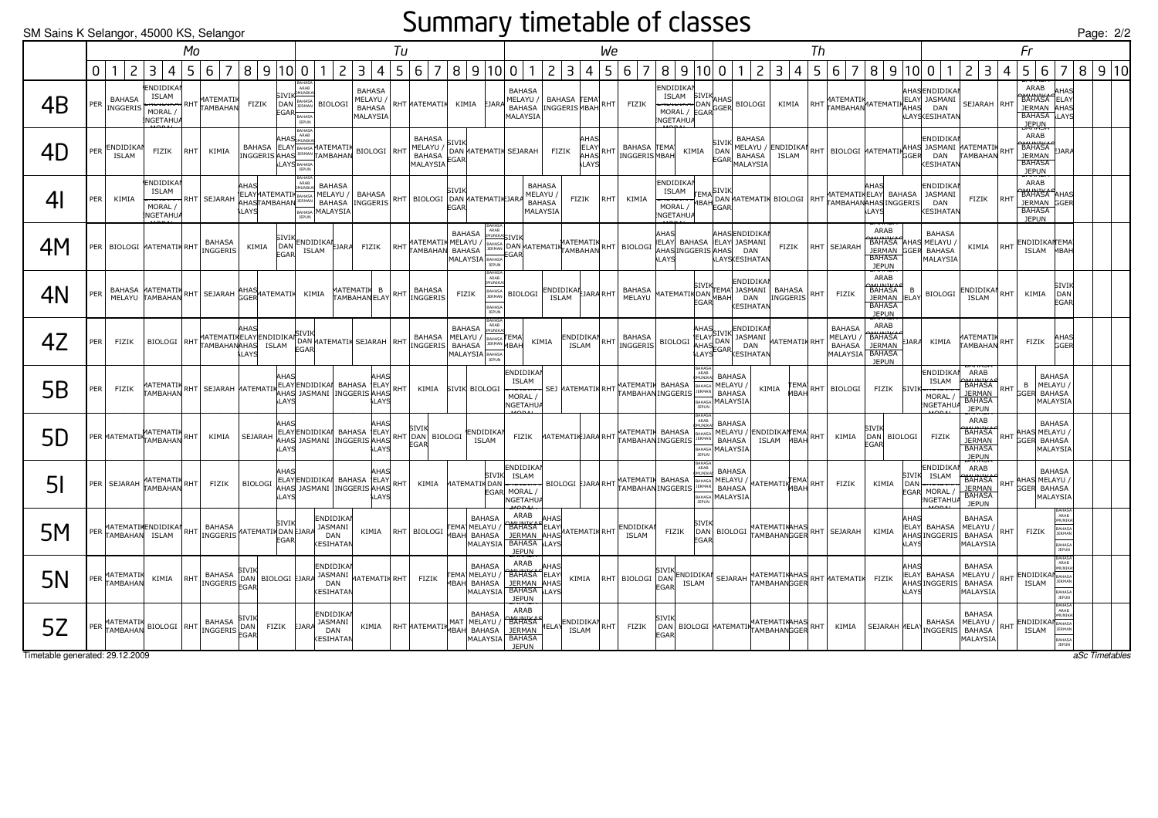#### Summary timetable of classes

| SM Sains K Selangor, 45000 KS, Selangor |             |                                  |                                                                |           |                                                                                                                                                                                                                                                                                                                                                                                                                                                          |                |                                             |                                                                                    |                                                       |                                                               |    |                                                                                |                      |                                                                                    |                                                                                                                                                  |                                            |                                                  |                                                                                                                                                                                                                                |                                                              |                                 |                                                               |                                                |                                                                         |                |                                                                                         |                                                                                                                     |                                      |                                                                                   |                                                                         |            |                                                                            |                                                              | Page: $2/$ |                |
|-----------------------------------------|-------------|----------------------------------|----------------------------------------------------------------|-----------|----------------------------------------------------------------------------------------------------------------------------------------------------------------------------------------------------------------------------------------------------------------------------------------------------------------------------------------------------------------------------------------------------------------------------------------------------------|----------------|---------------------------------------------|------------------------------------------------------------------------------------|-------------------------------------------------------|---------------------------------------------------------------|----|--------------------------------------------------------------------------------|----------------------|------------------------------------------------------------------------------------|--------------------------------------------------------------------------------------------------------------------------------------------------|--------------------------------------------|--------------------------------------------------|--------------------------------------------------------------------------------------------------------------------------------------------------------------------------------------------------------------------------------|--------------------------------------------------------------|---------------------------------|---------------------------------------------------------------|------------------------------------------------|-------------------------------------------------------------------------|----------------|-----------------------------------------------------------------------------------------|---------------------------------------------------------------------------------------------------------------------|--------------------------------------|-----------------------------------------------------------------------------------|-------------------------------------------------------------------------|------------|----------------------------------------------------------------------------|--------------------------------------------------------------|------------|----------------|
|                                         |             |                                  |                                                                | Mo        |                                                                                                                                                                                                                                                                                                                                                                                                                                                          |                |                                             |                                                                                    |                                                       |                                                               | Tu |                                                                                |                      |                                                                                    |                                                                                                                                                  |                                            | We                                               |                                                                                                                                                                                                                                |                                                              |                                 |                                                               |                                                |                                                                         | Th             |                                                                                         |                                                                                                                     |                                      |                                                                                   |                                                                         |            | Fr                                                                         |                                                              |            |                |
|                                         | $\mathbf 0$ | $\overline{c}$                   | $\overline{3}$<br>$\overline{4}$                               | 5         | 6 7                                                                                                                                                                                                                                                                                                                                                                                                                                                      |                |                                             | 8   9   10   0   1                                                                 |                                                       | 2 3 4                                                         |    | 5 6 7                                                                          |                      | 8   9   10   0                                                                     | $\mathbf{1}$                                                                                                                                     | $\overline{2}$<br>3 4                      |                                                  | 5 6 7                                                                                                                                                                                                                          | 8 9 10 0 1                                                   |                                 |                                                               | $ 2\rangle$                                    | 3  <br>$\overline{4}$                                                   | 5 <sup>1</sup> | $\overline{7}$<br>6 <sup>1</sup>                                                        | 8 9 10 0 1                                                                                                          |                                      |                                                                                   | 2 3                                                                     | 4          | 5<br>6                                                                     | $\overline{7}$                                               |            | 8 9 10         |
| 4B                                      | PER         | <b>BAHASA</b>                    | ENDIDIKAI<br>ISLAM<br>INGGERIS MORAL /<br><b>NGETAHUA</b>      |           | RHT MATEMATIK                                                                                                                                                                                                                                                                                                                                                                                                                                            | FIZIK          | <b>EGAR</b>                                 | <b>ADAB</b><br><b>SIVIK</b> MUNIKAL<br>DAN BAHASA BIOLOGI<br>APAHASA               |                                                       | <b>BAHASA</b><br>MELAYU /<br><b>BAHASA</b><br><b>MALAYSIA</b> |    | RHT MATEMATIK KIMIA EJARA                                                      |                      |                                                                                    | <b>BAHASA</b><br>MELAYU / BAHASA TEMA RHT FIZIK<br>BAHASA INGGERIS MBAH RHT FIZIK<br>MALAYSIA                                                    |                                            |                                                  |                                                                                                                                                                                                                                | ENDIDIKAI<br>NGETAHUA                                        |                                 |                                                               |                                                |                                                                         |                |                                                                                         | TSLAM SIVIK<br>THE MANUS BIOLOGI KIMIA RHT MATEMATIK ATEMATIKELAY JASMANT<br>MORAL / EGAR GGER<br>MORAL / EGAR GGER |                                      | AHASENDIDIKAI<br><b>LAYSKESIHATAN</b>                                             | SEJARAH RHT                                                             |            | ARAB<br>BAHASA ELAY<br>JERMAN AHAS<br><b>BAHASA</b> LAYS<br><b>JEPUN</b>   | <b>HAS</b>                                                   |            |                |
| 4D                                      | PER         | <b>ENDIDIKAI</b><br><b>ISLAM</b> | FIZIK                                                          | RHT       | KIMIA                                                                                                                                                                                                                                                                                                                                                                                                                                                    |                |                                             | <b>HAS</b> MUNIK<br>BAHASA ELAY BAHASA MATEMATIK BIOLOGI RHT<br><b>LAYS</b> BAHASA |                                                       |                                                               |    | <b>BAHASA</b><br>MELAYU /<br>BAHASA EGAR<br><b>MALAYSIA</b>                    | SIVIK                |                                                                                    | DAN MATEMATIK SEJARAH                                                                                                                            | FIZIK<br>AHAS                              | AHAS<br><b>ELAY</b><br><b>RHT</b><br><b>LAYS</b> | BAHASA <b>FEMA</b><br><b>INGGERIS MBAH</b>                                                                                                                                                                                     | KIMIA                                                        |                                 | SIVIK<br>DAN                                                  | <b>BAHASA</b><br><b>EGAR</b> BAHASA            |                                                                         |                |                                                                                         | MELAYU / ENDIDIKAN RHT BIOLOGI MATEMATIK GGER DAN TAMBAHAN RHT                                                      |                                      | ENDIDIKAI<br><b>CESIHATAM</b>                                                     |                                                                         |            | ARAB<br><b>BAHASA</b><br><b>JERMAN</b><br><b>BAHASA</b><br><b>JEPUN</b>    | EJARA                                                        |            |                |
| 4 <sub>l</sub>                          | PER         | KIMIA                            | <b>ENDIDIKAI</b><br><b>ISLAM</b><br>MORAL /<br><b>NGETAHUA</b> |           | <del>no1o1non</del> RHT SEJARAH                                                                                                                                                                                                                                                                                                                                                                                                                          | AHAS<br>LAYS   |                                             | <b>BAHASA</b> MALAYSIA                                                             | <b>BAHASA</b>                                         |                                                               |    | ELAYMATEMATIK BAHASA MELAYU / BAHASA RHT BIOLOGI DAN MATEMATIK JARA            | <b>STVTK</b><br>EGAR |                                                                                    | <b>BAHASA</b><br>MELAYU /<br><b>BAHASA</b><br>MALAYSIA                                                                                           | FIZIK                                      | RHT                                              | KIMIA                                                                                                                                                                                                                          | <b>ENDIDIKAI</b><br><br>NGETAHUA                             |                                 |                                                               |                                                |                                                                         |                |                                                                                         | <b>AHAS</b><br><b>LAYS</b>                                                                                          |                                      | ENDIDIKAI<br><b>JASMANI</b><br><b>DAN</b><br><b>ESIHATAI</b>                      | FIZIK                                                                   |            | ARAB<br><b>BAHASA</b> AHAS<br>JERMAN GGER<br><b>BAHASA</b><br><b>JEPUN</b> |                                                              |            |                |
| 4M                                      |             |                                  | PER   BIOLOGI MATEMATIK RHT                                    |           | <b>BAHASA</b><br>INGGERIS                                                                                                                                                                                                                                                                                                                                                                                                                                | KIMIA          | SIVIK<br>DAN<br>EGAR                        | ENDIDIKAN BJARA FIZIK<br><b>ISLAM</b>                                              |                                                       |                                                               |    |                                                                                | BAHASA               | BAHAS<br>ARAB<br>MALAYSIA                                                          | <b>DMUNIKA</b> SIVIK<br>RHT MATEMATIK MELAYU / BAHASA DAN MATEMATIK MATEMATIK RHT BIOLOGI<br><b>EGAR</b>                                         |                                            |                                                  |                                                                                                                                                                                                                                | AHAS<br>ELAY BAHASA<br>AHAS INGGERIS AHAS DAN<br><b>LAYS</b> |                                 |                                                               | AHASENDIDIKAI<br>ELAY JASMANI<br>LAYSKESIHATAN |                                                                         |                | FIZIK RHT SEJARAH                                                                       | ARAB<br><b>BAHASA</b> AHAS<br>JERMAN GGER BAHASA<br><b>BAHASA</b><br><b>JEPUN</b>                                   |                                      | <b>BAHASA</b><br>MELAYU /<br>MALAYSIA                                             | KIMIA                                                                   | <b>RHT</b> | ENDIDIKANTEMA<br>ISLAM MBAH                                                |                                                              |            |                |
| 4N                                      | PER         |                                  |                                                                |           | BAHASA MATEMATIK RHT SEJARAH AHAS<br>MELAYU TAMBAHAN RHT SEJARAH GGER ATEMATIK KIMIA                                                                                                                                                                                                                                                                                                                                                                     |                |                                             |                                                                                    |                                                       | MATEMATIK B                                                   |    | <b>BAHASA</b><br>TAMBAHANELAY RHT INGGERIS                                     | FIZIK                | <b>BAHAS</b><br>ARAB<br>MUNIK/<br>BAHASA<br>JERMAN<br><b>JAHAS</b><br><b>JEPUI</b> | <b>BIOLOGI</b>                                                                                                                                   | ENDIDIKAN BARA RHT                         |                                                  | BAHASA<br>MELAYU                                                                                                                                                                                                               | MATEMATIK DAN LEMA JASMAN.<br>EGAR MBAH DAN                  |                                 |                                                               | <b>ENDIDIKAN</b><br>KESIHATAN                  | SIVIK TEMA JASMANI BAHASA<br>$\left  \text{INGGERIS} \right $ RHT FIZIK |                |                                                                                         | ARAB<br><b>BAHASA</b><br>JERMAN ELAY<br><b>BAHASA</b><br><b>JEPUN</b>                                               | B                                    | <b>BIOLOGI</b>                                                                    | ENDIDIKAI<br><b>ISLAM</b>                                               | <b>RHT</b> | KIMIA                                                                      | SIVIK<br>DAN<br>EGAR                                         |            |                |
| 4Z                                      | PER         | FIZIK                            |                                                                |           |                                                                                                                                                                                                                                                                                                                                                                                                                                                          | <b>ILAYS</b>   |                                             | FGAR                                                                               |                                                       |                                                               |    | ATTEMATINE ATTEMATE ENDED TO A THE AND TRIALS TO A THE AND TRIALS TO A MELAYLY |                      | <b>BAHASA</b><br>BAHASA<br>MELAYU / BAHASA TEMA<br>TIMISA REMAN MBAH<br>MALAYSIA   | KIMIA                                                                                                                                            |                                            |                                                  | AHAS TIVIERDIDIKAN AHASA AHAS TIVIERDIDIKAN BAHASA BELAY DASMANI KARA DAN AHAS TIVIERDIDIKAN AHAS TIVIERDIDIKAN AHAS TURIKAN AHAS TURIKAN AHAS TURIKAN AHAS TURIKAN AHAS TURIKAN AHAS TURIKAN AHAS TURIKAN AHAS TURIKAN AHAS T |                                                              |                                 |                                                               |                                                | MATEMATIK RHT                                                           |                | <b>BAHASA</b><br>MELAYU<br><b>BAHASA</b><br>MALAYSIA BAHASA                             | ARAB<br>BAHASA<br>BAHASA<br>EJARA<br>JERMAN<br><b>JEPUN</b>                                                         |                                      | KIMIA                                                                             | <b>ATEMATIK</b><br>TAMBAHAN RHT                                         |            | FIZIK                                                                      | AHAS<br>GGFR                                                 |            |                |
| 5B                                      | PER         | <b>FIZIK</b>                     | MATEMATIK<br>TAMBAHAN                                          |           | $\begin{array}{ l l }\nRHT \end{array} \begin{array}{ l l }\n\end{array} \begin{array}{ l l }\n\end{array} \begin{array}{ l l }\n\end{array} \begin{array}{ l l }\n\end{array} \begin{array}{ l l }\n\end{array} \begin{array}{ l l }\n\end{array} \begin{array}{ l l }\n\end{array} \begin{array}{ l l }\n\end{array} \begin{array}{ l l }\n\end{array} \begin{array}{ l l }\n\end{array} \begin{array}{ l l }\n\end{array} \begin{array}{ l l }\n\end$ |                | AHAS<br><b>LAYS</b>                         |                                                                                    |                                                       | AHAS<br>LAYS                                                  |    |                                                                                |                      | KIMIA SIVIK BIOLOGI                                                                | <b>ENDIDIKAI</b><br>ISLAM<br>SLAM SEJ MATEMATIK RHT MATEMATIK BAHASA BAHASA<br>MODAL / SEJ MATEMATIK RHT TAMBAHANINGGERIS<br>MORAL /<br>NGETAHUA |                                            |                                                  |                                                                                                                                                                                                                                |                                                              | BAHAS<br>ARAB<br>BAHASA<br>JEPU | <b>BAHASA</b><br>MELAYU /<br><b>BAHASA</b><br>MALAYSIA        | KIMIA                                          |                                                                         |                | TEMA RHT BIOLOGI                                                                        | FIZIK                                                                                                               | SIVIK                                | ENDIDIKAI<br>ISLAM<br>MORAL /<br>NGETAHUA                                         | ARAB<br><b>BAHATKA</b><br><b>JERMAN</b><br>BAHASA<br><b>JEPUN</b>       | RHT        | MELAYU<br>B<br><b>GGER BAHASA</b>                                          | <b>BAHASA</b><br>MALAYSIA                                    |            |                |
| 5D                                      |             |                                  | PER MATEMATIK TAMBAHAN RHT                                     |           | KIMIA                                                                                                                                                                                                                                                                                                                                                                                                                                                    | SEJARAH        | AHAS<br>LAYS                                | ELAYENDIDIKAN BAHASA ELAY<br>AHAS JASMANI INGGERIS AHAS                            |                                                       | AHAS<br>LAYS                                                  |    | SIVIK<br>RHT DAN BIOLOGI<br><b>EGAR</b>                                        |                      | ENDIDIKAI<br><b>ISLAM</b>                                                          | FIZIK                                                                                                                                            | MATEMATIK JARA RHT MATEMATIK BAHASA BAHASA |                                                  |                                                                                                                                                                                                                                |                                                              | ARAB<br><b>MUNIK</b>            | <b>BAHASA</b><br>BAHASA MALAYSIA                              |                                                | MELAYU / ENDIDIKANEMA RHT KIMIA                                         |                |                                                                                         | SIVIK<br>DAN BIOLOGI<br>EGAR                                                                                        |                                      | <b>FIZIK</b>                                                                      | ARAB<br><b>BAHASA</b><br><b>JERMAN</b><br><b>BAHASA</b><br><b>JEPUN</b> |            | RHT AHAS MELAYU<br><b>GGER BAHASA</b>                                      | <b>BAHASA</b><br>MALAYSIA                                    |            |                |
| 5 <sub>l</sub>                          |             |                                  | PER SEJARAH MATEMATIK RHT                                      |           | FIZIK                                                                                                                                                                                                                                                                                                                                                                                                                                                    | <b>BIOLOGI</b> | AHAS<br><b>LAYS</b>                         | ELAYENDIDIKAN BAHASA ELAY<br>AHAS JASMANI INGGERIS AHAS                            |                                                       | AHAS<br><b>LAYS</b>                                           |    | RHT KIMIA                                                                      |                      | <b>SIVIK</b>                                                                       | <b>ENDIDIKAI</b><br>ISLAM<br>MATEMATIK DAN ENGLAM BIOLOGI EJARA RHT MATEMATIK BAHASA BAHASA<br>EGAR MORAL /<br>NGETAHUA                          |                                            |                                                  |                                                                                                                                                                                                                                |                                                              | BAHAS.<br>ARAB                  | <b>BAHASA</b><br>MELAYU /<br><b>BAHASA</b><br>BAHASA MALAYSIA |                                                | MATEMATIK EMA RHT FIZIK                                                 |                |                                                                                         | KIMIA                                                                                                               | SIVIK                                | <b>ENDIDIKAI</b><br><b>ISLAM</b><br>DAN ENDROW<br>EGAR MORAL /<br><b>NGETAHUA</b> | ARAB<br><b>BAHASA</b><br><b>JERMAN</b><br><b>BAHASA</b><br><b>JEPUN</b> |            | AHAS MELAYU<br>RHT GGER BAHASA                                             | <b>BAHASA</b><br>MALAYSIA                                    |            |                |
| 5M                                      | PER         |                                  |                                                                |           | MATEMATIKENDIDIKAN RHT BAHASA                                                                                                                                                                                                                                                                                                                                                                                                                            |                | SIVIK<br><b>MATEMATIK DAN EJARA</b><br>EGAR |                                                                                    | ENDIDIKAI<br>JASMANI<br>DAN<br><b>ESIHATAM</b>        |                                                               |    | KIMIA   RHT   BIOLOGI   EMA  MELATO                                            |                      | <b>BAHASA</b><br>TEMA MELAYU<br><b>MALAYSIA</b>                                    | ARAB<br>BAHASA JELAY<br>JERMAN AHAS MATEMATIK RHT ENDIDIKAN<br><b>BAHASA LAYS</b><br><b>JEPUN</b>                                                | AHAS                                       |                                                  |                                                                                                                                                                                                                                | FIZIK                                                        | SIVII<br>EGAR                   |                                                               |                                                |                                                                         |                | DAN BIOLOGI MATEMATIKAHAS RHT SEJARAH                                                   | KIMIA                                                                                                               | AHAS<br><b>IELAY</b><br><b>NI AY</b> | BAHASA<br>AHASINGGERIS BAHASA                                                     | <b>BAHASA</b><br>MELAYU /<br>MALAYSIA                                   | <b>RHT</b> | FIZIK                                                                      | ARAB<br>MUNIKA<br>BAHASA<br><b>IFRMAN</b><br>RAHASA<br>JEPUN |            |                |
| 5N                                      | PER         | <b>MATEMATIK</b><br>TAMBAHAN     |                                                                | KIMIA RHT | BAHASA<br>INGGERIS LAIN                                                                                                                                                                                                                                                                                                                                                                                                                                  |                | DAN BIOLOGI EJARA                           |                                                                                    | <b>ENDIDIKAI</b><br>JASMANI<br>DAN<br><b>ESIHATAM</b> | MATEMATIK RHT                                                 |    | <b>FIZIK</b>                                                                   |                      | <b>BAHASA</b><br>TEMA MELAYU /<br>MBAH BAHASA<br>MALAYSIA                          | ARAB<br><b>BAHATKA HITAS</b><br>JERMAN AHAS<br><b>BAHASA</b> LAYS<br><b>JEPUN</b>                                                                | AHAS                                       |                                                  | KIMIA RHT BIOLOGI DAN ENDIDIKAN                                                                                                                                                                                                | ISLAM<br>FGAR                                                |                                 |                                                               |                                                |                                                                         |                | SEJARAH MATEMATIKAHAS RHT MATEMATIK FIZIK                                               |                                                                                                                     | AHAS<br>IELAYI<br><b>ILAYS</b>       | BAHASA MELAYU /<br>AHASINGGERIS BAHASA                                            | <b>BAHASA</b><br>MALAYSIA                                               |            | RHT ENDIDIKAN BAHASA<br>ISLAM                                              | BAHASA<br>ARAB<br><b>IFPUN</b>                               |            |                |
| 5Z                                      |             | MATEMATIK<br>PER TANBAHAN        |                                                                |           | <b>BAHASA</b><br>BIOLOGI RHT BAHASA DAN FIZIK                                                                                                                                                                                                                                                                                                                                                                                                            | sivik          |                                             | EJARA                                                                              | ENDIDIKAI<br>JASMANI<br>DAN<br><b>ESIHATAN</b>        | KIMIA                                                         |    | RHT MATEMATIK MAT MELAYU                                                       |                      | <b>BAHASA</b><br>MALAYSIA                                                          | ARAB<br><b>BAHATKA</b><br><b>JERMAN</b><br><b>BAHASA</b><br><b>JFPUN</b>                                                                         | HELAY ENDIDIKAN RHT FIZIK<br><b>ISLAM</b>  |                                                  |                                                                                                                                                                                                                                | <b>EGAR</b>                                                  |                                 |                                                               |                                                |                                                                         |                | SIVIK<br> DAN  BIOLOGI MATEMATIKATEMATIKAHAS  RHT   KIMIA<br> TAMBAHANGGER  RHT   KIMIA | SEJARAH MELAY DATION                                                                                                |                                      |                                                                                   | <b>BAHASA</b><br>MELAYU /<br><b>BAHASA</b><br>MALAYSIA                  |            | RHT ENDIDIKAN BAHASA<br>ISLAM                                              | BAHAS<br>ARAB<br>MUNIKA<br><b>JERMAN</b><br>BAHASA<br>JEPUN  |            |                |
| Timetable generated: 29.12.2009         |             |                                  |                                                                |           |                                                                                                                                                                                                                                                                                                                                                                                                                                                          |                |                                             |                                                                                    |                                                       |                                                               |    |                                                                                |                      |                                                                                    |                                                                                                                                                  |                                            |                                                  |                                                                                                                                                                                                                                |                                                              |                                 |                                                               |                                                |                                                                         |                |                                                                                         |                                                                                                                     |                                      |                                                                                   |                                                                         |            |                                                                            |                                                              |            | aSc Timetables |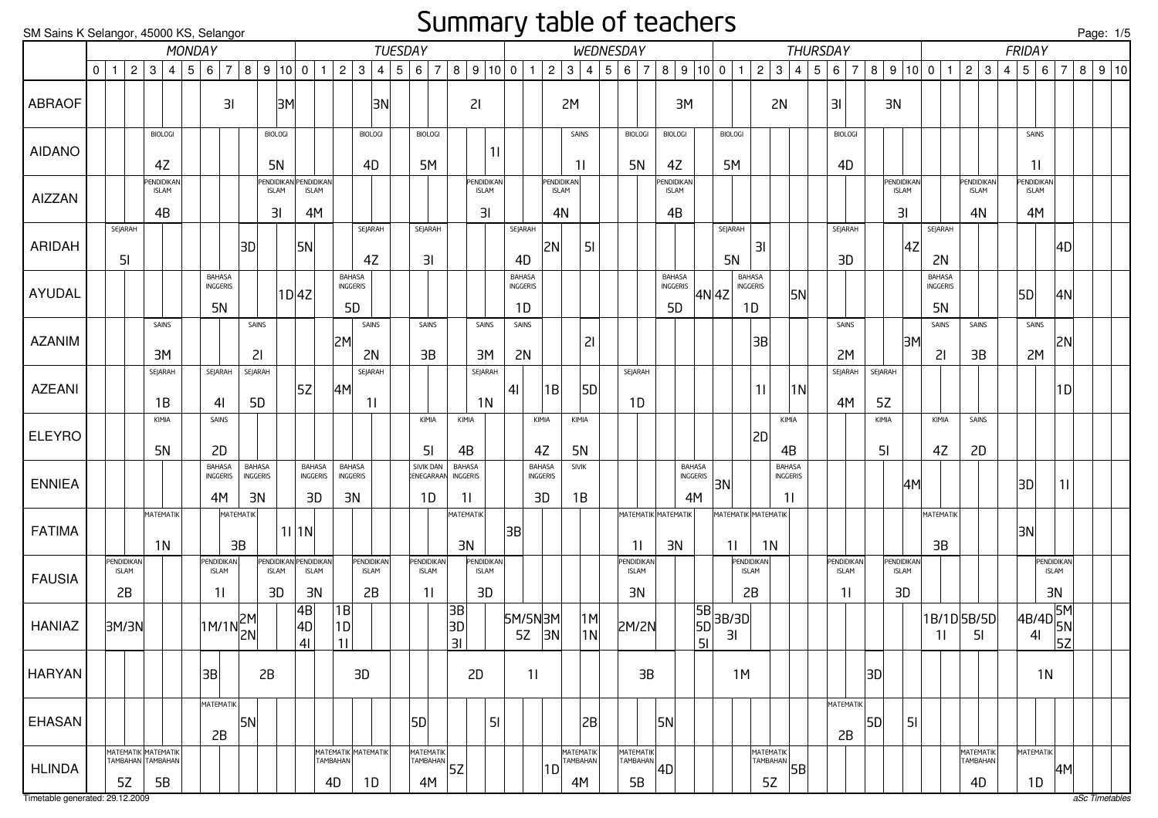#### Summary table of teachers

| SM Sains K Selangor, 45000 KS, Selangor |   |                    |                           |                                                       |                 |     |                                                                   |                |                           |                                                   |                                 |                |                                 |                                  |                 |                                         |                                                           | <u>--</u>                        |                |                                        |                          |                                  |                                          |     |                                    |                |                                        | $-1 - 1 - 1 - 1$         |                 |                                          |                        |                                 |                 |     |                                  |    |                                  |                |                                        |             |                                         |                |                                        |                                  |   | <u>Page: 1/5</u>   |  |
|-----------------------------------------|---|--------------------|---------------------------|-------------------------------------------------------|-----------------|-----|-------------------------------------------------------------------|----------------|---------------------------|---------------------------------------------------|---------------------------------|----------------|---------------------------------|----------------------------------|-----------------|-----------------------------------------|-----------------------------------------------------------|----------------------------------|----------------|----------------------------------------|--------------------------|----------------------------------|------------------------------------------|-----|------------------------------------|----------------|----------------------------------------|--------------------------|-----------------|------------------------------------------|------------------------|---------------------------------|-----------------|-----|----------------------------------|----|----------------------------------|----------------|----------------------------------------|-------------|-----------------------------------------|----------------|----------------------------------------|----------------------------------|---|--------------------|--|
|                                         |   |                    |                           |                                                       | MONDAY          |     |                                                                   |                |                           |                                                   |                                 |                |                                 |                                  |                 | <b>TUESDAY</b>                          |                                                           |                                  |                |                                        |                          |                                  | WEDNESDAY                                |     |                                    |                |                                        |                          |                 |                                          |                        |                                 | <b>THURSDAY</b> |     |                                  |    |                                  |                |                                        |             |                                         |                | FRIDAY                                 |                                  |   |                    |  |
|                                         | 0 | $\overline{1}$     | 2 <sup>1</sup>            | 3                                                     | $\vert 4 \vert$ | 5 6 |                                                                   | $\overline{7}$ |                           | 8   9   10   0                                    |                                 | $\overline{1}$ | $\overline{2}$                  | $\mathbf{3}$                     | $4 \mid 5 \mid$ | $\overline{7}$<br>6                     |                                                           | 8   9   10   0                   |                | $\mathbf{1}$                           | $\sqrt{2}$               | 3                                | 4                                        | 5 6 |                                    | $\overline{7}$ |                                        | 8   9   10   0           |                 | $\mathbf{1}$                             | $\overline{2}$         | $\mathbf{3}$                    | 4               | 5 6 | $\overline{7}$                   | 8  | 9 10 0 1                         |                |                                        |             | $2 \mid 3$                              | $\overline{4}$ | 5 6                                    | $\overline{7}$                   | 8 | $\vert 9 \vert 10$ |  |
| <b>ABRAOF</b>                           |   |                    |                           |                                                       |                 |     |                                                                   | 31             |                           | 3M                                                |                                 |                |                                 | 3N                               |                 |                                         |                                                           | 21                               |                |                                        |                          | 2M                               |                                          |     |                                    |                |                                        | ЗM                       |                 |                                          |                        | 2N                              |                 | 3   |                                  |    | 3N                               |                |                                        |             |                                         |                |                                        |                                  |   |                    |  |
| <b>AIDANO</b>                           |   |                    |                           | <b>BIOLOGI</b><br>4Z                                  |                 |     |                                                                   |                |                           | <b>BIOLOGI</b><br><b>5N</b>                       |                                 |                |                                 | <b>BIOLOGI</b><br>4D             |                 | <b>BIOLOGI</b><br>5M                    |                                                           | 11                               |                |                                        |                          | SAINS<br>11                      |                                          |     | <b>BIOLOGI</b><br>5N               |                | <b>BIOLOGI</b><br>4Z                   |                          |                 | <b>BIOLOGI</b><br>5M                     |                        |                                 |                 |     | <b>BIOLOGI</b><br>4D             |    |                                  |                |                                        |             |                                         |                | SAINS<br>11                            |                                  |   |                    |  |
| AIZZAN                                  |   |                    |                           | <b>PENDIDIKAN</b><br><b>ISLAM</b><br>4B               |                 |     |                                                                   |                |                           | <b>ENDIDIKA</b><br><b>ISLAM</b><br>3 <sub>l</sub> | <b>ISLAM</b><br>4M              | ENDIDIKAN      |                                 |                                  |                 |                                         |                                                           | PENDIDIKAN<br><b>ISLAM</b><br>31 |                |                                        |                          | PENDIDIKAN<br><b>ISLAM</b><br>4N |                                          |     |                                    |                | PENDIDIKAN<br><b>ISLAM</b><br>4B       |                          |                 |                                          |                        |                                 |                 |     |                                  |    | Pendidikan<br><b>ISLAM</b><br>31 |                |                                        |             | <b>PENDIDIKAN</b><br><b>ISLAM</b><br>4N |                | <b>ENDIDIKAN</b><br><b>ISLAM</b><br>4M |                                  |   |                    |  |
| ARIDAH                                  |   |                    | SEJARAH<br>5 <sub>l</sub> |                                                       |                 |     |                                                                   |                | 3D                        |                                                   | 5N                              |                |                                 | SEJARAH<br>4Z                    |                 | SEJARAH<br>3I                           |                                                           |                                  |                | SEJARAH<br>4D                          | 2N                       |                                  | 51                                       |     |                                    |                |                                        |                          |                 | SEJARAH<br><b>5N</b>                     | 3I                     |                                 |                 |     | SEJARAH<br>3D                    |    |                                  | 4Z             | SEJARAH<br>2N                          |             |                                         |                |                                        | 4D                               |   |                    |  |
| AYUDAL                                  |   |                    |                           |                                                       |                 |     | BAHASA<br>INGGERIS<br>5N                                          |                |                           |                                                   | 1D 4Z                           |                | <b>BAHASA</b><br>INGGERIS<br>5D |                                  |                 |                                         |                                                           |                                  |                | <b>BAHASA</b><br><b>INGGERIS</b><br>1D |                          |                                  |                                          |     |                                    |                | <b>BAHASA</b><br>INGGERIS<br><b>5D</b> |                          |                 | <b>BAHASA</b><br>INGGERIS<br>4N 4Z<br>1D |                        |                                 | 5N              |     |                                  |    |                                  |                | <b>BAHASA</b><br>INGGERIS<br><b>5N</b> |             |                                         |                | 5D                                     | 4N                               |   |                    |  |
| <b>AZANIM</b>                           |   |                    |                           | SAINS<br>3M                                           |                 |     |                                                                   |                | SAINS<br>21               |                                                   |                                 |                | 2M                              | SAINS<br>2N                      |                 | SAINS<br>3B                             |                                                           | SAINS<br>3M                      |                | SAINS<br>2N                            |                          |                                  | 21                                       |     |                                    |                |                                        |                          |                 |                                          | 3B                     |                                 |                 |     | SAINS<br>2M                      |    |                                  | 3M             | SAINS<br>21                            |             | SAINS<br>3B                             |                | SAINS<br>2M                            | 2N                               |   |                    |  |
| <b>AZEANI</b>                           |   |                    |                           | SEJARAH<br>1B                                         |                 |     | SEJARAH<br>41                                                     |                | SEJARAH<br>5 <sub>D</sub> |                                                   | 5Z                              |                | 4M                              | SEJARAH<br>11                    |                 |                                         |                                                           | SEJARAH<br>1 <sub>N</sub>        | 4 <sub>l</sub> |                                        | 1B                       |                                  | 5D                                       |     | SEJARAH<br>1D                      |                |                                        |                          |                 |                                          | 11                     |                                 | 1N              |     | SEJARAH<br>4M                    |    | SEJARAH<br>5Z                    |                |                                        |             |                                         |                |                                        | 1D                               |   |                    |  |
| <b>ELEYRO</b>                           |   |                    |                           | KIMIA<br>5N                                           |                 |     | SAINS<br>2D                                                       |                |                           |                                                   |                                 |                |                                 |                                  |                 | KIMIA<br>5 <sub>l</sub>                 |                                                           | KIMIA<br>4B                      |                |                                        | KIMIA<br>4Z              | KIMIA<br><b>5N</b>               |                                          |     |                                    |                |                                        |                          |                 |                                          | 2D                     | KIMIA<br>4B                     |                 |     |                                  |    | KIMIA<br>51                      |                | KIMIA<br>4Z                            |             | SAINS<br>2D                             |                |                                        |                                  |   |                    |  |
| <b>ENNIEA</b>                           |   |                    |                           |                                                       |                 |     | BAHASA<br><b>INGGERIS</b><br>4M                                   |                | BAHASA<br>INGGERIS<br>3N  |                                                   | BAHASA<br><b>INGGERIS</b><br>3D |                | <b>BAHASA</b><br>INGGERIS<br>3N |                                  |                 | SIVIK DAN<br>ENEGARAAN<br>1D            | <b>BAHASA</b>                                             | INGGERIS<br>11                   |                |                                        | BAHASA<br>INGGERIS<br>3D | <b>SIVIK</b><br>1B               |                                          |     |                                    |                |                                        | BAHASA<br>INGGERIS<br>4M |                 | 3N                                       |                        | <b>BAHASA</b><br>INGGERIS<br>11 |                 |     |                                  |    |                                  | 4M             |                                        |             |                                         |                | 3D                                     | 11                               |   |                    |  |
| <b>FATIMA</b>                           |   |                    |                           | MATEMATIK<br>1 <sub>N</sub>                           |                 |     |                                                                   | 3B             | <b>MATEMATIK</b>          |                                                   | $11$  1N                        |                |                                 |                                  |                 |                                         |                                                           | MATEMATIK<br>3N                  | 3B             |                                        |                          |                                  |                                          |     | 11                                 |                | MATEMATIK MATEMATIK<br>3N              |                          |                 | <b>МАТЕМАТІК МАТЕМАТІК</b><br>11         | 1N                     |                                 |                 |     |                                  |    |                                  |                | MATEMATIK<br>3B                        |             |                                         |                | 3N                                     |                                  |   |                    |  |
| <b>FAUSIA</b>                           |   | <b>ISLAM</b><br>2B | PENDIDIKAN                |                                                       |                 |     | PENDIDIKAN<br><b>ISLAM</b><br>11                                  |                |                           | PENDIDIKAN PENDIDIKAN<br><b>ISLAM</b><br>3D       | <b>ISLAM</b><br>3N              |                |                                 | PENDIDIKAN<br><b>ISLAM</b><br>2B |                 | <b>PENDIDIKAN</b><br><b>ISLAM</b><br>11 |                                                           | PENDIDIKAN<br><b>ISLAM</b><br>3D |                |                                        |                          |                                  |                                          |     | Pendidikan<br><b>ISLAM</b><br>3N   |                |                                        |                          |                 | <b>ISLAM</b><br>2B                       | PENDIDIKAN             |                                 |                 |     | PENDIDIKAN<br><b>ISLAM</b><br>11 |    | PENDIDIKAN<br><b>ISLAM</b><br>3D |                |                                        |             |                                         |                |                                        | PENDIDIKAN<br><b>ISLAM</b><br>3N |   |                    |  |
| HANIAZ                                  |   | 3M/3N              |                           |                                                       |                 |     | $\left 1 \text{M}/1 \text{N}\right $<br>$\left 2 \text{N}\right $ |                |                           |                                                   | 4B <br>$\vert$ 4D $\vert$<br> 4 |                | B <br>1D<br>11                  |                                  |                 |                                         | $\overline{\begin{bmatrix} 3B \\ 3D \end{bmatrix}}$<br>31 |                                  |                | 5M/5N3M<br>$5Z$ $ 3N $                 |                          |                                  | $\begin{vmatrix} 1M \\ 1N \end{vmatrix}$ |     | 2M/2N                              |                |                                        |                          | 5B<br>5D<br> 51 | 3B/3D<br>3I                              |                        |                                 |                 |     |                                  |    |                                  |                | 11                                     | 1B/1D 5B/5D | 51                                      |                | 4B/4D 5N<br>4I 5N                      |                                  |   |                    |  |
| <b>HARYAN</b>                           |   |                    |                           |                                                       |                 |     | 3B                                                                |                |                           | 2B                                                |                                 |                |                                 | 3D                               |                 |                                         |                                                           | 2D                               |                | 11                                     |                          |                                  |                                          |     |                                    | 3B             |                                        |                          |                 | 1M                                       |                        |                                 |                 |     |                                  | 3D |                                  |                |                                        |             |                                         |                | 1 <sub>N</sub>                         |                                  |   |                    |  |
| <b>EHASAN</b>                           |   |                    |                           |                                                       |                 |     | MATEMATIK<br>2B                                                   |                | 5N                        |                                                   |                                 |                |                                 |                                  |                 | 5DI                                     |                                                           | 51                               |                |                                        |                          |                                  | 2B                                       |     |                                    |                | <b>5N</b>                              |                          |                 |                                          |                        |                                 |                 |     | <b>MATEMATIK</b><br>2B           | 5D |                                  | 5 <sub>l</sub> |                                        |             |                                         |                |                                        |                                  |   |                    |  |
| <b>HLINDA</b>                           |   |                    | 5Z                        | <b>MATEMATIK MATEMATIK</b><br>TAMBAHAN TAMBAHAN<br>5B |                 |     |                                                                   |                |                           |                                                   |                                 | TAMBAHAN<br>4D |                                 | <b>MATEMATIK MATEMATIK</b><br>1D |                 | MATEMATIK<br><b>TAMBAHAN</b><br>4M      | <b>52</b>                                                 |                                  |                |                                        | 1D                       |                                  | <b>MATEMATIK</b><br>TAMBAHAN<br>4M       |     | MATEMATIK<br><b>TAMBAHAN</b><br>5B |                | 4D                                     |                          |                 |                                          | <b>MATEMATIK</b><br>5Z | TAMBAHAN                        | 5B              |     |                                  |    |                                  |                |                                        |             | MATEMATIK<br>TAMBAHAN<br>4D             |                | MATEMATIK<br>1D                        | 4M                               |   |                    |  |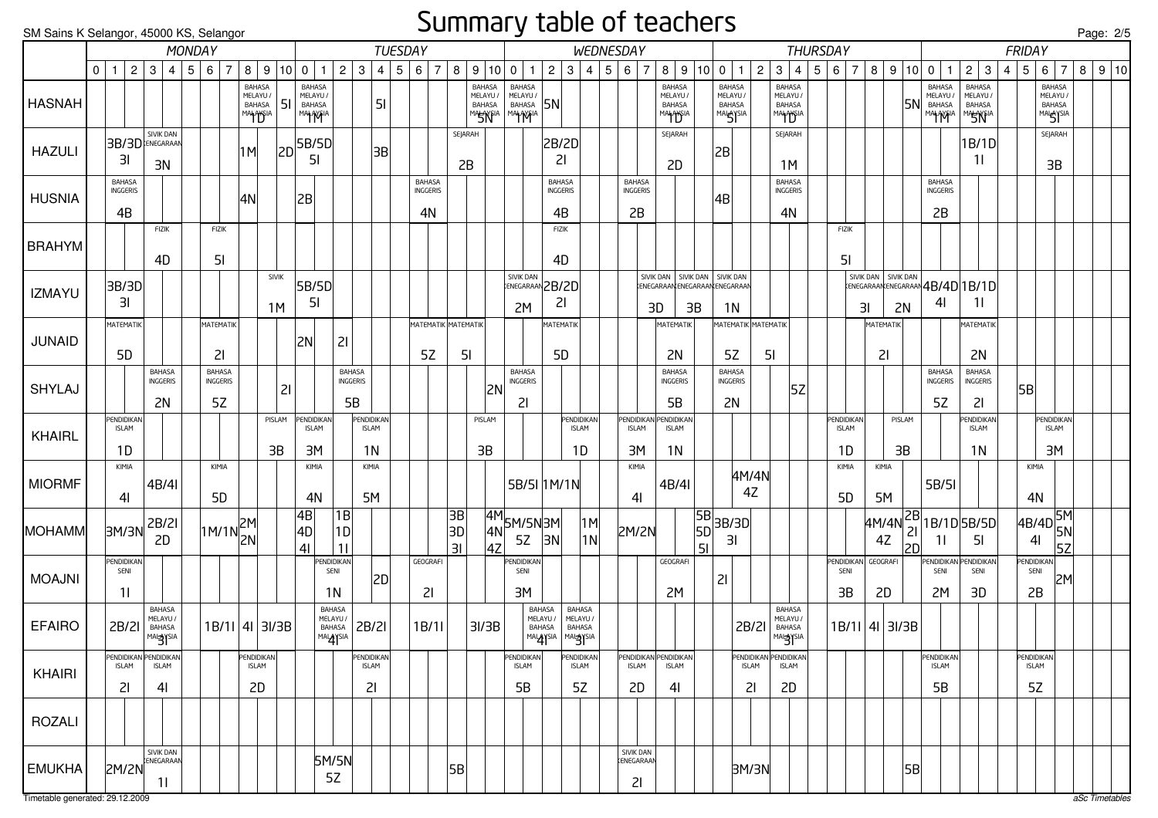#### Summary table of teachers

| SM Sains K Selangor, 45000 KS, Selangor |   |                                        |             |                                                        |        |               |                         |                                                        |              |                                                 |                                             |                                         |                | -- <sub>.</sub>                        |                   |                                                 |                                        |                                        |                                  |     |                                        |                |                                                                     |                 |                                                              |                    |                                |                                                       |                                   |                                         |                   |                 |          |                                                  |                                     |                                  |               |                                                                  | Page: 2/5 |  |
|-----------------------------------------|---|----------------------------------------|-------------|--------------------------------------------------------|--------|---------------|-------------------------|--------------------------------------------------------|--------------|-------------------------------------------------|---------------------------------------------|-----------------------------------------|----------------|----------------------------------------|-------------------|-------------------------------------------------|----------------------------------------|----------------------------------------|----------------------------------|-----|----------------------------------------|----------------|---------------------------------------------------------------------|-----------------|--------------------------------------------------------------|--------------------|--------------------------------|-------------------------------------------------------|-----------------------------------|-----------------------------------------|-------------------|-----------------|----------|--------------------------------------------------|-------------------------------------|----------------------------------|---------------|------------------------------------------------------------------|-----------|--|
|                                         |   |                                        |             |                                                        | MONDAY |               |                         |                                                        |              |                                                 |                                             |                                         | <b>TUESDAY</b> |                                        |                   |                                                 |                                        |                                        | <b>WEDNESDAY</b>                 |     |                                        |                |                                                                     |                 |                                                              |                    |                                | <b>THURSDAY</b>                                       |                                   |                                         |                   |                 |          |                                                  |                                     |                                  | <b>FRIDAY</b> |                                                                  |           |  |
|                                         | 0 | $\mathbf{1}$                           | $2^{\circ}$ | 3 <sup>1</sup><br>$\vert 4 \vert$                      |        | 567           |                         |                                                        |              | 8   9   10   0   1                              | $\overline{2}$                              | $\mathbf{3}$<br>4                       |                | $\overline{7}$<br>5 6                  | 8                 | 9 10 0                                          | $\mathbf{1}$                           | $\overline{2}$                         | $3 \mid 4$                       | 5 6 |                                        | $\overline{7}$ | 8   9   10   0                                                      |                 |                                                              | $\overline{1}$     | $\mathbf{2}$<br>3 <sup>1</sup> | 4                                                     | 5 <sup>5</sup><br>$6\overline{6}$ | $\overline{7}$                          |                   | 8 9             | 10       | $\mathbf 0$<br>$\mathbf{1}$                      |                                     | $2 \mid 3$                       | $4 \mid 5$    | $\overline{7}$<br>$6 \mid$                                       | 8 9 10    |  |
| <b>HASNAH</b>                           |   |                                        |             |                                                        |        |               |                         | <b>BAHASA</b><br>MELAYU /<br>BAHASA<br><b>MAHAYSIA</b> | l 51         | <b>BAHASA</b><br>MELAYU /<br>BAHASA<br>MAHAYFIA |                                             | 5 <sub>l</sub>                          |                |                                        |                   | BAHASA<br>MELAYU /<br>BAHASA<br><b>MASTYFIA</b> | <b>BAHASA</b><br>MELAYU /<br>BAHASA 5N |                                        |                                  |     |                                        |                | <b>BAHASA</b><br>MELAYU /<br><b>BAHASA</b><br>MALAYSIA              |                 | <b>BAHASA</b><br>MELAYU/<br><b>BAHASA</b><br><b>MALAYSIA</b> |                    |                                | <b>BAHASA</b><br>MELAYU /<br><b>BAHASA</b><br>MANYSIA |                                   |                                         |                   |                 | 5١       | <b>BAHASA</b><br>MELAYU /<br>BAHASA<br>MAI AVEIA | <b>BAHASA</b><br>MELAYU /<br>BAHASA | <b>MASINEIA</b>                  |               | <b>BAHASA</b><br>MELAYU /<br><b>BAHASA</b><br>MALAYSIA           |           |  |
| <b>HAZULI</b>                           |   | 3I                                     |             | SIVIK DAN<br>3B/3D ENEGARAAN<br>3N                     |        |               |                         | 1M                                                     | 2D           | 5B/5D<br>5I                                     |                                             | 3B                                      |                |                                        | SEJARAH<br>2B     |                                                 |                                        | 2B/2D<br>21                            |                                  |     |                                        |                | SEJARAH<br>2D                                                       |                 | 2B                                                           |                    |                                | SEJARAH<br>1M                                         |                                   |                                         |                   |                 |          |                                                  |                                     | 1B/1D<br>11                      |               | SEJARAH<br>3B                                                    |           |  |
| <b>HUSNIA</b>                           |   | <b>BAHASA</b><br><b>INGGERIS</b><br>4B |             |                                                        |        |               |                         | 4N                                                     |              | 2B                                              |                                             |                                         |                | <b>BAHASA</b><br><b>INGGERIS</b><br>4N |                   |                                                 |                                        | <b>BAHASA</b><br><b>INGGERIS</b><br>4B |                                  |     | <b>BAHASA</b><br>INGGERIS<br>2B        |                |                                                                     |                 | 4B                                                           |                    |                                | <b>BAHASA</b><br>INGGERIS<br>4N                       |                                   |                                         |                   |                 |          | <b>BAHASA</b><br><b>INGGERIS</b><br>2B           |                                     |                                  |               |                                                                  |           |  |
| <b>BRAHYM</b>                           |   |                                        |             | FIZIK<br>4D                                            |        | FIZIK         | 51                      |                                                        |              |                                                 |                                             |                                         |                |                                        |                   |                                                 |                                        | <b>FIZIK</b><br>4D                     |                                  |     |                                        |                |                                                                     |                 |                                                              |                    |                                |                                                       |                                   | <b>FIZIK</b><br>5 <sub>l</sub>          |                   |                 |          |                                                  |                                     |                                  |               |                                                                  |           |  |
| <b>IZMAYU</b>                           |   | 3B/3D<br>ЗI                            |             |                                                        |        |               |                         |                                                        | <b>SIVIK</b> | 5B/5D<br>51                                     |                                             |                                         |                |                                        |                   |                                                 | <b>SIVIK DAN</b>                       | ENEGARAAN 2B/2D<br>21                  |                                  |     |                                        |                | SIVIK DAN   SIVIK DAN   SIVIK DAN<br>:ENEGARAAN ENEGARAAN ENEGARAAN |                 |                                                              |                    |                                |                                                       |                                   |                                         |                   |                 |          | SIVIK DAN SIVIK DAN <b>ANA ADA 1 B/10</b><br>4I  |                                     | -1 I                             |               |                                                                  |           |  |
| <b>JUNAID</b>                           |   | MATEMATIK                              |             |                                                        |        |               | MATEMATIK               |                                                        | 1M           | <b>2N</b>                                       | 21                                          |                                         |                | <b>МАТЕМАТІК МАТЕМАТІК</b>             |                   |                                                 | 2M                                     | MATEMATIK                              |                                  |     |                                        | 3D             | MATEMATIK                                                           | 3B              | 1 <sup>N</sup>                                               |                    | МАТЕМАТІК МАТЕМАТІК            |                                                       |                                   |                                         | 3I                | 2N<br>MATEMATIK |          |                                                  | MATEMATIK                           |                                  |               |                                                                  |           |  |
| SHYLAJ                                  |   | 5 <sub>D</sub>                         |             | <b>BAHASA</b><br>INGGERIS                              |        | <b>BAHASA</b> | 21<br><b>INGGERIS</b>   |                                                        |              |                                                 | <b>BAHASA</b><br>INGGERIS                   |                                         |                | 5Z                                     | 5 <sub>l</sub>    |                                                 | <b>BAHASA</b><br>INGGERIS              | 5 <sub>D</sub>                         |                                  |     |                                        |                | 2N<br><b>BAHASA</b><br>INGGERIS                                     |                 | 5Z<br><b>BAHASA</b><br><b>INGGERIS</b>                       |                    | 51                             | 5Z                                                    |                                   |                                         |                   | 21              |          | <b>BAHASA</b><br>INGGERIS                        | <b>BAHASA</b>                       | 2N<br>INGGERIS                   | 5B            |                                                                  |           |  |
|                                         |   |                                        |             | 2N                                                     |        | 5Z            |                         |                                                        | 21           |                                                 | 5B                                          |                                         |                |                                        |                   | 2N                                              | 21                                     |                                        |                                  |     |                                        |                | 5B                                                                  |                 | 2N                                                           |                    |                                |                                                       |                                   |                                         |                   |                 |          | 5Z                                               | 21                                  |                                  |               |                                                                  |           |  |
| <b>KHAIRL</b>                           |   | PENDIDIKAN<br><b>ISLAM</b><br>1D       |             |                                                        |        |               |                         |                                                        | PISLAM<br>3B | PENDIDIKAN<br><b>ISLAM</b><br>3M                |                                             | <b>ENDIDIKAN</b><br><b>ISLAM</b><br>1N  |                |                                        |                   | PISLAM<br>3B                                    |                                        |                                        | PENDIDIKAN<br><b>ISLAM</b><br>1D |     | <b>ENDIDIKAN</b><br><b>ISLAM</b><br>ЗΜ |                | <b>PENDIDIKAN</b><br><b>ISLAM</b><br>1 <sub>N</sub>                 |                 |                                                              |                    |                                |                                                       |                                   | <b>PENDIDIKAN</b><br><b>ISLAM</b><br>1D |                   | PISLAM<br>3B    |          |                                                  | 1N                                  | <b>ENDIDIKAN</b><br><b>ISLAM</b> |               | PENDIDIKAN<br><b>ISLAM</b><br>3M                                 |           |  |
| <b>MIORMF</b>                           |   | KIMIA<br>4 <sub>l</sub>                |             | 4B/4I                                                  |        |               | KIMIA<br>5 <sub>D</sub> |                                                        |              | KIMIA<br>4N                                     |                                             | KIMIA<br>5M                             |                |                                        |                   |                                                 |                                        | 5B/5I 1M/1N                            |                                  |     | KIMIA<br>4 <sub>l</sub>                |                | 4B/4I                                                               |                 |                                                              | 4M/4N<br>4Z        |                                |                                                       |                                   | KIMIA<br>5 <sub>D</sub>                 |                   | KIMIA<br>5M     |          | 5B/5I                                            |                                     |                                  |               | KIMIA<br>4N                                                      |           |  |
| <b>MOHAMM</b>                           |   | 3M/3N                                  |             | 2B/2I<br>2D                                            |        |               | 1M/1N 2M                |                                                        |              | 4B<br> 4D <br>4 <sub>l</sub>                    | $\overline{1B}$<br>1D<br>11                 |                                         |                |                                        | 3B <br> 3D <br>3I | 4N<br>4Z                                        | $\frac{4M}{11}$ 5M/5N 3M<br>5Z         | 3N                                     | M <br> 1N                        |     | <b>2M/2N</b>                           |                |                                                                     | 5B <br>5D<br>51 | 3B/3D<br>3I                                                  |                    |                                |                                                       |                                   |                                         | $ 4M/4N ^{2B} _1$ | 4Z              | 21<br>2D | 1B/1D 5B/5D<br>11                                |                                     | 5 <sub>l</sub>                   |               | $\overline{4B/4D}$ $\overline{5M}$<br>5N<br>4 <sub>l</sub><br>5z |           |  |
| <b>MOAJNI</b>                           |   | PENDIDIKAN<br>SENI<br>11               |             |                                                        |        |               |                         |                                                        |              |                                                 | <b>PENDIDIKAN</b><br>SENI<br>1 <sub>N</sub> | 2D                                      |                | GEOGRAFI<br>21                         |                   |                                                 | <b>ENDIDIKAN</b><br>SENI<br>3M         |                                        |                                  |     |                                        |                | GEOGRAFI<br>2M                                                      |                 | 21                                                           |                    |                                |                                                       |                                   | PENDIDIKAN<br>SENI<br>3B                |                   | GEOGRAFI<br>2D  |          | PENDIDIKAN<br>SENI<br>2M                         | 3D                                  | <b>ENDIDIKAN</b><br>SENI         |               | PENDIDIKAN<br>SENI<br>2M<br>2B                                   |           |  |
| <b>EFAIRO</b>                           |   | 2B/2I                                  |             | <b>BAHASA</b><br>MELAYU /<br>BAHASA<br><b>MALAYSIA</b> |        |               |                         | $1B/11$ 4I 3I/3B                                       |              |                                                 | BAHASA<br>MELAYU /<br>BAHASA<br>MALAYSIA    | <b>2B/2I</b>                            |                | 1B/11                                  |                   | 3I/3B                                           | <b>BAHASA</b><br>MELAYU /<br>BAHASA    | MALAYSIA MALAYSIA                      | BAHASA<br>MELAYU /<br>BAHASA     |     |                                        |                |                                                                     |                 |                                                              | 2B/2I              |                                | BAHASA<br>MELAYU /<br>BAHASA                          |                                   |                                         | $1B/11$ 4I 3I/3B  |                 |          |                                                  |                                     |                                  |               |                                                                  |           |  |
| <b>KHAIRI</b>                           |   | <b>ISLAM</b><br>21                     |             | PENDIDIKAN PENDIDIKAN<br><b>ISLAM</b><br>41            |        |               |                         | PENDIDIKAN<br><b>ISLAM</b><br>2D                       |              |                                                 |                                             | <b>PENDIDIKAN</b><br><b>ISLAM</b><br>21 |                |                                        |                   |                                                 | PENDIDIKAN<br><b>ISLAM</b><br>5B       |                                        | PENDIDIKAN<br><b>ISLAM</b><br>5Z |     | <b>ISLAM</b><br>2D                     |                | PENDIDIKAN PENDIDIKAN<br><b>ISLAM</b><br>41                         |                 |                                                              | <b>ISLAM</b><br>21 |                                | PENDIDIKAN PENDIDIKAN<br><b>ISLAM</b><br>2D           |                                   |                                         |                   |                 |          | PENDIDIKAN<br><b>ISLAM</b><br>5B                 |                                     |                                  |               | PENDIDIKAN<br><b>ISLAM</b><br>5Z                                 |           |  |
| <b>ROZALI</b>                           |   |                                        |             |                                                        |        |               |                         |                                                        |              |                                                 |                                             |                                         |                |                                        |                   |                                                 |                                        |                                        |                                  |     |                                        |                |                                                                     |                 |                                                              |                    |                                |                                                       |                                   |                                         |                   |                 |          |                                                  |                                     |                                  |               |                                                                  |           |  |
| <b>EMUKHA</b>                           |   | 2M/2N                                  |             | <b>SIVIK DAN</b><br><b>ENEGARAAN</b><br><u> 11</u>     |        |               |                         |                                                        |              |                                                 | 5M/5N<br>5Z                                 |                                         |                |                                        | 5B                |                                                 |                                        |                                        |                                  |     | SIVIK DAN<br>KENEGARAAN<br>21          |                |                                                                     |                 |                                                              | 3M/3N              |                                |                                                       |                                   |                                         |                   |                 | 5B       |                                                  |                                     |                                  |               |                                                                  |           |  |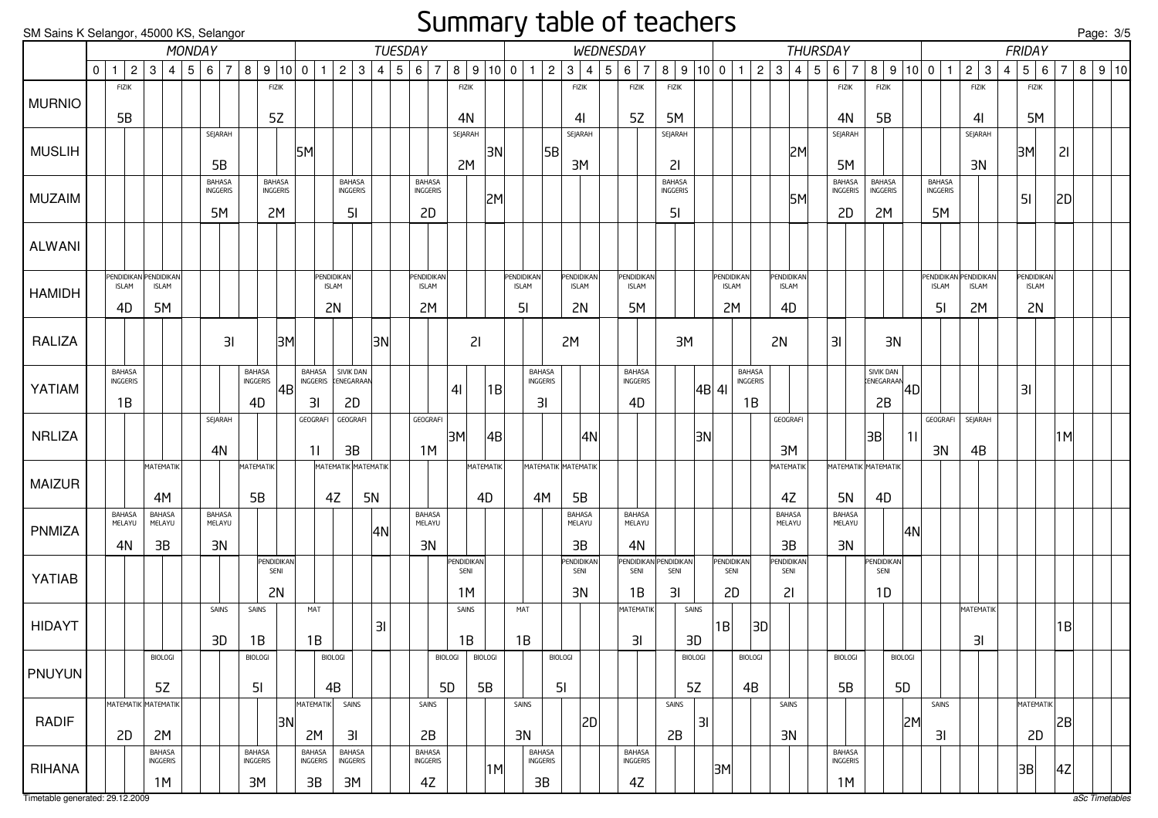#### Summary table of teachers

| SM Sains K Selangor, 45000 KS, Selangor |         |                            |                         |                           |        |                  |    |                           |    |                           |                                  |           |                |                           |                |                |                |                    | $\frac{1}{2}$           |   |                         |                       |                |              |                |    |                         |            |                                  |                         |                |                    |               |                       |   |                   |                |   | <u>Page: 3/5</u>         |  |
|-----------------------------------------|---------|----------------------------|-------------------------|---------------------------|--------|------------------|----|---------------------------|----|---------------------------|----------------------------------|-----------|----------------|---------------------------|----------------|----------------|----------------|--------------------|-------------------------|---|-------------------------|-----------------------|----------------|--------------|----------------|----|-------------------------|------------|----------------------------------|-------------------------|----------------|--------------------|---------------|-----------------------|---|-------------------|----------------|---|--------------------------|--|
|                                         |         |                            |                         |                           | MONDAY |                  |    |                           |    |                           |                                  |           | <b>TUESDAY</b> |                           |                |                |                |                    |                         |   | WEDNESDAY               |                       |                |              |                |    |                         |            | <b>THURSDAY</b>                  |                         |                |                    |               |                       |   | <b>FRIDAY</b>     |                |   |                          |  |
|                                         | $\circ$ | $\overline{1}$             | $2^{\circ}$<br>$3 \mid$ | $\overline{4}$            | 5 6    | $\overline{7}$   |    | 8   9   10   0            |    | $\overline{1}$            | $\overline{2}$                   | 3         | 4   5   6      | $\overline{7}$            |                | 8   9   10   0 | $\mathbf{1}$   | $\sqrt{2}$         | 3 <br>4                 | 5 | $6 \mid 7$              | 8   9   10   0        |                |              | $\overline{1}$ | 2  | $\mathbf{3}$            | $4 \mid 5$ | $\overline{7}$<br>6 <sup>1</sup> |                         |                | 8   9   10   0   1 |               | $2 \mid 3$            | 4 | $5 \mid 6$        | $\overline{7}$ | 8 | $\vert 9 \vert 10 \vert$ |  |
|                                         |         | <b>FIZIK</b>               |                         |                           |        |                  |    | <b>FIZIK</b>              |    |                           |                                  |           |                |                           | FIZIK          |                |                |                    | <b>FIZIK</b>            |   | <b>FIZIK</b>            | <b>FIZIK</b>          |                |              |                |    |                         |            | <b>FIZIK</b>                     | <b>FIZIK</b>            |                |                    |               | <b>FIZIK</b>          |   | <b>FIZIK</b>      |                |   |                          |  |
| <b>MURNIO</b>                           |         |                            |                         |                           |        |                  |    |                           |    |                           |                                  |           |                |                           |                |                |                |                    |                         |   |                         |                       |                |              |                |    |                         |            |                                  |                         |                |                    |               |                       |   |                   |                |   |                          |  |
|                                         |         | 5B                         |                         |                           |        |                  |    | 5Z                        |    |                           |                                  |           |                |                           | 4N             |                |                |                    | 41                      |   | 5Z                      | 5M                    |                |              |                |    |                         |            | 4N                               | 5B                      |                |                    |               | 4 <sub>l</sub>        |   | 5M                |                |   |                          |  |
| <b>MUSLIH</b>                           |         |                            |                         |                           |        | SEJARAH          |    |                           | 5M |                           |                                  |           |                |                           | SEJARAH        | 3N             |                | 5B                 | SEJARAH                 |   |                         | SEJARAH               |                |              |                |    |                         | 2M         | SEJARAH                          |                         |                |                    |               | SEJARAH               |   | 3M                | 21             |   |                          |  |
|                                         |         |                            |                         |                           |        | 5B               |    |                           |    |                           |                                  |           |                |                           | 2M             |                |                |                    | 3M                      |   |                         | 21                    |                |              |                |    |                         |            | 5M                               |                         |                |                    |               | 3N                    |   |                   |                |   |                          |  |
|                                         |         |                            |                         |                           |        | <b>BAHASA</b>    |    | <b>BAHASA</b>             |    |                           | <b>BAHASA</b>                    |           |                | <b>BAHASA</b>             |                |                |                |                    |                         |   |                         | BAHASA                |                |              |                |    |                         |            | <b>BAHASA</b>                    | BAHASA                  |                |                    | <b>BAHASA</b> |                       |   |                   |                |   |                          |  |
| <b>MUZAIM</b>                           |         |                            |                         |                           |        | <b>INGGERIS</b>  |    | INGGERIS                  |    |                           | INGGERIS                         |           |                | <b>INGGERIS</b>           |                | 2M             |                |                    |                         |   |                         | INGGERIS              |                |              |                |    |                         | 5M         | INGGERIS                         | INGGERIS                |                |                    | INGGERIS      |                       |   | 51                | 2D             |   |                          |  |
|                                         |         |                            |                         |                           |        | 5M               |    | 2M                        |    |                           | 5 <sub>l</sub>                   |           |                | 2D                        |                |                |                |                    |                         |   |                         | 5 <sub>l</sub>        |                |              |                |    |                         |            | 2D                               | 2M                      |                |                    | 5M            |                       |   |                   |                |   |                          |  |
|                                         |         |                            |                         |                           |        |                  |    |                           |    |                           |                                  |           |                |                           |                |                |                |                    |                         |   |                         |                       |                |              |                |    |                         |            |                                  |                         |                |                    |               |                       |   |                   |                |   |                          |  |
| <b>ALWANI</b>                           |         |                            |                         |                           |        |                  |    |                           |    |                           |                                  |           |                |                           |                |                |                |                    |                         |   |                         |                       |                |              |                |    |                         |            |                                  |                         |                |                    |               |                       |   |                   |                |   |                          |  |
|                                         |         | PENDIDIKAN PENDIDIKAN      |                         |                           |        |                  |    |                           |    |                           | PENDIDIKAN                       |           |                | Pendidikan                |                |                | PENDIDIKAN     |                    | <b>PENDIDIKAN</b>       |   | PENDIDIKAN              |                       |                |              | PENDIDIKAN     |    | PENDIDIKAN              |            |                                  |                         |                |                    |               | PENDIDIKAN PENDIDIKAN |   | <b>PENDIDIKAN</b> |                |   |                          |  |
| <b>HAMIDH</b>                           |         | <b>ISLAM</b>               |                         | <b>ISLAM</b>              |        |                  |    |                           |    |                           | <b>ISLAM</b>                     |           |                | <b>ISLAM</b>              |                |                | <b>ISLAM</b>   |                    | <b>ISLAM</b>            |   | <b>ISLAM</b>            |                       |                | <b>ISLAM</b> |                |    | <b>ISLAM</b>            |            |                                  |                         |                |                    | <b>ISLAM</b>  | <b>ISLAM</b>          |   | <b>ISLAM</b>      |                |   |                          |  |
|                                         |         | 4D                         |                         | 5M                        |        |                  |    |                           |    |                           | 2N                               |           |                | 2M                        |                |                | 5 <sub>l</sub> |                    | 2N                      |   | 5M                      |                       |                | 2M           |                |    | 4D                      |            |                                  |                         |                |                    | 51            | 2M                    |   | 2N                |                |   |                          |  |
|                                         |         |                            |                         |                           |        |                  |    |                           |    |                           |                                  |           |                |                           |                |                |                |                    |                         |   |                         |                       |                |              |                |    |                         |            |                                  |                         |                |                    |               |                       |   |                   |                |   |                          |  |
| RALIZA                                  |         |                            |                         |                           |        |                  | 3I |                           | 3M |                           |                                  |           | 3N             |                           |                | 21             |                |                    | 2M                      |   |                         | 3M                    |                |              |                |    | 2N                      |            | 31                               |                         | 3N             |                    |               |                       |   |                   |                |   |                          |  |
|                                         |         | <b>BAHASA</b>              |                         |                           |        |                  |    |                           |    | <b>BAHASA</b>             | SIVIK DAN                        |           |                |                           |                |                |                | <b>BAHASA</b>      |                         |   | BAHASA                  |                       |                |              | BAHASA         |    |                         |            |                                  |                         |                |                    |               |                       |   |                   |                |   |                          |  |
| YATIAM                                  |         | <b>INGGERIS</b>            |                         |                           |        |                  |    | Bahasa<br>Inggeris        | 4B | INGGERIS                  | KENEGARAAN                       |           |                |                           | 4 <sub>l</sub> | 1B             |                | INGGERIS           |                         |   | <b>INGGERIS</b>         |                       |                | 4B 41        | INGGERIS       |    |                         |            |                                  | SIVIK DAN<br>KENEGARAAN |                | 4D                 |               |                       |   | 31                |                |   |                          |  |
|                                         |         | 1B                         |                         |                           |        |                  |    | 4D                        |    | 3I                        | 2D                               |           |                |                           |                |                |                | 31                 |                         |   | 4D                      |                       |                |              | 1B             |    |                         |            |                                  | 2B                      |                |                    |               |                       |   |                   |                |   |                          |  |
|                                         |         |                            |                         |                           |        | SEJARAH          |    |                           |    | GEOGRAFI                  | GEOGRAFI                         |           |                | GEOGRAFI                  |                |                |                |                    |                         |   |                         |                       |                |              |                |    | GEOGRAFI                |            |                                  |                         |                |                    | GEOGRAFI      | SEJARAH               |   |                   |                |   |                          |  |
| <b>NRLIZA</b>                           |         |                            |                         |                           |        |                  |    |                           |    |                           |                                  |           |                | 1M                        | 3M             | 4B             |                |                    | 4N                      |   |                         |                       | 3N             |              |                |    |                         |            |                                  | 3B                      |                | 11                 |               |                       |   |                   | M              |   |                          |  |
|                                         |         |                            |                         | <b>MATEMATIK</b>          |        | 4N               |    | <b>MATEMATIK</b>          |    | 11                        | 3B<br><b>MATEMATIK MATEMATIK</b> |           |                |                           |                | MATEMATIK      |                |                    | MATEMATIK MATEMATIK     |   |                         |                       |                |              |                |    | 3M<br>MATEMATIK         |            | MATEMATIK MATEMATIK              |                         |                |                    | 3N            | 4B                    |   |                   |                |   |                          |  |
| <b>MAIZUR</b>                           |         |                            |                         |                           |        |                  |    |                           |    |                           |                                  |           |                |                           |                |                |                |                    |                         |   |                         |                       |                |              |                |    |                         |            |                                  |                         |                |                    |               |                       |   |                   |                |   |                          |  |
|                                         |         |                            |                         | 4M                        |        |                  |    | 5B                        |    |                           | 4Z                               | <b>5N</b> |                |                           |                | 4D             |                | 4M                 | 5B                      |   |                         |                       |                |              |                |    | 4Z                      |            | <b>5N</b>                        | 4D                      |                |                    |               |                       |   |                   |                |   |                          |  |
|                                         |         | <b>BAHASA</b><br>MELAYU    |                         | <b>BAHASA</b><br>MELAYU   |        | BAHASA<br>MELAYU |    |                           |    |                           |                                  |           |                | BAHASA<br>MELAYU          |                |                |                |                    | <b>BAHASA</b><br>MELAYU |   | <b>BAHASA</b><br>MELAYU |                       |                |              |                |    | <b>BAHASA</b><br>MELAYU |            | <b>BAHASA</b><br>MELAYU          |                         |                |                    |               |                       |   |                   |                |   |                          |  |
| PNMIZA                                  |         |                            |                         |                           |        |                  |    |                           |    |                           |                                  |           | 4N             |                           |                |                |                |                    |                         |   |                         |                       |                |              |                |    |                         |            |                                  |                         |                | 4N                 |               |                       |   |                   |                |   |                          |  |
|                                         |         | 4N                         |                         | 3B                        |        | 3N               |    | PENDIDIKAN                |    |                           |                                  |           |                | 3N                        | PENDIDIKAN     |                |                |                    | 3B<br>PENDIDIKAN        |   | 4N                      | PENDIDIKAN PENDIDIKAN |                | PENDIDIKAN   |                |    | 3B<br>PENDIDIKAN        |            | 3N                               | PENDIDIKAN              |                |                    |               |                       |   |                   |                |   |                          |  |
| YATIAB                                  |         |                            |                         |                           |        |                  |    | SENI                      |    |                           |                                  |           |                |                           | SENI           |                |                |                    | SENI                    |   | SENI                    | SENI                  |                | SENI         |                |    | SENI                    |            |                                  | SENI                    |                |                    |               |                       |   |                   |                |   |                          |  |
|                                         |         |                            |                         |                           |        |                  |    | 2N                        |    |                           |                                  |           |                |                           | 1M             |                |                |                    | 3N                      |   | 1B                      | 31                    |                | 2D           |                |    | 21                      |            |                                  | 1D                      |                |                    |               |                       |   |                   |                |   |                          |  |
|                                         |         |                            |                         |                           |        | SAINS            |    | SAINS                     |    | MAT                       |                                  |           |                |                           | SAINS          |                | MAT            |                    |                         |   | MATEMATIK               |                       | SAINS          |              |                |    |                         |            |                                  |                         |                |                    |               | MATEMATIK             |   |                   |                |   |                          |  |
| <b>HIDAYT</b>                           |         |                            |                         |                           |        |                  |    |                           |    |                           |                                  |           | 31             |                           |                |                |                |                    |                         |   |                         |                       |                | 1B           |                | 3D |                         |            |                                  |                         |                |                    |               |                       |   |                   | B              |   |                          |  |
|                                         |         |                            |                         |                           |        | 3D               |    | 1B                        |    | 1B                        |                                  |           |                |                           | 1B             |                | 1B             |                    |                         |   | 3I                      |                       | 3D             |              |                |    |                         |            |                                  |                         |                |                    |               | 31                    |   |                   |                |   |                          |  |
|                                         |         |                            |                         | <b>BIOLOGI</b>            |        |                  |    | <b>BIOLOGI</b>            |    |                           | <b>BIOLOGI</b>                   |           |                |                           | <b>BIOLOGI</b> | <b>BIOLOGI</b> |                | <b>BIOLOGI</b>     |                         |   |                         |                       | <b>BIOLOGI</b> |              | <b>BIOLOGI</b> |    |                         |            | <b>BIOLOGI</b>                   |                         | <b>BIOLOGI</b> |                    |               |                       |   |                   |                |   |                          |  |
| PNUYUN                                  |         |                            |                         | 5Z                        |        |                  |    | 5 <sub>l</sub>            |    |                           | 4B                               |           |                | 5D                        |                | 5B             |                | 5 <sub>l</sub>     |                         |   |                         |                       | 5Z             |              | 4B             |    |                         |            | 5B                               |                         | 5 <sub>D</sub> |                    |               |                       |   |                   |                |   |                          |  |
|                                         |         | <b>MATEMATIK MATEMATIK</b> |                         |                           |        |                  |    |                           |    | <b>MATEMATIK</b>          | SAINS                            |           |                | SAINS                     |                |                | SAINS          |                    |                         |   |                         | SAINS                 |                |              |                |    | SAINS                   |            |                                  |                         |                |                    | SAINS         |                       |   | MATEMATIK         |                |   |                          |  |
| <b>RADIF</b>                            |         |                            |                         |                           |        |                  |    | 3N                        |    |                           |                                  |           |                |                           |                |                |                |                    | 2D                      |   |                         |                       | 31             |              |                |    |                         |            |                                  |                         |                | 2M                 |               |                       |   |                   | 2B             |   |                          |  |
|                                         |         | 2D                         |                         | 2M                        |        |                  |    |                           |    | 2M                        | 31                               |           |                | 2B                        |                |                | 3N             |                    |                         |   |                         | 2B                    |                |              |                |    | 3N                      |            |                                  |                         |                |                    | 31            |                       |   | 2D                |                |   |                          |  |
|                                         |         |                            |                         | <b>BAHASA</b><br>INGGERIS |        |                  |    | <b>BAHASA</b><br>INGGERIS |    | <b>BAHASA</b><br>INGGERIS | <b>BAHASA</b><br><b>INGGERIS</b> |           |                | <b>BAHASA</b><br>INGGERIS |                |                |                | BAHASA<br>INGGERIS |                         |   | BAHASA<br>INGGERIS      |                       |                |              |                |    |                         |            | <b>BAHASA</b><br>INGGERIS        |                         |                |                    |               |                       |   |                   |                |   |                          |  |
| <b>RIHANA</b>                           |         |                            |                         | 1M                        |        |                  |    | 3M                        |    | 3B                        | 3M                               |           |                | 4Z                        |                | 1M             |                | 3B                 |                         |   | 4Z                      |                       |                | 3M           |                |    |                         |            | 1M                               |                         |                |                    |               |                       |   | 3B                | 4Z             |   |                          |  |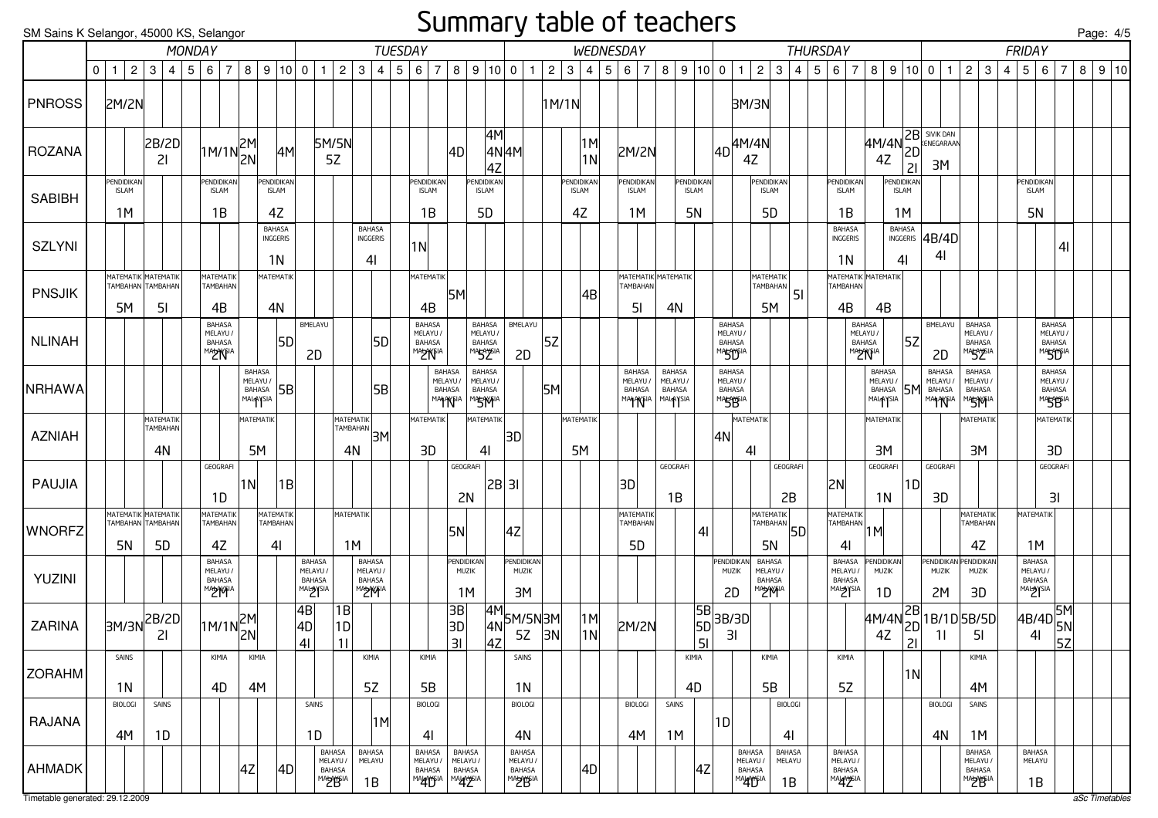#### Summary table of teachers

SM Sains K Selangor, 45000 KS, Selangor

| SM Sains K Selangor, 45000 KS, Selangor |                                                |                |                                     |                   |                                                                 |                    |                                             |                                                                 |                                                 |                                                   |                                                               |                     |     |                                                             |                                                               |                                                        |                                          |                                                                                    |              |       |                                  |                                          |                                                   |                              |                                  |                             |    |                                                                          |                                                                                                                                                                                                                                                                                                                                                                                                     |                        |    |                 |                                                 |                                                        |                                          |                                      |    |                                                                                                                                                                                                                      |                                                        |   |                                                |                                                                  |                | Page: 4/5 |                          |  |
|-----------------------------------------|------------------------------------------------|----------------|-------------------------------------|-------------------|-----------------------------------------------------------------|--------------------|---------------------------------------------|-----------------------------------------------------------------|-------------------------------------------------|---------------------------------------------------|---------------------------------------------------------------|---------------------|-----|-------------------------------------------------------------|---------------------------------------------------------------|--------------------------------------------------------|------------------------------------------|------------------------------------------------------------------------------------|--------------|-------|----------------------------------|------------------------------------------|---------------------------------------------------|------------------------------|----------------------------------|-----------------------------|----|--------------------------------------------------------------------------|-----------------------------------------------------------------------------------------------------------------------------------------------------------------------------------------------------------------------------------------------------------------------------------------------------------------------------------------------------------------------------------------------------|------------------------|----|-----------------|-------------------------------------------------|--------------------------------------------------------|------------------------------------------|--------------------------------------|----|----------------------------------------------------------------------------------------------------------------------------------------------------------------------------------------------------------------------|--------------------------------------------------------|---|------------------------------------------------|------------------------------------------------------------------|----------------|-----------|--------------------------|--|
|                                         |                                                |                |                                     | MONDAY            |                                                                 |                    |                                             |                                                                 |                                                 |                                                   |                                                               | <b>TUESDAY</b>      |     |                                                             |                                                               |                                                        |                                          |                                                                                    |              |       |                                  |                                          | WEDNESDAY                                         |                              |                                  |                             |    |                                                                          |                                                                                                                                                                                                                                                                                                                                                                                                     |                        |    | <b>THURSDAY</b> |                                                 |                                                        |                                          |                                      |    |                                                                                                                                                                                                                      |                                                        |   | <b>FRIDAY</b>                                  |                                                                  |                |           |                          |  |
|                                         | $0 \mid 1$                                     | $\overline{2}$ |                                     | 3   4   5   6   7 |                                                                 |                    | 8   9   10   0                              |                                                                 | $\mathbf{1}$                                    | $\overline{c}$                                    | 3                                                             | 4                   | 5 6 | $\overline{7}$                                              |                                                               | 8   9   10   0                                         |                                          |                                                                                    | $\mathbf{1}$ | 2     | 3                                |                                          | 4   5   6   7                                     | 8                            | 9 10 0                           |                             |    | $\overline{1}$                                                           | $\overline{2}$                                                                                                                                                                                                                                                                                                                                                                                      | $\mathbf{3}$           |    | 4 5 6 7         |                                                 |                                                        |                                          | 8   9   10   0                       |    | $\mathbf{1}$                                                                                                                                                                                                         | 2<br>3                                                 | 4 | 5 6                                            |                                                                  | $\overline{7}$ | 8         | $\vert 9 \vert 10 \vert$ |  |
| <b>PNROSS</b>                           | 2M/2N                                          |                |                                     |                   |                                                                 |                    |                                             |                                                                 |                                                 |                                                   |                                                               |                     |     |                                                             |                                                               |                                                        |                                          |                                                                                    |              | 1M/1N |                                  |                                          |                                                   |                              |                                  |                             |    | 3M/3N                                                                    |                                                                                                                                                                                                                                                                                                                                                                                                     |                        |    |                 |                                                 |                                                        |                                          |                                      |    |                                                                                                                                                                                                                      |                                                        |   |                                                |                                                                  |                |           |                          |  |
| <b>ROZANA</b>                           |                                                |                | 2B/2D<br>21                         |                   | $\left 1M/1N\right \begin{matrix} 2M\\ 2N \end{matrix} \right $ |                    | 4M                                          |                                                                 | 5M/5N<br>5Z                                     |                                                   |                                                               |                     |     |                                                             | 4D                                                            |                                                        | 4M<br>4Z                                 | 4N 4M                                                                              |              |       |                                  | 1M <br> 1N                               | <b>2M/2N</b>                                      |                              |                                  |                             |    | $\vert_{\rm 4D}\vert^{\rm 4M/4N}$<br>4Z                                  |                                                                                                                                                                                                                                                                                                                                                                                                     |                        |    |                 |                                                 |                                                        | $4Z$                                     |                                      | 21 | 4M/4N 2B SIVIK DAN<br>3M                                                                                                                                                                                             |                                                        |   |                                                |                                                                  |                |           |                          |  |
| <b>SABIBH</b>                           | PENDIDIKAN<br><b>ISLAM</b><br>1M               |                |                                     |                   | Pendidikan<br><b>ISLAM</b><br>1B                                |                    | PENDIDIKAN<br><b>ISLAM</b><br>4Z            |                                                                 |                                                 |                                                   |                                                               |                     |     | PENDIDIKAN<br><b>ISLAM</b><br>1B                            |                                                               | <b>ENDIDIKAN</b><br><b>ISLAM</b><br>5D                 |                                          |                                                                                    |              |       | PENDIDIKAN<br><b>ISLAM</b><br>4Z |                                          | PENDIDIKAN<br><b>ISLAM</b><br>1M                  |                              | PENDIDIKAN<br><b>ISLAM</b><br>5N |                             |    |                                                                          | PENDIDIKAN<br><b>ISLAM</b><br>5D                                                                                                                                                                                                                                                                                                                                                                    |                        |    |                 | Pendidikan <br><b>ISLAM</b><br>1B               |                                                        |                                          | PENDIDIKAN<br><b>ISLAM</b><br>1M     |    |                                                                                                                                                                                                                      |                                                        |   | <b>PENDIDIKAN</b><br><b>ISLAM</b><br><b>5N</b> |                                                                  |                |           |                          |  |
| <b>SZLYNI</b>                           |                                                |                |                                     |                   |                                                                 |                    | <b>BAHASA</b><br>INGGERIS<br>1 <sub>N</sub> |                                                                 |                                                 |                                                   | <b>BAHASA</b><br>INGGERIS<br>4 <sub>l</sub>                   |                     | 1N  |                                                             |                                                               |                                                        |                                          |                                                                                    |              |       |                                  |                                          |                                                   |                              |                                  |                             |    |                                                                          |                                                                                                                                                                                                                                                                                                                                                                                                     |                        |    |                 | <b>BAHASA</b><br>INGGERIS<br>1 <sub>N</sub>     |                                                        |                                          | BAHASA<br>INGGERIS<br>4 <sub>l</sub> |    | AB/4D<br>41                                                                                                                                                                                                          |                                                        |   |                                                |                                                                  | 4 <sub>l</sub> |           |                          |  |
| <b>PNSJIK</b>                           | MATEMATIK MATEMATIK<br>TAMBAHAN TAMBAHAN<br>5M |                | 5 <sub>l</sub>                      |                   | MATEMATIK<br>TAMBAHAN<br>4B                                     |                    | MATEMATIK<br>4N                             |                                                                 |                                                 |                                                   |                                                               |                     |     | <b>MATEMATIK</b><br>4B                                      | 5M                                                            |                                                        |                                          |                                                                                    |              |       |                                  | 4B                                       | MATEMATIK MATEMATIK<br>TAMBAHAN<br>5 <sub>l</sub> | 4N                           |                                  |                             |    |                                                                          | MATEMATIK<br>TAMBAHAN<br>5M                                                                                                                                                                                                                                                                                                                                                                         |                        | 51 |                 | МАТЕМАТІК МАТЕМАТІК<br>TAMBAHAN<br>4B           |                                                        | 4B                                       |                                      |    |                                                                                                                                                                                                                      |                                                        |   |                                                |                                                                  |                |           |                          |  |
| <b>NLINAH</b>                           |                                                |                |                                     |                   | BAHASA<br>MELAYU /<br>BAHASA<br>MA <del>U</del> AYSIA           |                    | 5D                                          |                                                                 | BMELAYU<br>2D                                   |                                                   |                                                               | 5D                  |     | BAHASA<br>MELAYU /<br>BAHASA<br><b>MADYNFIA</b>             |                                                               | BAHASA<br>MELAYU /<br><b>BAHASA</b><br>MARAYSIA        |                                          | BMELAYU<br>2D                                                                      |              | 5Z    |                                  |                                          |                                                   |                              |                                  |                             |    | <b>BAHASA</b><br>MELAYU/<br><b>BAHASA</b><br>MASTORIA                    |                                                                                                                                                                                                                                                                                                                                                                                                     |                        |    |                 |                                                 | <b>BAHASA</b><br>MELAYU /<br>BAHASA<br><b>MADYYSIA</b> |                                          |                                      | 5Z | BMELAYU<br>2D                                                                                                                                                                                                        | BAHASA<br>MELAYU /<br><b>BAHASA</b><br><b>MARAYSIA</b> |   |                                                | BAHASA<br>MELAYU /<br><b>BAHASA</b><br>MASTONA                   |                |           |                          |  |
| NRHAWA                                  |                                                |                |                                     |                   |                                                                 | BAHASA<br>MALAYSIA | MELAYU /<br>BAHASA 5B                       |                                                                 |                                                 |                                                   |                                                               | 5B                  |     | <b>BAHASA</b><br>MELAYU<br><b>BAHASA</b><br><b>MAHANFIA</b> |                                                               | BAHASA<br>MELAYU /<br><b>BAHASA</b><br><b>MASTYFIA</b> |                                          |                                                                                    |              | 5M    |                                  |                                          | BAHASA<br>MELAYU /<br>BAHASA<br>MAHAYSIA MALAYSIA | BAHASA<br>MELAYU /<br>BAHASA |                                  |                             |    | <b>BAHASA</b><br>MELAYU /<br>BAHASA<br>MA <del>SY</del> SIA              |                                                                                                                                                                                                                                                                                                                                                                                                     |                        |    |                 |                                                 |                                                        | BAHASA<br>MELAYU /<br>BAHASA<br>MALAYSIA |                                      |    | BAHASA<br>MELAYU /<br><b>5M</b> BAHASA<br>MAHANTIA                                                                                                                                                                   | <b>BAHASA</b><br>MELAYU /<br>BAHASA<br><b>MASTYPIA</b> |   |                                                | <b>BAHASA</b><br>MELAYU /<br><b>BAHASA</b><br>MASB <sup>IA</sup> |                |           |                          |  |
| <b>AZNIAH</b>                           |                                                |                | MATEMATIK<br>TAMBAHAN<br>4N         |                   |                                                                 |                    | MATEMATIK<br>5M                             |                                                                 |                                                 | <b>MATEMATIK</b><br>4N                            |                                                               | ATEMATINA ATEMATINA |     | <b>MATEMATIK</b><br>3D                                      |                                                               | MATEMATIK<br>4 <sub>l</sub>                            |                                          | 3D                                                                                 |              |       | MATEMATIK<br>5M                  |                                          |                                                   |                              |                                  |                             | 4N | MATEMATIK<br>4                                                           |                                                                                                                                                                                                                                                                                                                                                                                                     |                        |    |                 |                                                 |                                                        | MATEMATIK<br>3M                          |                                      |    |                                                                                                                                                                                                                      | MATEMATIK<br>3M                                        |   |                                                | MATEMATIK<br>3D                                                  |                |           |                          |  |
| PAUJIA                                  |                                                |                |                                     |                   | GEOGRAFI<br>1D                                                  | 1 <sub>N</sub>     | 1B                                          |                                                                 |                                                 |                                                   |                                                               |                     |     |                                                             | GEOGRAFI<br>2N                                                |                                                        | 2B 31                                    |                                                                                    |              |       |                                  |                                          | 3D                                                | GEOGRAFI<br>1B               |                                  |                             |    |                                                                          |                                                                                                                                                                                                                                                                                                                                                                                                     | GEOGRAFI<br>2B         |    |                 | 2N                                              |                                                        | GEOGRAFI<br>1 <sub>N</sub>               |                                      | 1D | GEOGRAFI<br>3D                                                                                                                                                                                                       |                                                        |   |                                                | GEOGRAFI<br>3I                                                   |                |           |                          |  |
| <b>WNORFZ</b>                           | MATEMATIK MATEMATIK<br>5N                      |                | TAMBAHAN TAMBAHAN<br>5 <sub>D</sub> |                   | MATEMATIK<br>TAMBAHAN<br>4Z                                     |                    | MATEMATIK<br><b>TAMBAHAN</b><br>41          |                                                                 |                                                 | <b>MATEMATIK</b><br>1M                            |                                                               |                     |     |                                                             | 5N                                                            |                                                        |                                          | 4Z                                                                                 |              |       |                                  |                                          | MATEMATIK<br>TAMBAHAN<br>5 <sub>D</sub>           |                              |                                  | 4 <sub>l</sub>              |    |                                                                          | <b>MATEMATIK</b><br>$\left  \frac{1}{14} \frac{1}{14} \frac{1}{14} \frac{1}{14} \frac{1}{14} \frac{1}{14} \frac{1}{14} \frac{1}{14} \frac{1}{14} \frac{1}{14} \frac{1}{14} \frac{1}{14} \frac{1}{14} \frac{1}{14} \frac{1}{14} \frac{1}{14} \frac{1}{14} \frac{1}{14} \frac{1}{14} \frac{1}{14} \frac{1}{14} \frac{1}{14} \frac{1}{14} \frac{1}{14} \frac{1}{14} \frac{1}{14} \frac{1}{14} \$<br>5N |                        |    |                 | MATEMATIK<br>TAMBAHAN<br>41                     | $\vert$ 1M $\vert$                                     |                                          |                                      |    |                                                                                                                                                                                                                      | MATEMATIK<br>TAMBAHAN<br>4Z                            |   | MATEMATIK<br>1M                                |                                                                  |                |           |                          |  |
| YUZINI                                  |                                                |                |                                     |                   | BAHASA<br>MELAYU /<br>BAHASA                                    |                    |                                             |                                                                 | BAHASA<br>MELAYU /<br>BAHASA<br><b>MALAYSIA</b> |                                                   | <b>BAHASA</b><br>MELAYU /<br><b>BAHASA</b><br><b>MADAYFIA</b> |                     |     |                                                             | PENDIDIKAN<br><b>MUZIK</b><br>1M                              |                                                        |                                          | PENDIDIKAN<br>MUZIK<br>3M                                                          |              |       |                                  |                                          |                                                   |                              |                                  |                             |    | PENDIDIKAN<br><b>MUZIK</b><br>2D                                         | BAHASA<br>MELAYU /<br>BAHASA<br><b>MADAYFIA</b>                                                                                                                                                                                                                                                                                                                                                     |                        |    |                 | BAHASA<br>MELAYU /<br>BAHASA<br><b>MALAYSIA</b> |                                                        | PENDIDIKAN<br>MUZIK<br>1D                |                                      |    | PENDIDIKAN PENDIDIKAN<br><b>MUZIK</b><br>2M                                                                                                                                                                          | MUZIK<br>3D                                            |   | BAHASA<br>MELAYU /<br>BAHASA                   |                                                                  |                |           |                          |  |
| ZARINA                                  | 3M/3N                                          |                | 2B/2D<br>21                         |                   | $\left 1M/1N\right \begin{matrix} 2M\\ 2N \end{matrix}\right $  |                    |                                             | $\begin{array}{c} \n \overline{4B} \\  4D \\  4I\n \end{array}$ |                                                 | 1B<br>$\begin{array}{c} \n\boxed{1}\n\end{array}$ |                                                               |                     |     |                                                             | $\begin{array}{c} \n 3B \\  3D \\  \hline\n 3I\n \end{array}$ |                                                        | $\begin{vmatrix} 4N \\ 4Z \end{vmatrix}$ | $\begin{array}{ c c }\n 4M & 5M/5N & 3M \\  4N & 5Z & 3N \\  4Z & & \n\end{array}$ |              |       |                                  | $\begin{vmatrix} 1M \\ 1N \end{vmatrix}$ | <b>2M/2N</b>                                      |                              |                                  | $\overline{\phantom{a}}$ 51 |    | $\begin{array}{ c c }\n\hline\n5B & 3B/3D \\ 5D & 3I\n\end{array}$<br>31 |                                                                                                                                                                                                                                                                                                                                                                                                     |                        |    |                 |                                                 |                                                        |                                          |                                      |    | $\begin{array}{c c}\n 4M/4N \overline{\begin{array}{c} 2B \\ 2D \end{array}}\n 1B/1D \overline{\begin{array}{c} 5B/5D \\ 5I \end{array}}\n 1B/1D \overline{\begin{array}{c} 5B/5D \\ 5I \end{array}}\n \end{array}}$ |                                                        |   |                                                | 4B/4D 5M<br>4I 5N                                                |                |           |                          |  |
| <b>ZORAHM</b>                           | SAINS<br>1N                                    |                |                                     |                   | KIMIA<br>4D                                                     | KIMIA<br>4M        |                                             |                                                                 |                                                 |                                                   | KIMIA<br>5Z                                                   |                     |     | KIMIA<br>5B                                                 |                                                               |                                                        |                                          | SAINS<br>1N                                                                        |              |       |                                  |                                          |                                                   |                              | KIMIA<br>4D                      |                             |    |                                                                          | KIMIA<br>5B                                                                                                                                                                                                                                                                                                                                                                                         |                        |    |                 | KIMIA<br>5Z                                     |                                                        |                                          |                                      | 1N |                                                                                                                                                                                                                      | KIMIA<br>4M                                            |   |                                                |                                                                  |                |           |                          |  |
| RAJANA                                  | <b>BIOLOGI</b><br>4M                           |                | SAINS<br>1D                         |                   |                                                                 |                    |                                             |                                                                 | SAINS<br>1D                                     |                                                   |                                                               | 1M                  |     | <b>BIOLOGI</b><br>41                                        |                                                               |                                                        |                                          | <b>BIOLOGI</b><br>4N                                                               |              |       |                                  |                                          | <b>BIOLOGI</b><br>4M                              | SAINS<br>1M                  |                                  |                             | 1D |                                                                          |                                                                                                                                                                                                                                                                                                                                                                                                     | <b>BIOLOGI</b><br>41   |    |                 |                                                 |                                                        |                                          |                                      |    | <b>BIOLOGI</b><br>4N                                                                                                                                                                                                 | SAINS<br>1M                                            |   |                                                |                                                                  |                |           |                          |  |
| AHMADK                                  |                                                |                |                                     |                   |                                                                 | 4Z                 | 4D                                          |                                                                 | BAHASA<br>MELAYU/<br>BAHASA<br>MAbyona          |                                                   | <b>BAHASA</b><br>MELAYU<br>1B                                 |                     |     | <b>BAHASA</b><br>MELAYU /<br>BAHASA<br>MALAYSIA             | <b>BAHASA</b><br>MELAYU/<br>BAHASA<br>MAYAYSIA                |                                                        |                                          | <b>BAHASA</b><br>MELAYU /<br>BAHASA<br>MA <del>U</del> BIA                         |              |       |                                  | 4D                                       |                                                   |                              |                                  | 4Z                          |    | BAHASA<br>MELAYU /<br>BAHASA<br>MALAYSIA                                 |                                                                                                                                                                                                                                                                                                                                                                                                     | BAHASA<br>MELAYU<br>1B |    |                 | <b>BAHASA</b><br>MELAYU /<br>BAHASA<br>MALAYSIA |                                                        |                                          |                                      |    |                                                                                                                                                                                                                      | BAHASA<br>MELAYU /<br>BAHASA<br>MAbyona                |   | BAHASA<br>MELAYU<br>1B                         |                                                                  |                |           |                          |  |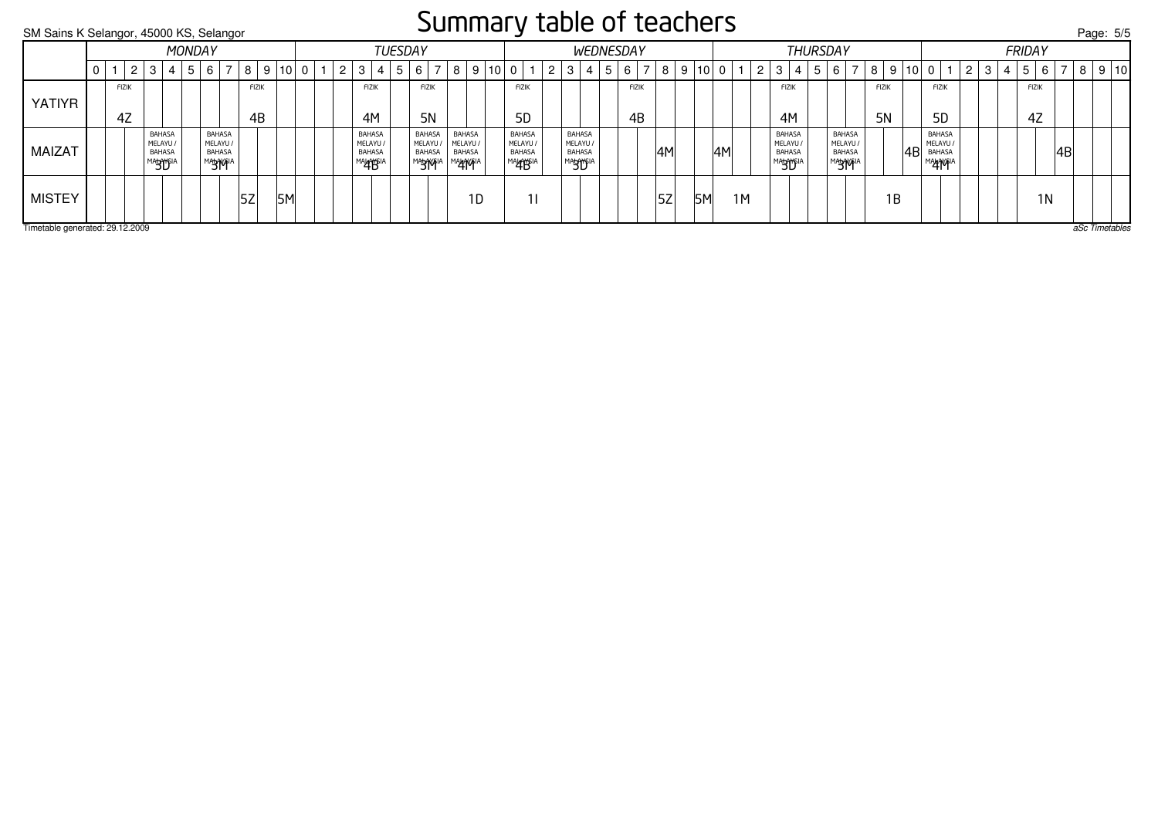#### Summary table of teachers

SM Sains K Selangor, 45000 KS, Selangor Page: 5/5Timetable generated: 29.12.2009 aSc Timetables YATIYR**FIZIK** 4M BAHASA**FIZIK** 4M BAHASA $FIZIK$ 4Z**FIZIK** 4Z**FIZIK** 5D BAHASA $FIZIK$ 5D BAHASA**FIZIK** 5N BAHASA**FIZIK** 5N**FIZIK** 4B $FIZIK$ 4BMAIZAT MELAYU / BAHASA<sup>MA</sup>BU<sup>SIA</sup> BAHASA MELAYU / BAHASA<sup>MA</sup>BUD<sup>IA</sup> BAHASA MELAYU / BAHASA<sup>MA</sup>BU<sup>SIA</sup> **BAHASA**  MELAYU / BAHASAMA<del>y</del>wia **BAHASA**  MELAYU / BAHASAMA<del>y</del>wia MELAYU / BAHASA<sup>m</sup>⁄\$Wi<sup>n</sup> 4B 4B MALAYSIA 4M MELAYU / BAHASAMALAYB<sup>IA</sup> MELAYU / BAHASAMALAYYSIA 4M 4M MELAYU / BAHASA**BAHASA**  MELAYU / BAHASAMA**4AYF**IA MISTEY 5Z 5M 1D 1I 5Z 5M 1M 1B 1N **MONDAY** 0 | 1 | 2 | 3 | 4 | 5 | 6 | 7 | 8 | 9 |10 **TUESDAY** 0 | 1 | 2 | 3 | 4 | 5 | 6 | 7 | 8 | 9 |10| 0 | 1 | 2 | 3 | 4 | 5 | 6 | 7 | 8 | 9 |10 **WEDNESDAY THURSDAY** 0 | 1 | 2 | 3 | 4 | 5 | 6 | 7 | 8 | 9 |10 FRIDAY0 | 1 | 2 | 3 | 4 | 5 | 6 | 7 | 8 | 9 |10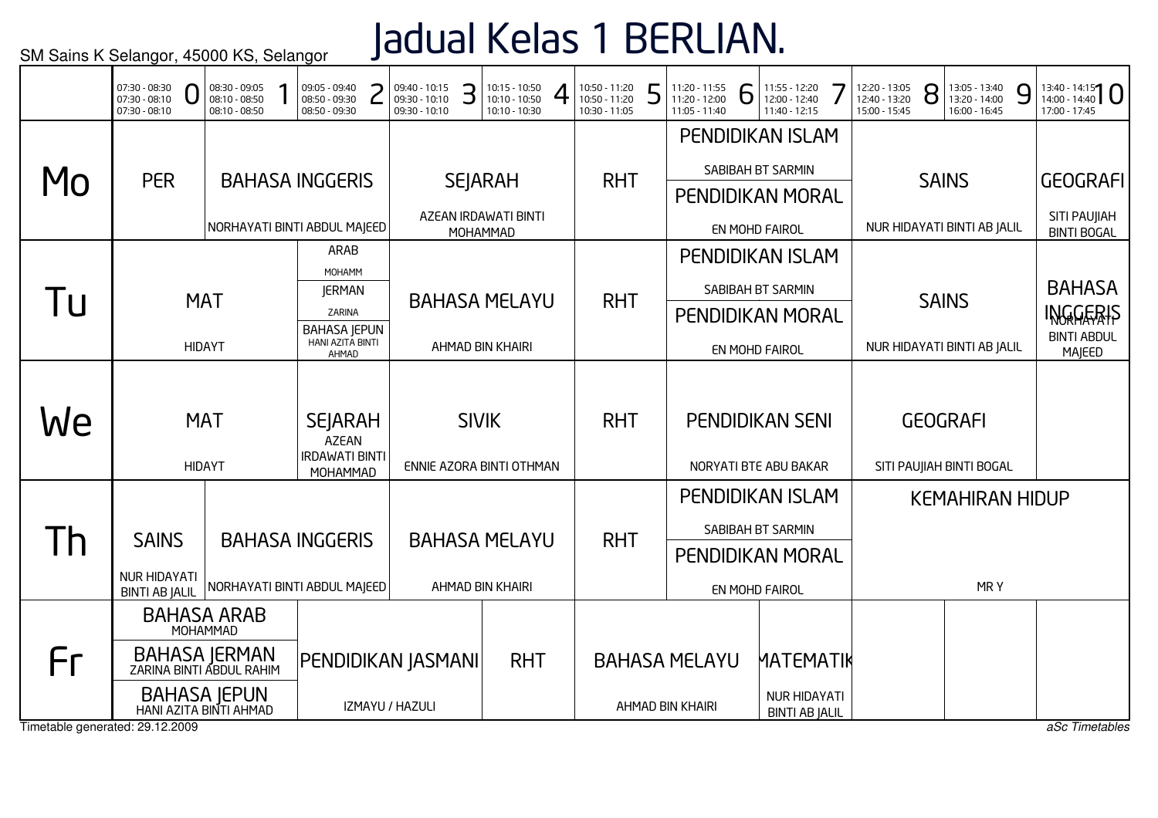# Jadual Kelas 1 BERLIAN.

|                                       | 07:30 - 08:30<br>07:30 - 08:10<br>$07:30 - 08:10$                                                                | 08:30 - 09:05<br>08:10 - 08:50<br>08:10 - 08:50 | 09:05 - 09:40<br>08:50 - 09:30<br>08:50 - 09:30                                                      | 09:40 - 10:15<br>09:30 - 10:10<br>09:30 - 10:10 | З | 10:15 - 10:50<br>10:10 - 10:50<br>10:10 - 10:30      | 10:50 - 11:20<br>10:50 - 11:20<br>10:30 - 11:05 | E | 11:20 - 11:55<br>11:20 - 12:00<br>11:05 - 11:40 | 6 | 11:55 - 12:20<br>12:00 - 12:40<br>11:40 - 12:15                                                             | 12:20 - 13:05<br>12:40 - 13:20<br>15:00 - 15:45 | 8 | 13:05 - 13:40<br>13:20 - 14:00<br>16:00 - 16:45 | 9 | $13:40 - 14:15$<br>17:00 - 17:45                                                |
|---------------------------------------|------------------------------------------------------------------------------------------------------------------|-------------------------------------------------|------------------------------------------------------------------------------------------------------|-------------------------------------------------|---|------------------------------------------------------|-------------------------------------------------|---|-------------------------------------------------|---|-------------------------------------------------------------------------------------------------------------|-------------------------------------------------|---|-------------------------------------------------|---|---------------------------------------------------------------------------------|
| MO                                    | <b>PER</b>                                                                                                       |                                                 | <b>BAHASA INGGERIS</b><br>NORHAYATI BINTI ABDUL MAJEED                                               |                                                 |   | <b>SEJARAH</b><br>AZEAN IRDAWATI BINTI               | <b>RHT</b>                                      |   |                                                 |   | <b>PENDIDIKAN ISLAM</b><br>SABIBAH BT SARMIN<br><b>PENDIDIKAN MORAL</b>                                     |                                                 |   | <b>SAINS</b><br>NUR HIDAYATI BINTI AB JALIL     |   | <b>GEOGRAFI</b><br>SITI PAUJIAH                                                 |
| ПI                                    |                                                                                                                  | <b>MAT</b><br><b>HIDAYT</b>                     | <b>ARAB</b><br>MOHAMM<br><b>JERMAN</b><br>ZARINA<br><b>BAHASA JEPUN</b><br>HANI AZITA BINTI<br>AHMAD |                                                 |   | MOHAMMAD<br><b>BAHASA MELAYU</b><br>AHMAD BIN KHAIRI | <b>RHT</b>                                      |   |                                                 |   | EN MOHD FAIROL<br><b>PENDIDIKAN ISLAM</b><br>SABIBAH BT SARMIN<br><b>PENDIDIKAN MORAL</b><br>EN MOHD FAIROL |                                                 |   | <b>SAINS</b><br>NUR HIDAYATI BINTI AB JALIL     |   | <b>BINTI BOGAL</b><br><b>BAHASA</b><br>INGGERIS<br><b>BINTI ABDUL</b><br>MAJEED |
| We                                    |                                                                                                                  | <b>MAT</b><br><b>HIDAYT</b>                     | <b>SEJARAH</b><br><b>AZEAN</b><br><b>IRDAWATI BINTI</b><br>MOHAMMAD                                  | ENNIE AZORA BINTI OTHMAN                        |   | <b>SIVIK</b>                                         | <b>RHT</b>                                      |   |                                                 |   | <b>PENDIDIKAN SENI</b><br>NORYATI BTE ABU BAKAR                                                             |                                                 |   | <b>GEOGRAFI</b><br>SITI PAUJIAH BINTI BOGAL     |   |                                                                                 |
| $\mathsf{I}$                          | <b>SAINS</b><br><b>NUR HIDAYATI</b><br><b>BINTI AB JALIL</b>                                                     |                                                 | <b>BAHASA INGGERIS</b><br>NORHAYATI BINTI ABDUL MAJEED                                               |                                                 |   | <b>BAHASA MELAYU</b><br>AHMAD BIN KHAIRI             | <b>RHT</b>                                      |   |                                                 |   | <b>PENDIDIKAN ISLAM</b><br>SABIBAH BT SARMIN<br><b>PENDIDIKAN MORAL</b><br>EN MOHD FAIROL                   |                                                 |   | <b>KEMAHIRAN HIDUP</b><br>MRY                   |   |                                                                                 |
| Fr<br>Timetable generated: 29.12.2009 | <b>BAHASA ARAB</b><br>BAHASA JERMAN<br>ZARINA BINTI ABDUL RAHIM<br><b>BAHASA JEPUN</b><br>HANI AZITA BINTI AHMAD | MOHAMMAD                                        |                                                                                                      | PENDIDIKAN JASMANI<br>IZMAYU / HAZULI           |   | <b>RHT</b>                                           |                                                 |   | <b>BAHASA MELAYU</b><br>AHMAD BIN KHAIRI        |   | MATEMATIK<br><b>NUR HIDAYATI</b><br><b>BINTI AB JALIL</b>                                                   |                                                 |   |                                                 |   | aSc Timetables                                                                  |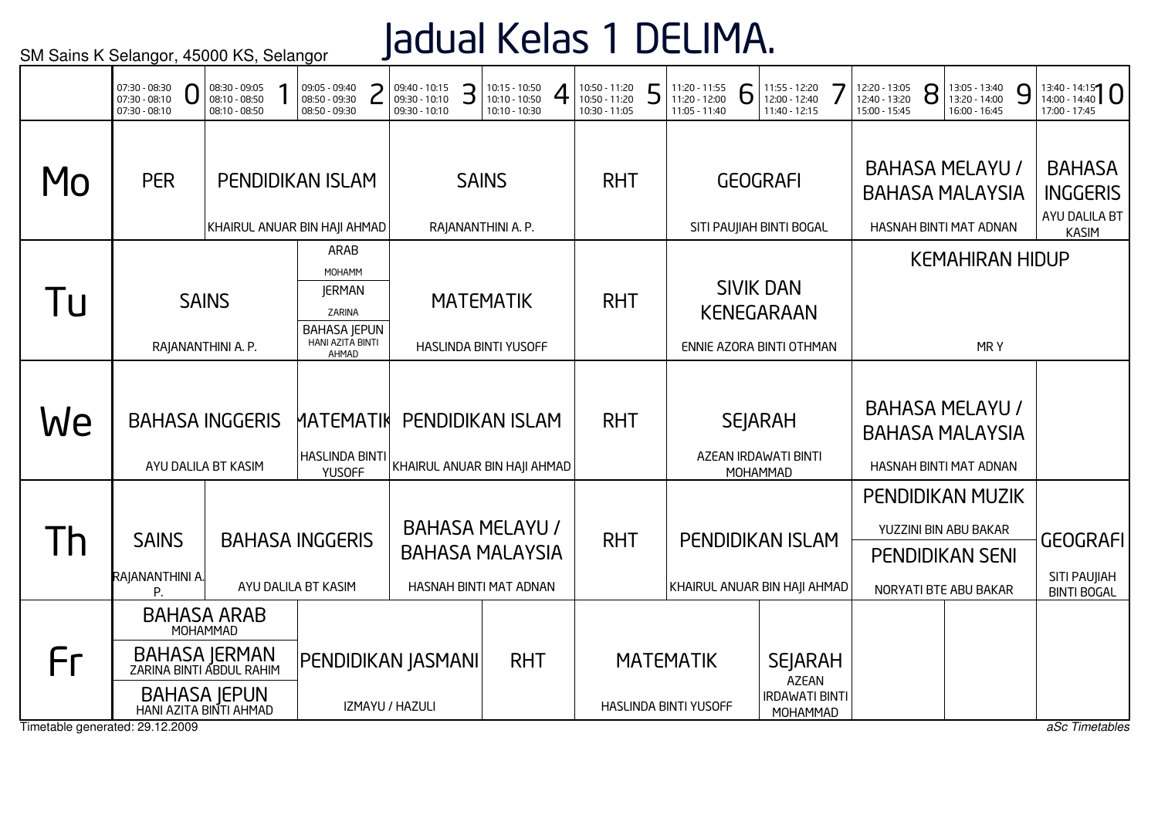### Jadual Kelas 1 DELIMA.

|                                       | 07:30 - 08:30<br>$07:30 - 08:10$<br>$07:30 - 08:10$                                                              | 08:30 - 09:05<br>08:10 - 08:50<br>08:10 - 08:50 | 09:05 - 09:40<br>08:50 - 09:30<br>08:50 - 09:30                                               | 09:40 - 10:15<br>09:30 - 10:10<br>09:30 - 10:10 | З | 10:15 - 10:50<br>10:10 - 10:50<br>10:10 - 10:30                            | 10:50 - 11:20<br>10:50 - 11:20<br>10:30 - 11:05 | 5 | 11:20 - 11:55<br>11:20 - 12:00<br>11:05 - 11:40 | 6 | 11:55 - 12:20<br>12:00 - 12:40<br>11:40 - 12:15                     | 12:20 - 13:05<br>12:40 - 13:20<br>15:00 - 15:45                            | 8 | 13:05 - 13:40<br>13:20 - 14:00<br>16:00 - 16:45 |     | 9 | $13:40 - 14:15$<br>17:00 - 17:45                                  |
|---------------------------------------|------------------------------------------------------------------------------------------------------------------|-------------------------------------------------|-----------------------------------------------------------------------------------------------|-------------------------------------------------|---|----------------------------------------------------------------------------|-------------------------------------------------|---|-------------------------------------------------|---|---------------------------------------------------------------------|----------------------------------------------------------------------------|---|-------------------------------------------------|-----|---|-------------------------------------------------------------------|
| Mo                                    | <b>PER</b>                                                                                                       |                                                 | <b>PENDIDIKAN ISLAM</b><br>KHAIRUL ANUAR BIN HAJI AHMAD                                       |                                                 |   | <b>SAINS</b><br>RAJANANTHINI A. P.                                         | <b>RHT</b>                                      |   |                                                 |   | <b>GEOGRAFI</b><br>SITI PAUJIAH BINTI BOGAL                         | <b>BAHASA MELAYU /</b><br><b>BAHASA MALAYSIA</b><br>HASNAH BINTI MAT ADNAN |   |                                                 |     |   | <b>BAHASA</b><br><b>INGGERIS</b><br>AYU DALILA BT<br><b>KASIM</b> |
| l U                                   |                                                                                                                  | <b>SAINS</b><br>RAJANANTHINI A. P.              | ARAB<br>MOHAMM<br><b>JERMAN</b><br>ZARINA<br><b>BAHASA JEPUN</b><br>HANI AZITA BINTI<br>AHMAD |                                                 |   | <b>MATEMATIK</b><br>HASLINDA BINTI YUSOFF                                  | <b>RHT</b>                                      |   |                                                 |   | <b>SIVIK DAN</b><br><b>KENEGARAAN</b><br>ENNIE AZORA BINTI OTHMAN   |                                                                            |   | <b>KEMAHIRAN HIDUP</b>                          | MRY |   |                                                                   |
| We                                    | <b>BAHASA INGGERIS</b>                                                                                           | AYU DALILA BT KASIM                             | <b>MATEMATIK</b><br><b>HASLINDA BINTI</b><br><b>YUSOFF</b>                                    | KHAIRUL ANUAR BIN HAJI AHMAD                    |   | <b>PENDIDIKAN ISLAM</b>                                                    | <b>RHT</b>                                      |   |                                                 |   | <b>SEJARAH</b><br>AZEAN IRDAWATI BINTI<br>MOHAMMAD                  | <b>BAHASA MELAYU /</b><br><b>BAHASA MALAYSIA</b><br>HASNAH BINTI MAT ADNAN |   |                                                 |     |   |                                                                   |
| $\mathsf{I}$                          | <b>SAINS</b><br>RAJANANTHINI A.<br>P.                                                                            |                                                 | <b>BAHASA INGGERIS</b><br>AYU DALILA BT KASIM                                                 |                                                 |   | <b>BAHASA MELAYU /</b><br><b>BAHASA MALAYSIA</b><br>HASNAH BINTI MAT ADNAN | <b>RHT</b>                                      |   |                                                 |   | PENDIDIKAN ISLAM<br>KHAIRUL ANUAR BIN HAJI AHMAD                    | <b>PENDIDIKAN MUZIK</b><br><b>PENDIDIKAN SENI</b><br>NORYATI BTE ABU BAKAR |   | YUZZINI BIN ABU BAKAR                           |     |   | <b>GEOGRAFI</b><br>SITI PAUJIAH<br><b>BINTI BOGAL</b>             |
| Fr<br>Timetable generated: 29.12.2009 | <b>BAHASA ARAB</b><br>BAHASA JERMAN<br>ZARINA BINTI ABDUL RAHIM<br><b>BAHASA JEPUN</b><br>HANI AZITA BINTI AHMAD | MOHAMMAD                                        |                                                                                               | PENDIDIKAN JASMANI<br>IZMAYU / HAZULI           |   | <b>RHT</b>                                                                 |                                                 |   | <b>MATEMATIK</b><br>HASLINDA BINTI YUSOFF       |   | <b>SEJARAH</b><br><b>AZEAN</b><br><b>IRDAWATI BINTI</b><br>MOHAMMAD |                                                                            |   |                                                 |     |   | aSc Timetables                                                    |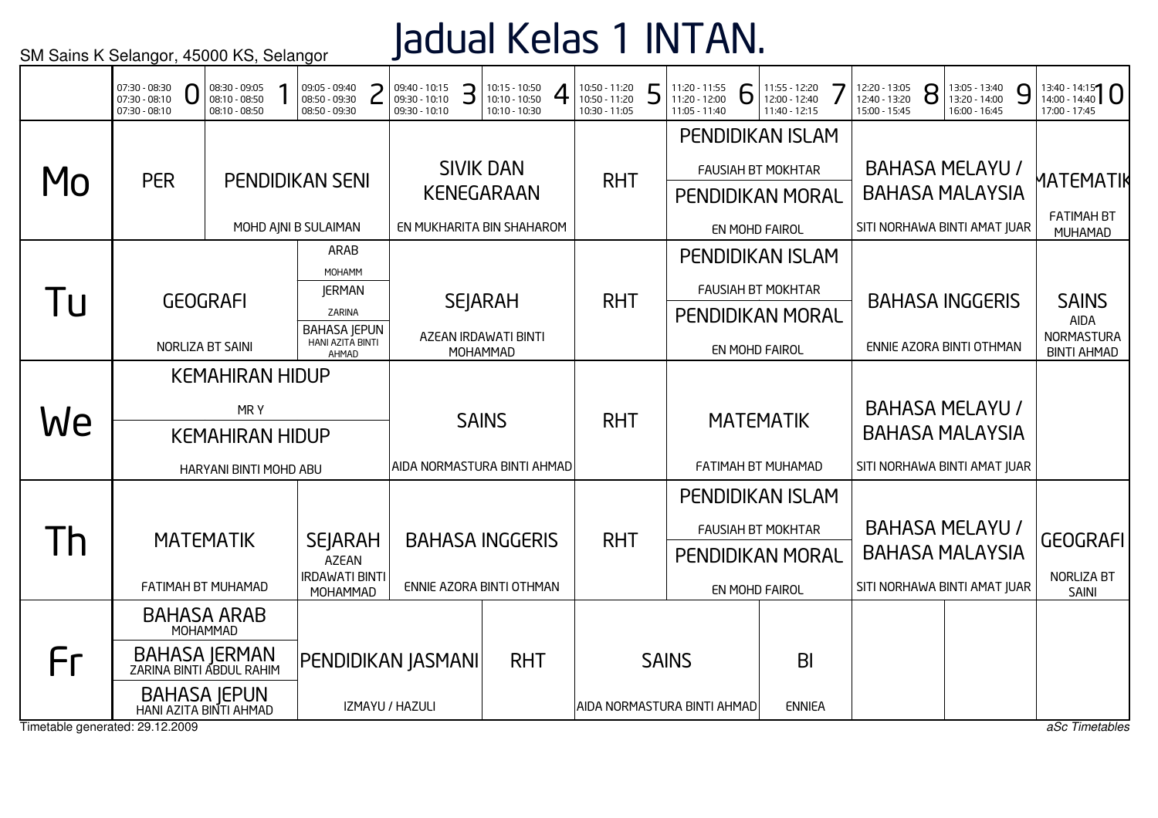## Jadual Kelas 1 INTAN.

|                                 | 07:30 - 08:30<br>07:30 - 08:10<br>07:30 - 08:10 | 08:30 - 09:05<br>08:10 - 08:50<br>08:10 - 08:50 | 09:05 - 09:40<br>08:50 - 09:30<br>08:50 - 09:30 | 09:40 - 10:15<br>09:30 - 10:10<br>09:30 - 10:10 | З | 10:15 - 10:50<br>10:10 - 10:50<br>10:10 - 10:30 | 10:50 - 11:20<br>10:50 - 11:20<br>10:30 - 11:05 | ┍ | 11:20 - 11:55<br>11:20 - 12:00<br>11:05 - 11:40 | 6 | 11:55 - 12:20<br>12:00 - 12:40<br>11:40 - 12:15      | 12:20 - 13:05<br>12:40 - 13:20<br>15:00 - 15:45 | 8 | 13:05 - 13:40<br>13:20 - 14:00<br>16:00 - 16:45 | 9 | $13:40 - 14:15$<br>17:00 - 17:45 |
|---------------------------------|-------------------------------------------------|-------------------------------------------------|-------------------------------------------------|-------------------------------------------------|---|-------------------------------------------------|-------------------------------------------------|---|-------------------------------------------------|---|------------------------------------------------------|-------------------------------------------------|---|-------------------------------------------------|---|----------------------------------|
|                                 |                                                 |                                                 |                                                 |                                                 |   | <b>SIVIK DAN</b>                                |                                                 |   |                                                 |   | <b>PENDIDIKAN ISLAM</b><br><b>FAUSIAH BT MOKHTAR</b> |                                                 |   | <b>BAHASA MELAYU /</b>                          |   |                                  |
| MO                              | <b>PER</b>                                      |                                                 | <b>PENDIDIKAN SENI</b>                          |                                                 |   | <b>KENEGARAAN</b>                               | <b>RHT</b>                                      |   |                                                 |   | <b>PENDIDIKAN MORAL</b>                              |                                                 |   | <b>BAHASA MALAYSIA</b>                          |   | MATEMATIK                        |
|                                 |                                                 |                                                 | MOHD AJNI B SULAIMAN                            |                                                 |   | EN MUKHARITA BIN SHAHAROM                       |                                                 |   |                                                 |   | EN MOHD FAIROL                                       | SITI NORHAWA BINTI AMAT JUAR                    |   |                                                 |   | <b>FATIMAH BT</b><br>MUHAMAD     |
|                                 |                                                 |                                                 | ARAB<br>MOHAMM                                  |                                                 |   |                                                 |                                                 |   |                                                 |   | <b>PENDIDIKAN ISLAM</b>                              |                                                 |   |                                                 |   |                                  |
| Tu                              |                                                 | <b>GEOGRAFI</b>                                 | <b>JERMAN</b>                                   |                                                 |   | <b>SEJARAH</b>                                  | <b>RHT</b>                                      |   |                                                 |   | <b>FAUSIAH BT MOKHTAR</b>                            |                                                 |   | <b>BAHASA INGGERIS</b>                          |   | <b>SAINS</b>                     |
|                                 |                                                 |                                                 | ZARINA<br><b>BAHASA JEPUN</b>                   |                                                 |   |                                                 |                                                 |   |                                                 |   | <b>PENDIDIKAN MORAL</b>                              |                                                 |   |                                                 |   | <b>AIDA</b>                      |
|                                 |                                                 | NORLIZA BT SAINI                                | HANI AZITA BINTI<br>AHMAD                       |                                                 |   | AZEAN IRDAWATI BINTI<br>MOHAMMAD                |                                                 |   |                                                 |   | EN MOHD FAIROL                                       |                                                 |   | ENNIE AZORA BINTI OTHMAN                        |   | NORMASTURA<br><b>BINTI AHMAD</b> |
|                                 |                                                 | <b>KEMAHIRAN HIDUP</b>                          |                                                 |                                                 |   |                                                 |                                                 |   |                                                 |   |                                                      |                                                 |   |                                                 |   |                                  |
| We                              |                                                 | MRY                                             |                                                 |                                                 |   | <b>SAINS</b>                                    | <b>RHT</b>                                      |   |                                                 |   | <b>MATEMATIK</b>                                     |                                                 |   | <b>BAHASA MELAYU /</b>                          |   |                                  |
|                                 |                                                 | <b>KEMAHIRAN HIDUP</b>                          |                                                 |                                                 |   |                                                 |                                                 |   |                                                 |   |                                                      |                                                 |   | <b>BAHASA MALAYSIA</b>                          |   |                                  |
|                                 |                                                 | HARYANI BINTI MOHD ABU                          |                                                 | AIDA NORMASTURA BINTI AHMAD                     |   |                                                 |                                                 |   |                                                 |   | FATIMAH BT MUHAMAD                                   | SITI NORHAWA BINTI AMAT JUAR                    |   |                                                 |   |                                  |
|                                 |                                                 |                                                 |                                                 |                                                 |   |                                                 |                                                 |   |                                                 |   | <b>PENDIDIKAN ISLAM</b>                              |                                                 |   |                                                 |   |                                  |
| I h                             |                                                 | <b>MATEMATIK</b>                                | <b>SEJARAH</b>                                  |                                                 |   | <b>BAHASA INGGERIS</b>                          | <b>RHT</b>                                      |   |                                                 |   | <b>FAUSIAH BT MOKHTAR</b>                            |                                                 |   | <b>BAHASA MELAYU /</b>                          |   | <b>GEOGRAFI</b>                  |
|                                 |                                                 | FATIMAH BT MUHAMAD                              | <b>AZEAN</b><br><b>IRDAWATI BINTI</b>           |                                                 |   | ENNIE AZORA BINTI OTHMAN                        |                                                 |   |                                                 |   | <b>PENDIDIKAN MORAL</b>                              | SITI NORHAWA BINTI AMAT JUAR                    |   | <b>BAHASA MALAYSIA</b>                          |   | NORLIZA BT                       |
|                                 |                                                 | <b>BAHASA ARAB</b>                              | MOHAMMAD                                        |                                                 |   |                                                 |                                                 |   |                                                 |   | EN MOHD FAIROL                                       |                                                 |   |                                                 |   | <b>SAINI</b>                     |
|                                 |                                                 | MOHAMMAD                                        |                                                 |                                                 |   |                                                 |                                                 |   |                                                 |   |                                                      |                                                 |   |                                                 |   |                                  |
| Fr                              | BAHASA JERMAN<br>ZARINA BINTI ABDUL RAHIM       |                                                 |                                                 | PENDIDIKAN JASMANI                              |   | <b>RHT</b>                                      |                                                 |   | <b>SAINS</b>                                    |   | B <sub>l</sub>                                       |                                                 |   |                                                 |   |                                  |
| Timetable generated: 29.12.2009 | HANI AZITA BINTI AHMAD                          | <b>BAHASA JEPUN</b>                             |                                                 | IZMAYU / HAZULI                                 |   |                                                 |                                                 |   | AIDA NORMASTURA BINTI AHMAD                     |   | <b>ENNIEA</b>                                        |                                                 |   |                                                 |   | aSc Timetables                   |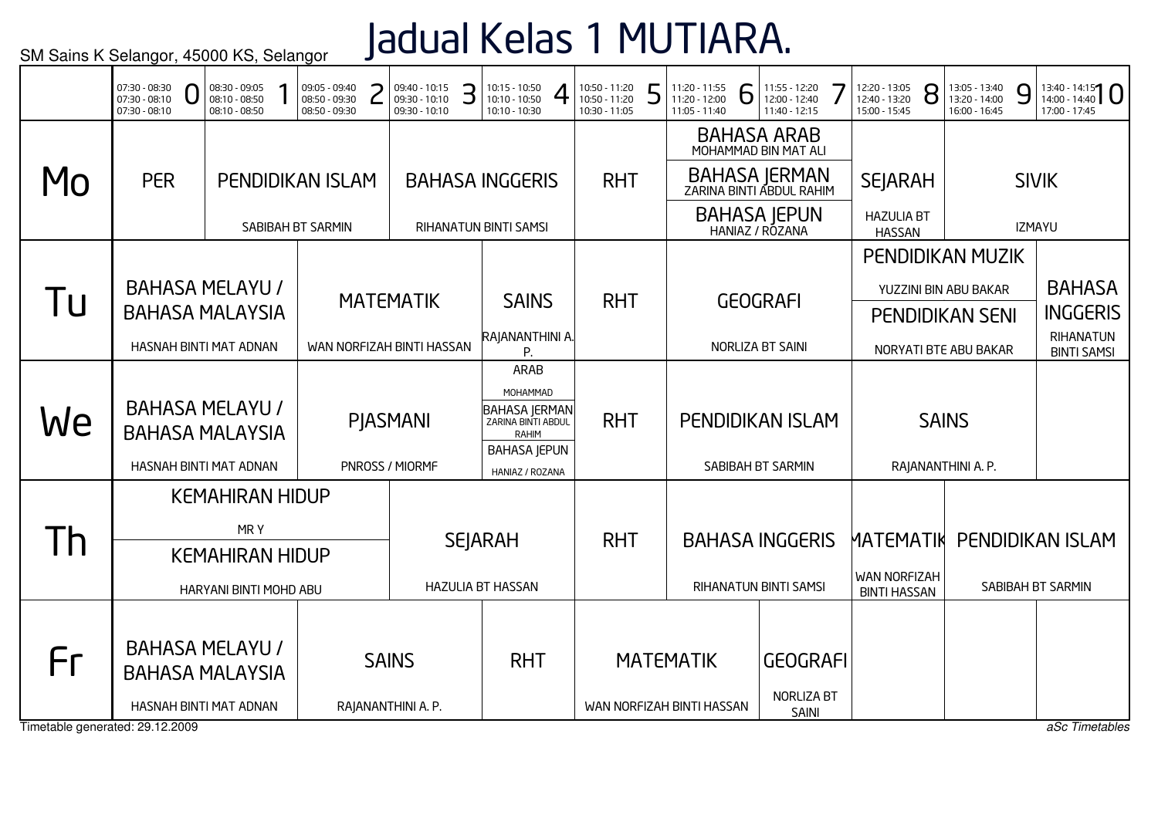# Jadual Kelas 1 MUTIARA.

|                                 | 07:30 - 08:30<br>07:30 - 08:10<br>07:30 - 08:10 | 08:30 - 09:05<br>08:10 - 08:50<br>08:10 - 08:50  | 09:05 - 09:40<br>08:50 - 09:30<br>08:50 - 09:30 | 09:40 - 10:15<br>З<br>09:30 - 10:10<br>09:30 - 10:10 | 10:15 - 10:50<br>10:10 - 10:50<br>10:10 - 10:30 | 10:50 - 11:20<br>Е<br>10:50 - 11:20<br>10:30 - 11:05 | 11:20 - 11:55<br>6<br>11:20 - 12:00<br>11:05 - 11:40 | 11:55 - 12:20<br>12:00 - 12:40<br>11:40 - 12:15 | 12:20 - 13:05<br>8<br>12:40 - 13:20<br>15:00 - 15:45 | 13:05 - 13:40<br>9<br>13:20 - 14:00<br>16:00 - 16:45 | $13:40 - 14:15$<br>17:00 - 17:45 |
|---------------------------------|-------------------------------------------------|--------------------------------------------------|-------------------------------------------------|------------------------------------------------------|-------------------------------------------------|------------------------------------------------------|------------------------------------------------------|-------------------------------------------------|------------------------------------------------------|------------------------------------------------------|----------------------------------|
|                                 |                                                 |                                                  |                                                 |                                                      |                                                 |                                                      |                                                      | <b>BAHASA ARAB</b><br>MOHAMMAD BIN MAT ALI      |                                                      |                                                      |                                  |
| Mo                              | <b>PER</b>                                      |                                                  | <b>PENDIDIKAN ISLAM</b>                         |                                                      | <b>BAHASA INGGERIS</b>                          | <b>RHT</b>                                           |                                                      | BAHASA JERMAN<br>ZARINA BINTI ABDUL RAHIM       | <b>SEJARAH</b>                                       |                                                      | <b>SIVIK</b>                     |
|                                 |                                                 |                                                  | SABIBAH BT SARMIN                               |                                                      | RIHANATUN BINTI SAMSI                           |                                                      |                                                      | <b>BAHASA JEPUN</b><br>HANIAZ / ROZANA          | <b>HAZULIA BT</b><br><b>HASSAN</b>                   |                                                      | <b>IZMAYU</b>                    |
|                                 |                                                 |                                                  |                                                 |                                                      |                                                 |                                                      |                                                      |                                                 | <b>PENDIDIKAN MUZIK</b>                              |                                                      |                                  |
|                                 |                                                 | <b>BAHASA MELAYU /</b>                           |                                                 | <b>MATEMATIK</b>                                     | <b>SAINS</b>                                    | <b>RHT</b>                                           |                                                      | <b>GEOGRAFI</b>                                 | YUZZINI BIN ABU BAKAR                                |                                                      | <b>BAHASA</b>                    |
| 1 U                             |                                                 | <b>BAHASA MALAYSIA</b>                           |                                                 |                                                      |                                                 |                                                      |                                                      |                                                 | <b>PENDIDIKAN SENI</b>                               |                                                      | <b>INGGERIS</b>                  |
|                                 |                                                 | HASNAH BINTI MAT ADNAN                           |                                                 | WAN NORFIZAH BINTI HASSAN                            | RAJANANTHINI A.<br>P.                           |                                                      |                                                      | NORLIZA BT SAINI                                | NORYATI BTE ABU BAKAR                                |                                                      | RIHANATUN<br><b>BINTI SAMSI</b>  |
|                                 |                                                 |                                                  |                                                 |                                                      | ARAB<br>MOHAMMAD                                |                                                      |                                                      |                                                 |                                                      |                                                      |                                  |
| We                              |                                                 | <b>BAHASA MELAYU /</b>                           |                                                 | <b>PIASMANI</b>                                      | <b>BAHASA JERMAN</b><br>ZARINA BINTI ABDUL      | <b>RHT</b>                                           |                                                      | PENDIDIKAN ISLAM                                | <b>SAINS</b>                                         |                                                      |                                  |
|                                 |                                                 | <b>BAHASA MALAYSIA</b>                           |                                                 |                                                      | <b>RAHIM</b><br><b>BAHASA JEPUN</b>             |                                                      |                                                      |                                                 |                                                      |                                                      |                                  |
|                                 |                                                 | HASNAH BINTI MAT ADNAN                           |                                                 | PNROSS / MIORMF                                      | HANIAZ / ROZANA                                 |                                                      |                                                      | SABIBAH BT SARMIN                               | RAJANANTHINI A. P.                                   |                                                      |                                  |
|                                 |                                                 | <b>KEMAHIRAN HIDUP</b>                           |                                                 |                                                      |                                                 |                                                      |                                                      |                                                 |                                                      |                                                      |                                  |
| Th                              |                                                 | MRY                                              |                                                 |                                                      | <b>SEJARAH</b>                                  | <b>RHT</b>                                           |                                                      | <b>BAHASA INGGERIS</b>                          | MATEMATIK                                            | <b>PENDIDIKAN ISLAM</b>                              |                                  |
|                                 |                                                 | <b>KEMAHIRAN HIDUP</b>                           |                                                 |                                                      |                                                 |                                                      |                                                      |                                                 | <b>WAN NORFIZAH</b>                                  |                                                      |                                  |
|                                 |                                                 | HARYANI BINTI MOHD ABU                           |                                                 |                                                      | <b>HAZULIA BT HASSAN</b>                        |                                                      |                                                      | RIHANATUN BINTI SAMSI                           | <b>BINTI HASSAN</b>                                  |                                                      | SABIBAH BT SARMIN                |
| Fr                              |                                                 | <b>BAHASA MELAYU /</b><br><b>BAHASA MALAYSIA</b> |                                                 | <b>SAINS</b>                                         | <b>RHT</b>                                      |                                                      | <b>MATEMATIK</b>                                     | <b>GEOGRAFI</b>                                 |                                                      |                                                      |                                  |
|                                 |                                                 | HASNAH BINTI MAT ADNAN                           |                                                 | RAJANANTHINI A. P.                                   |                                                 |                                                      | WAN NORFIZAH BINTI HASSAN                            | NORLIZA BT<br>SAINI                             |                                                      |                                                      |                                  |
| Timetable generated: 29.12.2009 |                                                 |                                                  |                                                 |                                                      |                                                 |                                                      |                                                      |                                                 |                                                      |                                                      | aSc Timetables                   |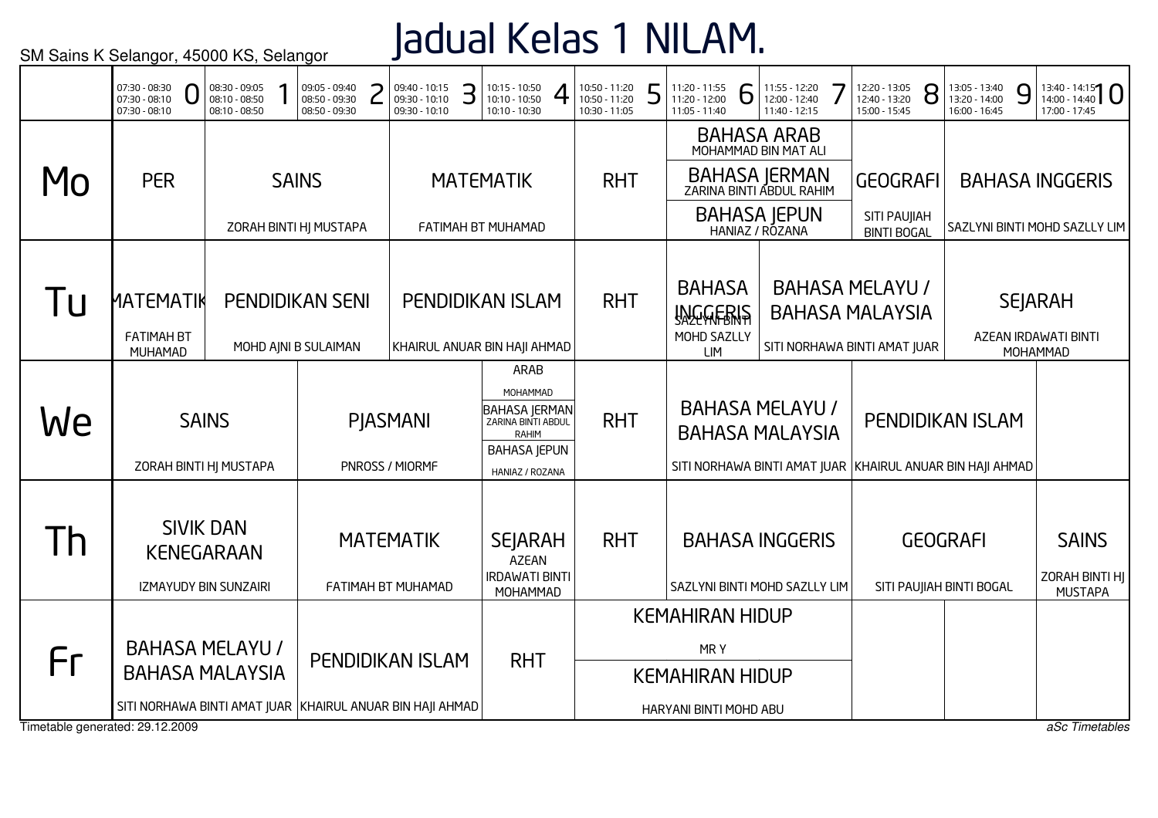## Jadual Kelas 1 NILAM.

|           | U<br>07:30 - 08:10<br>$07:30 - 08:10$                                                                         | 08:30 - 09:05<br>08:10 - 08:50<br>08:10 - 08:50 | 09:05 - 09:40<br>08:50 - 09:30<br>08:50 - 09:30 | 09:40 - 10:15<br>09:30 - 10:10<br>09:30 - 10:10 | З | 10:15 - 10:50<br>10:10 - 10:50<br>10:10 - 10:30                                                                   |                                                                                   | 10:50 - 11:20<br>10:50 - 11:20<br>10:30 - 11:05 | 5 | 11:20 - 11:55<br>11:20 - 12:00<br>11:05 - 11:40                                     | 6 | 11:55 - 12:20<br>12:00 - 12:40<br>11:40 - 12:15 | 12:20 - 13:05<br>12:40 - 13:20<br>15:00 - 15:45                                  | 8 | 13:05 - 13:40<br>13:20 - 14:00<br>16:00 - 16:45 | 9 | 17:00 - 17:45                                      | $13:40 - 14:15$                                  |
|-----------|---------------------------------------------------------------------------------------------------------------|-------------------------------------------------|-------------------------------------------------|-------------------------------------------------|---|-------------------------------------------------------------------------------------------------------------------|-----------------------------------------------------------------------------------|-------------------------------------------------|---|-------------------------------------------------------------------------------------|---|-------------------------------------------------|----------------------------------------------------------------------------------|---|-------------------------------------------------|---|----------------------------------------------------|--------------------------------------------------|
|           |                                                                                                               |                                                 |                                                 |                                                 |   |                                                                                                                   |                                                                                   |                                                 |   |                                                                                     |   | <b>BAHASA ARAB</b><br>MOHAMMAD BIN MAT ALI      |                                                                                  |   |                                                 |   |                                                    |                                                  |
| MO        | <b>PER</b>                                                                                                    |                                                 | <b>SAINS</b>                                    |                                                 |   | <b>MATEMATIK</b>                                                                                                  |                                                                                   | <b>RHT</b>                                      |   |                                                                                     |   | BAHASA JERMAN<br>ZARINA BINTI ABDUL RAHIM       | <b>GEOGRAFI</b>                                                                  |   |                                                 |   | <b>BAHASA INGGERIS</b>                             |                                                  |
|           |                                                                                                               |                                                 | ZORAH BINTI HJ MUSTAPA                          |                                                 |   | FATIMAH BT MUHAMAD                                                                                                |                                                                                   |                                                 |   |                                                                                     |   | <b>BAHASA JEPUN</b><br>HANIAZ / ROZANA          | SITI PAUJIAH<br><b>BINTI BOGAL</b>                                               |   |                                                 |   |                                                    | SAZLYNI BINTI MOHD SAZLLY LIM                    |
| <u>lu</u> | <b>ИАТЕМАТІК</b><br><b>FATIMAH BT</b><br>MUHAMAD                                                              |                                                 | <b>PENDIDIKAN SENI</b><br>MOHD AJNI B SULAIMAN  |                                                 |   | <b>PENDIDIKAN ISLAM</b><br>KHAIRUL ANUAR BIN HAJI AHMAD                                                           |                                                                                   | <b>RHT</b>                                      |   | <b>BAHASA</b><br><b>INGGERIS</b><br>MOHD SAZLLY<br><b>LIM</b>                       |   |                                                 | <b>BAHASA MELAYU /</b><br><b>BAHASA MALAYSIA</b><br>SITI NORHAWA BINTI AMAT JUAR |   |                                                 |   | <b>SEJARAH</b><br>AZEAN IRDAWATI BINTI<br>MOHAMMAD |                                                  |
| We        | <b>SAINS</b><br>ZORAH BINTI HJ MUSTAPA                                                                        |                                                 |                                                 | <b>PIASMANI</b><br>PNROSS / MIORMF              |   | ARAB<br>MOHAMMAD<br><b>BAHASA JERMAN</b><br>ZARINA BINTI ABDUL<br>RAHIM<br><b>BAHASA JEPUN</b><br>HANIAZ / ROZANA |                                                                                   | <b>RHT</b>                                      |   | <b>BAHASA MALAYSIA</b><br>SITI NORHAWA BINTI AMAT JUAR KHAIRUL ANUAR BIN HAJI AHMAD |   | <b>BAHASA MELAYU /</b>                          | PENDIDIKAN ISLAM                                                                 |   |                                                 |   |                                                    |                                                  |
| Th        | <b>SIVIK DAN</b><br><b>KENEGARAAN</b><br>IZMAYUDY BIN SUNZAIRI                                                |                                                 |                                                 | <b>MATEMATIK</b><br>FATIMAH BT MUHAMAD          |   | <b>SEJARAH</b><br><b>AZEAN</b><br><b>IRDAWATI BINTI</b><br>MOHAMMAD                                               |                                                                                   | <b>RHT</b>                                      |   | SAZLYNI BINTI MOHD SAZLLY LIM                                                       |   | <b>BAHASA INGGERIS</b>                          |                                                                                  |   | <b>GEOGRAFI</b><br>SITI PAUJIAH BINTI BOGAL     |   |                                                    | <b>SAINS</b><br>ZORAH BINTI HJ<br><b>MUSTAPA</b> |
| Fr        | <b>BAHASA MELAYU /</b><br><b>BAHASA MALAYSIA</b><br>SITI NORHAWA BINTI AMAT JUAR KHAIRUL ANUAR BIN HAJI AHMAD |                                                 |                                                 | PENDIDIKAN ISLAM                                |   |                                                                                                                   | <b>KEMAHIRAN HIDUP</b><br>MRY<br><b>KEMAHIRAN HIDUP</b><br>HARYANI BINTI MOHD ABU |                                                 |   |                                                                                     |   |                                                 |                                                                                  |   |                                                 |   |                                                    |                                                  |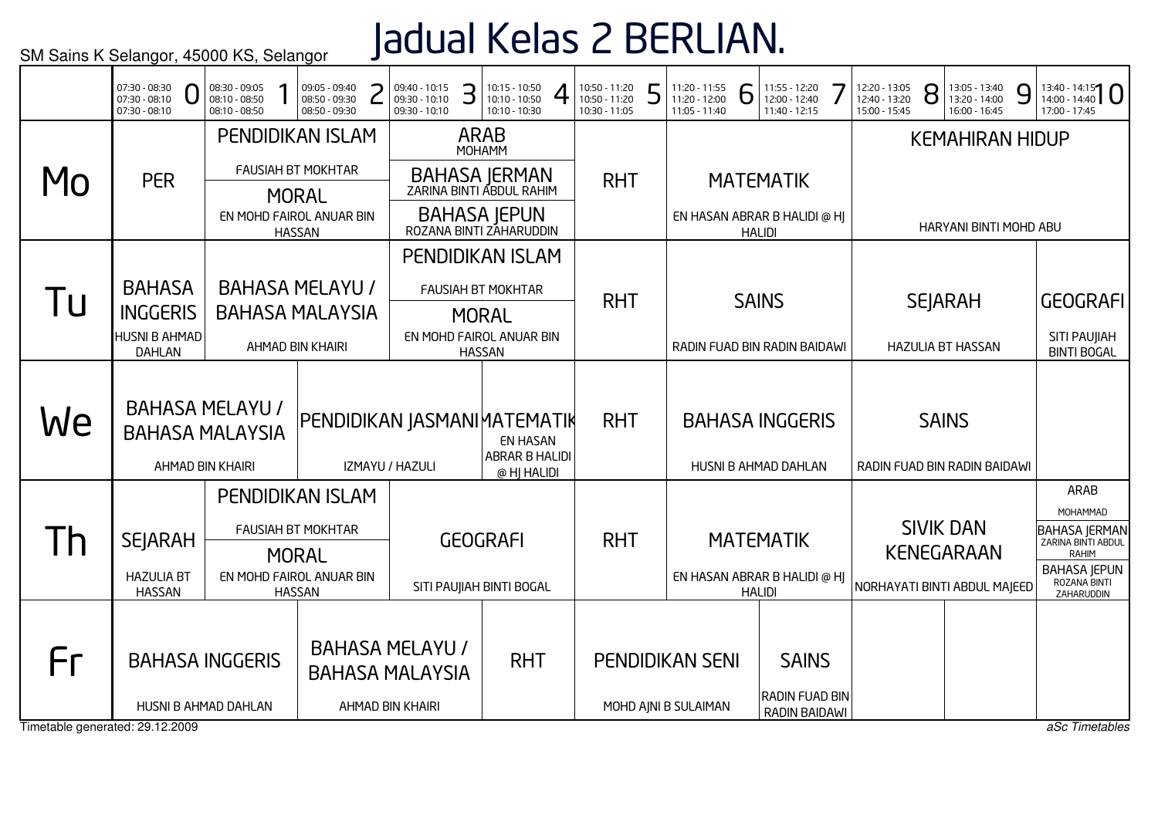# Jadual Kelas 2 BERLIAN.

|                                 | 07:30 - 08:30<br>07:30 - 08:10<br>07:30 - 08:10 | 08:30 - 09:05<br>08:10 - 08:50<br>08:10 - 08:50 | 09:05 - 09:40<br>08:50 - 09:30<br>08:50 - 09:30 | 09:40 - 10:15<br>09:30 - 10:10<br>09:30 - 10:10 | З | 10:15 - 10:50<br>$10:10 - 10:50$<br>10:10 - 10:30 | 10:50 - 11:20<br>10:50 - 11:20<br>10:30 - 11:05 | 5 | 11:20 - 11:55<br>11:20 - 12:00<br>11:05 - 11:40 | 6             | 11:55 - 12:20<br>12:00 - 12:40<br>11:40 - 12:15 | 12:20 - 13:05<br>12:40 - 13:20<br>15:00 - 15:45 | 8 | 13:05 - 13:40<br>13:20 - 14:00<br>16:00 - 16:45 | 9 | $13:40 - 14:15$<br>17:00 - 17:45                    |
|---------------------------------|-------------------------------------------------|-------------------------------------------------|-------------------------------------------------|-------------------------------------------------|---|---------------------------------------------------|-------------------------------------------------|---|-------------------------------------------------|---------------|-------------------------------------------------|-------------------------------------------------|---|-------------------------------------------------|---|-----------------------------------------------------|
|                                 |                                                 |                                                 | <b>PENDIDIKAN ISLAM</b>                         |                                                 |   | <b>ARAB</b><br>MOHAMM                             |                                                 |   |                                                 |               |                                                 |                                                 |   | <b>KEMAHIRAN HIDUP</b>                          |   |                                                     |
| MO                              | <b>PER</b>                                      |                                                 | <b>FAUSIAH BT MOKHTAR</b>                       |                                                 |   | BAHASA JERMAN<br>ZARINA BINTI ABDUL RAHIM         | <b>RHT</b>                                      |   |                                                 |               | <b>MATEMATIK</b>                                |                                                 |   |                                                 |   |                                                     |
|                                 |                                                 |                                                 | <b>MORAL</b><br>EN MOHD FAIROL ANUAR BIN        |                                                 |   | BAHASA JEPUN<br>ROZANA BINTI ZAHARUDDIN           |                                                 |   |                                                 |               | EN HASAN ABRAR B HALIDI @ HJ                    |                                                 |   |                                                 |   |                                                     |
|                                 |                                                 |                                                 | <b>HASSAN</b>                                   |                                                 |   |                                                   |                                                 |   |                                                 |               | <b>HALIDI</b>                                   |                                                 |   | HARYANI BINTI MOHD ABU                          |   |                                                     |
|                                 |                                                 |                                                 |                                                 |                                                 |   | PENDIDIKAN ISLAM                                  |                                                 |   |                                                 |               |                                                 |                                                 |   |                                                 |   |                                                     |
|                                 | <b>BAHASA</b>                                   |                                                 | <b>BAHASA MELAYU /</b>                          |                                                 |   | <b>FAUSIAH BT MOKHTAR</b>                         |                                                 |   |                                                 |               |                                                 |                                                 |   |                                                 |   |                                                     |
| I U                             | <b>INGGERIS</b>                                 |                                                 | <b>BAHASA MALAYSIA</b>                          |                                                 |   | <b>MORAL</b>                                      | <b>RHT</b>                                      |   |                                                 |               | <b>SAINS</b>                                    |                                                 |   | <b>SEJARAH</b>                                  |   | <b>GEOGRAFI</b>                                     |
|                                 | HUSNI B AHMAD<br><b>DAHLAN</b>                  |                                                 | AHMAD BIN KHAIRI                                |                                                 |   | EN MOHD FAIROL ANUAR BIN<br><b>HASSAN</b>         |                                                 |   |                                                 |               | RADIN FUAD BIN RADIN BAIDAWI                    |                                                 |   | <b>HAZULIA BT HASSAN</b>                        |   | SITI PAUJIAH<br><b>BINTI BOGAL</b>                  |
|                                 |                                                 |                                                 |                                                 |                                                 |   |                                                   |                                                 |   |                                                 |               |                                                 |                                                 |   |                                                 |   |                                                     |
|                                 |                                                 | <b>BAHASA MELAYU /</b>                          |                                                 |                                                 |   |                                                   |                                                 |   |                                                 |               |                                                 |                                                 |   |                                                 |   |                                                     |
| We                              |                                                 | <b>BAHASA MALAYSIA</b>                          |                                                 | PENDIDIKAN JASMANI MATEMATIK                    |   | <b>EN HASAN</b>                                   | <b>RHT</b>                                      |   |                                                 |               | <b>BAHASA INGGERIS</b>                          |                                                 |   | <b>SAINS</b>                                    |   |                                                     |
|                                 |                                                 | AHMAD BIN KHAIRI                                |                                                 | IZMAYU / HAZULI                                 |   | <b>ABRAR B HALIDI</b><br>@ HJ HALIDI              |                                                 |   |                                                 |               | HUSNI B AHMAD DAHLAN                            |                                                 |   | RADIN FUAD BIN RADIN BAIDAWI                    |   |                                                     |
|                                 |                                                 |                                                 | <b>PENDIDIKAN ISLAM</b>                         |                                                 |   |                                                   |                                                 |   |                                                 |               |                                                 |                                                 |   |                                                 |   | ARAB                                                |
|                                 |                                                 |                                                 | <b>FAUSIAH BT MOKHTAR</b>                       |                                                 |   |                                                   |                                                 |   |                                                 |               |                                                 |                                                 |   | <b>SIVIK DAN</b>                                |   | MOHAMMAD                                            |
| 1h                              | <b>SEJARAH</b>                                  |                                                 | <b>MORAL</b>                                    |                                                 |   | <b>GEOGRAFI</b>                                   | <b>RHT</b>                                      |   |                                                 |               | <b>MATEMATIK</b>                                |                                                 |   | <b>KENEGARAAN</b>                               |   | <b>BAHASA JERMAN</b><br>ZARINA BINTI ABDUL<br>RAHIM |
|                                 | <b>HAZULIA BT</b>                               |                                                 | EN MOHD FAIROL ANUAR BIN                        |                                                 |   |                                                   |                                                 |   |                                                 |               | EN HASAN ABRAR B HALIDI @ HJ                    |                                                 |   |                                                 |   | <b>BAHASA JEPUN</b><br>ROZANA BINTI                 |
|                                 | <b>HASSAN</b>                                   |                                                 | <b>HASSAN</b>                                   |                                                 |   | SITI PAUJIAH BINTI BOGAL                          |                                                 |   |                                                 | <b>HALIDI</b> |                                                 |                                                 |   | NORHAYATI BINTI ABDUL MAJEED                    |   | ZAHARUDDIN                                          |
|                                 |                                                 |                                                 |                                                 |                                                 |   |                                                   |                                                 |   |                                                 |               |                                                 |                                                 |   |                                                 |   |                                                     |
| Fr                              |                                                 | <b>BAHASA INGGERIS</b>                          |                                                 | <b>BAHASA MELAYU /</b>                          |   | <b>RHT</b>                                        |                                                 |   | <b>PENDIDIKAN SENI</b>                          |               | <b>SAINS</b>                                    |                                                 |   |                                                 |   |                                                     |
|                                 |                                                 |                                                 |                                                 | <b>BAHASA MALAYSIA</b>                          |   |                                                   |                                                 |   |                                                 |               |                                                 |                                                 |   |                                                 |   |                                                     |
|                                 |                                                 | HUSNI B AHMAD DAHLAN                            |                                                 | AHMAD BIN KHAIRI                                |   |                                                   |                                                 |   | MOHD AJNI B SULAIMAN                            |               | <b>RADIN FUAD BIN</b><br><b>RADIN BAIDAWI</b>   |                                                 |   |                                                 |   |                                                     |
| Timetable generated: 29.12.2009 |                                                 |                                                 |                                                 |                                                 |   |                                                   |                                                 |   |                                                 |               |                                                 |                                                 |   |                                                 |   | aSc Timetables                                      |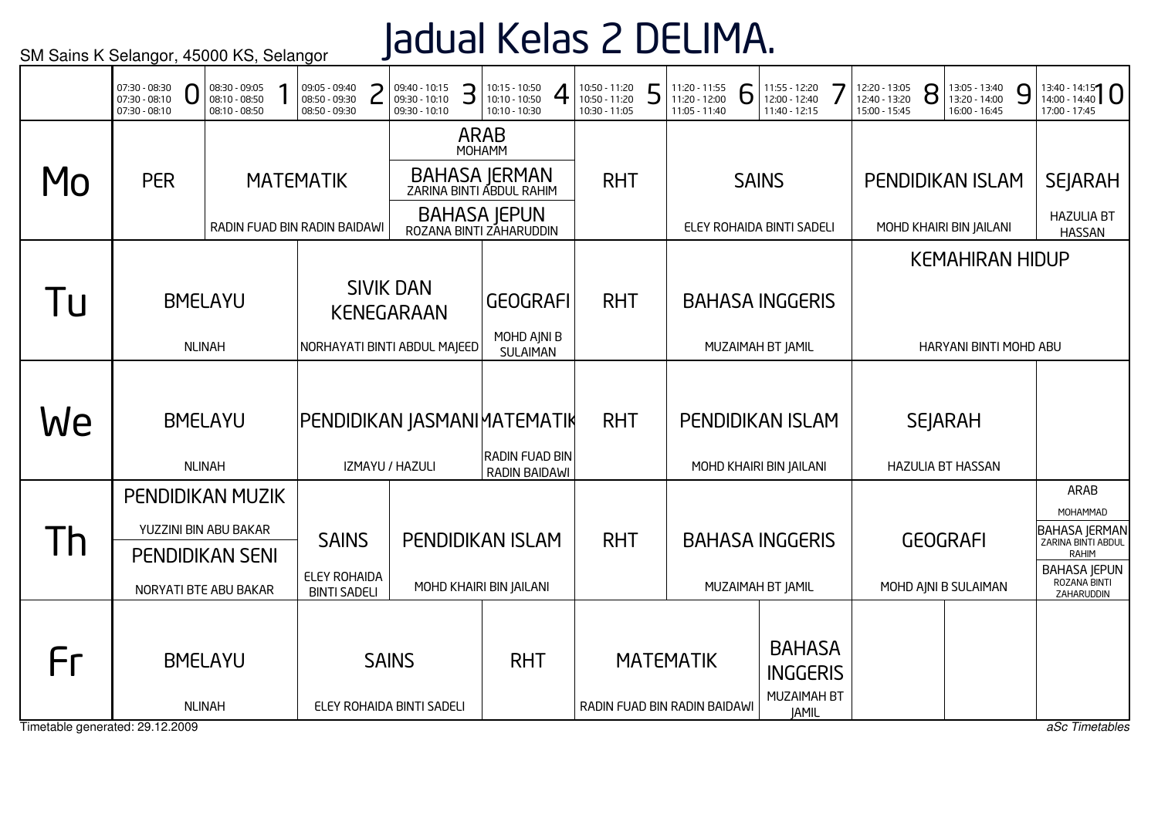## Jadual Kelas 2 DELIMA.

|                                 | 07:30 - 08:30<br>$07:30 - 08:10$<br>$07:30 - 08:10$ | 08:30 - 09:05<br>08:10 - 08:50<br>08:10 - 08:50                 |                                     | 09:05 - 09:40<br>08:50 - 09:30<br>08:50 - 09:30 |  | 09:40 - 10:15<br>09:30 - 10:10<br>09:30 - 10:10 | З | 10:15 - 10:50<br>$10:10 - 10:50$<br>10:10 - 10:30 | 10:50 - 11:20<br>10:50 - 11:20<br>10:30 - 11:05 | 5 | 11:20 - 11:55<br>11:20 - 12:00<br>11:05 - 11:40 | 6 | 11:55 - 12:20<br>12:00 - 12:40<br>11:40 - 12:15 | 12:20 - 13:05<br>12:40 - 13:20<br>15:00 - 15:45 | 8 | 13:05 - 13:40<br>13:20 - 14:00<br>16:00 - 16:45 | 9 | $13:40 - 14:15$<br>17:00 - 17:45           |
|---------------------------------|-----------------------------------------------------|-----------------------------------------------------------------|-------------------------------------|-------------------------------------------------|--|-------------------------------------------------|---|---------------------------------------------------|-------------------------------------------------|---|-------------------------------------------------|---|-------------------------------------------------|-------------------------------------------------|---|-------------------------------------------------|---|--------------------------------------------|
|                                 |                                                     |                                                                 |                                     |                                                 |  |                                                 |   | <b>ARAB</b><br>MOHAMM                             |                                                 |   |                                                 |   |                                                 |                                                 |   |                                                 |   |                                            |
| MO                              | <b>PER</b>                                          |                                                                 |                                     | <b>MATEMATIK</b>                                |  |                                                 |   | BAHASA JERMAN<br>ZARINA BINTI ABDUL RAHIM         | <b>RHT</b>                                      |   |                                                 |   | <b>SAINS</b>                                    | PENDIDIKAN ISLAM                                |   |                                                 |   | <b>SEJARAH</b>                             |
|                                 |                                                     |                                                                 |                                     | RADIN FUAD BIN RADIN BAIDAWI                    |  |                                                 |   | <b>BAHASA JEPUN</b><br>ROZANA BINTI ZAHARUDDIN    |                                                 |   |                                                 |   | ELEY ROHAIDA BINTI SADELI                       | MOHD KHAIRI BIN JAILANI                         |   |                                                 |   | <b>HAZULIA BT</b><br><b>HASSAN</b>         |
|                                 |                                                     |                                                                 |                                     |                                                 |  |                                                 |   |                                                   |                                                 |   |                                                 |   |                                                 |                                                 |   | <b>KEMAHIRAN HIDUP</b>                          |   |                                            |
| l u                             |                                                     | <b>BMELAYU</b>                                                  |                                     |                                                 |  | <b>SIVIK DAN</b><br><b>KENEGARAAN</b>           |   | <b>GEOGRAFI</b>                                   | <b>RHT</b>                                      |   |                                                 |   | <b>BAHASA INGGERIS</b>                          |                                                 |   |                                                 |   |                                            |
|                                 |                                                     | <b>NLINAH</b>                                                   |                                     |                                                 |  | NORHAYATI BINTI ABDUL MAJEED                    |   | MOHD AJNI B<br>SULAIMAN                           |                                                 |   |                                                 |   | MUZAIMAH BT JAMIL                               |                                                 |   | HARYANI BINTI MOHD ABU                          |   |                                            |
|                                 |                                                     |                                                                 |                                     |                                                 |  |                                                 |   |                                                   |                                                 |   |                                                 |   |                                                 |                                                 |   |                                                 |   |                                            |
| We                              |                                                     | <b>BMELAYU</b>                                                  |                                     | PENDIDIKAN JASMANI MATEMATIK                    |  |                                                 |   |                                                   | <b>RHT</b>                                      |   |                                                 |   | <b>PENDIDIKAN ISLAM</b>                         |                                                 |   | <b>SEJARAH</b>                                  |   |                                            |
|                                 |                                                     | <b>NLINAH</b>                                                   | IZMAYU / HAZULI                     |                                                 |  |                                                 |   | RADIN FUAD BIN<br>RADIN BAIDAWI                   |                                                 |   |                                                 |   | MOHD KHAIRI BIN JAILANI                         |                                                 |   | <b>HAZULIA BT HASSAN</b>                        |   |                                            |
|                                 | PENDIDIKAN MUZIK                                    |                                                                 |                                     |                                                 |  |                                                 |   |                                                   |                                                 |   |                                                 |   |                                                 |                                                 |   |                                                 |   | ARAB<br>MOHAMMAD                           |
| $\mathsf{I}$                    |                                                     |                                                                 |                                     |                                                 |  |                                                 |   | PENDIDIKAN ISLAM                                  | <b>RHT</b>                                      |   |                                                 |   | <b>BAHASA INGGERIS</b>                          |                                                 |   | <b>GEOGRAFI</b>                                 |   | <b>BAHASA JERMAN</b><br>ZARINA BINTI ABDUL |
|                                 |                                                     | YUZZINI BIN ABU BAKAR<br><b>SAINS</b><br><b>PENDIDIKAN SENI</b> |                                     |                                                 |  |                                                 |   |                                                   |                                                 |   |                                                 |   |                                                 |                                                 |   |                                                 |   | <b>RAHIM</b><br><b>BAHASA JEPUN</b>        |
|                                 | NORYATI BTE ABU BAKAR                               |                                                                 | ELEY ROHAIDA<br><b>BINTI SADELI</b> |                                                 |  |                                                 |   | MOHD KHAIRI BIN JAILANI                           |                                                 |   |                                                 |   | MUZAIMAH BT JAMIL                               |                                                 |   | MOHD AJNI B SULAIMAN                            |   | ROZANA BINTI<br>ZAHARUDDIN                 |
| Fr                              |                                                     | <b>BMELAYU</b>                                                  | <b>SAINS</b>                        |                                                 |  |                                                 |   | <b>RHT</b>                                        |                                                 |   | <b>MATEMATIK</b>                                |   | <b>BAHASA</b><br><b>INGGERIS</b><br>MUZAIMAH BT |                                                 |   |                                                 |   |                                            |
| Timetable generated: 29.12.2009 | <b>NLINAH</b><br>ELEY ROHAIDA BINTI SADELI          |                                                                 |                                     |                                                 |  |                                                 |   |                                                   |                                                 |   | RADIN FUAD BIN RADIN BAIDAWI                    |   | <b>JAMIL</b>                                    |                                                 |   |                                                 |   | aSc Timetables                             |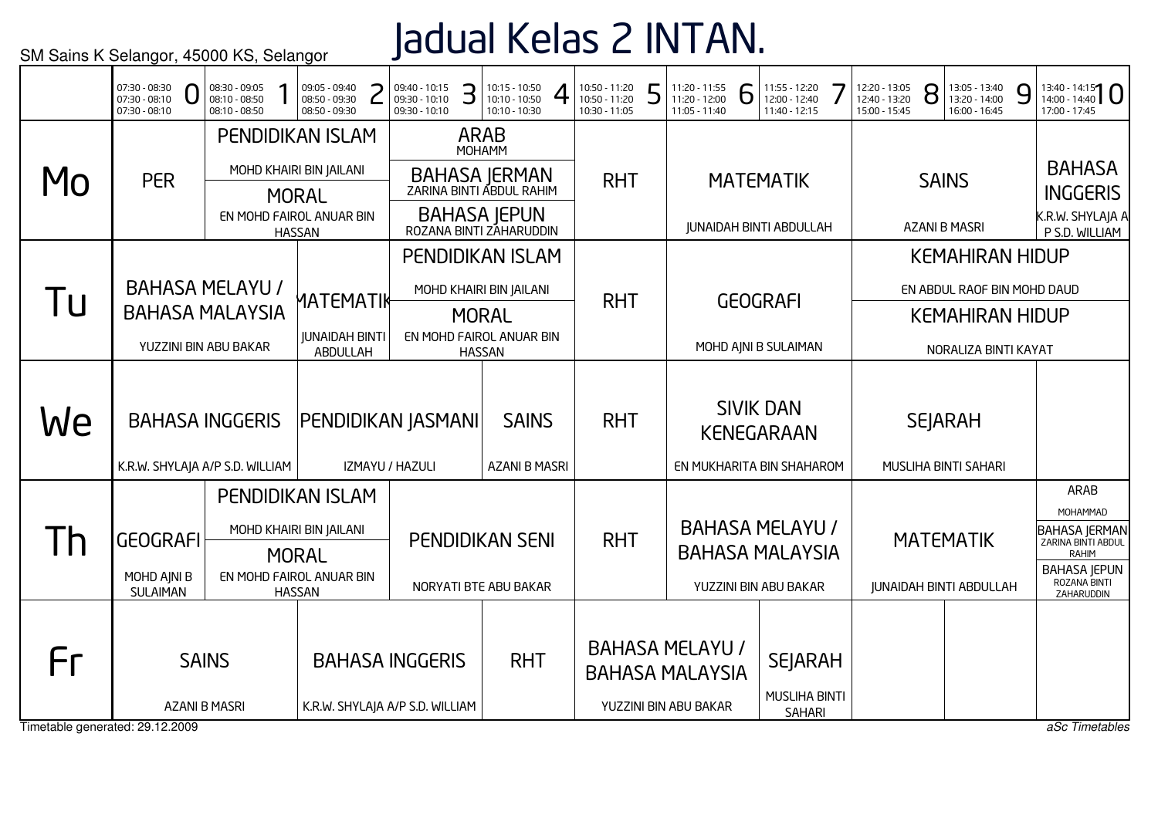Jadual Kelas 2 INTAN.

| <b>ARAB</b><br><b>PENDIDIKAN ISLAM</b><br>MOHAMM<br>MOHD KHAIRI BIN JAILANI<br>BAHASA JERMAN<br>ZARINA BINTI ABDUL RAHIM<br>Mo<br><b>PER</b><br><b>RHT</b><br><b>MATEMATIK</b><br><b>SAINS</b><br><b>MORAL</b><br><b>BAHASA JEPUN</b><br>EN MOHD FAIROL ANUAR BIN<br><b>JUNAIDAH BINTI ABDULLAH</b><br><b>AZANI B MASRI</b><br>ROZANA BINTI ZAHARUDDIN<br><b>HASSAN</b><br><b>KEMAHIRAN HIDUP</b><br><b>PENDIDIKAN ISLAM</b> | <b>BAHASA</b><br><b>INGGERIS</b><br>K.R.W. SHYLAJA A<br>P S.D. WILLIAM |
|------------------------------------------------------------------------------------------------------------------------------------------------------------------------------------------------------------------------------------------------------------------------------------------------------------------------------------------------------------------------------------------------------------------------------|------------------------------------------------------------------------|
|                                                                                                                                                                                                                                                                                                                                                                                                                              |                                                                        |
|                                                                                                                                                                                                                                                                                                                                                                                                                              |                                                                        |
|                                                                                                                                                                                                                                                                                                                                                                                                                              |                                                                        |
|                                                                                                                                                                                                                                                                                                                                                                                                                              |                                                                        |
| <b>BAHASA MELAYU /</b><br>MOHD KHAIRI BIN JAILANI<br>EN ABDUL RAOF BIN MOHD DAUD<br>Tu<br>MATEMATIK<br><b>RHT</b><br><b>GEOGRAFI</b>                                                                                                                                                                                                                                                                                         |                                                                        |
| <b>BAHASA MALAYSIA</b><br><b>MORAL</b><br><b>KEMAHIRAN HIDUP</b>                                                                                                                                                                                                                                                                                                                                                             |                                                                        |
| <b>JUNAIDAH BINTI</b><br>EN MOHD FAIROL ANUAR BIN<br>YUZZINI BIN ABU BAKAR<br>MOHD AJNI B SULAIMAN<br>NORALIZA BINTI KAYAT<br>ABDULLAH<br><b>HASSAN</b>                                                                                                                                                                                                                                                                      |                                                                        |
| <b>SIVIK DAN</b><br>We<br><b>BAHASA INGGERIS</b><br><b>RHT</b><br><b>SEJARAH</b><br>PENDIDIKAN JASMANI<br><b>SAINS</b><br><b>KENEGARAAN</b>                                                                                                                                                                                                                                                                                  |                                                                        |
| <b>AZANI B MASRI</b><br>K.R.W. SHYLAJA A/P S.D. WILLIAM<br>IZMAYU / HAZULI<br>EN MUKHARITA BIN SHAHAROM<br>MUSLIHA BINTI SAHARI                                                                                                                                                                                                                                                                                              | ARAB                                                                   |
| PENDIDIKAN ISLAM                                                                                                                                                                                                                                                                                                                                                                                                             | MOHAMMAD                                                               |
| <b>BAHASA MELAYU /</b><br>MOHD KHAIRI BIN JAILANI<br><b>RHT</b><br>$\mathsf{I}$<br><b>GEOGRAFI</b><br><b>PENDIDIKAN SENI</b><br><b>MATEMATIK</b><br><b>BAHASA MALAYSIA</b><br><b>MORAL</b>                                                                                                                                                                                                                                   | <b>BAHASA JERMAN</b><br>ZARINA BINTI ABDUL<br><b>RAHIM</b>             |
| EN MOHD FAIROL ANUAR BIN<br>MOHD AINI B<br>NORYATI BTE ABU BAKAR<br>YUZZINI BIN ABU BAKAR<br><b>JUNAIDAH BINTI ABDULLAH</b><br><b>SULAIMAN</b><br><b>HASSAN</b>                                                                                                                                                                                                                                                              | <b>BAHASA JEPUN</b><br>ROZANA BINTI<br>ZAHARUDDIN                      |
| <b>BAHASA MELAYU /</b><br>Fr<br><b>SAINS</b><br><b>RHT</b><br><b>BAHASA INGGERIS</b><br><b>SEJARAH</b><br><b>BAHASA MALAYSIA</b>                                                                                                                                                                                                                                                                                             |                                                                        |
| <b>MUSLIHA BINTI</b><br>YUZZINI BIN ABU BAKAR<br><b>AZANI B MASRI</b><br>K.R.W. SHYLAJA A/P S.D. WILLIAM<br><b>SAHARI</b><br>Timetable generated: 29.12.2009                                                                                                                                                                                                                                                                 | aSc Timetables                                                         |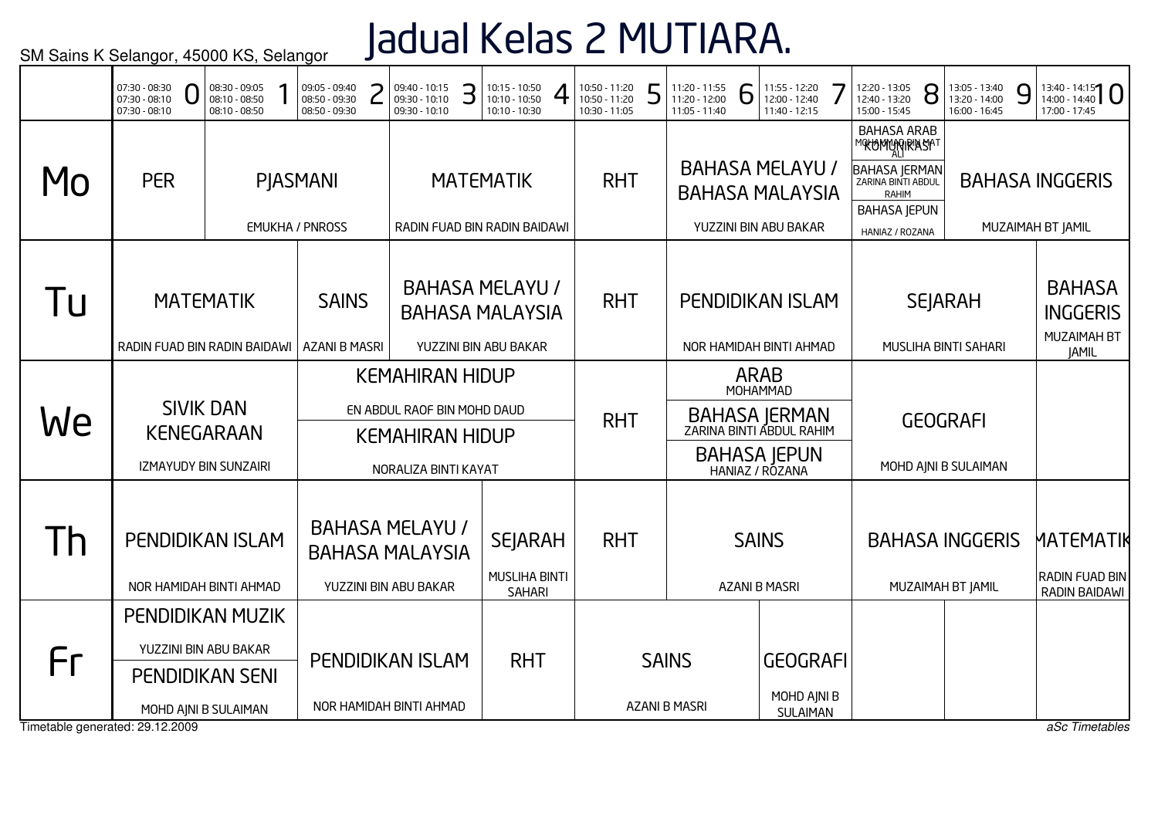# Jadual Kelas 2 MUTIARA.

|                                       | 07:30 - 08:30<br>$07:30 - 08:10$<br>07:30 - 08:10 | 08:30 - 09:05<br>08:10 - 08:50<br>08:10 - 08:50                         |  | 09:05 - 09:40<br>08:50 - 09:30<br>08:50 - 09:30    | 09:40 - 10:15<br>09:30 - 10:10<br>09:30 - 10:10                                                         | З          | 10:15 - 10:50<br>10:10 - 10:50<br>10:10 - 10:30                           | 10:50 - 11:20<br>10:50 - 11:20<br>10:30 - 11:05 | L                                    | 11:20 - 11:55<br>11:20 - 12:00<br>11:05 - 11:40 | 6                                          | 11:55 - 12:20<br>12:00 - 12:40<br>11:40 - 12:15                                             | 12:20 - 13:05<br>12:40 - 13:20<br>15:00 - 15:45                                                                                             | 8 | 13:05 - 13:40<br>13:20 - 14:00<br>16:00 - 16:45 | 9              | $13:40 - 14:15$<br>17:00 - 17:45                                |
|---------------------------------------|---------------------------------------------------|-------------------------------------------------------------------------|--|----------------------------------------------------|---------------------------------------------------------------------------------------------------------|------------|---------------------------------------------------------------------------|-------------------------------------------------|--------------------------------------|-------------------------------------------------|--------------------------------------------|---------------------------------------------------------------------------------------------|---------------------------------------------------------------------------------------------------------------------------------------------|---|-------------------------------------------------|----------------|-----------------------------------------------------------------|
| Mo                                    | <b>PER</b>                                        |                                                                         |  | <b>PIASMANI</b><br><b>EMUKHA / PNROSS</b>          |                                                                                                         |            | <b>MATEMATIK</b><br>RADIN FUAD BIN RADIN BAIDAWI                          | <b>RHT</b>                                      |                                      |                                                 |                                            | <b>BAHASA MELAYU /</b><br><b>BAHASA MALAYSIA</b><br>YUZZINI BIN ABU BAKAR                   | <b>BAHASA ARAB</b><br>MOKOMONGRASAT<br><b>BAHASA JERMAN</b><br>ZARINA BINTI ABDUL<br><b>RAHIM</b><br><b>BAHASA JEPUN</b><br>HANIAZ / ROZANA |   |                                                 |                | <b>BAHASA INGGERIS</b><br>MUZAIMAH BT JAMIL                     |
| Tu                                    | RADIN FUAD BIN RADIN BAIDAWI                      | <b>MATEMATIK</b>                                                        |  | <b>SAINS</b><br><b>AZANI B MASRI</b>               |                                                                                                         |            | <b>BAHASA MELAYU /</b><br><b>BAHASA MALAYSIA</b><br>YUZZINI BIN ABU BAKAR | <b>RHT</b>                                      |                                      |                                                 |                                            | PENDIDIKAN ISLAM<br>NOR HAMIDAH BINTI AHMAD                                                 |                                                                                                                                             |   | <b>SEJARAH</b><br>MUSLIHA BINTI SAHARI          |                | <b>BAHASA</b><br><b>INGGERIS</b><br>MUZAIMAH BT<br><b>JAMIL</b> |
| We                                    |                                                   | <b>SIVIK DAN</b><br><b>KENEGARAAN</b><br><b>IZMAYUDY BIN SUNZAIRI</b>   |  |                                                    | <b>KEMAHIRAN HIDUP</b><br>EN ABDUL RAOF BIN MOHD DAUD<br><b>KEMAHIRAN HIDUP</b><br>NORALIZA BINTI KAYAT |            |                                                                           | <b>RHT</b>                                      |                                      |                                                 |                                            | <b>ARAB</b><br>MOHAMMAD<br>BAHASA JERMAN<br>ZARINA BINTI ABDUL RAHIM<br><b>BAHASA JEPUN</b> |                                                                                                                                             |   | <b>GEOGRAFI</b><br>MOHD AJNI B SULAIMAN         |                |                                                                 |
| Th                                    | PENDIDIKAN ISLAM                                  | NOR HAMIDAH BINTI AHMAD                                                 |  |                                                    | <b>BAHASA MELAYU /</b><br><b>BAHASA MALAYSIA</b><br>YUZZINI BIN ABU BAKAR                               |            | <b>SEJARAH</b><br><b>MUSLIHA BINTI</b><br><b>SAHARI</b>                   | <b>RHT</b>                                      |                                      |                                                 |                                            | <b>SAINS</b><br><b>AZANI B MASRI</b>                                                        |                                                                                                                                             |   | <b>BAHASA INGGERIS</b><br>MUZAIMAH BT JAMIL     |                | MATEMATIK<br><b>RADIN FUAD BIN</b><br>RADIN BAIDAWI             |
| Fr<br>Timetable generated: 29.12.2009 | <b>PENDIDIKAN MUZIK</b>                           | YUZZINI BIN ABU BAKAR<br><b>PENDIDIKAN SENI</b><br>MOHD AJNI B SULAIMAN |  | <b>PENDIDIKAN ISLAM</b><br>NOR HAMIDAH BINTI AHMAD |                                                                                                         | <b>RHT</b> |                                                                           |                                                 | <b>SAINS</b><br><b>AZANI B MASRI</b> |                                                 | <b>GEOGRAFI</b><br>MOHD AJNI B<br>SULAIMAN |                                                                                             |                                                                                                                                             |   |                                                 | aSc Timetables |                                                                 |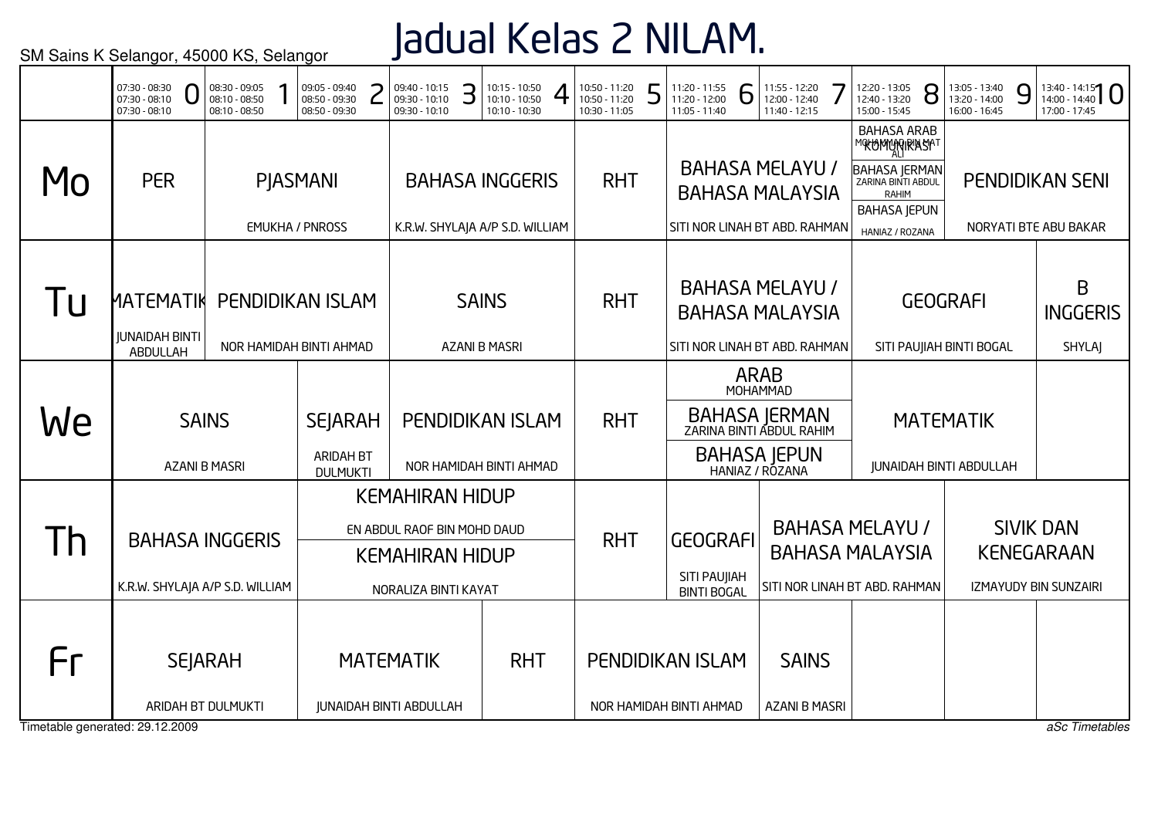### Jadual Kelas 2 NILAM.

|                                       | 07:30 - 08:30<br>U<br>07:30 - 08:10<br>$07:30 - 08:10$    | 08:30 - 09:05<br>08:10 - 08:50<br>08:10 - 08:50 | 09:05 - 09:40<br>08:50 - 09:30<br>08:50 - 09:30       | 09:40 - 10:15<br>09:30 - 10:10<br>09:30 - 10:10                                                         | З | $10:15 - 10:50$<br>10:10 - 10:50<br>10:10 - 10:30         | 10:50 - 11:20<br>10:50 - 11:20<br>10:30 - 11:05 | 5 | 11:20 - 11:55<br>11:20 - 12:00<br>11:05 - 11:40       | 6           | 11:55 - 12:20<br>12:00 - 12:40<br>11:40 - 12:15                                                 | 12:20 - 13:05<br>12:40 - 13:20<br>15:00 - 15:45                                                                                             | 8 | 13:05 - 13:40<br>13:20 - 14:00<br>16:00 - 16:45 | 9 | $13:40 - 14:15$<br>17:00 - 17:45                                      |
|---------------------------------------|-----------------------------------------------------------|-------------------------------------------------|-------------------------------------------------------|---------------------------------------------------------------------------------------------------------|---|-----------------------------------------------------------|-------------------------------------------------|---|-------------------------------------------------------|-------------|-------------------------------------------------------------------------------------------------|---------------------------------------------------------------------------------------------------------------------------------------------|---|-------------------------------------------------|---|-----------------------------------------------------------------------|
| MO                                    | <b>PER</b>                                                |                                                 | <b>PIASMANI</b><br><b>EMUKHA / PNROSS</b>             |                                                                                                         |   | <b>BAHASA INGGERIS</b><br>K.R.W. SHYLAJA A/P S.D. WILLIAM | <b>RHT</b>                                      |   | SITI NOR LINAH BT ABD. RAHMAN                         |             | <b>BAHASA MELAYU /</b><br><b>BAHASA MALAYSIA</b>                                                | <b>BAHASA ARAB</b><br>MOKOMONGRASAT<br><b>BAHASA JERMAN</b><br>ZARINA BINTI ABDUL<br><b>RAHIM</b><br><b>BAHASA JEPUN</b><br>HANIAZ / ROZANA |   |                                                 |   | <b>PENDIDIKAN SENI</b><br>NORYATI BTE ABU BAKAR                       |
| l U                                   | ИАТЕМАТ <b>ІК</b><br><b>JUNAIDAH BINTI</b><br>ABDULLAH    |                                                 | <b>PENDIDIKAN ISLAM</b><br>NOR HAMIDAH BINTI AHMAD    |                                                                                                         |   | <b>SAINS</b><br><b>AZANI B MASRI</b>                      | <b>RHT</b>                                      |   | SITI NOR LINAH BT ABD. RAHMAN                         |             | <b>BAHASA MELAYU /</b><br><b>BAHASA MALAYSIA</b>                                                |                                                                                                                                             |   | <b>GEOGRAFI</b><br>SITI PAUJIAH BINTI BOGAL     |   | B<br><b>INGGERIS</b><br><b>SHYLAJ</b>                                 |
| We                                    | <b>SAINS</b><br><b>AZANI B MASRI</b>                      |                                                 | <b>SEJARAH</b><br><b>ARIDAH BT</b><br><b>DULMUKTI</b> |                                                                                                         |   | <b>PENDIDIKAN ISLAM</b><br>NOR HAMIDAH BINTI AHMAD        | <b>RHT</b>                                      |   |                                                       | <b>ARAB</b> | MOHAMMAD<br>BAHASA JERMAN<br>ZARINA BINTI ABDUL RAHIM<br><b>BAHASA JEPUN</b><br>HANIAZ / ROZANA |                                                                                                                                             |   | <b>MATEMATIK</b><br>JUNAIDAH BINTI ABDULLAH     |   |                                                                       |
| $\mathsf{I}$                          | <b>BAHASA INGGERIS</b><br>K.R.W. SHYLAJA A/P S.D. WILLIAM |                                                 |                                                       | <b>KEMAHIRAN HIDUP</b><br>EN ABDUL RAOF BIN MOHD DAUD<br><b>KEMAHIRAN HIDUP</b><br>NORALIZA BINTI KAYAT |   |                                                           | <b>RHT</b>                                      |   | <b>GEOGRAFI</b><br>SITI PAUJIAH<br><b>BINTI BOGAL</b> |             |                                                                                                 | <b>BAHASA MELAYU /</b><br><b>BAHASA MALAYSIA</b><br>SITI NOR LINAH BT ABD. RAHMAN                                                           |   |                                                 |   | <b>SIVIK DAN</b><br><b>KENEGARAAN</b><br><b>IZMAYUDY BIN SUNZAIRI</b> |
| Fr<br>Timetable generated: 29.12.2009 | <b>SEJARAH</b><br>ARIDAH BT DULMUKTI                      |                                                 |                                                       | <b>MATEMATIK</b><br><b>JUNAIDAH BINTI ABDULLAH</b>                                                      |   | <b>RHT</b>                                                |                                                 |   | <b>PENDIDIKAN ISLAM</b><br>NOR HAMIDAH BINTI AHMAD    |             | <b>SAINS</b><br><b>AZANI B MASRI</b>                                                            |                                                                                                                                             |   |                                                 |   | aSc Timetables                                                        |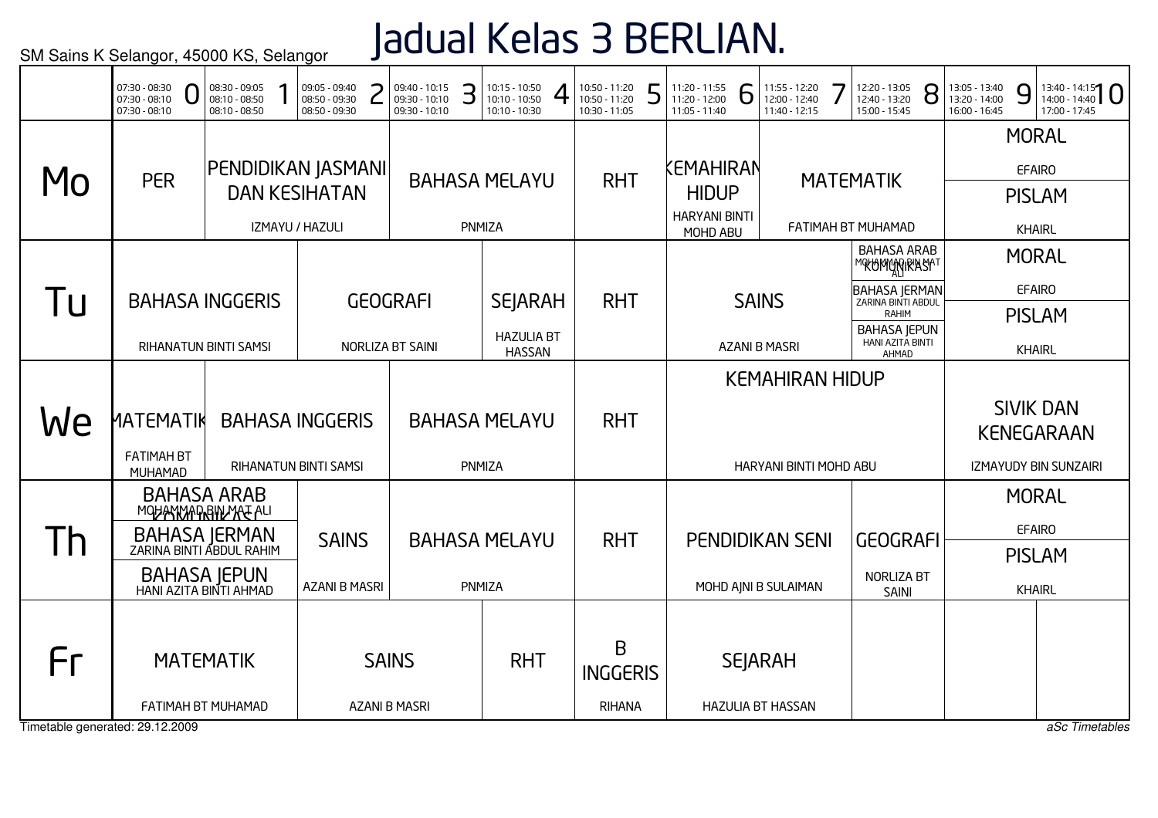# Jadual Kelas 3 BERLIAN.

|                | 07:30 - 08:30<br>$07:30 - 08:10$<br>$07:30 - 08:10$                                                                             | 08:30 - 09:05<br>08:10 - 08:50<br>08:10 - 08:50 | 09:05 - 09:40<br>08:50 - 09:30<br>08:50 - 09:30               | 09:40 - 10:15<br>09:30 - 10:10<br>09:30 - 10:10 | З                              | $10:15 - 10:50$<br>$10:10 - 10:50$<br>10:10 - 10:30  | 10:50 - 11:20<br>10:50 - 11:20<br>10:30 - 11:05 | 5 | 11:20 - 11:55<br>11:20 - 12:00<br>11:05 - 11:40               | 6                                              | 11:55 - 12:20<br>12:00 - 12:40<br>11:40 - 12:15  | 12:20 - 13:05<br>12:40 - 13:20<br>15:00 - 15:45                                                                                                | 8 | 13:05 - 13:40<br>9<br>13:20 - 14:00<br>16:00 - 16:45            | $13:40 - 14:15$<br>17:00 - 17:45                                      |
|----------------|---------------------------------------------------------------------------------------------------------------------------------|-------------------------------------------------|---------------------------------------------------------------|-------------------------------------------------|--------------------------------|------------------------------------------------------|-------------------------------------------------|---|---------------------------------------------------------------|------------------------------------------------|--------------------------------------------------|------------------------------------------------------------------------------------------------------------------------------------------------|---|-----------------------------------------------------------------|-----------------------------------------------------------------------|
| MO             | <b>PER</b>                                                                                                                      |                                                 | PENDIDIKAN JASMANI<br><b>DAN KESIHATAN</b><br>IZMAYU / HAZULI |                                                 |                                | <b>BAHASA MELAYU</b><br>PNMIZA                       | <b>RHT</b>                                      |   | KEMAHIRAN<br><b>HIDUP</b><br><b>HARYANI BINTI</b><br>MOHD ABU |                                                |                                                  | <b>MATEMATIK</b><br>FATIMAH BT MUHAMAD                                                                                                         |   |                                                                 | <b>MORAL</b><br><b>EFAIRO</b><br><b>PISLAM</b><br><b>KHAIRL</b>       |
| <u>I u</u>     | <b>BAHASA INGGERIS</b><br><b>RIHANATUN BINTI SAMSI</b>                                                                          |                                                 |                                                               | <b>GEOGRAFI</b><br>NORLIZA BT SAINI             |                                | <b>SEJARAH</b><br><b>HAZULIA BT</b><br><b>HASSAN</b> | <b>RHT</b>                                      |   |                                                               |                                                | <b>SAINS</b><br><b>AZANI B MASRI</b>             | <b>BAHASA ARAB</b><br>MOKOMONGRASAT<br><b>BAHASA JERMAN</b><br>ZARINA BINTI ABDUL<br>RAHIM<br><b>BAHASA JEPUN</b><br>HANI AZITA BINTI<br>AHMAD |   |                                                                 | <b>MORAL</b><br><b>EFAIRO</b><br><b>PISLAM</b><br><b>KHAIRL</b>       |
| We             | <u>ΜΑΤΕΜΑΤΙΚ</u><br><b>FATIMAH BT</b><br>MUHAMAD                                                                                |                                                 | <b>BAHASA INGGERIS</b><br><b>RIHANATUN BINTI SAMSI</b>        |                                                 |                                | <b>BAHASA MELAYU</b><br>PNMIZA                       | <b>RHT</b>                                      |   |                                                               |                                                | <b>KEMAHIRAN HIDUP</b><br>HARYANI BINTI MOHD ABU |                                                                                                                                                |   |                                                                 | <b>SIVIK DAN</b><br><b>KENEGARAAN</b><br><b>IZMAYUDY BIN SUNZAIRI</b> |
| 1 <sup>h</sup> | <b>BAHASA ARAB</b><br>MOHANMADRAMARE ALI<br>BAHASA JERMAN<br>ZARINA BINTI ABDUL RAHIM<br>BAHASA JEPUN<br>HANI AZITA BINTI AHMAD | <b>SAINS</b><br><b>AZANI B MASRI</b>            |                                                               |                                                 | <b>BAHASA MELAYU</b><br>PNMIZA | <b>RHT</b>                                           |                                                 |   |                                                               | <b>PENDIDIKAN SENI</b><br>MOHD AJNI B SULAIMAN | <b>GEOGRAFI</b><br>NORLIZA BT<br>SAINI           |                                                                                                                                                |   | <b>MORAL</b><br><b>EFAIRO</b><br><b>PISLAM</b><br><b>KHAIRL</b> |                                                                       |
| Fr             | <b>MATEMATIK</b><br>FATIMAH BT MUHAMAD<br>Timetable generated: 29.12.2009                                                       |                                                 | <b>SAINS</b><br><b>AZANI B MASRI</b>                          |                                                 | <b>RHT</b>                     | B<br><b>INGGERIS</b><br><b>RIHANA</b>                |                                                 |   |                                                               | <b>SEJARAH</b><br><b>HAZULIA BT HASSAN</b>     |                                                  |                                                                                                                                                |   | aSc Timetables                                                  |                                                                       |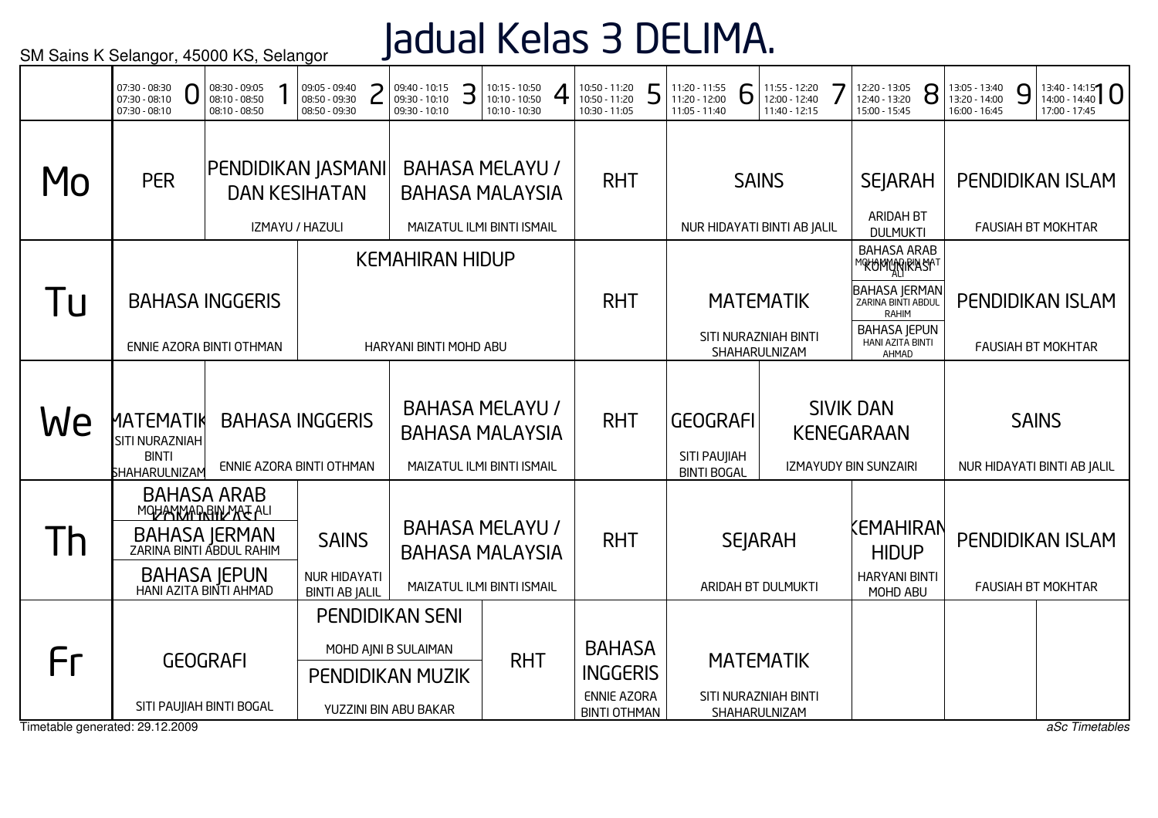## Jadual Kelas 3 DELIMA.

|              | 07:30 - 08:30<br>$07:30 - 08:10$<br>07:30 - 08:10                          | 08:30 - 09:05<br>08:10 - 08:50<br>08:10 - 08:50                                                                                                                                                     |                        | 09:05 - 09:40<br>08:50 - 09:30<br>08:50 - 09:30 |  | 09:40 - 10:15<br>09:30 - 10:10<br>09:30 - 10:10 | З                                                                              | $10:15 - 10:50$<br>10:10 - 10:50<br>10:10 - 10:30                              | 10:50 - 11:20<br>10:50 - 11:20<br>10:30 - 11:05        | 5                                                     | 11:20 - 11:55<br>11:20 - 12:00<br>11:05 - 11:40 | 6 | 11:55 - 12:20<br>12:00 - 12:40<br>11:40 - 12:15         | 12:20 - 13:05<br>12:40 - 13:20<br>15:00 - 15:45               | 8 | 13:05 - 13:40<br>13:20 - 14:00<br>16:00 - 16:45 | 9                           | $13:40 - 14:15$<br>17:00 - 17:45                     |
|--------------|----------------------------------------------------------------------------|-----------------------------------------------------------------------------------------------------------------------------------------------------------------------------------------------------|------------------------|-------------------------------------------------|--|-------------------------------------------------|--------------------------------------------------------------------------------|--------------------------------------------------------------------------------|--------------------------------------------------------|-------------------------------------------------------|-------------------------------------------------|---|---------------------------------------------------------|---------------------------------------------------------------|---|-------------------------------------------------|-----------------------------|------------------------------------------------------|
| Mo           | <b>PER</b>                                                                 | PENDIDIKAN JASMANI                                                                                                                                                                                  |                        | <b>DAN KESIHATAN</b>                            |  |                                                 |                                                                                | <b>BAHASA MELAYU /</b><br><b>BAHASA MALAYSIA</b>                               | <b>RHT</b>                                             |                                                       |                                                 |   | <b>SAINS</b>                                            | <b>SEJARAH</b><br><b>ARIDAH BT</b>                            |   |                                                 |                             | <b>PENDIDIKAN ISLAM</b>                              |
|              |                                                                            |                                                                                                                                                                                                     |                        | IZMAYU / HAZULI                                 |  | <b>KEMAHIRAN HIDUP</b>                          |                                                                                | MAIZATUL ILMI BINTI ISMAIL                                                     |                                                        |                                                       |                                                 |   | NUR HIDAYATI BINTI AB JALIL                             | <b>DULMUKTI</b><br><b>BAHASA ARAB</b><br>℠℀℧ϺϺϼϙͿ℟ʹÅℌϮ        |   |                                                 |                             | <b>FAUSIAH BT MOKHTAR</b>                            |
| l u          | <b>BAHASA INGGERIS</b>                                                     |                                                                                                                                                                                                     |                        |                                                 |  |                                                 |                                                                                |                                                                                | <b>RHT</b>                                             |                                                       |                                                 |   | <b>MATEMATIK</b>                                        | BAHASA JERMAN<br><b>RAHIM</b>                                 |   |                                                 |                             | <b>PENDIDIKAN ISLAM</b>                              |
|              | ENNIE AZORA BINTI OTHMAN                                                   |                                                                                                                                                                                                     |                        |                                                 |  | HARYANI BINTI MOHD ABU                          |                                                                                |                                                                                |                                                        |                                                       |                                                 |   | SITI NURAZNIAH BINTI<br>SHAHARULNIZAM                   | <b>BAHASA JEPUN</b><br>HANI AZITA BINTI<br>AHMAD              |   |                                                 |                             | <b>FAUSIAH BT MOKHTAR</b>                            |
| We           | <b>MATEMATIK</b><br><b>SITI NURAZNIAH</b><br><b>BINTI</b><br>SHAHARULNIZAM |                                                                                                                                                                                                     | <b>BAHASA INGGERIS</b> |                                                 |  |                                                 | <b>BAHASA MELAYU /</b><br><b>BAHASA MALAYSIA</b><br>MAIZATUL ILMI BINTI ISMAIL | <b>RHT</b>                                                                     |                                                        | <b>GEOGRAFI</b><br>SITI PAUJIAH<br><b>BINTI BOGAL</b> |                                                 |   | <b>SIVIK DAN</b><br>KENEGARAAN<br>IZMAYUDY BIN SUNZAIRI |                                                               |   | <b>SAINS</b>                                    | NUR HIDAYATI BINTI AB JALIL |                                                      |
| $\mathsf{I}$ |                                                                            | ENNIE AZORA BINTI OTHMAN<br><b>BAHASA ARAB</b><br>MOHANYADRINYA E ALI<br>BAHASA JERMAN<br>ZARINA BINTI ABDUL RAHIM<br><b>SAINS</b><br>BAHASA JEPUN<br>HANI AZITA BINTI AHMAD<br><b>NUR HIDAYATI</b> |                        |                                                 |  |                                                 |                                                                                | <b>BAHASA MELAYU /</b><br><b>BAHASA MALAYSIA</b><br>MAIZATUL ILMI BINTI ISMAIL | <b>RHT</b>                                             |                                                       |                                                 |   | <b>SEJARAH</b><br>ARIDAH BT DULMUKTI                    | KEMAHIRAN<br><b>HIDUP</b><br><b>HARYANI BINTI</b><br>MOHD ABU |   |                                                 |                             | <b>PENDIDIKAN ISLAM</b><br><b>FAUSIAH BT MOKHTAR</b> |
| Fr           |                                                                            | <b>BINTI AB JALIL</b><br><b>PENDIDIKAN SENI</b><br>MOHD AJNI B SULAIMAN<br><b>GEOGRAFI</b><br><b>PENDIDIKAN MUZIK</b><br>SITI PAUJIAH BINTI BOGAL                                                   |                        |                                                 |  |                                                 |                                                                                | <b>RHT</b>                                                                     | <b>BAHASA</b><br><b>INGGERIS</b><br><b>ENNIE AZORA</b> |                                                       |                                                 |   | <b>MATEMATIK</b><br>SITI NURAZNIAH BINTI                |                                                               |   |                                                 |                             |                                                      |
|              | Timetable generated: 29.12.2009                                            |                                                                                                                                                                                                     |                        |                                                 |  | YUZZINI BIN ABU BAKAR                           |                                                                                |                                                                                | <b>BINTI OTHMAN</b>                                    |                                                       |                                                 |   | SHAHARULNIZAM                                           |                                                               |   |                                                 |                             | aSc Timetables                                       |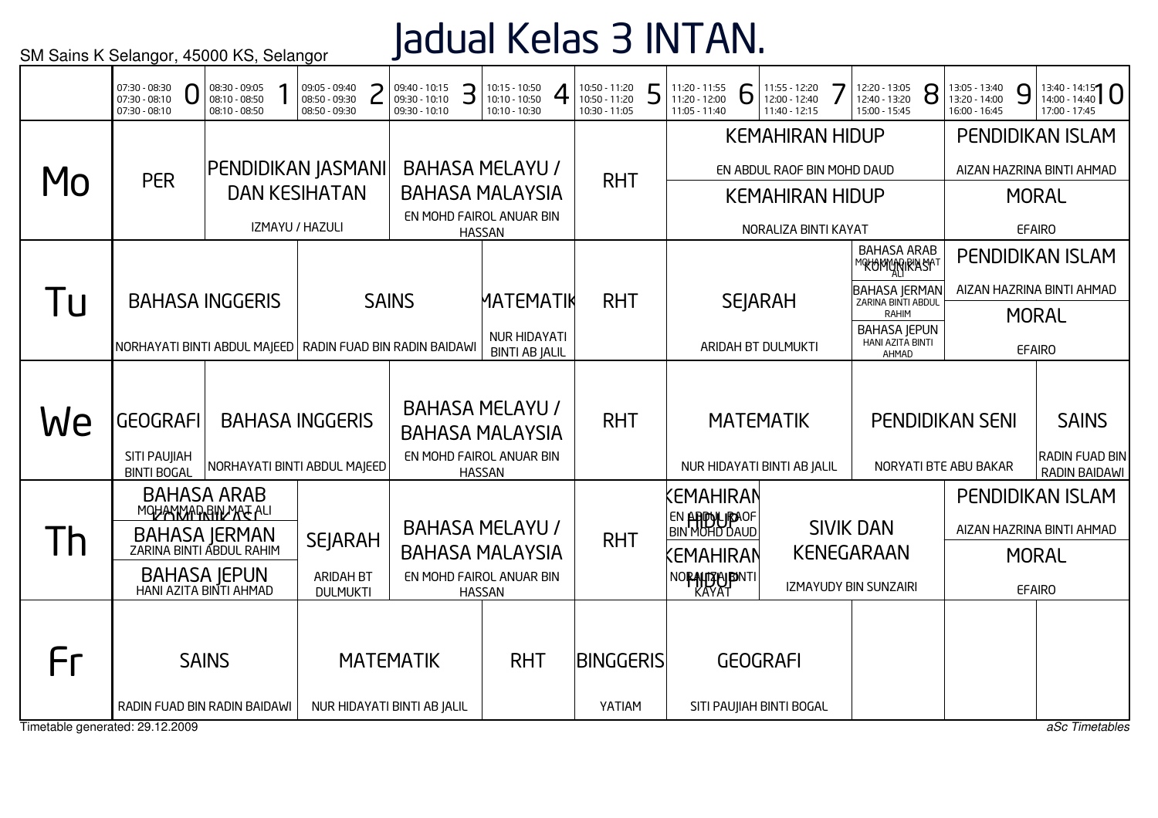## Jadual Kelas 3 INTAN.

|                                 | 07:30 - 08:30<br>07:30 - 08:10<br>$07:30 - 08:10$              | 08:30 - 09:05<br>08:10 - 08:50<br>08:10 - 08:50                               |  | 09:05 - 09:40<br>08:50 - 09:30<br>08:50 - 09:30 |  | 09:40 - 10:15<br>09:30 - 10:10<br>09:30 - 10:10 | З | 10:15 - 10:50<br>10:10 - 10:50<br>10:10 - 10:30  | 10:50 - 11:20<br>10:50 - 11:20<br>10:30 - 11:05 | 5 | 11:20 - 11:55<br>11:20 - 12:00<br>11:05 - 11:40 | 6 | 11:55 - 12:20<br>12:00 - 12:40<br>11:40 - 12:15 | 12:20 - 13:05<br>12:40 - 13:20<br>15:00 - 15:45      | 8 | 13:05 - 13:40<br>13:20 - 14:00<br>16:00 - 16:45 | 9             | $13:40 - 14:15$<br>17:00 - 17:45              |
|---------------------------------|----------------------------------------------------------------|-------------------------------------------------------------------------------|--|-------------------------------------------------|--|-------------------------------------------------|---|--------------------------------------------------|-------------------------------------------------|---|-------------------------------------------------|---|-------------------------------------------------|------------------------------------------------------|---|-------------------------------------------------|---------------|-----------------------------------------------|
|                                 |                                                                |                                                                               |  |                                                 |  |                                                 |   |                                                  |                                                 |   |                                                 |   | <b>KEMAHIRAN HIDUP</b>                          |                                                      |   |                                                 |               | <b>PENDIDIKAN ISLAM</b>                       |
|                                 | <b>PER</b>                                                     | PENDIDIKAN JASMANI                                                            |  |                                                 |  |                                                 |   | <b>BAHASA MELAYU /</b>                           | <b>RHT</b>                                      |   |                                                 |   | EN ABDUL RAOF BIN MOHD DAUD                     |                                                      |   |                                                 |               | AIZAN HAZRINA BINTI AHMAD                     |
| MO                              |                                                                |                                                                               |  | <b>DAN KESIHATAN</b>                            |  |                                                 |   | <b>BAHASA MALAYSIA</b>                           |                                                 |   |                                                 |   | <b>KEMAHIRAN HIDUP</b>                          |                                                      |   |                                                 |               | <b>MORAL</b>                                  |
|                                 |                                                                |                                                                               |  | IZMAYU / HAZULI                                 |  |                                                 |   | EN MOHD FAIROL ANUAR BIN<br><b>HASSAN</b>        |                                                 |   |                                                 |   | NORALIZA BINTI KAYAT                            |                                                      |   |                                                 | <b>EFAIRO</b> |                                               |
|                                 |                                                                |                                                                               |  |                                                 |  |                                                 |   |                                                  |                                                 |   |                                                 |   |                                                 | <b>BAHASA ARAB</b><br><b>™®ŁOMW}RIRIASIA™</b>        |   |                                                 |               | <b>PENDIDIKAN ISLAM</b>                       |
| Tu                              | <b>BAHASA INGGERIS</b>                                         |                                                                               |  |                                                 |  | <b>SAINS</b>                                    |   | <b>MATEMATIK</b>                                 | <b>RHT</b>                                      |   |                                                 |   | <b>SEJARAH</b>                                  | <b>BAHASA JERMAN<br/>ZARINA BINTI ABDUL</b><br>RAHIM |   |                                                 |               | AIZAN HAZRINA BINTI AHMAD                     |
|                                 | NORHAYATI BINTI ABDUL MAJEED   RADIN FUAD BIN RADIN BAIDAWI    |                                                                               |  |                                                 |  |                                                 |   | <b>NUR HIDAYATI</b><br><b>BINTI AB JALIL</b>     |                                                 |   |                                                 |   | ARIDAH BT DULMUKTI                              | <b>BAHASA JEPUN</b><br>HANI AZITA BINTI<br>AHMAD     |   |                                                 | <b>EFAIRO</b> | <b>MORAL</b>                                  |
|                                 |                                                                |                                                                               |  |                                                 |  |                                                 |   |                                                  |                                                 |   |                                                 |   |                                                 |                                                      |   |                                                 |               |                                               |
| We                              | <b>GEOGRAFI</b>                                                | <b>BAHASA INGGERIS</b>                                                        |  |                                                 |  |                                                 |   | <b>BAHASA MELAYU /</b><br><b>BAHASA MALAYSIA</b> | <b>RHT</b>                                      |   |                                                 |   | <b>MATEMATIK</b>                                |                                                      |   | <b>PENDIDIKAN SENI</b>                          |               | <b>SAINS</b>                                  |
|                                 | SITI PAUJIAH<br><b>BINTI BOGAL</b>                             | NORHAYATI BINTI ABDUL MAJEED                                                  |  |                                                 |  |                                                 |   | EN MOHD FAIROL ANUAR BIN<br><b>HASSAN</b>        |                                                 |   |                                                 |   | NUR HIDAYATI BINTI AB JALIL                     |                                                      |   | NORYATI BTE ABU BAKAR                           |               | <b>RADIN FUAD BIN</b><br><b>RADIN BAIDAWI</b> |
|                                 |                                                                | <b>BAHASA ARAB</b>                                                            |  |                                                 |  |                                                 |   |                                                  |                                                 |   | <b>CMAHIRAN</b>                                 |   |                                                 |                                                      |   |                                                 |               | PENDIDIKAN ISLAM                              |
|                                 | MOHANNAPRINAA ALI<br>BAHASA JERMAN<br>ZARINA BINTI ABDUL RAHIM |                                                                               |  | <b>SEJARAH</b>                                  |  |                                                 |   | <b>BAHASA MELAYU /</b>                           | <b>RHT</b>                                      |   | <b>EN APPOLIPAOF<br/>BIN MOHD DAUD</b>          |   |                                                 | <b>SIVIK DAN</b>                                     |   |                                                 |               | AIZAN HAZRINA BINTI AHMAD                     |
| $\mathsf{I}$                    |                                                                |                                                                               |  |                                                 |  |                                                 |   | <b>BAHASA MALAYSIA</b>                           |                                                 |   | KEMAHIRAN                                       |   |                                                 | <b>KENEGARAAN</b>                                    |   |                                                 |               | <b>MORAL</b>                                  |
|                                 |                                                                | BAHASA JEPUN<br>HANI AZITA BINTI AHMAD<br><b>ARIDAH BT</b><br><b>DULMUKTI</b> |  |                                                 |  |                                                 |   | EN MOHD FAIROL ANUAR BIN<br><b>HASSAN</b>        |                                                 |   | NORALDER NOR                                    |   |                                                 | IZMAYUDY BIN SUNZAIRI                                |   |                                                 | <b>EFAIRO</b> |                                               |
|                                 |                                                                |                                                                               |  |                                                 |  |                                                 |   |                                                  |                                                 |   |                                                 |   |                                                 |                                                      |   |                                                 |               |                                               |
| Fr                              |                                                                | <b>SAINS</b><br><b>MATEMATIK</b>                                              |  |                                                 |  |                                                 |   | <b>RHT</b>                                       | BINGGERIS                                       |   |                                                 |   | <b>GEOGRAFI</b>                                 |                                                      |   |                                                 |               |                                               |
|                                 | RADIN FUAD BIN RADIN BAIDAWI                                   |                                                                               |  |                                                 |  | NUR HIDAYATI BINTI AB JALIL                     |   |                                                  | YATIAM                                          |   |                                                 |   | SITI PAUJIAH BINTI BOGAL                        |                                                      |   |                                                 |               |                                               |
| Timetable generated: 29.12.2009 |                                                                |                                                                               |  |                                                 |  |                                                 |   |                                                  |                                                 |   |                                                 |   |                                                 |                                                      |   |                                                 |               | aSc Timetables                                |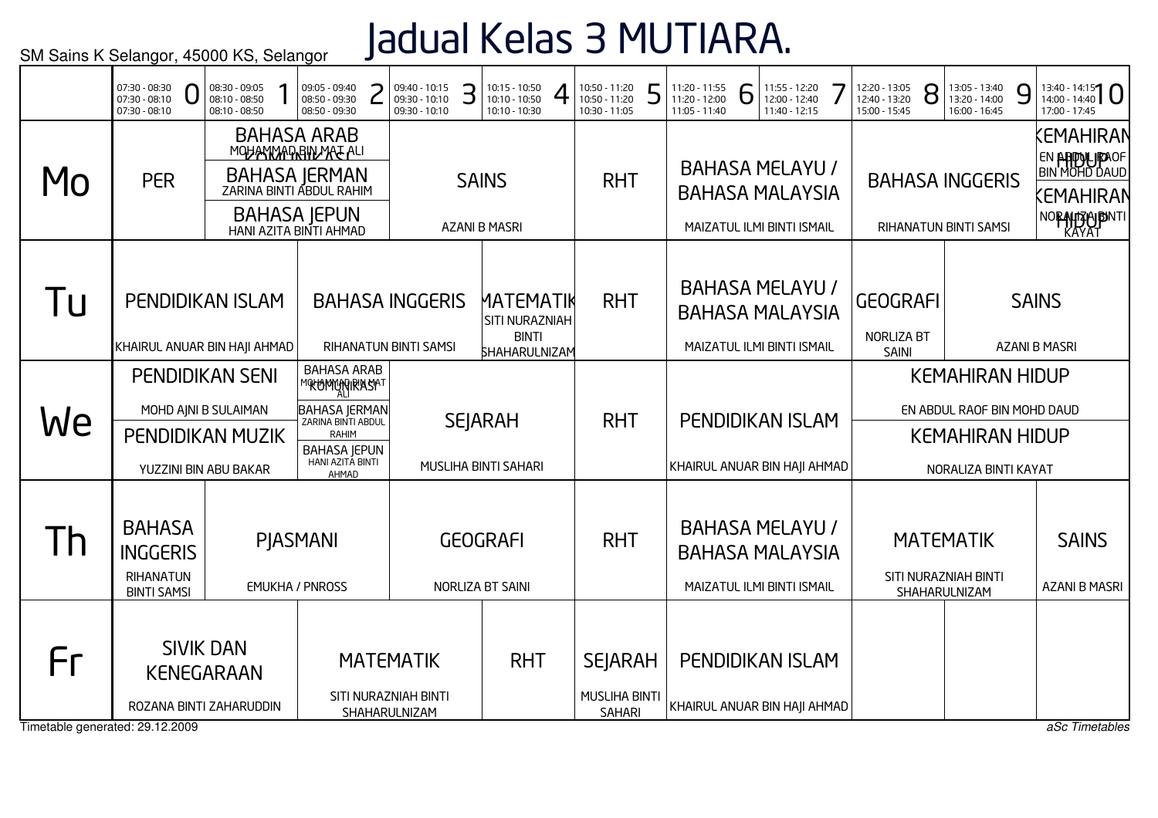# Jadual Kelas 3 MUTIARA.

|                                       | 07:30 - 08:30<br>07:30 - 08:10<br>07:30 - 08:10                            | 08:30 - 09:05<br>08:10 - 08:50<br>08:10 - 08:50                            | 09:05 - 09:40<br>08:50 - 09:30<br>08:50 - 09:30                                                                                                 | 09:40 - 10:15<br>09:30 - 10:10<br>09:30 - 10:10           | 10:15 - 10:50<br>З<br>10:10 - 10:50<br>10:10 - 10:30         | 10:50 - 11:20<br>10:50 - 11:20<br>10:30 - 11:05         | 5 | 11:20 - 11:55<br>11:20 - 12:00<br>11:05 - 11:40 | 6 | 11:55 - 12:20<br>12:00 - 12:40<br>11:40 - 12:15                                | 12:20 - 13:05<br>12:40 - 13:20<br>15:00 - 15:45 | 8 | 13:05 - 13:40<br>13:20 - 14:00<br>16:00 - 16:45                                                         | 9            | $13:40 - 14:15$<br>17:00 - 17:45                                                 |
|---------------------------------------|----------------------------------------------------------------------------|----------------------------------------------------------------------------|-------------------------------------------------------------------------------------------------------------------------------------------------|-----------------------------------------------------------|--------------------------------------------------------------|---------------------------------------------------------|---|-------------------------------------------------|---|--------------------------------------------------------------------------------|-------------------------------------------------|---|---------------------------------------------------------------------------------------------------------|--------------|----------------------------------------------------------------------------------|
| MO                                    | <b>PER</b>                                                                 |                                                                            | <b>BAHASA ARAB</b><br>MOHANMADRIN MATALI<br>BAHASA JERMAN<br>ZARINA BINTI ABDUL RAHIM<br><b>BAHASA JEPUN</b><br>HANI AZITA BINTI AHMAD          |                                                           | <b>SAINS</b><br><b>AZANI B MASRI</b>                         | <b>RHT</b>                                              |   |                                                 |   | <b>BAHASA MELAYU /</b><br><b>BAHASA MALAYSIA</b><br>MAIZATUL ILMI BINTI ISMAIL |                                                 |   | <b>BAHASA INGGERIS</b><br>RIHANATUN BINTI SAMSI                                                         |              | KEMAHIRAN<br>EN <b>APPOLIPAOF</b><br>BIN MOHD DAUD<br>KEMAHIRAN<br>NORAHTZHODNTI |
| Tu                                    | KHAIRUL ANUAR BIN HAJI AHMAD                                               | PENDIDIKAN ISLAM                                                           |                                                                                                                                                 | <b>BAHASA INGGERIS</b><br>RIHANATUN BINTI SAMSI           | MATEMATIK<br>SITI NURAZNIAH<br><b>BINTI</b><br>SHAHARULNIZAM | <b>RHT</b>                                              |   |                                                 |   | <b>BAHASA MELAYU /</b><br><b>BAHASA MALAYSIA</b><br>MAIZATUL ILMI BINTI ISMAIL | <b>GEOGRAFI</b><br>NORLIZA BT<br><b>SAINI</b>   |   |                                                                                                         | <b>SAINS</b> | <b>AZANI B MASRI</b>                                                             |
| We                                    | MOHD AJNI B SULAIMAN                                                       | <b>PENDIDIKAN SENI</b><br><b>PENDIDIKAN MUZIK</b><br>YUZZINI BIN ABU BAKAR | <b>BAHASA ARAB</b><br>MOKOMMANIRASAT<br><b>BAHASA JERMAN</b><br>ZARINA BINTI ABDUL<br>RAHIM<br><b>BAHASA JEPUN</b><br>HANI AZITA BINTI<br>AHMAD |                                                           | <b>SEJARAH</b><br>MUSLIHA BINTI SAHARI                       | <b>RHT</b>                                              |   | KHAIRUL ANUAR BIN HAJI AHMAD                    |   | PENDIDIKAN ISLAM                                                               |                                                 |   | <b>KEMAHIRAN HIDUP</b><br>EN ABDUL RAOF BIN MOHD DAUD<br><b>KEMAHIRAN HIDUP</b><br>NORALIZA BINTI KAYAT |              |                                                                                  |
| $\mathsf{I}$                          | <b>BAHASA</b><br><b>INGGERIS</b><br><b>RIHANATUN</b><br><b>BINTI SAMSI</b> |                                                                            | PJASMANI<br><b>EMUKHA / PNROSS</b>                                                                                                              |                                                           | <b>GEOGRAFI</b><br>NORLIZA BT SAINI                          | <b>RHT</b>                                              |   |                                                 |   | <b>BAHASA MELAYU /</b><br><b>BAHASA MALAYSIA</b><br>MAIZATUL ILMI BINTI ISMAIL |                                                 |   | <b>MATEMATIK</b><br>SITI NURAZNIAH BINTI<br>SHAHARULNIZAM                                               |              | <b>SAINS</b><br><b>AZANI B MASRI</b>                                             |
| Fr<br>Timetable generated: 29.12.2009 |                                                                            | <b>SIVIK DAN</b><br><b>KENEGARAAN</b><br>ROZANA BINTI ZAHARUDDIN           |                                                                                                                                                 | <b>MATEMATIK</b><br>SITI NURAZNIAH BINTI<br>SHAHARULNIZAM | <b>RHT</b>                                                   | <b>SEJARAH</b><br><b>MUSLIHA BINTI</b><br><b>SAHARI</b> |   | KHAIRUL ANUAR BIN HAJI AHMAD                    |   | <b>PENDIDIKAN ISLAM</b>                                                        |                                                 |   |                                                                                                         |              | aSc Timetables                                                                   |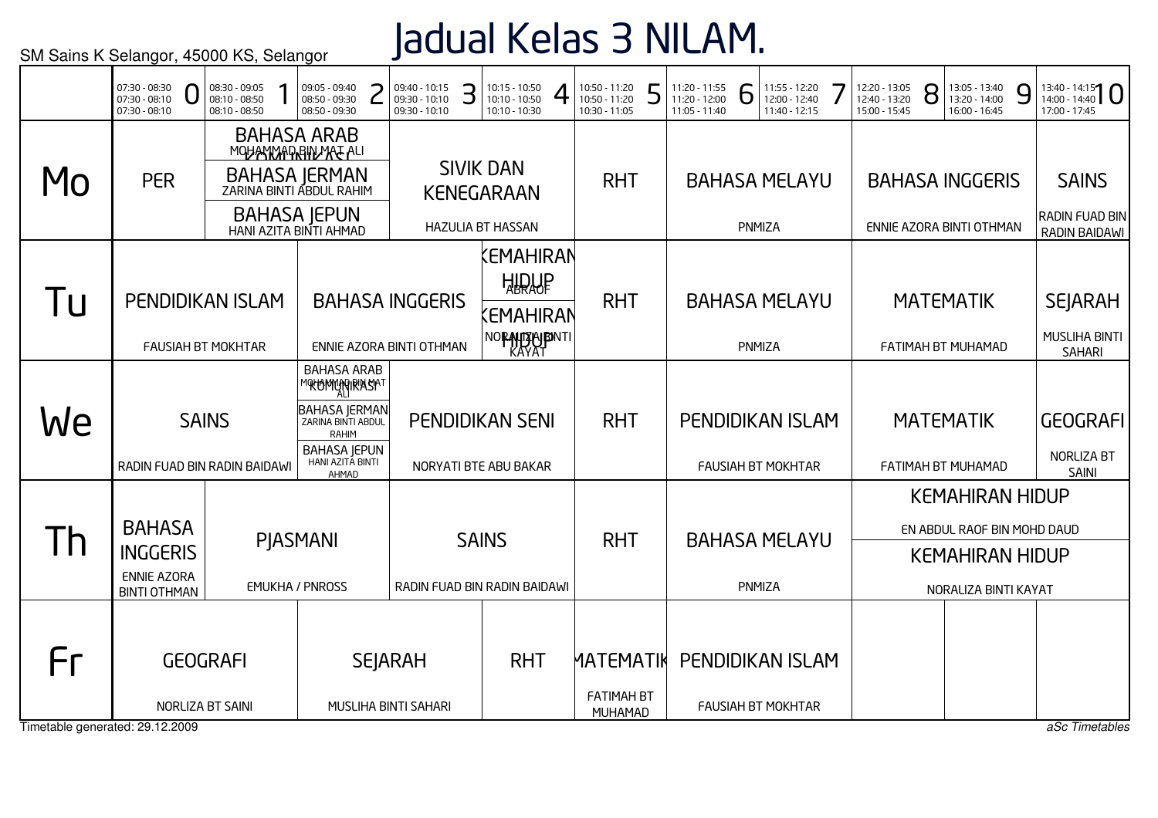## Jadual Kelas 3 NILAM.

|                                 | 07:30 - 08:30<br>U<br>$07:30 - 08:10$<br>07:30 - 08:10 | 08:30 - 09:05<br>08:10 - 08:50<br>08:10 - 08:50      | 09:05 - 09:40<br>∍<br>08:50 - 09:30<br>08:50 - 09:30                                   | 09:40 - 10:15<br>З<br>09:30 - 10:10<br>09:30 - 10:10 | 10:15 - 10:50<br>10:10 - 10:50<br>10:10 - 10:30         | 10:50 - 11:20<br>10:50 - 11:20<br>10:30 - 11:05 | 5 | 11:20 - 11:55<br>11:20 - 12:00<br>11:05 - 11:40 | D      | 11:55 - 12:20<br>12:00 - 12:40<br>11:40 - 12:15 | 12:20 - 13:05<br>12:40 - 13:20<br>15:00 - 15:45 | 8 | 13:05 - 13:40<br>13:20 - 14:00<br>16:00 - 16:45 | 9 | $13:40 - 14:15$<br>17:00 - 17:45                        |
|---------------------------------|--------------------------------------------------------|------------------------------------------------------|----------------------------------------------------------------------------------------|------------------------------------------------------|---------------------------------------------------------|-------------------------------------------------|---|-------------------------------------------------|--------|-------------------------------------------------|-------------------------------------------------|---|-------------------------------------------------|---|---------------------------------------------------------|
| Mo                              | <b>PER</b>                                             |                                                      | <b>BAHASA ARAB</b><br>MOHANMARRIN MAE ALI<br>BAHASA JERMAN<br>ZARINA BINTI ABDUL RAHIM |                                                      | <b>SIVIK DAN</b><br><b>KENEGARAAN</b>                   | <b>RHT</b>                                      |   |                                                 |        | <b>BAHASA MELAYU</b>                            |                                                 |   | <b>BAHASA INGGERIS</b>                          |   | <b>SAINS</b>                                            |
|                                 |                                                        |                                                      | <b>BAHASA JEPUN</b><br>HANI AZITA BINTI AHMAD                                          |                                                      | <b>HAZULIA BT HASSAN</b>                                |                                                 |   |                                                 | PNMIZA |                                                 |                                                 |   | ENNIE AZORA BINTI OTHMAN                        |   | <b>RADIN FUAD BIN</b><br>RADIN BAIDAWI                  |
| Tu                              |                                                        | <b>PENDIDIKAN ISLAM</b><br><b>FAUSIAH BT MOKHTAR</b> |                                                                                        | <b>BAHASA INGGERIS</b><br>ENNIE AZORA BINTI OTHMAN   | Kemahiran<br><b>ATOME</b><br>(EMAHIRAN<br>NORAHTZPUBNTI | <b>RHT</b>                                      |   |                                                 | PNMIZA | <b>BAHASA MELAYU</b>                            |                                                 |   | <b>MATEMATIK</b><br>FATIMAH BT MUHAMAD          |   | <b>SEJARAH</b><br><b>MUSLIHA BINTI</b><br><b>SAHARI</b> |
|                                 |                                                        |                                                      | <b>BAHASA ARAB</b><br><b>MOKOMANGRASAT</b>                                             |                                                      |                                                         |                                                 |   |                                                 |        |                                                 |                                                 |   |                                                 |   |                                                         |
| We                              |                                                        | <b>SAINS</b>                                         | <b>BAHASA JERMAN</b><br>ZARINA BINTI ABDUL<br>RAHIM                                    |                                                      | <b>PENDIDIKAN SENI</b>                                  | <b>RHT</b>                                      |   |                                                 |        | <b>PENDIDIKAN ISLAM</b>                         |                                                 |   | <b>MATEMATIK</b>                                |   | <b>GEOGRAFI</b>                                         |
|                                 |                                                        | RADIN FUAD BIN RADIN BAIDAWI                         | <b>BAHASA JEPUN</b><br>HANI AZITA BINTI<br>AHMAD                                       |                                                      | NORYATI BTE ABU BAKAR                                   |                                                 |   |                                                 |        | <b>FAUSIAH BT MOKHTAR</b>                       |                                                 |   | FATIMAH BT MUHAMAD                              |   | NORLIZA BT<br><b>SAINI</b>                              |
|                                 |                                                        |                                                      |                                                                                        |                                                      |                                                         |                                                 |   |                                                 |        |                                                 |                                                 |   | <b>KEMAHIRAN HIDUP</b>                          |   |                                                         |
| $\mathsf{I}$                    | <b>BAHASA</b><br><b>INGGERIS</b>                       |                                                      | <b>PIASMANI</b>                                                                        |                                                      | <b>SAINS</b>                                            | <b>RHT</b>                                      |   |                                                 |        | <b>BAHASA MELAYU</b>                            |                                                 |   | EN ABDUL RAOF BIN MOHD DAUD                     |   |                                                         |
|                                 | <b>ENNIE AZORA</b><br><b>BINTI OTHMAN</b>              |                                                      | <b>EMUKHA / PNROSS</b>                                                                 | RADIN FUAD BIN RADIN BAIDAWI                         |                                                         |                                                 |   |                                                 | PNMIZA |                                                 |                                                 |   | <b>KEMAHIRAN HIDUP</b><br>NORALIZA BINTI KAYAT  |   |                                                         |
|                                 |                                                        |                                                      |                                                                                        |                                                      |                                                         |                                                 |   |                                                 |        |                                                 |                                                 |   |                                                 |   |                                                         |
| Fг                              |                                                        | <b>GEOGRAFI</b>                                      |                                                                                        | <b>SEJARAH</b>                                       | <b>RHT</b>                                              | <b>MATEMATIK</b>                                |   |                                                 |        | <b>PENDIDIKAN ISLAM</b>                         |                                                 |   |                                                 |   |                                                         |
|                                 |                                                        | NORLIZA BT SAINI                                     |                                                                                        | MUSLIHA BINTI SAHARI                                 |                                                         | <b>FATIMAH BT</b><br>MUHAMAD                    |   |                                                 |        | <b>FAUSIAH BT MOKHTAR</b>                       |                                                 |   |                                                 |   |                                                         |
| Timetable generated: 29.12.2009 |                                                        |                                                      |                                                                                        |                                                      |                                                         |                                                 |   |                                                 |        |                                                 |                                                 |   |                                                 |   | aSc Timetables                                          |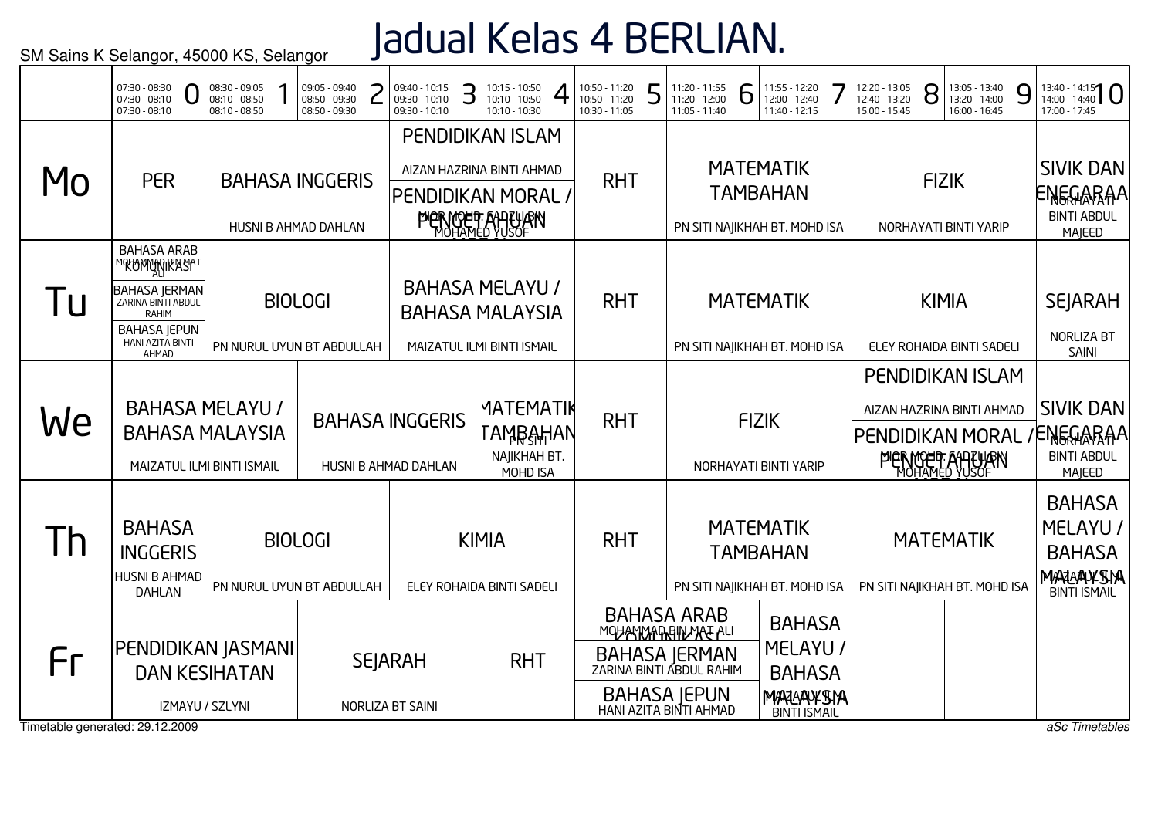# Jadual Kelas 4 BERLIAN.

|                                       | 07:30 - 08:30<br>07:30 - 08:10<br>07:30 - 08:10                                                                                                | 08:30 - 09:05<br>08:10 - 08:50<br>08:10 - 08:50                                                                                           |                | 09:05 - 09:40<br>08:50 - 09:30<br>08:50 - 09:30 |  | 09:40 - 10:15<br>09:30 - 10:10<br>09:30 - 10:10 | З                                         | 10:15 - 10:50<br>10:10 - 10:50<br>10:10 - 10:30                                                        | 10:50 - 11:20<br>10:50 - 11:20<br>10:30 - 11:05 | ┍ | 11:20 - 11:55<br>11:20 - 12:00<br>11:05 - 11:40                                                                                        | Ò                                                                    | 11:55 - 12:20<br>12:00 - 12:40<br>11:40 - 12:15                                | 12:20 - 13:05<br>12:40 - 13:20<br>15:00 - 15:45 | 8                                                 | 13:05 - 13:40<br>13:20 - 14:00<br>16:00 - 16:45                                                      | 9                                                                              | $13:40 - 14:15$<br>17:00 - 17:45                                    |
|---------------------------------------|------------------------------------------------------------------------------------------------------------------------------------------------|-------------------------------------------------------------------------------------------------------------------------------------------|----------------|-------------------------------------------------|--|-------------------------------------------------|-------------------------------------------|--------------------------------------------------------------------------------------------------------|-------------------------------------------------|---|----------------------------------------------------------------------------------------------------------------------------------------|----------------------------------------------------------------------|--------------------------------------------------------------------------------|-------------------------------------------------|---------------------------------------------------|------------------------------------------------------------------------------------------------------|--------------------------------------------------------------------------------|---------------------------------------------------------------------|
| Mo                                    | <b>PER</b>                                                                                                                                     |                                                                                                                                           |                | <b>BAHASA INGGERIS</b><br>HUSNI B AHMAD DAHLAN  |  |                                                 |                                           | <b>PENDIDIKAN ISLAM</b><br>AIZAN HAZRINA BINTI AHMAD<br>PENDIDIKAN MORAL /<br><b>PIERMOET ANTLIJEN</b> | <b>RHT</b>                                      |   |                                                                                                                                        |                                                                      | <b>MATEMATIK</b><br><b>TAMBAHAN</b><br>PN SITI NAJIKHAH BT. MOHD ISA           |                                                 |                                                   | <b>FIZIK</b><br>NORHAYATI BINTI YARIP                                                                |                                                                                | <b>SIVIK DAN</b><br><b>ENEGARAA</b><br><b>BINTI ABDUL</b><br>MAJEED |
| 1U                                    | <b>BAHASA ARAB</b><br>℠℀ᡃᲢϺჀ҉Ӎ៲℟ΆႽϺ<br><b>BAHASA JERMAN</b><br>ZARINA BINTI ABDUL<br>RAHIM<br><b>BAHASA JEPUN</b><br>HANI AZITA BINTI<br>AHMAD |                                                                                                                                           |                | <b>BIOLOGI</b><br>PN NURUL UYUN BT ABDULLAH     |  |                                                 |                                           | <b>BAHASA MELAYU /</b><br><b>BAHASA MALAYSIA</b><br>MAIZATUL ILMI BINTI ISMAIL                         | <b>RHT</b>                                      |   |                                                                                                                                        |                                                                      | <b>MATEMATIK</b><br>PN SITI NAJIKHAH BT. MOHD ISA                              |                                                 |                                                   | <b>KIMIA</b><br>ELEY ROHAIDA BINTI SADELI                                                            |                                                                                | <b>SEJARAH</b><br><b>NORLIZA BT</b><br>SAINI                        |
| We                                    | <b>BAHASA MELAYU /</b><br><b>BAHASA MALAYSIA</b><br>MAIZATUL ILMI BINTI ISMAIL                                                                 |                                                                                                                                           |                |                                                 |  | <b>BAHASA INGGERIS</b><br>HUSNI B AHMAD DAHLAN  |                                           | MATEMATIK<br>՟ΑϺŖ <del>͵ͿͺͿ</del> ͿΑΝ<br>NAJIKHAH BT.<br>MOHD ISA                                      | <b>RHT</b>                                      |   |                                                                                                                                        |                                                                      | <b>FIZIK</b><br>NORHAYATI BINTI YARIP                                          |                                                 |                                                   | <b>PENDIDIKAN ISLAM</b><br>AIZAN HAZRINA BINTI AHMAD<br>PENDIDIKAN MORAL<br><b>PIERMOET AHTLIJEN</b> |                                                                                | <b>SIVIK DAN</b><br><b>ENEGARAA</b><br><b>BINTI ABDUL</b><br>MAJEED |
| Th                                    | <b>BAHASA</b><br><b>INGGERIS</b><br>HUSNI B AHMAD<br><b>DAHLAN</b>                                                                             |                                                                                                                                           | <b>BIOLOGI</b> |                                                 |  |                                                 | <b>KIMIA</b><br>ELEY ROHAIDA BINTI SADELI | <b>RHT</b>                                                                                             |                                                 |   |                                                                                                                                        | <b>MATEMATIK</b><br><b>TAMBAHAN</b><br>PN SITI NAJIKHAH BT. MOHD ISA |                                                                                |                                                 | <b>MATEMATIK</b><br>PN SITI NAJIKHAH BT. MOHD ISA |                                                                                                      | <b>BAHASA</b><br>MELAYU /<br><b>BAHASA</b><br>MARAAYSIA<br><b>BINTI ISMAIL</b> |                                                                     |
| Fr<br>Timetable generated: 29.12.2009 |                                                                                                                                                | PN NURUL UYUN BT ABDULLAH<br><b> PENDIDIKAN JASMANI </b><br><b>SEJARAH</b><br><b>DAN KESIHATAN</b><br>IZMAYU / SZLYNI<br>NORLIZA BT SAINI |                |                                                 |  |                                                 |                                           | <b>RHT</b>                                                                                             |                                                 |   | <b>BAHASA ARAB</b><br>MOHANNAPRIN MATALI<br>BAHASA JERMAN<br>ZARINA BINTI ABDUL RAHIM<br><b>BAHASA JEPUN</b><br>HANI AZITA BINTI AHMAD |                                                                      | <b>BAHASA</b><br>MELAYU /<br><b>BAHASA</b><br>MARAAYSIA<br><b>BINTI ISMAIL</b> |                                                 |                                                   |                                                                                                      |                                                                                | aSc Timetables                                                      |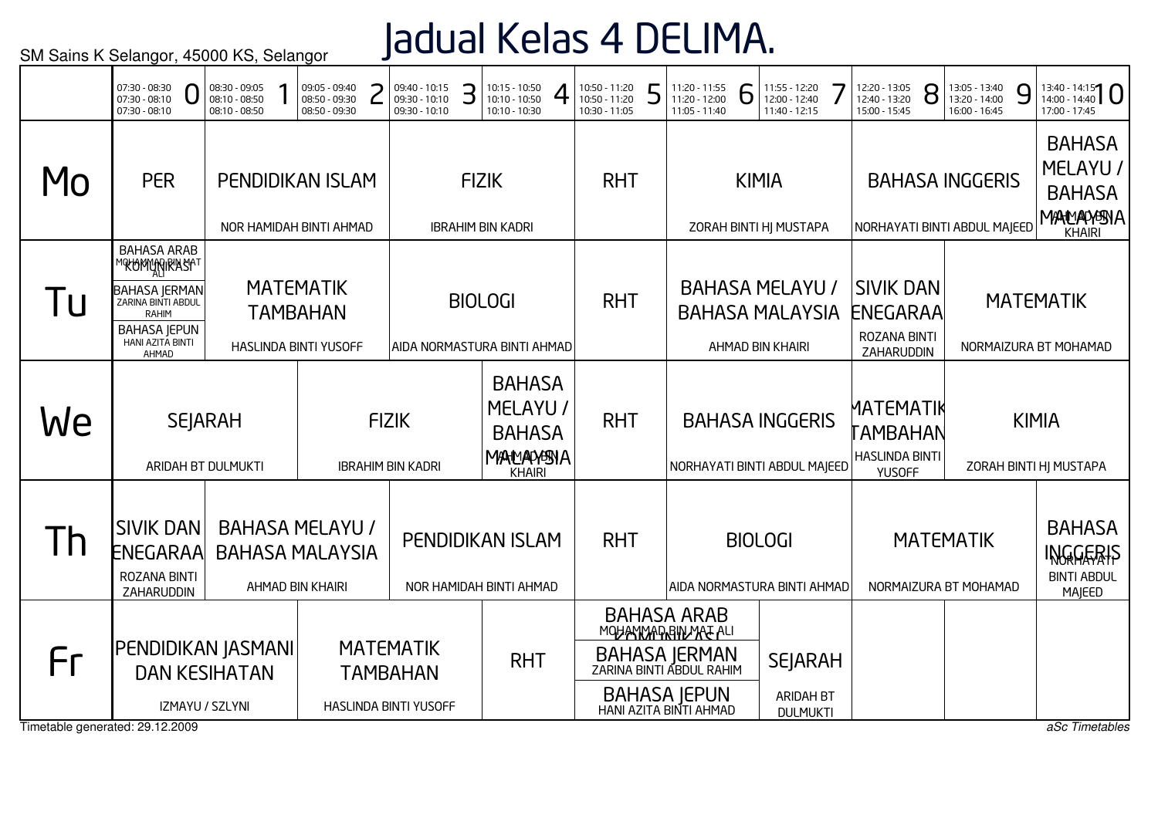## Jadual Kelas 4 DELIMA.

|                                       | 07:30 - 08:30<br>07:30 - 08:10<br>$07:30 - 08:10$                                                                                                   | 08:30 - 09:05<br>08:10 - 08:50<br>08:10 - 08:50 | 09:05 - 09:40<br>08:50 - 09:30<br>08:50 - 09:30                      | 09:40 - 10:15<br>З<br>09:30 - 10:10<br>09:30 - 10:10         | 10:15 - 10:50<br>10:10 - 10:50<br>10:10 - 10:30                   | 10:50 - 11:20<br>10:50 - 11:20<br>10:30 - 11:05 | 5 | 11:20 - 11:55<br>11:20 - 12:00<br>11:05 - 11:40                                                                                         | 11:55 - 12:20<br>6<br>12:00 - 12:40<br>11:40 - 12:15                 | 12:20 - 13:05<br>12:40 - 13:20<br>15:00 - 15:45                 | 8 | 13:05 - 13:40<br>13:20 - 14:00<br>16:00 - 16:45        | 9 | $13:40 - 14:15$<br>17:00 - 17:45                                         |
|---------------------------------------|-----------------------------------------------------------------------------------------------------------------------------------------------------|-------------------------------------------------|----------------------------------------------------------------------|--------------------------------------------------------------|-------------------------------------------------------------------|-------------------------------------------------|---|-----------------------------------------------------------------------------------------------------------------------------------------|----------------------------------------------------------------------|-----------------------------------------------------------------|---|--------------------------------------------------------|---|--------------------------------------------------------------------------|
| Mo                                    | <b>PER</b>                                                                                                                                          |                                                 | <b>PENDIDIKAN ISLAM</b><br>NOR HAMIDAH BINTI AHMAD                   |                                                              | <b>FIZIK</b><br><b>IBRAHIM BIN KADRI</b>                          | <b>RHT</b>                                      |   |                                                                                                                                         | <b>KIMIA</b><br>ZORAH BINTI HJ MUSTAPA                               |                                                                 |   | <b>BAHASA INGGERIS</b><br>NORHAYATI BINTI ABDUL MAJEED |   | <b>BAHASA</b><br>MELAYU /<br><b>BAHASA</b><br>MANNAMENA<br><b>KHAIRI</b> |
| l U                                   | <b>BAHASA ARAB</b><br>℠℀℧ϺϺϼϻ℟ϺϏϯ<br><b>BAHASA JERMAN</b><br>ZARINA BINTI ABDUL<br><b>RAHIM</b><br><b>BAHASA JEPUN</b><br>HANI AZITA BINTI<br>AHMAD |                                                 | <b>MATEMATIK</b><br><b>TAMBAHAN</b><br><b>HASLINDA BINTI YUSOFF</b>  |                                                              | <b>BIOLOGI</b><br>AIDA NORMASTURA BINTI AHMAD                     | <b>RHT</b>                                      |   |                                                                                                                                         | <b>BAHASA MELAYU /</b><br><b>BAHASA MALAYSIA</b><br>AHMAD BIN KHAIRI | <b>SIVIK DAN</b><br>ENEGARAA<br>ROZANA BINTI<br>ZAHARUDDIN      |   |                                                        |   | <b>MATEMATIK</b><br>NORMAIZURA BT MOHAMAD                                |
| We                                    | <b>SEJARAH</b><br>ARIDAH BT DULMUKTI                                                                                                                |                                                 |                                                                      | <b>FIZIK</b><br><b>IBRAHIM BIN KADRI</b>                     | <b>BAHASA</b><br>MELAYU /<br><b>BAHASA</b><br>MANANASIA<br>KHAIRI | <b>RHT</b>                                      |   |                                                                                                                                         | <b>BAHASA INGGERIS</b><br>NORHAYATI BINTI ABDUL MAJEED               | MATEMATIK<br>TAMBAHAN<br><b>HASLINDA BINTI</b><br><b>YUSOFF</b> |   |                                                        |   | <b>KIMIA</b><br>ZORAH BINTI HJ MUSTAPA                                   |
| Th                                    | <b>SIVIK DAN</b><br>ENEGARAA<br>ROZANA BINTI<br>ZAHARUDDIN                                                                                          |                                                 | <b>BAHASA MELAYU /</b><br><b>BAHASA MALAYSIA</b><br>AHMAD BIN KHAIRI |                                                              | PENDIDIKAN ISLAM<br>NOR HAMIDAH BINTI AHMAD                       | <b>RHT</b>                                      |   |                                                                                                                                         | <b>BIOLOGI</b><br>AIDA NORMASTURA BINTI AHMAD                        |                                                                 |   | <b>MATEMATIK</b><br>NORMAIZURA BT MOHAMAD              |   | <b>BAHASA</b><br>INGGERIS<br><b>BINTI ABDUL</b><br>MAJEED                |
| Fr<br>Timetable generated: 29.12.2009 | <b> PENDIDIKAN JASMANI </b><br>IZMAYU / SZLYNI                                                                                                      | <b>DAN KESIHATAN</b>                            |                                                                      | <b>MATEMATIK</b><br><b>TAMBAHAN</b><br>HASLINDA BINTI YUSOFF | <b>RHT</b>                                                        |                                                 |   | <b>BAHASA ARAB</b><br>MOHANNAPRIN MAE ALI<br>BAHASA JERMAN<br>ZARINA BINTI ABDUL RAHIM<br><b>BAHASA JEPUN</b><br>HANI AZITA BINTI AHMAD | <b>SEJARAH</b><br><b>ARIDAH BT</b><br><b>DULMUKTI</b>                |                                                                 |   |                                                        |   | aSc Timetables                                                           |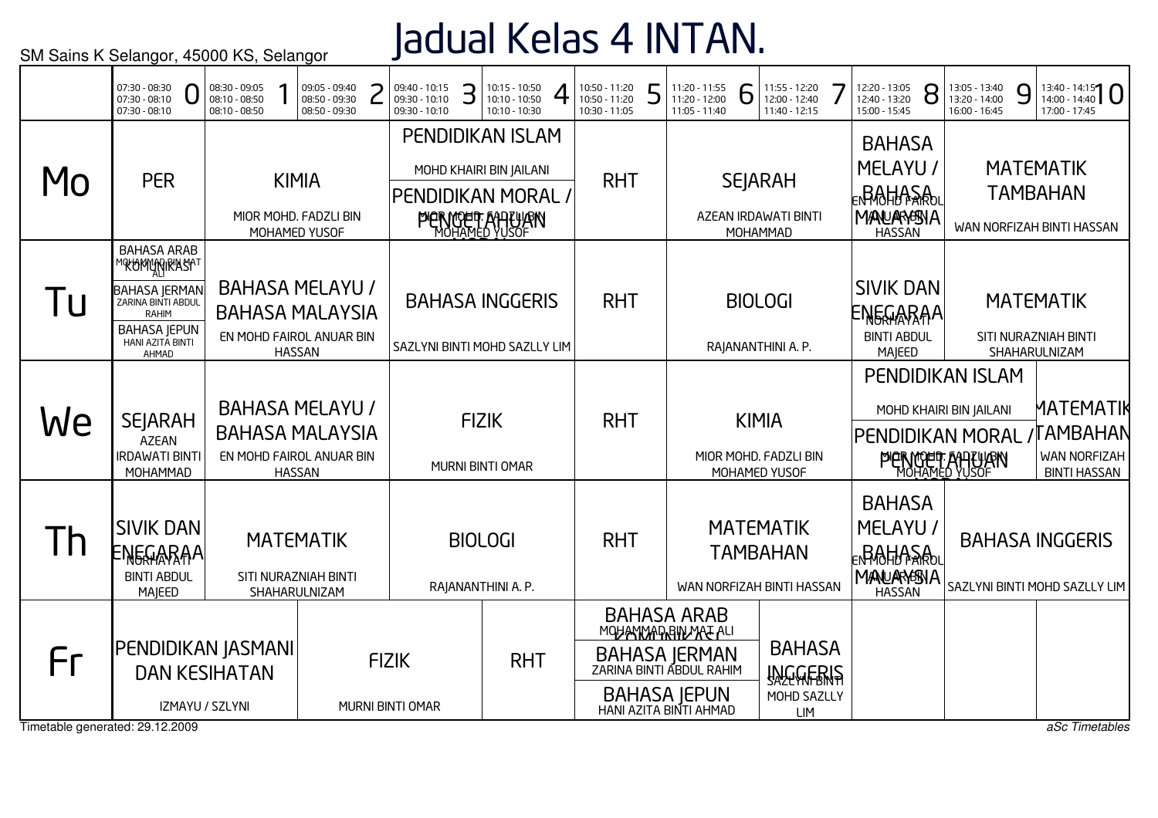## Jadual Kelas 4 INTAN.

|                                       | 07:30 - 08:30<br>O<br>07:30 - 08:10<br>07:30 - 08:10                                                                                                                   | 08:30 - 09:05<br>08:10 - 08:50<br>08:10 - 08:50                              | 09:05 - 09:40<br>08:50 - 09:30<br>08:50 - 09:30           |              | 09:40 - 10:15<br>09:30 - 10:10<br>09:30 - 10:10 | З | 10:15 - 10:50<br>10:10 - 10:50<br>10:10 - 10:30                                                | 4 | 10:50 - 11:20<br>10:50 - 11:20<br>10:30 - 11:05 | 5 | 11:20 - 11:55<br>11:20 - 12:00<br>11:05 - 11:40                                                                                                 | 6 | 11:55 - 12:20<br>12:00 - 12:40<br>11:40 - 12:15                  | 12:20 - 13:05<br>12:40 - 13:20<br>15:00 - 15:45                                               | 8 | 13:05 - 13:40<br>13:20 - 14:00<br>16:00 - 16:45                                                    | 9 | $13:40 - 14:15$<br>17:00 - 17:45                                   |
|---------------------------------------|------------------------------------------------------------------------------------------------------------------------------------------------------------------------|------------------------------------------------------------------------------|-----------------------------------------------------------|--------------|-------------------------------------------------|---|------------------------------------------------------------------------------------------------|---|-------------------------------------------------|---|-------------------------------------------------------------------------------------------------------------------------------------------------|---|------------------------------------------------------------------|-----------------------------------------------------------------------------------------------|---|----------------------------------------------------------------------------------------------------|---|--------------------------------------------------------------------|
| M <sub>O</sub>                        | <b>PER</b>                                                                                                                                                             |                                                                              | <b>KIMIA</b><br>MIOR MOHD. FADZLI BIN<br>MOHAMED YUSOF    |              |                                                 |   | PENDIDIKAN ISLAM<br>MOHD KHAIRI BIN JAILANI<br>PENDIDIKAN MORAL,<br><b>PIER MOER ANTILIARY</b> |   | <b>RHT</b>                                      |   |                                                                                                                                                 |   | <b>SEJARAH</b><br>AZEAN IRDAWATI BINTI<br>MOHAMMAD               | <b>BAHASA</b><br>MELAYU /<br><b>∊<sub>₦</sub>₿₩₩₩₹₩</b><br><b>MANUARASNA</b><br><b>HASSAN</b> |   |                                                                                                    |   | <b>MATEMATIK</b><br><b>TAMBAHAN</b><br>WAN NORFIZAH BINTI HASSAN   |
| <u>lu</u>                             | <b>BAHASA ARAB</b><br><mark>™®ŁŁ®MWARIRYAS</mark> A™<br><b>BAHASA JERMAN</b><br>ZARINA BINTI ABDUL<br><b>RAHIM</b><br><b>BAHASA JEPUN</b><br>HANI AZITA BINTI<br>AHMAD | <b>BAHASA MELAYU /</b><br><b>BAHASA MALAYSIA</b><br>EN MOHD FAIROL ANUAR BIN | <b>HASSAN</b>                                             |              |                                                 |   | <b>BAHASA INGGERIS</b><br>SAZLYNI BINTI MOHD SAZLLY LIM                                        |   | <b>RHT</b>                                      |   |                                                                                                                                                 |   | <b>BIOLOGI</b><br>RAJANANTHINI A. P.                             | <b>SIVIK DAN</b><br>ENGGARAA<br><b>BINTI ABDUL</b><br>MAJEED                                  |   |                                                                                                    |   | <b>MATEMATIK</b><br>SITI NURAZNIAH BINTI<br>SHAHARULNIZAM          |
| We                                    | <b>SEJARAH</b><br><b>AZEAN</b><br><b>IRDAWATI BINTI</b><br>MOHAMMAD                                                                                                    | <b>BAHASA MELAYU /</b><br><b>BAHASA MALAYSIA</b><br>EN MOHD FAIROL ANUAR BIN | <b>HASSAN</b>                                             |              |                                                 |   | <b>FIZIK</b><br>MURNI BINTI OMAR                                                               |   | <b>RHT</b>                                      |   |                                                                                                                                                 |   | <b>KIMIA</b><br>MIOR MOHD. FADZLI BIN<br>MOHAMED YUSOF           |                                                                                               |   | PENDIDIKAN ISLAM<br>MOHD KHAIRI BIN JAILANI<br><b>PENDIDIKAN MORAL</b><br><b>PIERMOER AARTURIN</b> |   | MATEMATIK<br><b>AMBAHAN</b><br>WAN NORFIZAH<br><b>BINTI HASSAN</b> |
| Th                                    | <b>SIVIK DAN</b><br>ENGGARAA<br><b>BINTI ABDUL</b><br>MAJEED                                                                                                           |                                                                              | <b>MATEMATIK</b><br>SITI NURAZNIAH BINTI<br>SHAHARULNIZAM |              |                                                 |   | <b>BIOLOGI</b><br>RAJANANTHINI A. P.                                                           |   | <b>RHT</b>                                      |   |                                                                                                                                                 |   | <b>MATEMATIK</b><br><b>TAMBAHAN</b><br>WAN NORFIZAH BINTI HASSAN | <b>BAHASA</b><br>MELAYU /<br><b><sub>E</sub>RAHASA</b><br><b>MANARYSSIA</b><br><b>HASSAN</b>  |   |                                                                                                    |   | <b>BAHASA INGGERIS</b><br>SAZLYNI BINTI MOHD SAZLLY LIM            |
| Fr<br>Timetable generated: 29.12.2009 | PENDIDIKAN JASMANI<br>IZMAYU / SZLYNI                                                                                                                                  | <b>DAN KESIHATAN</b>                                                         |                                                           | <b>FIZIK</b> | MURNI BINTI OMAR                                |   | <b>RHT</b>                                                                                     |   |                                                 |   | <b>BAHASA ARAB</b><br>MOHANMAD BIN MAT ALI<br><b>BAHASA JERMAN</b><br>ZARINA BINTI ABDUL RAHIM<br><b>BAHASA JEPUN</b><br>HANI AZITA BINTI AHMAD |   | <b>BAHASA</b><br><b>INGGERIS</b><br>MOHD SAZLLY<br><b>LIM</b>    |                                                                                               |   |                                                                                                    |   | aSc Timetables                                                     |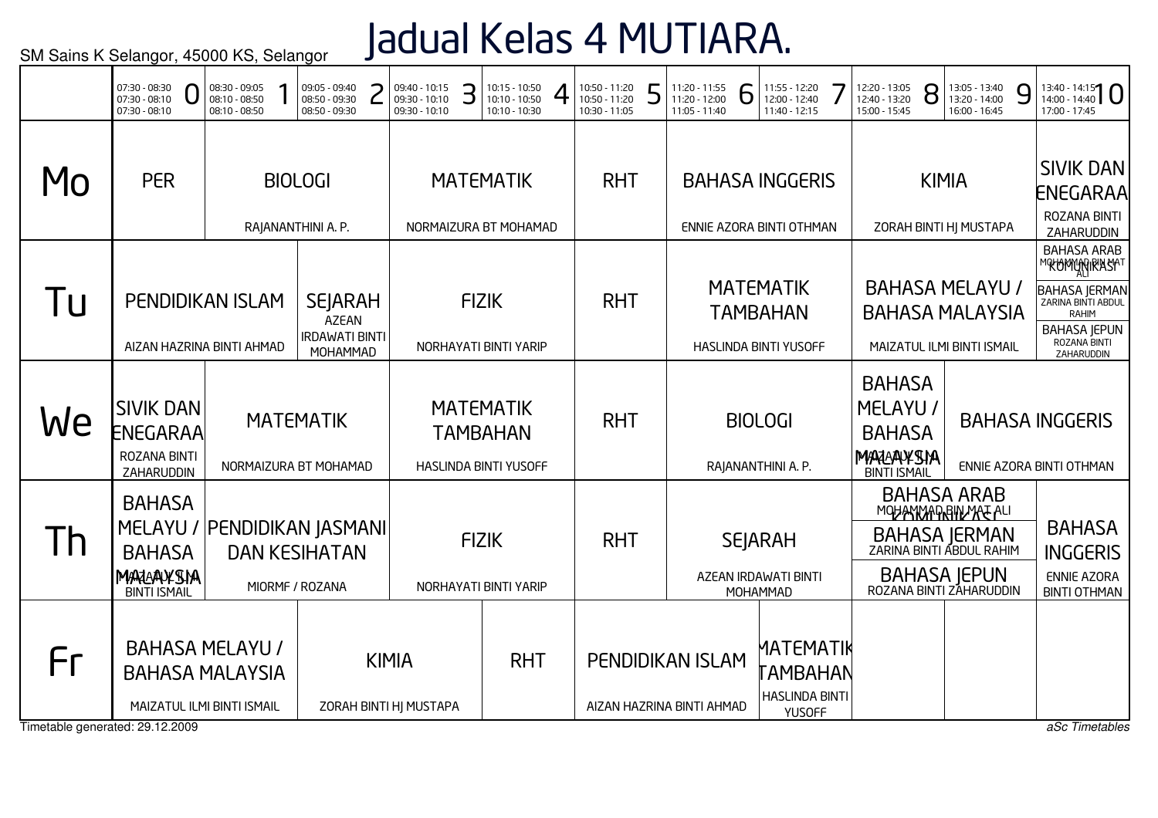# Jadual Kelas 4 MUTIARA.

|    | 07:30 - 08:30<br>07:30 - 08:10<br>07:30 - 08:10                                         | 08:30 - 09:05<br>08:10 - 08:50<br>08:10 - 08:50 | 09:05 - 09:40<br>08:50 - 09:30<br>08:50 - 09:30                        | 09:40 - 10:15<br>З<br>09:30 - 10:10<br>09:30 - 10:10 | 10:15 - 10:50<br>4<br>10:10 - 10:50<br>10:10 - 10:30                | 10:50 - 11:20<br>┍<br>10:50 - 11:20<br>10:30 - 11:05 | 11:20 - 11:55<br>11:20 - 12:00<br>Ò<br>11:05 - 11:40 | 11:55 - 12:20<br>12:00 - 12:40<br>11:40 - 12:15                     | 12:20 - 13:05<br>8<br>12:40 - 13:20<br>15:00 - 15:45                           | 13:05 - 13:40<br>9<br>13:20 - 14:00<br>16:00 - 16:45                                                                             | $13:40 - 14:15$<br>17:00 - 17:45                                                                                                             |
|----|-----------------------------------------------------------------------------------------|-------------------------------------------------|------------------------------------------------------------------------|------------------------------------------------------|---------------------------------------------------------------------|------------------------------------------------------|------------------------------------------------------|---------------------------------------------------------------------|--------------------------------------------------------------------------------|----------------------------------------------------------------------------------------------------------------------------------|----------------------------------------------------------------------------------------------------------------------------------------------|
| MO | <b>PER</b>                                                                              |                                                 | <b>BIOLOGI</b><br>RAJANANTHINI A. P.                                   |                                                      | <b>MATEMATIK</b><br>NORMAIZURA BT MOHAMAD                           | <b>RHT</b>                                           |                                                      | <b>BAHASA INGGERIS</b><br>ENNIE AZORA BINTI OTHMAN                  |                                                                                | <b>KIMIA</b><br>ZORAH BINTI HJ MUSTAPA                                                                                           | <b>SIVIK DAN</b><br>ENEGARAA<br>ROZANA BINTI<br>ZAHARUDDIN                                                                                   |
| Tu | PENDIDIKAN ISLAM<br>AIZAN HAZRINA BINTI AHMAD                                           |                                                 | <b>SEJARAH</b><br><b>AZEAN</b><br><b>IRDAWATI BINTI</b><br>MOHAMMAD    |                                                      | <b>FIZIK</b><br>NORHAYATI BINTI YARIP                               | <b>RHT</b>                                           |                                                      | <b>MATEMATIK</b><br><b>TAMBAHAN</b><br><b>HASLINDA BINTI YUSOFF</b> | <b>BAHASA MELAYU /</b>                                                         | <b>BAHASA MALAYSIA</b><br>MAIZATUL ILMI BINTI ISMAIL                                                                             | <b>BAHASA ARAB</b><br>℠℀℗ϺϺϺͿŖŔŊ<br><b>BAHASA JERMAN</b><br>ZARINA BINTI ABDUL<br>RAHIM<br><b>BAHASA JEPUN</b><br>ROZANA BINTI<br>ZAHARUDDIN |
| We | <b>SIVIK DAN</b><br>ENEGARAA<br><b>ROZANA BINTI</b><br>ZAHARUDDIN                       |                                                 | <b>MATEMATIK</b><br>NORMAIZURA BT MOHAMAD                              |                                                      | <b>MATEMATIK</b><br><b>TAMBAHAN</b><br><b>HASLINDA BINTI YUSOFF</b> | <b>RHT</b>                                           |                                                      | <b>BIOLOGI</b><br>RAJANANTHINI A. P.                                | <b>BAHASA</b><br>MELAYU /<br><b>BAHASA</b><br>MARAAYSIA<br><b>BINTI ISMAIL</b> |                                                                                                                                  | <b>BAHASA INGGERIS</b><br>ENNIE AZORA BINTI OTHMAN                                                                                           |
| Th | <b>BAHASA</b><br><b>BAHASA</b><br>MARAAYSIA<br><b>BINTI ISMAIL</b>                      |                                                 | MELAYU / PENDIDIKAN JASMANI<br><b>DAN KESIHATAN</b><br>MIORMF / ROZANA |                                                      | <b>FIZIK</b><br>NORHAYATI BINTI YARIP                               | <b>RHT</b>                                           |                                                      | <b>SEJARAH</b><br>AZEAN IRDAWATI BINTI<br>MOHAMMAD                  |                                                                                | <b>BAHASA ARAB</b><br>MOHANMADRIN MATALI<br>BAHASA JERMAN<br>ZARINA BINTI ABDUL RAHIM<br>BAHASA JEPUN<br>ROZANA BINTI ZAHARUDDIN | <b>BAHASA</b><br><b>INGGERIS</b><br><b>ENNIE AZORA</b><br><b>BINTI OTHMAN</b>                                                                |
| Fr | <b>BAHASA MALAYSIA</b><br>MAIZATUL ILMI BINTI ISMAIL<br>Timetable generated: 29.12.2009 | <b>BAHASA MELAYU /</b>                          |                                                                        | <b>KIMIA</b><br>ZORAH BINTI HJ MUSTAPA               | <b>RHT</b>                                                          |                                                      | <b>PENDIDIKAN ISLAM</b><br>AIZAN HAZRINA BINTI AHMAD | MATEMATIK<br>`AMBAHAN<br><b>HASLINDA BINTI</b><br><b>YUSOFF</b>     |                                                                                |                                                                                                                                  | aSc Timetables                                                                                                                               |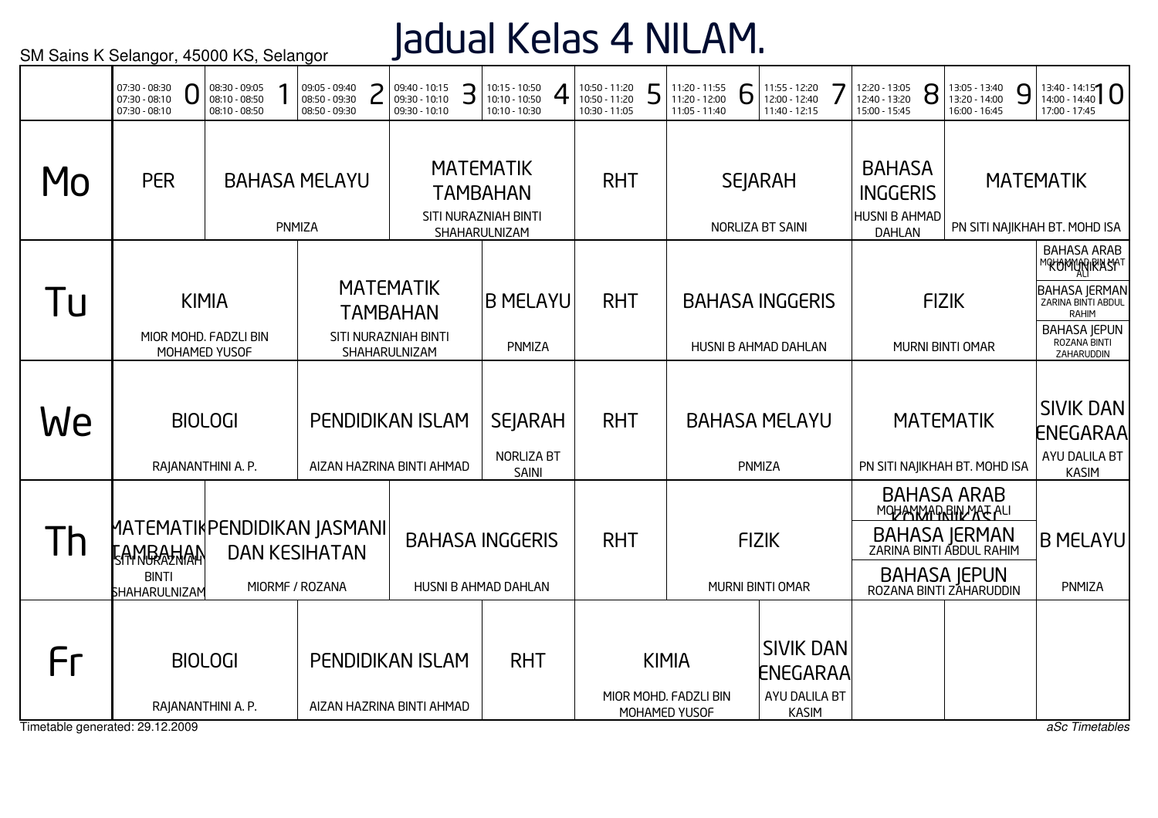### Jadual Kelas 4 NILAM.

|                                       | 07:30 - 08:30<br>$07:30 - 08:10$<br>07:30 - 08:10                               | 08:30 - 09:05<br>08:10 - 08:50<br>08:10 - 08:50        | 09:05 - 09:40<br>08:50 - 09:30<br>08:50 - 09:30 | 09:40 - 10:15<br>09:30 - 10:10<br>09:30 - 10:10                              | З | 10:15 - 10:50<br>10:10 - 10:50<br>10:10 - 10:30                              | 10:50 - 11:20<br>10:50 - 11:20<br>10:30 - 11:05 | 5 | 11:20 - 11:55<br>11:20 - 12:00<br>11:05 - 11:40        | 6 | 11:55 - 12:20<br>12:00 - 12:40<br>11:40 - 12:15                      | 12:20 - 13:05<br>12:40 - 13:20<br>15:00 - 15:45                    | 8            | 13:05 - 13:40<br>13:20 - 14:00<br>16:00 - 16:45                                                                                  | 9 | $13:40 - 14:15$<br>17:00 - 17:45                                                                                                                       |
|---------------------------------------|---------------------------------------------------------------------------------|--------------------------------------------------------|-------------------------------------------------|------------------------------------------------------------------------------|---|------------------------------------------------------------------------------|-------------------------------------------------|---|--------------------------------------------------------|---|----------------------------------------------------------------------|--------------------------------------------------------------------|--------------|----------------------------------------------------------------------------------------------------------------------------------|---|--------------------------------------------------------------------------------------------------------------------------------------------------------|
| Mo                                    | <b>PER</b>                                                                      |                                                        | <b>BAHASA MELAYU</b><br>PNMIZA                  |                                                                              |   | <b>MATEMATIK</b><br><b>TAMBAHAN</b><br>SITI NURAZNIAH BINTI<br>SHAHARULNIZAM | <b>RHT</b>                                      |   |                                                        |   | <b>SEJARAH</b><br>NORLIZA BT SAINI                                   | <b>BAHASA</b><br><b>INGGERIS</b><br>HUSNI B AHMAD<br><b>DAHLAN</b> |              |                                                                                                                                  |   | <b>MATEMATIK</b><br>PN SITI NAJIKHAH BT. MOHD ISA                                                                                                      |
| 1 U                                   |                                                                                 | <b>KIMIA</b><br>MIOR MOHD. FADZLI BIN<br>MOHAMED YUSOF |                                                 | <b>MATEMATIK</b><br><b>TAMBAHAN</b><br>SITI NURAZNIAH BINTI<br>SHAHARULNIZAM |   | <b>B MELAYU</b><br>PNMIZA                                                    | <b>RHT</b>                                      |   |                                                        |   | <b>BAHASA INGGERIS</b><br>HUSNI B AHMAD DAHLAN                       |                                                                    | <b>FIZIK</b> | MURNI BINTI OMAR                                                                                                                 |   | <b>BAHASA ARAB</b><br><b>MOKOMANGRASHT</b><br><b>BAHASA JERMAN</b><br>ZARINA BINTI ABDUL<br>RAHIM<br><b>BAHASA JEPUN</b><br>ROZANA BINTI<br>ZAHARUDDIN |
| We                                    |                                                                                 | <b>BIOLOGI</b><br>RAJANANTHINI A. P.                   |                                                 | <b>PENDIDIKAN ISLAM</b><br>AIZAN HAZRINA BINTI AHMAD                         |   | <b>SEJARAH</b><br><b>NORLIZA BT</b><br>SAINI                                 | <b>RHT</b>                                      |   |                                                        |   | <b>BAHASA MELAYU</b><br>PNMIZA                                       |                                                                    |              | <b>MATEMATIK</b><br>PN SITI NAJIKHAH BT. MOHD ISA                                                                                |   | <b>SIVIK DAN</b><br><b>ENEGARAA</b><br>AYU DALILA BT<br><b>KASIM</b>                                                                                   |
| Th                                    | MATEMATIKPENDIDIKAN JASMANI<br><b>FAMBAHAN</b><br><b>BINTI</b><br>SHAHARULNIZAM |                                                        | <b>DAN KESIHATAN</b><br>MIORMF / ROZANA         |                                                                              |   | <b>BAHASA INGGERIS</b><br>HUSNI B AHMAD DAHLAN                               | <b>RHT</b>                                      |   |                                                        |   | <b>FIZIK</b><br>MURNI BINTI OMAR                                     |                                                                    |              | <b>BAHASA ARAB</b><br>MOHANMADRIN MATALI<br>BAHASA JERMAN<br>ZARINA BINTI ABDUL RAHIM<br>BAHASA JEPUN<br>ROZANA BINTI ZAHARUDDIN |   | <b>B MELAYU</b><br>PNMIZA                                                                                                                              |
| Fr<br>Timetable generated: 29.12.2009 | RAJANANTHINI A. P.                                                              | <b>BIOLOGI</b>                                         |                                                 | <b>PENDIDIKAN ISLAM</b><br>AIZAN HAZRINA BINTI AHMAD                         |   | <b>RHT</b>                                                                   |                                                 |   | <b>KIMIA</b><br>MIOR MOHD. FADZLI BIN<br>MOHAMED YUSOF |   | <b>SIVIK DAN</b><br><b>ENEGARAA</b><br>AYU DALILA BT<br><b>KASIM</b> |                                                                    |              |                                                                                                                                  |   | aSc Timetables                                                                                                                                         |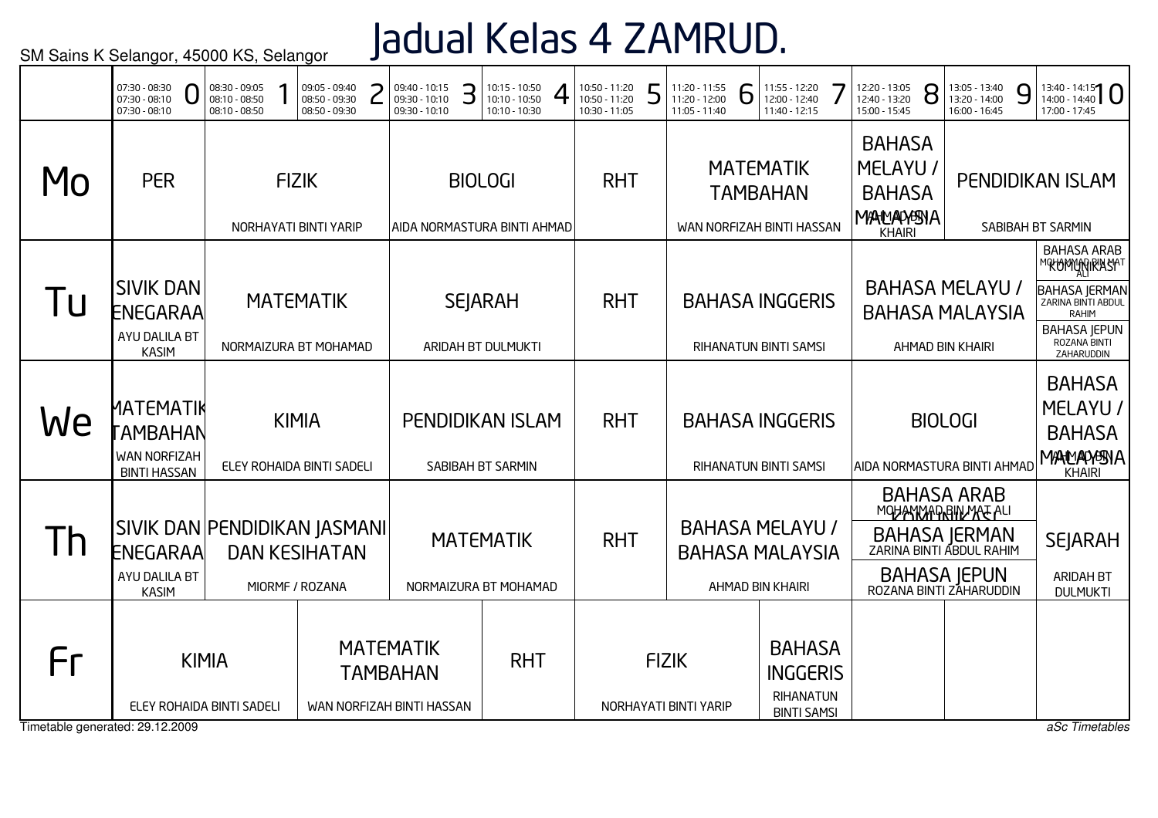## Jadual Kelas 4 ZAMRUD.

|                                       | 07:30 - 08:30<br>$07:30 - 08:10$<br>07:30 - 08:10                         | 08:30 - 09:05<br>08:10 - 08:50<br>08:10 - 08:50 | 09:05 - 09:40<br>08:50 - 09:30<br>08:50 - 09:30 | 09:40 - 10:15<br>09:30 - 10:10<br>09:30 - 10:10                  | З | 10:15 - 10:50<br>10:10 - 10:50<br>10:10 - 10:30 | 10:50 - 11:20<br>10:50 - 11:20<br>10:30 - 11:05 | 5 | 11:20 - 11:55<br>11:20 - 12:00<br>11:05 - 11:40 | b | 11:55 - 12:20<br>12:00 - 12:40<br>11:40 - 12:15                      | 12:20 - 13:05<br>12:40 - 13:20<br>15:00 - 15:45                              | 8 | 13:05 - 13:40<br>13:20 - 14:00<br>16:00 - 16:45                                                                                         | 9 | $13:40 - 14:15$<br>17:00 - 17:45                                                                                          |
|---------------------------------------|---------------------------------------------------------------------------|-------------------------------------------------|-------------------------------------------------|------------------------------------------------------------------|---|-------------------------------------------------|-------------------------------------------------|---|-------------------------------------------------|---|----------------------------------------------------------------------|------------------------------------------------------------------------------|---|-----------------------------------------------------------------------------------------------------------------------------------------|---|---------------------------------------------------------------------------------------------------------------------------|
| MO                                    | <b>PER</b>                                                                |                                                 | <b>FIZIK</b><br>NORHAYATI BINTI YARIP           | AIDA NORMASTURA BINTI AHMAD                                      |   | <b>BIOLOGI</b>                                  | <b>RHT</b>                                      |   |                                                 |   | <b>MATEMATIK</b><br><b>TAMBAHAN</b><br>WAN NORFIZAH BINTI HASSAN     | <b>BAHASA</b><br><b>MELAYU</b><br><b>BAHASA</b><br>MANAMENA<br><b>KHAIRI</b> |   |                                                                                                                                         |   | <b>PENDIDIKAN ISLAM</b><br>SABIBAH BT SARMIN                                                                              |
| Tu                                    | <b>SIVIK DAN</b><br>ENEGARAA<br>AYU DALILA BT<br><b>KASIM</b>             |                                                 | <b>MATEMATIK</b><br>NORMAIZURA BT MOHAMAD       |                                                                  |   | <b>SEJARAH</b><br>ARIDAH BT DULMUKTI            | <b>RHT</b>                                      |   |                                                 |   | <b>BAHASA INGGERIS</b><br>RIHANATUN BINTI SAMSI                      |                                                                              |   | <b>BAHASA MELAYU /</b><br><b>BAHASA MALAYSIA</b><br>AHMAD BIN KHAIRI                                                                    |   | <b>BAHASA ARAB</b><br>™®Ł®MŴŊŖŔŔŚŔ™<br><b>BAHASA JERMAN</b><br>RAHIM<br><b>BAHASA JEPUN</b><br>ROZANA BINTI<br>ZAHARUDDIN |
| We                                    | ΜΑΤΕΜΑΤΙΚ<br><b>AMBAHAN</b><br><b>WAN NORFIZAH</b><br><b>BINTI HASSAN</b> |                                                 | <b>KIMIA</b><br>ELEY ROHAIDA BINTI SADELI       |                                                                  |   | <b>PENDIDIKAN ISLAM</b><br>SABIBAH BT SARMIN    | <b>RHT</b>                                      |   |                                                 |   | <b>BAHASA INGGERIS</b><br>RIHANATUN BINTI SAMSI                      | AIDA NORMASTURA BINTI AHMAD                                                  |   | <b>BIOLOGI</b>                                                                                                                          |   | <b>BAHASA</b><br>MELAYU /<br><b>BAHASA</b><br>MANNAMENA<br><b>KHAIRI</b>                                                  |
| Th                                    | SIVIK DAN PENDIDIKAN JASMANI<br>ENEGARAA<br>AYU DALILA BT<br><b>KASIM</b> |                                                 | <b>DAN KESIHATAN</b><br>MIORMF / ROZANA         |                                                                  |   | <b>MATEMATIK</b><br>NORMAIZURA BT MOHAMAD       | <b>RHT</b>                                      |   |                                                 |   | <b>BAHASA MELAYU /</b><br><b>BAHASA MALAYSIA</b><br>AHMAD BIN KHAIRI |                                                                              |   | <b>BAHASA ARAB</b><br>MOHANNAPRIN MATALI<br>BAHASA JERMAN<br>ZARINA BINTI ABDUL RAHIM<br><b>BAHASA JEPUN</b><br>ROZANA BINTI ZAHARUDDIN |   | <b>SEJARAH</b><br>ARIDAH BT<br><b>DULMUKTI</b>                                                                            |
| Fr<br>Timetable generated: 29.12.2009 |                                                                           | <b>KIMIA</b><br>ELEY ROHAIDA BINTI SADELI       |                                                 | <b>MATEMATIK</b><br><b>TAMBAHAN</b><br>WAN NORFIZAH BINTI HASSAN |   | <b>RHT</b>                                      |                                                 |   | <b>FIZIK</b><br>NORHAYATI BINTI YARIP           |   | <b>BAHASA</b><br><b>INGGERIS</b><br>RIHANATUN<br><b>BINTI SAMSI</b>  |                                                                              |   |                                                                                                                                         |   | aSc Timetables                                                                                                            |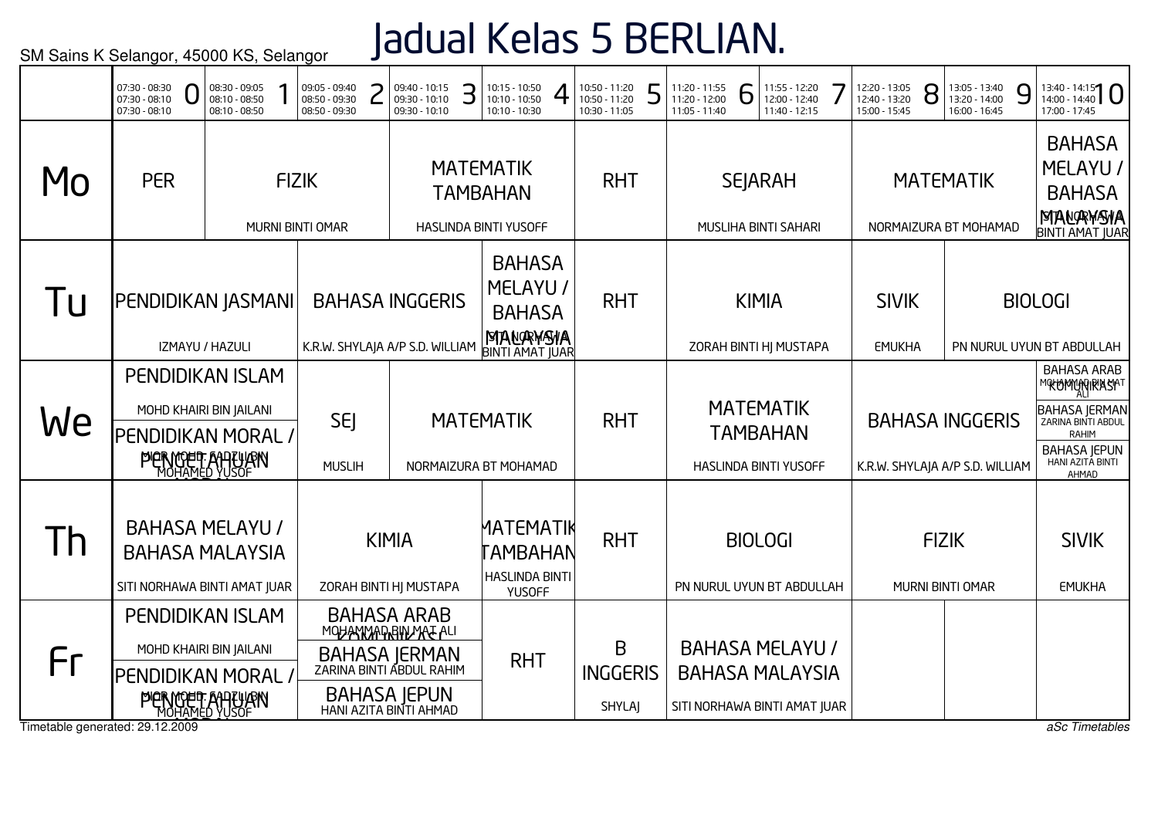# Jadual Kelas 5 BERLIAN.

|                                       | 07:30 - 08:30<br>07:30 - 08:10<br>$07:30 - 08:10$                                                                                 | 08:30 - 09:05<br>08:10 - 08:50<br>08:10 - 08:50 |                                                                                                                                   | 09:05 - 09:40<br>08:50 - 09:30<br>08:50 - 09:30 |                                                                       | 09:40 - 10:15<br>09:30 - 10:10<br>09:30 - 10:10           | З | $10:15 - 10:50$<br>10:10 - 10:50<br>10:10 - 10:30                                | 10:50 - 11:20<br>10:50 - 11:20<br>10:30 - 11:05 | 5                                                                                | 11:20 - 11:55<br>11:20 - 12:00<br>11:05 - 11:40 | 6 | 11:55 - 12:20<br>12:00 - 12:40<br>11:40 - 12:15              | 12:20 - 13:05<br>12:40 - 13:20<br>15:00 - 15:45 | 8                             | 13:05 - 13:40<br>13:20 - 14:00<br>16:00 - 16:45           | 9 | $13:40 - 14:15$   0<br>17:00 - 17:45                                                                                                                  |
|---------------------------------------|-----------------------------------------------------------------------------------------------------------------------------------|-------------------------------------------------|-----------------------------------------------------------------------------------------------------------------------------------|-------------------------------------------------|-----------------------------------------------------------------------|-----------------------------------------------------------|---|----------------------------------------------------------------------------------|-------------------------------------------------|----------------------------------------------------------------------------------|-------------------------------------------------|---|--------------------------------------------------------------|-------------------------------------------------|-------------------------------|-----------------------------------------------------------|---|-------------------------------------------------------------------------------------------------------------------------------------------------------|
| MO                                    | <b>PER</b>                                                                                                                        |                                                 | <b>FIZIK</b>                                                                                                                      | MURNI BINTI OMAR                                |                                                                       |                                                           |   | <b>MATEMATIK</b><br><b>TAMBAHAN</b><br>HASLINDA BINTI YUSOFF                     | <b>RHT</b>                                      |                                                                                  |                                                 |   | <b>SEJARAH</b><br>MUSLIHA BINTI SAHARI                       |                                                 |                               | <b>MATEMATIK</b><br>NORMAIZURA BT MOHAMAD                 |   | <b>BAHASA</b><br>MELAYU /<br><b>BAHASA</b><br>MANAWANA<br><b>BINTI AMAT JUAR</b>                                                                      |
| l u                                   | PENDIDIKAN JASMANI                                                                                                                | IZMAYU / HAZULI                                 |                                                                                                                                   |                                                 |                                                                       | <b>BAHASA INGGERIS</b><br>K.R.W. SHYLAJA A/P S.D. WILLIAM |   | <b>BAHASA</b><br>MELAYU /<br><b>BAHASA</b><br>MANAWANA<br><b>BINTI AMAT JUAR</b> | <b>RHT</b>                                      |                                                                                  |                                                 |   | <b>KIMIA</b><br>ZORAH BINTI HJ MUSTAPA                       | <b>SIVIK</b><br><b>EMUKHA</b>                   |                               |                                                           |   | <b>BIOLOGI</b><br>PN NURUL UYUN BT ABDULLAH                                                                                                           |
| We                                    | <b>PENDIDIKAN ISLAM</b><br>MOHD KHAIRI BIN JAILANI<br><b>SEJ</b><br>PENDIDIKAN MORAL /<br><b>PIERMOET ANTUAN</b><br><b>MUSLIH</b> |                                                 |                                                                                                                                   |                                                 |                                                                       |                                                           |   | <b>MATEMATIK</b><br>NORMAIZURA BT MOHAMAD                                        | <b>RHT</b>                                      |                                                                                  |                                                 |   | <b>MATEMATIK</b><br><b>TAMBAHAN</b><br>HASLINDA BINTI YUSOFF |                                                 |                               | <b>BAHASA INGGERIS</b><br>K.R.W. SHYLAJA A/P S.D. WILLIAM |   | <b>BAHASA ARAB</b><br>MOKOMONIRASAT<br><b>BAHASA JERMAN</b><br>ZARINA BINTI ABDUL<br><b>RAHIM</b><br><b>BAHASA JEPUN</b><br>HANI AZITA BINTI<br>AHMAD |
| Th                                    | <b>BAHASA MELAYU /</b><br><b>BAHASA MALAYSIA</b><br>SITI NORHAWA BINTI AMAT JUAR                                                  |                                                 | <b>KIMIA</b><br>ZORAH BINTI HJ MUSTAPA                                                                                            |                                                 | MATEMATIK<br><b>AMBAHAN</b><br><b>HASLINDA BINTI</b><br><b>YUSOFF</b> | <b>RHT</b>                                                |   |                                                                                  |                                                 | <b>BIOLOGI</b><br>PN NURUL UYUN BT ABDULLAH                                      |                                                 |   | <b>FIZIK</b><br>MURNI BINTI OMAR                             |                                                 | <b>SIVIK</b><br><b>EMUKHA</b> |                                                           |   |                                                                                                                                                       |
| Fr<br>Timetable generated: 29.12.2009 | <b>PENDIDIKAN ISLAM</b><br>MOHD KHAIRI BIN JAILANI<br>PENDIDIKAN MORAL /<br><b>PIERMOET AHTLIJEN</b>                              |                                                 | <b>BAHASA ARAB</b><br>MOHANMAD BIN MAT ALI<br>BAHASA JERMAN<br>ZARINA BINTI ABDUL RAHIM<br>BAHASA JEPUN<br>HANI AZITA BINTI AHMAD |                                                 | <b>RHT</b>                                                            | B<br><b>INGGERIS</b><br><b>SHYLAI</b>                     |   |                                                                                  |                                                 | <b>BAHASA MELAYU /</b><br><b>BAHASA MALAYSIA</b><br>SITI NORHAWA BINTI AMAT JUAR |                                                 |   |                                                              |                                                 | aSc Timetables                |                                                           |   |                                                                                                                                                       |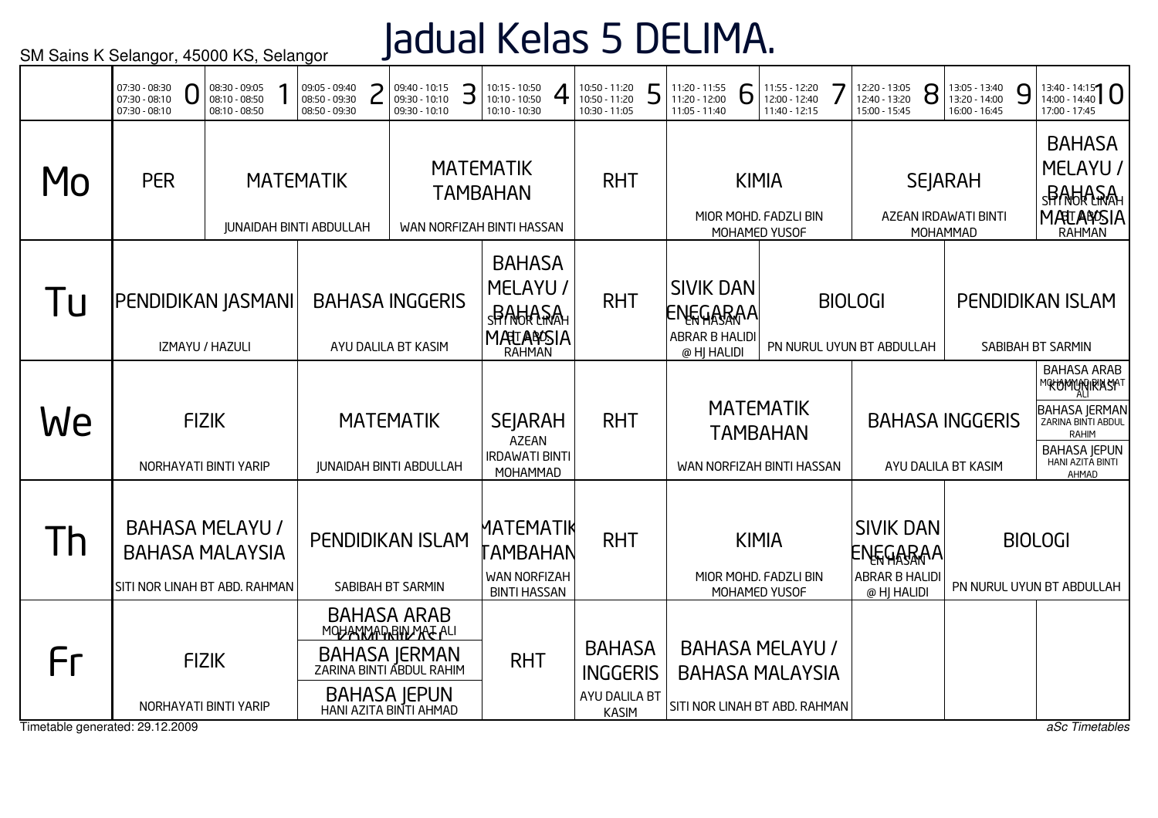## Jadual Kelas 5 DELIMA.

|                                       | 07:30 - 08:30<br>07:30 - 08:10<br>$07:30 - 08:10$                                 | 08:30 - 09:05<br>08:10 - 08:50<br>08:10 - 08:50 | 09:05 - 09:40<br>08:50 - 09:30<br>08:50 - 09:30    | 09:40 - 10:15<br>09:30 - 10:10<br>09:30 - 10:10                                                                                        | З | $10:15 - 10:50$<br>10:10 - 10:50<br>10:10 - 10:30                                 | 10:50 - 11:20<br>10:50 - 11:20<br>10:30 - 11:05                   | 5 | 11:20 - 11:55<br>11:20 - 12:00<br>11:05 - 11:40                      | 6 | 11:55 - 12:20<br>12:00 - 12:40<br>11:40 - 12:15                                   | 12:20 - 13:05<br>12:40 - 13:20<br>15:00 - 15:45               | 8 | 13:05 - 13:40<br>13:20 - 14:00<br>16:00 - 16:45    | 9 | $13:40 - 14:15$<br>17:00 - 17:45                                                                                                               |
|---------------------------------------|-----------------------------------------------------------------------------------|-------------------------------------------------|----------------------------------------------------|----------------------------------------------------------------------------------------------------------------------------------------|---|-----------------------------------------------------------------------------------|-------------------------------------------------------------------|---|----------------------------------------------------------------------|---|-----------------------------------------------------------------------------------|---------------------------------------------------------------|---|----------------------------------------------------|---|------------------------------------------------------------------------------------------------------------------------------------------------|
| MO                                    | <b>PER</b>                                                                        |                                                 | <b>MATEMATIK</b><br><b>JUNAIDAH BINTI ABDULLAH</b> |                                                                                                                                        |   | <b>MATEMATIK</b><br><b>TAMBAHAN</b><br>WAN NORFIZAH BINTI HASSAN                  | <b>RHT</b>                                                        |   |                                                                      |   | <b>KIMIA</b><br>MIOR MOHD. FADZLI BIN<br>MOHAMED YUSOF                            |                                                               |   | <b>SEJARAH</b><br>AZEAN IRDAWATI BINTI<br>MOHAMMAD |   | <b>BAHASA</b><br>MELAYU /<br><b>SPACKASA</b><br>MATLANDSIA                                                                                     |
| Tu                                    | PENDIDIKAN JASMANI                                                                | IZMAYU / HAZULI                                 |                                                    | <b>BAHASA INGGERIS</b><br>AYU DALILA BT KASIM                                                                                          |   | <b>BAHASA</b><br>MELAYU /<br><b>SPAGIASA</b><br><b>MATEANSIA</b><br><b>RAHMAN</b> | <b>RHT</b>                                                        |   | <b>SIVIK DAN</b><br><b>ENEGARAA</b><br>ABRAR B HALIDI<br>@ HJ HALIDI |   |                                                                                   | <b>BIOLOGI</b><br>PN NURUL UYUN BT ABDULLAH                   |   |                                                    |   | <b>PENDIDIKAN ISLAM</b><br>SABIBAH BT SARMIN                                                                                                   |
| We                                    |                                                                                   | <b>FIZIK</b><br>NORHAYATI BINTI YARIP           |                                                    | <b>MATEMATIK</b><br><b>JUNAIDAH BINTI ABDULLAH</b>                                                                                     |   | <b>SEJARAH</b><br><b>AZEAN</b><br><b>IRDAWATI BINTI</b><br>MOHAMMAD               | <b>RHT</b>                                                        |   |                                                                      |   | <b>MATEMATIK</b><br><b>TAMBAHAN</b><br>WAN NORFIZAH BINTI HASSAN                  |                                                               |   | <b>BAHASA INGGERIS</b><br>AYU DALILA BT KASIM      |   | <b>BAHASA ARAB</b><br>MOKOMONIRASAT<br><b>BAHASA JERMAN</b><br>ZARINA BINTI ABDUL<br>RAHIM<br><b>BAHASA JEPUN</b><br>HANI AZITA BINTI<br>AHMAD |
| Th                                    | <b>BAHASA MELAYU /</b><br><b>BAHASA MALAYSIA</b><br>SITI NOR LINAH BT ABD. RAHMAN |                                                 |                                                    | PENDIDIKAN ISLAM<br>SABIBAH BT SARMIN                                                                                                  |   | MATEMATIK<br>TAMBAHAN<br><b>WAN NORFIZAH</b><br><b>BINTI HASSAN</b>               | <b>RHT</b>                                                        |   |                                                                      |   | <b>KIMIA</b><br>MIOR MOHD. FADZLI BIN<br>MOHAMED YUSOF                            | <b>SIVIK DAN</b><br>ENEGARAA<br>ABRAR B HALIDI<br>@ HJ HALIDI |   |                                                    |   | <b>BIOLOGI</b><br>PN NURUL UYUN BT ABDULLAH                                                                                                    |
| Fr<br>Timetable generated: 29.12.2009 |                                                                                   | <b>FIZIK</b><br>NORHAYATI BINTI YARIP           |                                                    | <b>BAHASA ARAB</b><br>MOHANMARRHUMAE ALI<br>BAHASA JERMAN<br>ZARINA BINTI ABDUL RAHIM<br><b>BAHASA JEPUN</b><br>HANI AZITA BINTI AHMAD |   | <b>RHT</b>                                                                        | <b>BAHASA</b><br><b>INGGERIS</b><br>AYU DALILA BT<br><b>KASIM</b> |   |                                                                      |   | <b>BAHASA MELAYU /</b><br><b>BAHASA MALAYSIA</b><br>SITI NOR LINAH BT ABD. RAHMAN |                                                               |   |                                                    |   | aSc Timetables                                                                                                                                 |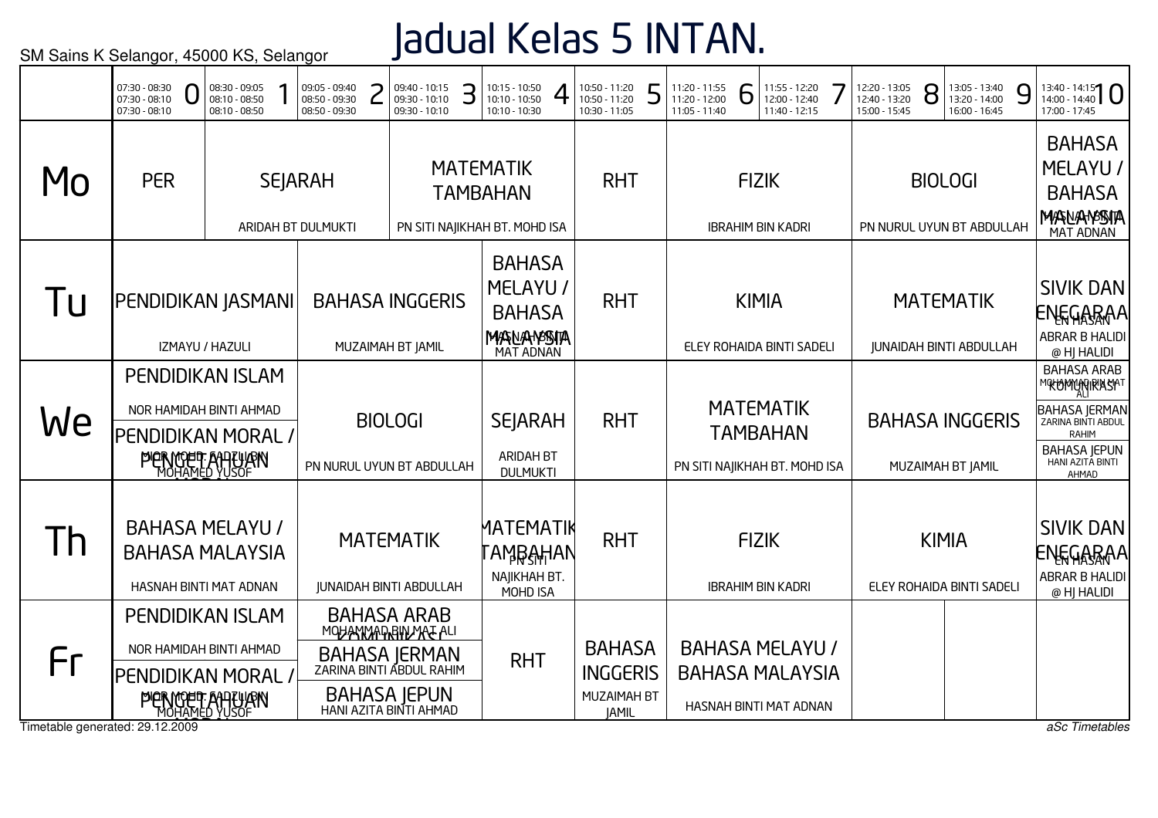## Jadual Kelas 5 INTAN.

|                                       | 07:30 - 08:30<br>$07:30 - 08:10$<br>$07:30 - 08:10$                        | 08:30 - 09:05<br>08:10 - 08:50<br>08:10 - 08:50 |  | 09:05 - 09:40<br>08:50 - 09:30<br>08:50 - 09:30 | 09:40 - 10:15<br>09:30 - 10:10<br>09:30 - 10:10                                                                                        | З                                                     | 10:15 - 10:50<br>10:10 - 10:50<br>10:10 - 10:30                         | 10:50 - 11:20<br>10:50 - 11:20<br>10:30 - 11:05                        | 5 | 11:20 - 11:55<br>11:20 - 12:00<br>11:05 - 11:40 | 6                                                                    | 11:55 - 12:20<br>12:00 - 12:40<br>11:40 - 12:15                            | 12:20 - 13:05<br>12:40 - 13:20<br>15:00 - 15:45 | 8                                           | 13:05 - 13:40<br>13:20 - 14:00<br>16:00 - 16:45    | 9                                                                                                                                                             | $13:40 - 14:15$<br>17:00 - 17:45                                        |
|---------------------------------------|----------------------------------------------------------------------------|-------------------------------------------------|--|-------------------------------------------------|----------------------------------------------------------------------------------------------------------------------------------------|-------------------------------------------------------|-------------------------------------------------------------------------|------------------------------------------------------------------------|---|-------------------------------------------------|----------------------------------------------------------------------|----------------------------------------------------------------------------|-------------------------------------------------|---------------------------------------------|----------------------------------------------------|---------------------------------------------------------------------------------------------------------------------------------------------------------------|-------------------------------------------------------------------------|
| MO                                    | <b>PER</b>                                                                 |                                                 |  | <b>SEJARAH</b><br>ARIDAH BT DULMUKTI            |                                                                                                                                        |                                                       | <b>MATEMATIK</b><br><b>TAMBAHAN</b><br>PN SITI NAJIKHAH BT. MOHD ISA    | <b>RHT</b>                                                             |   |                                                 | <b>FIZIK</b>                                                         | <b>IBRAHIM BIN KADRI</b>                                                   |                                                 |                                             | <b>BIOLOGI</b><br>PN NURUL UYUN BT ABDULLAH        |                                                                                                                                                               | <b>BAHASA</b><br>MELAYU /<br><b>BAHASA</b><br>MASNANASSITA<br>MAT ADNAN |
| Tu                                    | PENDIDIKAN JASMANI                                                         | IZMAYU / HAZULI                                 |  |                                                 | <b>BAHASA INGGERIS</b><br>MUZAIMAH BT JAMIL                                                                                            |                                                       | <b>BAHASA</b><br>MELAYU /<br><b>BAHASA</b><br>MASNAHASSITA<br>MAT ADNAN | <b>RHT</b>                                                             |   |                                                 |                                                                      | <b>KIMIA</b><br>ELEY ROHAIDA BINTI SADELI                                  |                                                 |                                             | <b>MATEMATIK</b><br><b>JUNAIDAH BINTI ABDULLAH</b> |                                                                                                                                                               | <b>SIVIK DAN</b><br>ENEGARAA<br>ABRAR B HALIDI<br>@ HJ HALIDI           |
| We                                    | <b>PENDIDIKAN ISLAM</b><br>NOR HAMIDAH BINTI AHMAD<br>PENDIDIKAN MORAL /   | <b>PIERMOET ANTLIJEN</b>                        |  | <b>BIOLOGI</b><br>PN NURUL UYUN BT ABDULLAH     |                                                                                                                                        | <b>SEJARAH</b><br><b>ARIDAH BT</b><br><b>DULMUKTI</b> | <b>RHT</b>                                                              |                                                                        |   |                                                 | <b>MATEMATIK</b><br><b>TAMBAHAN</b><br>PN SITI NAJIKHAH BT. MOHD ISA |                                                                            |                                                 | <b>BAHASA INGGERIS</b><br>MUZAIMAH BT JAMIL |                                                    | <b>BAHASA ARAB</b><br><b>MOKOMMARIRASAT</b><br><b>BAHASA JERMAN</b><br>ZARINA BINTI ABDUL<br><b>RAHIM</b><br><b>BAHASA JEPUN</b><br>HANI AZITA BINTI<br>AHMAD |                                                                         |
| Th                                    | <b>BAHASA MELAYU /</b><br><b>BAHASA MALAYSIA</b><br>HASNAH BINTI MAT ADNAN |                                                 |  |                                                 | <b>MATEMATIK</b><br><b>JUNAIDAH BINTI ABDULLAH</b>                                                                                     |                                                       | MATEMATIK<br>՟ΑϺŖ <del>͵ͿͺͿ</del> ͿΑΝ<br>NAJIKHAH BT.<br>MOHD ISA       | <b>RHT</b>                                                             |   |                                                 | <b>FIZIK</b>                                                         | <b>IBRAHIM BIN KADRI</b>                                                   |                                                 |                                             | <b>KIMIA</b><br>ELEY ROHAIDA BINTI SADELI          |                                                                                                                                                               | <b>SIVIK DAN</b><br>ENEGARAA<br>ABRAR B HALIDI<br>@ HJ HALIDI           |
| Fr<br>Timetable generated: 29.12.2009 | <b>PENDIDIKAN ISLAM</b><br>NOR HAMIDAH BINTI AHMAD<br>PENDIDIKAN MORAL     | <b>PIERMOET ANTLIJEN</b>                        |  |                                                 | <b>BAHASA ARAB</b><br>MOHANMADRAMARE ALI<br>BAHASA JERMAN<br>ZARINA BINTI ABDUL RAHIM<br><b>BAHASA JEPUN</b><br>HANI AZITA BINTI AHMAD |                                                       | <b>RHT</b>                                                              | <b>BAHASA</b><br><b>INGGERIS</b><br><b>MUZAIMAH BT</b><br><b>JAMIL</b> |   |                                                 |                                                                      | <b>BAHASA MELAYU /</b><br><b>BAHASA MALAYSIA</b><br>HASNAH BINTI MAT ADNAN |                                                 |                                             |                                                    |                                                                                                                                                               | aSc Timetables                                                          |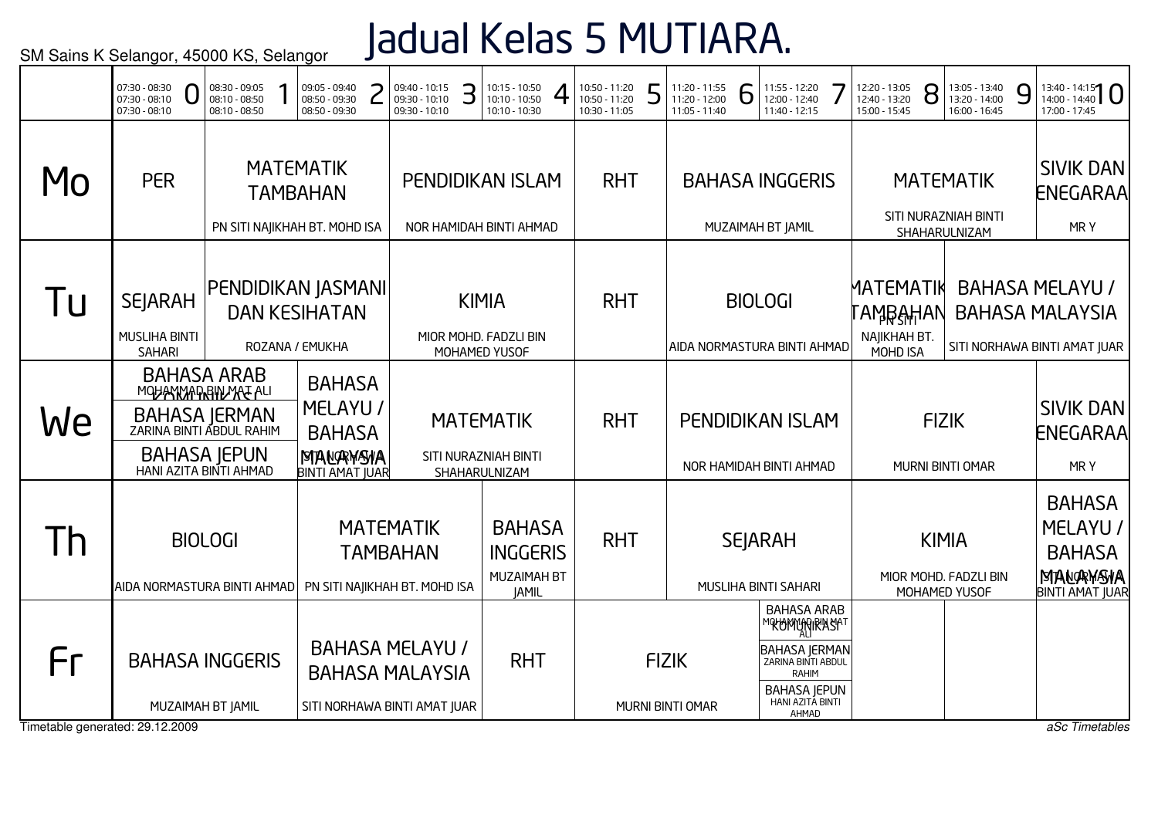# Jadual Kelas 5 MUTIARA.

|    | 07:30 - 08:30<br>0<br>07:30 - 08:10<br>07:30 - 08:10    | 08:30 - 09:05<br>08:10 - 08:50<br>08:10 - 08:50                                                                                          | 09:05 - 09:40<br>08:50 - 09:30<br>08:50 - 09:30                                  | 09:40 - 10:15<br>09:30 - 10:10<br>09:30 - 10:10    | З | 10:15 - 10:50<br>10:10 - 10:50<br>10:10 - 10:30           |                                                                 | 10:50 - 11:20<br>10:50 - 11:20<br>10:30 - 11:05 | 5 | 11:20 - 11:55<br>11:20 - 12:00<br>11:05 - 11:40 | 6 | 11:55 - 12:20<br>12:00 - 12:40<br>11:40 - 12:15                                                                                                  | 12:20 - 13:05<br>12:40 - 13:20<br>15:00 - 15:45   | 8 | 13:05 - 13:40<br>13:20 - 14:00<br>16:00 - 16:45           | 9 | $13:40 - 14:15$<br>17:00 - 17:45                                                 |
|----|---------------------------------------------------------|------------------------------------------------------------------------------------------------------------------------------------------|----------------------------------------------------------------------------------|----------------------------------------------------|---|-----------------------------------------------------------|-----------------------------------------------------------------|-------------------------------------------------|---|-------------------------------------------------|---|--------------------------------------------------------------------------------------------------------------------------------------------------|---------------------------------------------------|---|-----------------------------------------------------------|---|----------------------------------------------------------------------------------|
| Mo | <b>PER</b>                                              |                                                                                                                                          | <b>MATEMATIK</b><br><b>TAMBAHAN</b><br>PN SITI NAJIKHAH BT. MOHD ISA             | <b>PENDIDIKAN ISLAM</b><br>NOR HAMIDAH BINTI AHMAD |   |                                                           |                                                                 | <b>RHT</b>                                      |   |                                                 |   | <b>BAHASA INGGERIS</b><br>MUZAIMAH BT JAMIL                                                                                                      |                                                   |   | <b>MATEMATIK</b><br>SITI NURAZNIAH BINTI<br>SHAHARULNIZAM |   | <b>SIVIK DAN</b><br><b>ENEGARAA</b><br>MRY                                       |
| Tu | <b>SEJARAH</b><br><b>MUSLIHA BINTI</b><br><b>SAHARI</b> |                                                                                                                                          | PENDIDIKAN JASMANI<br><b>DAN KESIHATAN</b><br>ROZANA / EMUKHA                    | MIOR MOHD. FADZLI BIN                              |   | <b>KIMIA</b><br>MOHAMED YUSOF                             |                                                                 | <b>RHT</b>                                      |   |                                                 |   | <b>BIOLOGI</b><br>AIDA NORMASTURA BINTI AHMAD                                                                                                    | MATEMATIK<br>ℾÅϺ℞ÅℍÅℕ<br>NAJIKHAH BT.<br>MOHD ISA |   |                                                           |   | <b>BAHASA MELAYU /</b><br><b>BAHASA MALAYSIA</b><br>SITI NORHAWA BINTI AMAT JUAR |
| We |                                                         | <b>BAHASA ARAB</b><br>MOHANMAD BIN MAL ALI<br><b>BAHASA JERMAN</b><br>ZARINA BINTI ABDUL RAHIM<br>BAHASA JEPUN<br>HANI AZITA BINTI AHMAD | <b>BAHASA</b><br>MELAYU /<br><b>BAHASA</b><br>MANAWAYA<br><b>BINTI AMAT JUAR</b> |                                                    |   | <b>MATEMATIK</b><br>SITI NURAZNIAH BINTI<br>SHAHARULNIZAM |                                                                 | <b>RHT</b>                                      |   |                                                 |   | <b>PENDIDIKAN ISLAM</b><br>NOR HAMIDAH BINTI AHMAD                                                                                               |                                                   |   | <b>FIZIK</b><br>MURNI BINTI OMAR                          |   | <b>SIVIK DAN</b><br>ENEGARAA<br>MRY                                              |
| Th | AIDA NORMASTURA BINTI AHMAD                             | <b>BIOLOGI</b>                                                                                                                           | PN SITI NAJIKHAH BT. MOHD ISA                                                    | <b>MATEMATIK</b><br><b>TAMBAHAN</b>                |   |                                                           | <b>BAHASA</b><br><b>INGGERIS</b><br>MUZAIMAH BT<br><b>JAMIL</b> | <b>RHT</b>                                      |   |                                                 |   | <b>SEJARAH</b><br>MUSLIHA BINTI SAHARI                                                                                                           |                                                   |   | <b>KIMIA</b><br>MIOR MOHD. FADZLI BIN<br>MOHAMED YUSOF    |   | <b>BAHASA</b><br>MELAYU /<br><b>BAHASA</b><br>MANAWAYA<br><b>BINTI AMAT JUAR</b> |
| Fr | Timetable generated: 29.12.2009                         | <b>BAHASA INGGERIS</b><br>MUZAIMAH BT JAMIL                                                                                              | SITI NORHAWA BINTI AMAT JUAR                                                     | <b>BAHASA MELAYU /</b><br><b>BAHASA MALAYSIA</b>   |   |                                                           | <b>RHT</b>                                                      |                                                 |   | <b>FIZIK</b><br>MURNI BINTI OMAR                |   | <b>BAHASA ARAB</b><br>℠℀ᡃᲢϺჀ҈҉Ӎ៲℟ℬϏℎℸ<br><b>BAHASA JERMAN</b><br>ZARINA BINTI ABDUL<br>RAHIM<br><b>BAHASA JEPUN</b><br>HANI AZITA BINTI<br>AHMAD |                                                   |   |                                                           |   | aSc Timetables                                                                   |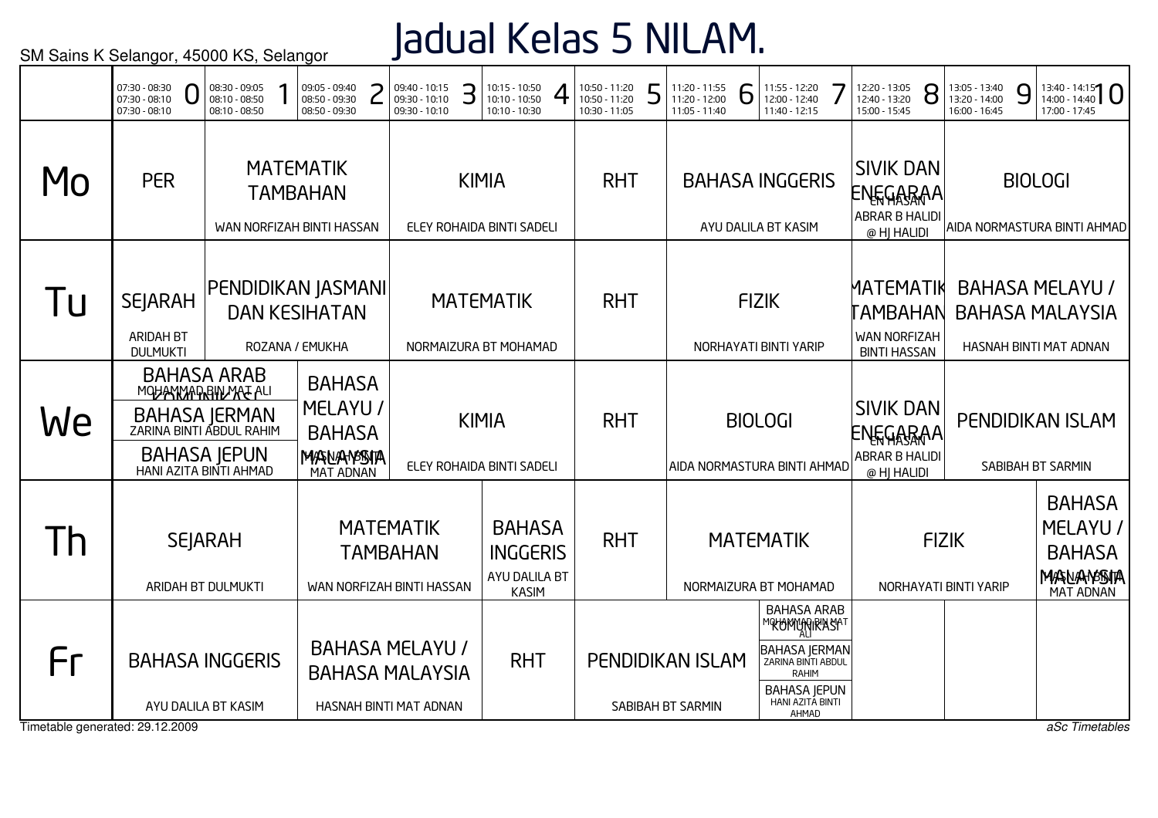## Jadual Kelas 5 NILAM.

|                                       | 07:30 - 08:30<br>07:30 - 08:10<br>07:30 - 08:10       | 08:30 - 09:05<br>08:10 - 08:50<br>08:10 - 08:50                                                                                                                                                                                  |  | 09:05 - 09:40<br>08:50 - 09:30<br>08:50 - 09:30                  |  | 09:40 - 10:15<br>09:30 - 10:10<br>09:30 - 10:10                            | З | $10:15 - 10:50$<br>10:10 - 10:50<br>10:10 - 10:30                 | 10:50 - 11:20<br>10:50 - 11:20<br>10:30 - 11:05 | 5 | 11:20 - 11:55<br>11:20 - 12:00<br>11:05 - 11:40 | 6 | 11:55 - 12:20<br>12:00 - 12:40<br>11:40 - 12:15                                                                                                 | 12:20 - 13:05<br>12:40 - 13:20<br>15:00 - 15:45                            | 8            | 13:05 - 13:40<br>13:20 - 14:00<br>16:00 - 16:45 | 9 | $13:40 - 14:15$<br>17:00 - 17:45                                           |
|---------------------------------------|-------------------------------------------------------|----------------------------------------------------------------------------------------------------------------------------------------------------------------------------------------------------------------------------------|--|------------------------------------------------------------------|--|----------------------------------------------------------------------------|---|-------------------------------------------------------------------|-------------------------------------------------|---|-------------------------------------------------|---|-------------------------------------------------------------------------------------------------------------------------------------------------|----------------------------------------------------------------------------|--------------|-------------------------------------------------|---|----------------------------------------------------------------------------|
| Mo                                    | <b>PER</b>                                            |                                                                                                                                                                                                                                  |  | <b>MATEMATIK</b><br><b>TAMBAHAN</b><br>WAN NORFIZAH BINTI HASSAN |  |                                                                            |   | <b>KIMIA</b><br>ELEY ROHAIDA BINTI SADELI                         | <b>RHT</b>                                      |   |                                                 |   | <b>BAHASA INGGERIS</b><br>AYU DALILA BT KASIM                                                                                                   | <b>SIVIK DAN</b><br>ENEGARAA<br><b>ABRAR B HALIDI</b><br>@ HJ HALIDI       |              |                                                 |   | <b>BIOLOGI</b><br>AIDA NORMASTURA BINTI AHMAD                              |
| Tu                                    | <b>SEJARAH</b><br><b>ARIDAH BT</b><br><b>DULMUKTI</b> |                                                                                                                                                                                                                                  |  | PENDIDIKAN JASMANI<br><b>DAN KESIHATAN</b><br>ROZANA / EMUKHA    |  |                                                                            |   | <b>MATEMATIK</b><br>NORMAIZURA BT MOHAMAD                         | <b>RHT</b>                                      |   |                                                 |   | <b>FIZIK</b><br>NORHAYATI BINTI YARIP                                                                                                           | <b>MATEMATIK</b><br>TAMBAHAN<br><b>WAN NORFIZAH</b><br><b>BINTI HASSAN</b> |              |                                                 |   | <b>BAHASA MELAYU /</b><br><b>BAHASA MALAYSIA</b><br>HASNAH BINTI MAT ADNAN |
| We                                    |                                                       | <b>BAHASA ARAB</b><br><b>BAHASA</b><br>MOUAN MARRIN MAL ALI<br>MELAYU /<br><b>BAHASA JERMAN</b><br>ZARINA BINTI ABDUL RAHIM<br><b>BAHASA</b><br><b>BAHASA JEPUN</b><br>MAANAMSSITA<br>HANI AZITA BINTI AHMAD<br><b>MAT ADNAN</b> |  |                                                                  |  |                                                                            |   | <b>KIMIA</b><br>ELEY ROHAIDA BINTI SADELI                         | <b>RHT</b>                                      |   |                                                 |   | <b>BIOLOGI</b><br>AIDA NORMASTURA BINTI AHMAD                                                                                                   | <b>SIVIK DAN</b><br>ENEGARAA<br><b>ABRAR B HALIDI</b><br>@ HJ HALIDI       |              |                                                 |   | PENDIDIKAN ISLAM<br>SABIBAH BT SARMIN                                      |
| Th                                    |                                                       | <b>SEJARAH</b><br>ARIDAH BT DULMUKTI                                                                                                                                                                                             |  |                                                                  |  | <b>MATEMATIK</b><br><b>TAMBAHAN</b><br>WAN NORFIZAH BINTI HASSAN           |   | <b>BAHASA</b><br><b>INGGERIS</b><br>AYU DALILA BT<br><b>KASIM</b> | <b>RHT</b>                                      |   |                                                 |   | <b>MATEMATIK</b><br>NORMAIZURA BT MOHAMAD                                                                                                       |                                                                            | <b>FIZIK</b> | NORHAYATI BINTI YARIP                           |   | <b>BAHASA</b><br>MELAYU /<br><b>BAHASA</b><br>MASNANSSITA<br>MAT ADNAN     |
| Fr<br>Timetable generated: 29.12.2009 | <b>BAHASA INGGERIS</b>                                | AYU DALILA BT KASIM                                                                                                                                                                                                              |  |                                                                  |  | <b>BAHASA MELAYU /</b><br><b>BAHASA MALAYSIA</b><br>HASNAH BINTI MAT ADNAN |   | <b>RHT</b>                                                        |                                                 |   | <b>PENDIDIKAN ISLAM</b><br>SABIBAH BT SARMIN    |   | <b>BAHASA ARAB</b><br>℠℀℧ϺϺϺϡϘͿ℟ʹÅ⅁ℐ<br><b>BAHASA JERMAN</b><br>ZARINA BINTI ABDUL<br>RAHIM<br><b>BAHASA JEPUN</b><br>HANI AZITA BINTI<br>AHMAD |                                                                            |              |                                                 |   | aSc Timetables                                                             |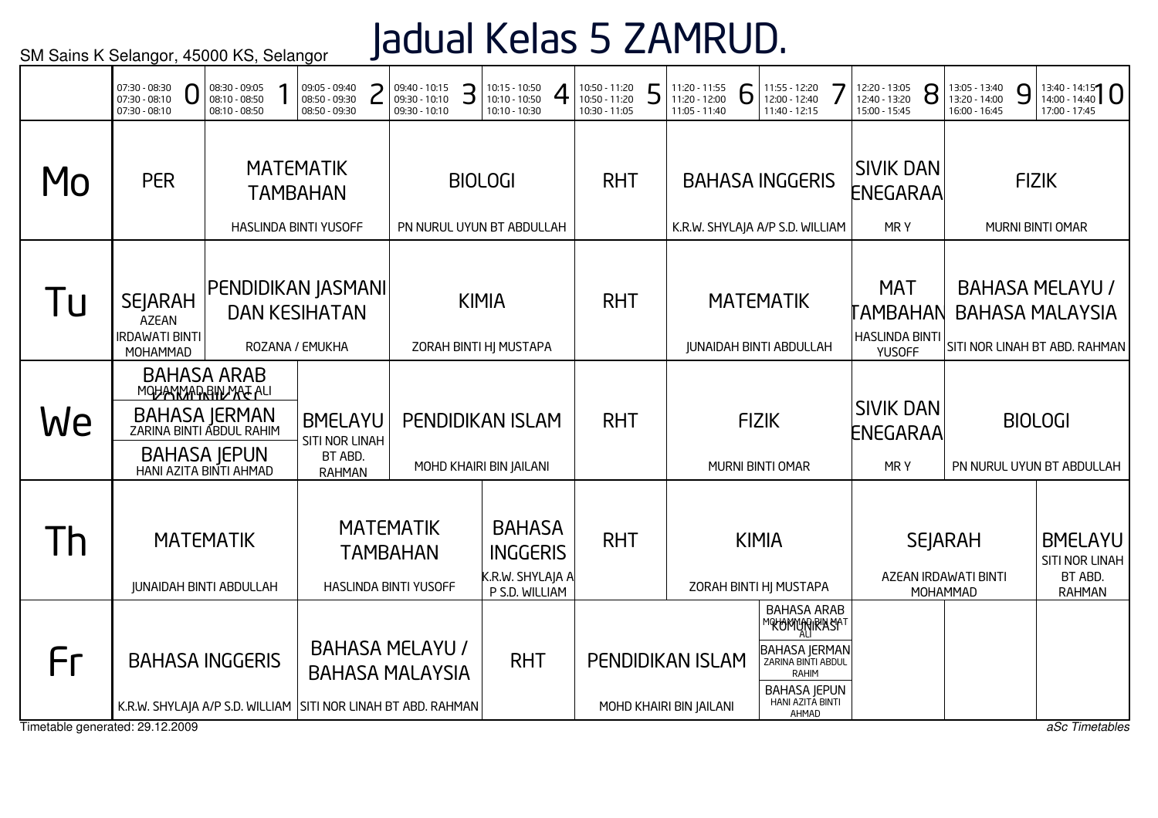# Jadual Kelas 5 ZAMRUD.

|                                       | 07:30 - 08:30<br>U<br>$07:30 - 08:10$<br>07:30 - 08:10                                      | 08:30 - 09:05<br>08:10 - 08:50<br>08:10 - 08:50 | 09:05 - 09:40<br>08:50 - 09:30<br>08:50 - 09:30              | 09:40 - 10:15<br>09:30 - 10:10<br>09:30 - 10:10              | З | 10:15 - 10:50<br>10:10 - 10:50<br>10:10 - 10:30                        | 10:50 - 11:20<br>10:50 - 11:20<br>10:30 - 11:05 | 5 | 11:20 - 11:55<br>11:20 - 12:00<br>11:05 - 11:40 | 6 | 11:55 - 12:20<br>12:00 - 12:40<br>11:40 - 12:15                                                                                              | 12:20 - 13:05<br>12:40 - 13:20<br>15:00 - 15:45 |                             | 8 | 13:05 - 13:40<br>13:20 - 14:00<br>16:00 - 16:45    | 9 | $13:40 - 14:15$<br>17:00 - 17:45                                                  |
|---------------------------------------|---------------------------------------------------------------------------------------------|-------------------------------------------------|--------------------------------------------------------------|--------------------------------------------------------------|---|------------------------------------------------------------------------|-------------------------------------------------|---|-------------------------------------------------|---|----------------------------------------------------------------------------------------------------------------------------------------------|-------------------------------------------------|-----------------------------|---|----------------------------------------------------|---|-----------------------------------------------------------------------------------|
| MO                                    | <b>PER</b>                                                                                  |                                                 | <b>MATEMATIK</b><br><b>TAMBAHAN</b><br>HASLINDA BINTI YUSOFF |                                                              |   | <b>BIOLOGI</b><br>PN NURUL UYUN BT ABDULLAH                            | <b>RHT</b>                                      |   | K.R.W. SHYLAJA A/P S.D. WILLIAM                 |   | <b>BAHASA INGGERIS</b>                                                                                                                       | <b>SIVIK DAN</b><br>ENEGARAA                    | MRY                         |   |                                                    |   | <b>FIZIK</b><br>MURNI BINTI OMAR                                                  |
| l u                                   | <b>SEJARAH</b><br><b>AZEAN</b><br><b>IRDAWATI BINTI</b><br>MOHAMMAD                         | PENDIDIKAN JASMANI                              | <b>DAN KESIHATAN</b><br>ROZANA / EMUKHA                      |                                                              |   | <b>KIMIA</b><br>ZORAH BINTI HJ MUSTAPA                                 | <b>RHT</b>                                      |   |                                                 |   | <b>MATEMATIK</b><br><b>JUNAIDAH BINTI ABDULLAH</b>                                                                                           | <b><i>LAMBAHAN</i></b><br><b>HASLINDA BINTI</b> | <b>MAT</b><br><b>YUSOFF</b> |   |                                                    |   | <b>BAHASA MELAYU /</b><br><b>BAHASA MALAYSIA</b><br>SITI NOR LINAH BT ABD. RAHMAN |
| We                                    | MOUAN MARRIN MAL ALI<br>BAHASA JERMAN<br>ZARINA BINTI ABDUL RAHIM<br>HANI AZITA BINTI AHMAD | <b>BAHASA ARAB</b><br><b>BAHASA JEPUN</b>       | <b>BMELAYU</b><br>SITI NOR LINAH<br>BT ABD.<br><b>RAHMAN</b> |                                                              |   | <b>PENDIDIKAN ISLAM</b><br>MOHD KHAIRI BIN JAILANI                     | <b>RHT</b>                                      |   |                                                 |   | <b>FIZIK</b><br>MURNI BINTI OMAR                                                                                                             | <b>SIVIK DAN</b><br>ENEGARAA                    | MR Y                        |   |                                                    |   | <b>BIOLOGI</b><br>PN NURUL UYUN BT ABDULLAH                                       |
| <u>Ih</u>                             | <b>MATEMATIK</b><br><b>JUNAIDAH BINTI ABDULLAH</b>                                          |                                                 |                                                              | <b>MATEMATIK</b><br><b>TAMBAHAN</b><br>HASLINDA BINTI YUSOFF |   | <b>BAHASA</b><br><b>INGGERIS</b><br>K.R.W. SHYLAJA A<br>P S.D. WILLIAM | <b>RHT</b>                                      |   |                                                 |   | <b>KIMIA</b><br>ZORAH BINTI HJ MUSTAPA                                                                                                       |                                                 |                             |   | <b>SEJARAH</b><br>AZEAN IRDAWATI BINTI<br>MOHAMMAD |   | <b>BMELAYU</b><br>SITI NOR LINAH<br>BT ABD.<br><b>RAHMAN</b>                      |
| Fr<br>Timetable generated: 29.12.2009 | <b>BAHASA INGGERIS</b><br>K.R.W. SHYLAJA A/P S.D. WILLIAM SITI NOR LINAH BT ABD. RAHMAN     |                                                 |                                                              | <b>BAHASA MELAYU /</b><br><b>BAHASA MALAYSIA</b>             |   | <b>RHT</b>                                                             |                                                 |   | PENDIDIKAN ISLAM<br>MOHD KHAIRI BIN JAILANI     |   | <b>BAHASA ARAB</b><br>℠℀℗ϺϢϻͿ℟ΆႽϺ<br><b>BAHASA JERMAN</b><br>ZARINA BINTI ABDUL<br>RAHIM<br><b>BAHASA JEPUN</b><br>HANI AZITA BINTI<br>AHMAD |                                                 |                             |   |                                                    |   | aSc Timetables                                                                    |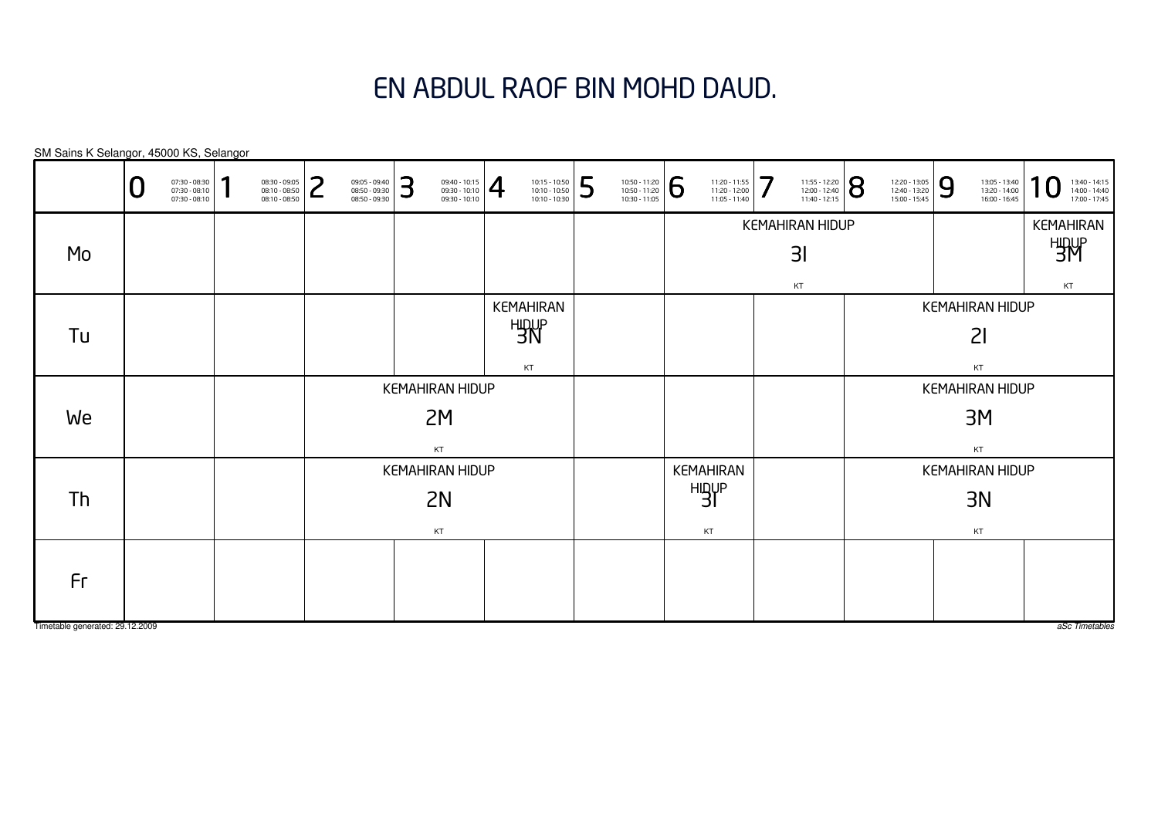#### EN ABDUL RAOF BIN MOHD DAUD.

KEMAHIRANHIDUP 3IKTKEMAHIRAN HIDUP $3<sub>l</sub>$ KTKEMAHIRANHIDUP 3M KTKEMAHIRAN HIDUP3MKTKEMAHIRANHIDUP 3NKTKEMAHIRAN HIDUP3NKTKEMAHIRAN HIDUP2IKTKEMAHIRAN HIDUP2M KTKEMAHIRAN HIDUP2NKTSM Sains K Selangor, 45000 KS, Selangor $\overline{0}$  $\textbf{0} \xrightarrow{\textbf{07:30-08:10}} {\textbf{07:30-08:10}} \xrightarrow{\textbf{08:30-09:30}} {\textbf{08:10-08:50}} \xrightarrow{\textbf{08:30-09:30}} {\textbf{08:50-09:30}} \xrightarrow{\textbf{08:50-09:30}} {\textbf{08:50-09:30}} \xrightarrow{\textbf{08:50-09:30}} {\textbf{08:50-09:30}} \xrightarrow{\textbf{08:50-09:30}} {\textbf{08:50-09:30}} \xrightarrow{\$ MoTuWeThFr

Timetable generated: 29.12.2009

aSc Timetables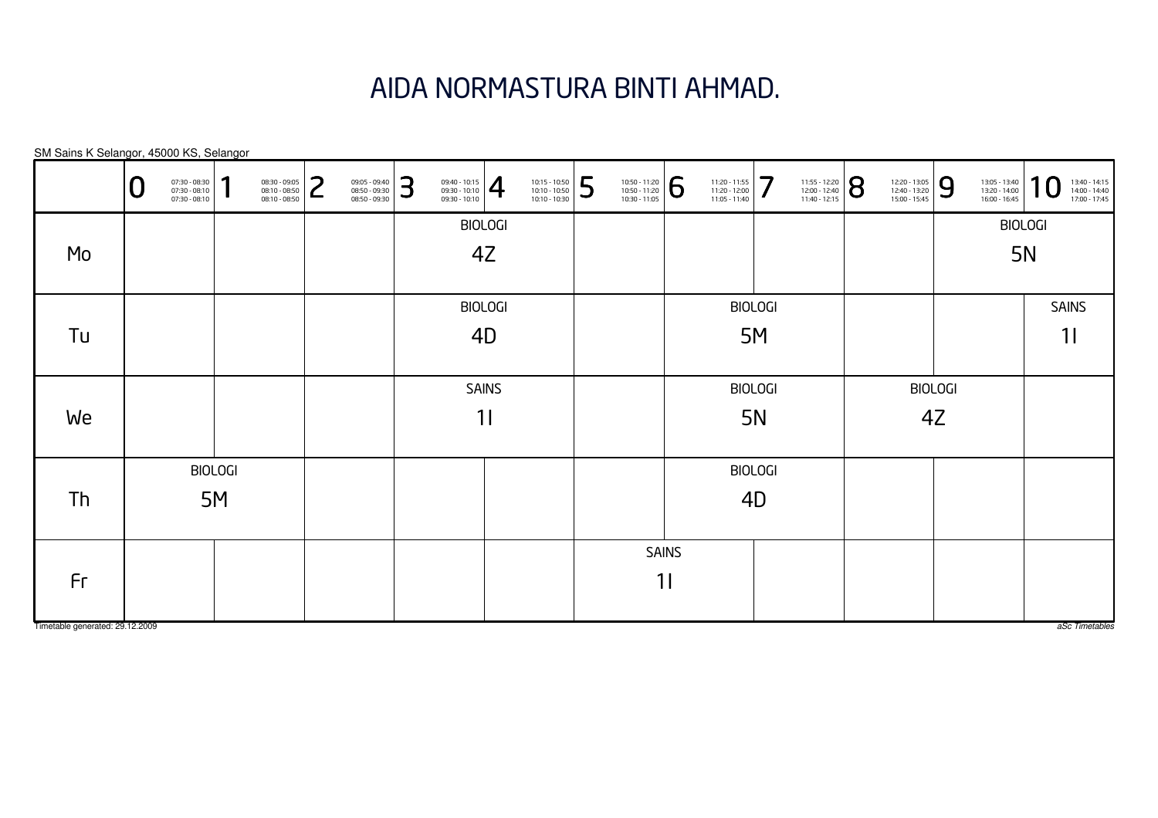#### AIDA NORMASTURA BINTI AHMAD.

| SM Sains K Selangor, 45000 KS, Selangor |   |                                                 |                |                                                 |        |                                                 |   |                                                                                                                                                                                                                   |                |                                                 |   |                                                 |              |                                                 |                |                                                                                                                    |                                                 |   |                                                 |                  |                                                 |
|-----------------------------------------|---|-------------------------------------------------|----------------|-------------------------------------------------|--------|-------------------------------------------------|---|-------------------------------------------------------------------------------------------------------------------------------------------------------------------------------------------------------------------|----------------|-------------------------------------------------|---|-------------------------------------------------|--------------|-------------------------------------------------|----------------|--------------------------------------------------------------------------------------------------------------------|-------------------------------------------------|---|-------------------------------------------------|------------------|-------------------------------------------------|
|                                         | U | 07:30 - 08:30<br>07:30 - 08:10<br>07:30 - 08:10 |                | 08:30 - 09:05<br>08:10 - 08:50<br>08:10 - 08:50 | つ<br>L | 09:05 - 09:40<br>08:50 - 09:30<br>08:50 - 09:30 | 3 | $\left. \begin{array}{r} 09:40 - 10:15 \\ 09:30 - 10:10 \\ 09:30 - 10:10 \end{array} \right  \begin{array}{c} \begin{array}{c} \begin{array}{c} \begin{array}{c} \end{array} \end{array} \end{array} \end{array}$ |                | 10:15 - 10:50<br>10:10 - 10:50<br>10:10 - 10:30 | 5 | 10:50 - 11:20<br>10:50 - 11:20<br>10:30 - 11:05 | 6            | 11:20 - 11:55<br>11:20 - 12:00<br>11:05 - 11:40 | 7              | $\left. \begin{array}{l} \n 11:55 - 12:20 \\  12:00 - 12:40 \\  11:40 - 12:15\n \end{array} \right  \, \mathbf{S}$ | 12:20 - 13:05<br>12:40 - 13:20<br>15:00 - 15:45 | 9 | 13:05 - 13:40<br>13:20 - 14:00<br>16:00 - 16:45 | $\boldsymbol{0}$ | 13:40 - 14:15<br>14:00 - 14:40<br>17:00 - 17:45 |
|                                         |   |                                                 |                |                                                 |        |                                                 |   |                                                                                                                                                                                                                   | <b>BIOLOGI</b> |                                                 |   |                                                 |              |                                                 |                |                                                                                                                    |                                                 |   |                                                 | <b>BIOLOGI</b>   |                                                 |
| Mo                                      |   |                                                 |                |                                                 |        |                                                 |   |                                                                                                                                                                                                                   | 4Z             |                                                 |   |                                                 |              |                                                 |                |                                                                                                                    |                                                 |   | <b>5N</b>                                       |                  |                                                 |
|                                         |   |                                                 |                |                                                 |        |                                                 |   |                                                                                                                                                                                                                   |                |                                                 |   |                                                 |              |                                                 |                |                                                                                                                    |                                                 |   |                                                 |                  |                                                 |
|                                         |   |                                                 |                |                                                 |        |                                                 |   |                                                                                                                                                                                                                   | <b>BIOLOGI</b> |                                                 |   |                                                 |              |                                                 | <b>BIOLOGI</b> |                                                                                                                    |                                                 |   |                                                 |                  | <b>SAINS</b>                                    |
| Tu                                      |   |                                                 |                |                                                 |        |                                                 |   |                                                                                                                                                                                                                   | 4D             |                                                 |   |                                                 |              |                                                 | 5M             |                                                                                                                    |                                                 |   |                                                 |                  | 11                                              |
|                                         |   |                                                 |                |                                                 |        |                                                 |   |                                                                                                                                                                                                                   |                |                                                 |   |                                                 |              |                                                 |                |                                                                                                                    |                                                 |   |                                                 |                  |                                                 |
|                                         |   |                                                 |                |                                                 |        |                                                 |   |                                                                                                                                                                                                                   | <b>SAINS</b>   |                                                 |   |                                                 |              |                                                 | <b>BIOLOGI</b> |                                                                                                                    | <b>BIOLOGI</b>                                  |   |                                                 |                  |                                                 |
| We                                      |   |                                                 |                |                                                 |        |                                                 |   |                                                                                                                                                                                                                   | 11             |                                                 |   |                                                 |              |                                                 | 5N             |                                                                                                                    | 4Z                                              |   |                                                 |                  |                                                 |
|                                         |   |                                                 |                |                                                 |        |                                                 |   |                                                                                                                                                                                                                   |                |                                                 |   |                                                 |              |                                                 |                |                                                                                                                    |                                                 |   |                                                 |                  |                                                 |
|                                         |   |                                                 | <b>BIOLOGI</b> |                                                 |        |                                                 |   |                                                                                                                                                                                                                   |                |                                                 |   |                                                 |              |                                                 | <b>BIOLOGI</b> |                                                                                                                    |                                                 |   |                                                 |                  |                                                 |
| Th                                      |   |                                                 | 5M             |                                                 |        |                                                 |   |                                                                                                                                                                                                                   |                |                                                 |   |                                                 |              |                                                 | 4D             |                                                                                                                    |                                                 |   |                                                 |                  |                                                 |
|                                         |   |                                                 |                |                                                 |        |                                                 |   |                                                                                                                                                                                                                   |                |                                                 |   |                                                 |              |                                                 |                |                                                                                                                    |                                                 |   |                                                 |                  |                                                 |
|                                         |   |                                                 |                |                                                 |        |                                                 |   |                                                                                                                                                                                                                   |                |                                                 |   |                                                 | <b>SAINS</b> |                                                 |                |                                                                                                                    |                                                 |   |                                                 |                  |                                                 |
| Fr                                      |   |                                                 |                |                                                 |        |                                                 |   |                                                                                                                                                                                                                   |                |                                                 |   |                                                 | 11           |                                                 |                |                                                                                                                    |                                                 |   |                                                 |                  |                                                 |
|                                         |   |                                                 |                |                                                 |        |                                                 |   |                                                                                                                                                                                                                   |                |                                                 |   |                                                 |              |                                                 |                |                                                                                                                    |                                                 |   |                                                 |                  |                                                 |
| Timetable generated: 29.12.2009         |   |                                                 |                |                                                 |        |                                                 |   |                                                                                                                                                                                                                   |                |                                                 |   |                                                 |              |                                                 |                |                                                                                                                    |                                                 |   |                                                 |                  | aSc Timetables                                  |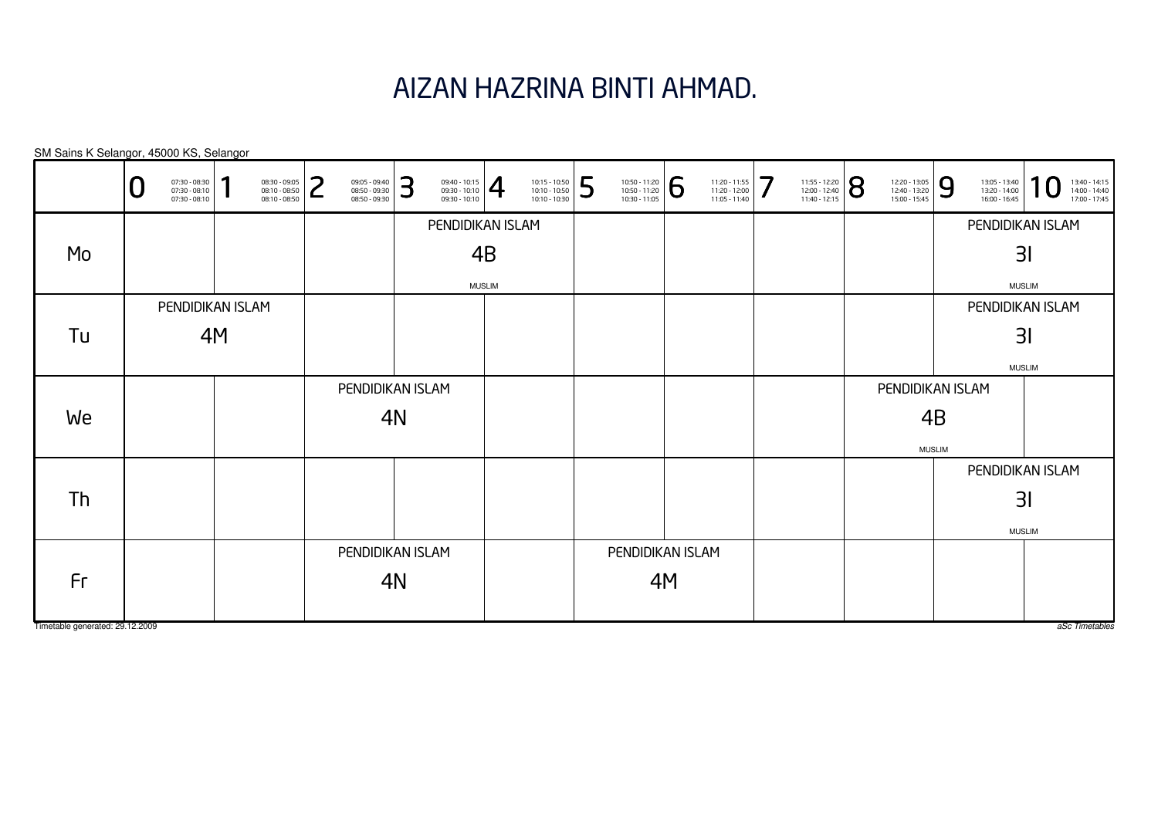# AIZAN HAZRINA BINTI AHMAD.

| SM Sains K Selangor, 45000 KS, Selangor |   |                                                   |    |                                                 |        |                                                 |    |                                                 |               |                                                 |   |                                                                                                                        |           |                                                 |   |                                                                                                               |                                                 |    |                                                 |               |                                                 |
|-----------------------------------------|---|---------------------------------------------------|----|-------------------------------------------------|--------|-------------------------------------------------|----|-------------------------------------------------|---------------|-------------------------------------------------|---|------------------------------------------------------------------------------------------------------------------------|-----------|-------------------------------------------------|---|---------------------------------------------------------------------------------------------------------------|-------------------------------------------------|----|-------------------------------------------------|---------------|-------------------------------------------------|
|                                         | U | 07:30 - 08:30<br>07:30 - 08:10<br>$07:30 - 08:10$ |    | 08:30 - 09:05<br>08:10 - 08:50<br>08:10 - 08:50 | ว<br>┕ | 09:05 - 09:40<br>08:50 - 09:30<br>08:50 - 09:30 | 3  | 09:40 - 10:15<br>09:30 - 10:10<br>09:30 - 10:10 | 4             | 10:15 - 10:50<br>10:10 - 10:50<br>10:10 - 10:30 | 5 | $\begin{array}{ l l l } \hline 10:50 & -11:20 \\ \hline 10:50 & -11:20 \\ \hline 10:30 & -11:05 \\ \hline \end{array}$ | <u> 6</u> | 11:20 - 11:55<br>11:20 - 12:00<br>11:05 - 11:40 | 7 | $\left. \begin{array}{l} \n 11:55 - 12:20 \\ 12:00 - 12:40 \\ 11:40 - 12:15\n \end{array} \right  \bigotimes$ | 12:20 - 13:05<br>12:40 - 13:20<br>15:00 - 15:45 | 9  | 13:05 - 13:40<br>13:20 - 14:00<br>16:00 - 16:45 |               | 13:40 - 14:15<br>14:00 - 14:40<br>17:00 - 17:45 |
|                                         |   |                                                   |    |                                                 |        |                                                 |    | PENDIDIKAN ISLAM                                |               |                                                 |   |                                                                                                                        |           |                                                 |   |                                                                                                               |                                                 |    | PENDIDIKAN ISLAM                                |               |                                                 |
| Mo                                      |   |                                                   |    |                                                 |        |                                                 |    |                                                 | 4B            |                                                 |   |                                                                                                                        |           |                                                 |   |                                                                                                               |                                                 |    |                                                 | 31            |                                                 |
|                                         |   |                                                   |    |                                                 |        |                                                 |    |                                                 | <b>MUSLIM</b> |                                                 |   |                                                                                                                        |           |                                                 |   |                                                                                                               |                                                 |    |                                                 | <b>MUSLIM</b> |                                                 |
|                                         |   | PENDIDIKAN ISLAM                                  |    |                                                 |        |                                                 |    |                                                 |               |                                                 |   |                                                                                                                        |           |                                                 |   |                                                                                                               |                                                 |    | PENDIDIKAN ISLAM                                |               |                                                 |
| Tu                                      |   |                                                   | 4M |                                                 |        |                                                 |    |                                                 |               |                                                 |   |                                                                                                                        |           |                                                 |   |                                                                                                               |                                                 |    |                                                 | 31            |                                                 |
|                                         |   |                                                   |    |                                                 |        |                                                 |    |                                                 |               |                                                 |   |                                                                                                                        |           |                                                 |   |                                                                                                               |                                                 |    |                                                 | <b>MUSLIM</b> |                                                 |
|                                         |   |                                                   |    |                                                 |        | PENDIDIKAN ISLAM                                |    |                                                 |               |                                                 |   |                                                                                                                        |           |                                                 |   |                                                                                                               | PENDIDIKAN ISLAM                                |    |                                                 |               |                                                 |
| We                                      |   |                                                   |    |                                                 |        |                                                 | 4N |                                                 |               |                                                 |   |                                                                                                                        |           |                                                 |   |                                                                                                               |                                                 | 4B |                                                 |               |                                                 |
|                                         |   |                                                   |    |                                                 |        |                                                 |    |                                                 |               |                                                 |   |                                                                                                                        |           |                                                 |   |                                                                                                               | <b>MUSLIM</b>                                   |    |                                                 |               |                                                 |
|                                         |   |                                                   |    |                                                 |        |                                                 |    |                                                 |               |                                                 |   |                                                                                                                        |           |                                                 |   |                                                                                                               |                                                 |    | PENDIDIKAN ISLAM                                |               |                                                 |
| Th                                      |   |                                                   |    |                                                 |        |                                                 |    |                                                 |               |                                                 |   |                                                                                                                        |           |                                                 |   |                                                                                                               |                                                 |    |                                                 | 31            |                                                 |
|                                         |   |                                                   |    |                                                 |        |                                                 |    |                                                 |               |                                                 |   |                                                                                                                        |           |                                                 |   |                                                                                                               |                                                 |    |                                                 | <b>MUSLIM</b> |                                                 |
|                                         |   |                                                   |    |                                                 |        | PENDIDIKAN ISLAM                                |    |                                                 |               |                                                 |   | PENDIDIKAN ISLAM                                                                                                       |           |                                                 |   |                                                                                                               |                                                 |    |                                                 |               |                                                 |
| Fr                                      |   |                                                   |    |                                                 |        |                                                 | 4N |                                                 |               |                                                 |   |                                                                                                                        | 4M        |                                                 |   |                                                                                                               |                                                 |    |                                                 |               |                                                 |
| Timetable generated: 29.12.2009         |   |                                                   |    |                                                 |        |                                                 |    |                                                 |               |                                                 |   |                                                                                                                        |           |                                                 |   |                                                                                                               |                                                 |    |                                                 |               | aSc Timetables                                  |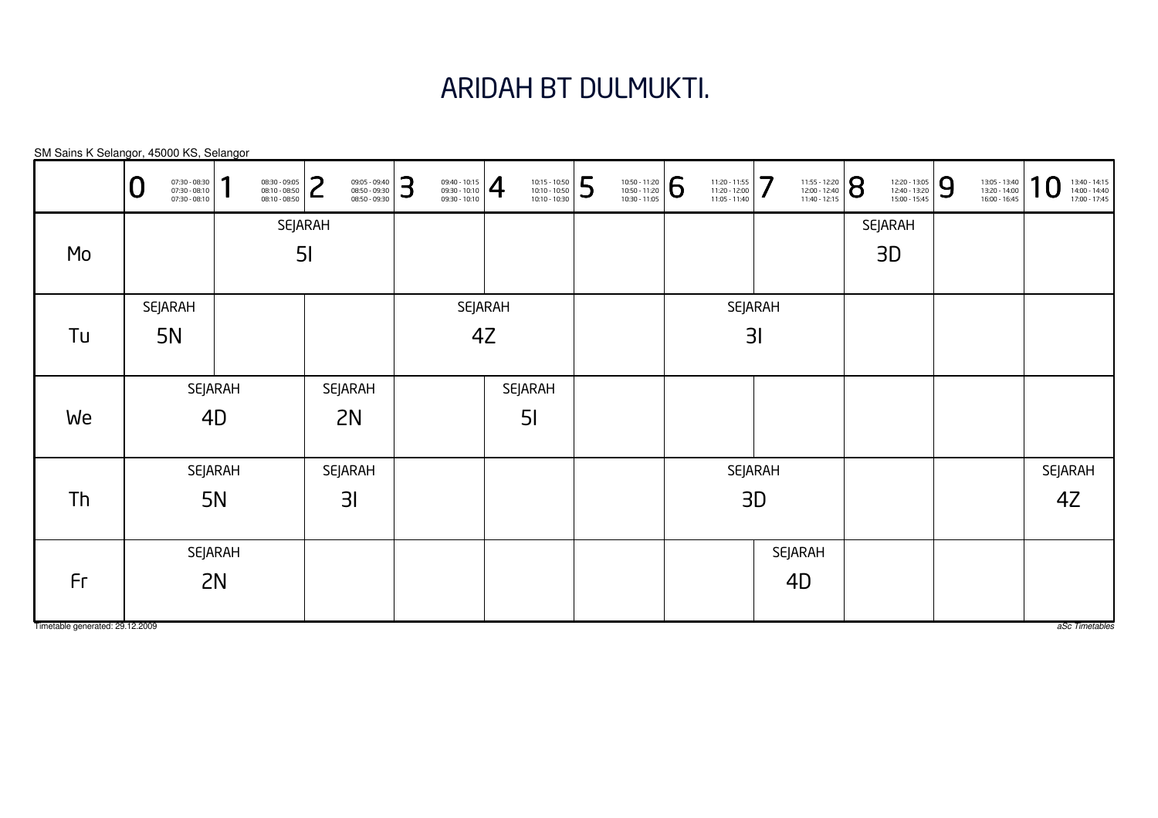# ARIDAH BT DULMUKTI.

SM Sains K Selangor, 45000 KS, Selangor

|                                 | 07:30 - 08:30<br>07:30 - 08:10<br>07:30 - 08:10<br>⊾ | 1<br>08:30 - 09:05<br>08:10 - 08:50<br>08:10 - 08:50 | っ<br>09:05 - 09:40<br>08:50 - 09:30<br>L<br>08:50 - 09:30 | 3<br>$\left. \begin{array}{r} 09:40 - 10:15 \\ 09:30 - 10:10 \\ 09:30 - 10:10 \end{array} \right  \bigoplus$ | 10:15 - 10:50<br>10:10 - 10:50<br>10:10 - 10:30 | 5<br>10:50 - 11:20<br>10:50 - 11:20<br>10:30 - 11:05 | 6<br>11:20 - 11:55<br>11:20 - 12:00<br>$11:05 - 11:40$ | 7<br>11:55 - 12:20<br>12:00 - 12:40<br>11:40 - 12:15 | 8<br>12:20 - 13:05<br>12:40 - 13:20<br>15:00 - 15:45 | 9<br>13:05 - 13:40<br>13:20 - 14:00<br>16:00 - 16:45 | 1<br>$\bf{0}$<br>13:40 - 14:15<br>14:00 - 14:40<br>17:00 - 17:45 |
|---------------------------------|------------------------------------------------------|------------------------------------------------------|-----------------------------------------------------------|--------------------------------------------------------------------------------------------------------------|-------------------------------------------------|------------------------------------------------------|--------------------------------------------------------|------------------------------------------------------|------------------------------------------------------|------------------------------------------------------|------------------------------------------------------------------|
|                                 |                                                      |                                                      | <b>SEJARAH</b>                                            |                                                                                                              |                                                 |                                                      |                                                        |                                                      | <b>SEJARAH</b>                                       |                                                      |                                                                  |
| Mo                              |                                                      |                                                      | 5 <sub>l</sub>                                            |                                                                                                              |                                                 |                                                      |                                                        |                                                      | 3D                                                   |                                                      |                                                                  |
|                                 |                                                      |                                                      |                                                           |                                                                                                              |                                                 |                                                      |                                                        |                                                      |                                                      |                                                      |                                                                  |
|                                 | SEJARAH                                              |                                                      |                                                           |                                                                                                              | SEJARAH                                         |                                                      |                                                        | SEJARAH                                              |                                                      |                                                      |                                                                  |
| Tu                              | <b>5N</b>                                            |                                                      |                                                           |                                                                                                              | 4Z                                              |                                                      |                                                        | 31                                                   |                                                      |                                                      |                                                                  |
|                                 |                                                      |                                                      |                                                           |                                                                                                              |                                                 |                                                      |                                                        |                                                      |                                                      |                                                      |                                                                  |
|                                 |                                                      | SEJARAH                                              | <b>SEJARAH</b>                                            |                                                                                                              | SEJARAH                                         |                                                      |                                                        |                                                      |                                                      |                                                      |                                                                  |
| We                              |                                                      | 4D                                                   | 2N                                                        |                                                                                                              | 5 <sub>l</sub>                                  |                                                      |                                                        |                                                      |                                                      |                                                      |                                                                  |
|                                 |                                                      |                                                      |                                                           |                                                                                                              |                                                 |                                                      |                                                        |                                                      |                                                      |                                                      |                                                                  |
|                                 |                                                      | <b>SEJARAH</b>                                       | <b>SEJARAH</b>                                            |                                                                                                              |                                                 |                                                      |                                                        | SEJARAH                                              |                                                      |                                                      | SEJARAH                                                          |
| Th                              |                                                      | <b>5N</b>                                            | 3 <sub>l</sub>                                            |                                                                                                              |                                                 |                                                      |                                                        | 3D                                                   |                                                      |                                                      | 4Z                                                               |
|                                 |                                                      |                                                      |                                                           |                                                                                                              |                                                 |                                                      |                                                        |                                                      |                                                      |                                                      |                                                                  |
|                                 |                                                      | <b>SEJARAH</b>                                       |                                                           |                                                                                                              |                                                 |                                                      |                                                        | SEJARAH                                              |                                                      |                                                      |                                                                  |
| Fr                              |                                                      | 2N                                                   |                                                           |                                                                                                              |                                                 |                                                      |                                                        | 4D                                                   |                                                      |                                                      |                                                                  |
|                                 |                                                      |                                                      |                                                           |                                                                                                              |                                                 |                                                      |                                                        |                                                      |                                                      |                                                      |                                                                  |
| Timetable generated: 29.12.2009 |                                                      |                                                      |                                                           |                                                                                                              |                                                 |                                                      |                                                        |                                                      |                                                      |                                                      | aSc Timetables                                                   |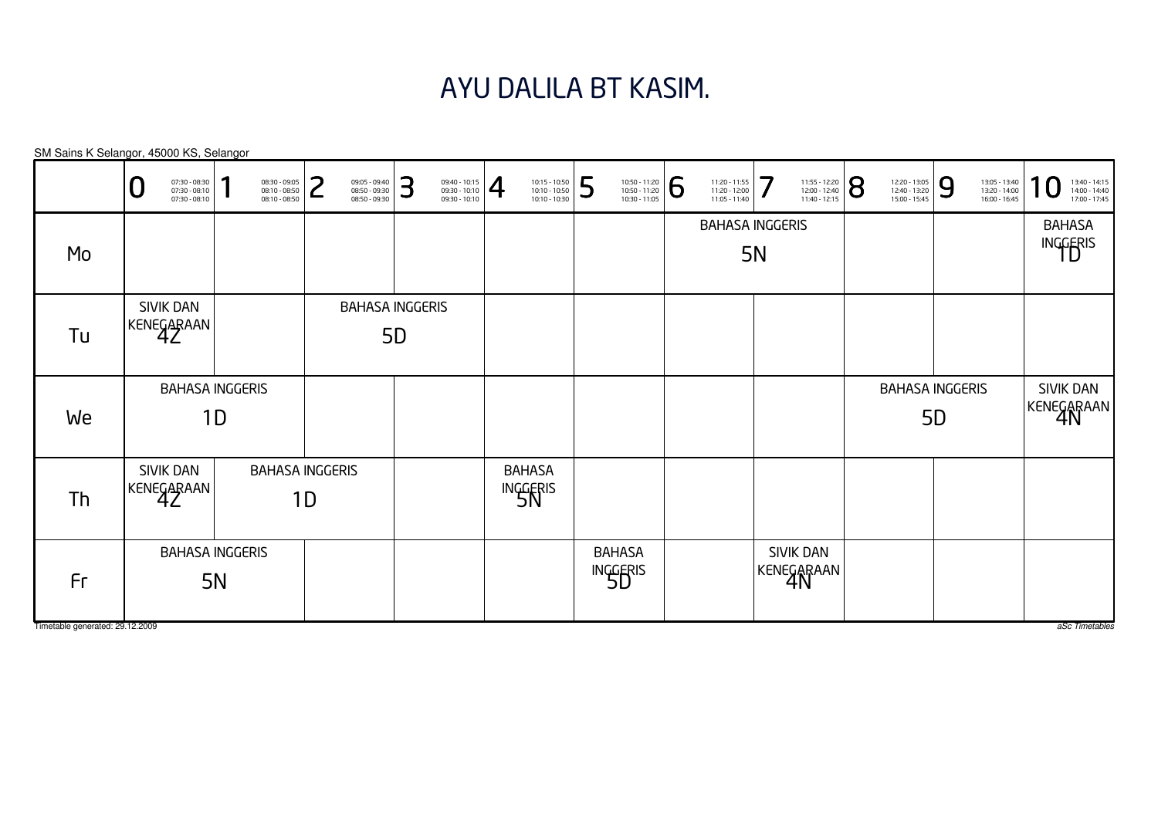# AYU DALILA BT KASIM.

|                                       | 07:30 - 08:30<br>07:30 - 08:10<br>U<br>$07:30 - 08:10$ | 08:30 - 09:05<br>08:10 - 08:50<br>08:10 - 08:50 | っ<br>┕                       | 09:05 - 09:40<br>08:50 - 09:30<br>08:50 - 09:30 | 3 | $\left. \begin{array}{l} 09:40 - 10:15 \\ 09:30 - 10:10 \\ 09:30 - 10:10 \end{array} \right  \begin{array}{c} \begin{array}{c} \begin{array}{c} \begin{array}{c} \end{array} \end{array} \end{array} \end{array}$ |                           | 10:15 - 10:50<br>10:10 - 10:50<br>10:10 - 10:30 | 5                         | 10:50 - 11:20<br>10:50 - 11:20<br>10:30 - 11:05 | 6 | 11:20 - 11:55<br>11:20 - 12:00<br>11:05 - 11:40 | 7                       | 11:55 - 12:20<br>12:00 - 12:40<br>11:40 - 12:15 | 8 | 12:20 - 13:05<br>12:40 - 13:20<br>15:00 - 15:45 | 9         | 13:05 - 13:40<br>13:20 - 14:00<br>16:00 - 16:45 | ×<br>13:40 - 14:15<br>14:00 - 14:40<br>17:00 - 17:45 |
|---------------------------------------|--------------------------------------------------------|-------------------------------------------------|------------------------------|-------------------------------------------------|---|-------------------------------------------------------------------------------------------------------------------------------------------------------------------------------------------------------------------|---------------------------|-------------------------------------------------|---------------------------|-------------------------------------------------|---|-------------------------------------------------|-------------------------|-------------------------------------------------|---|-------------------------------------------------|-----------|-------------------------------------------------|------------------------------------------------------|
| Mo                                    |                                                        |                                                 |                              |                                                 |   |                                                                                                                                                                                                                   |                           |                                                 |                           |                                                 |   | <b>BAHASA INGGERIS</b>                          | <b>5N</b>               |                                                 |   |                                                 |           |                                                 | <b>BAHASA</b><br>INGGERIS                            |
| Tu                                    | SIVIK DAN<br>KENEGARAAN                                |                                                 |                              | <b>BAHASA INGGERIS</b><br><b>5D</b>             |   |                                                                                                                                                                                                                   |                           |                                                 |                           |                                                 |   |                                                 |                         |                                                 |   |                                                 |           |                                                 |                                                      |
| We                                    | <b>BAHASA INGGERIS</b>                                 | 1D                                              |                              |                                                 |   |                                                                                                                                                                                                                   |                           |                                                 |                           |                                                 |   |                                                 |                         |                                                 |   | <b>BAHASA INGGERIS</b>                          | <b>5D</b> |                                                 | <b>SIVIK DAN</b><br>KENEGARAAN                       |
| Th                                    | SIVIK DAN<br>KENEGARAAN                                |                                                 | <b>BAHASA INGGERIS</b><br>1D |                                                 |   |                                                                                                                                                                                                                   | <b>BAHASA</b><br>INGGERIS |                                                 |                           |                                                 |   |                                                 |                         |                                                 |   |                                                 |           |                                                 |                                                      |
| Fr<br>Timetable generated: 29.12.2009 | <b>BAHASA INGGERIS</b>                                 | <b>5N</b>                                       |                              |                                                 |   |                                                                                                                                                                                                                   |                           |                                                 | <b>BAHASA</b><br>INGGERIS |                                                 |   |                                                 | SIVIK DAN<br>KENEGARAAN |                                                 |   |                                                 |           |                                                 | aSc Timetables                                       |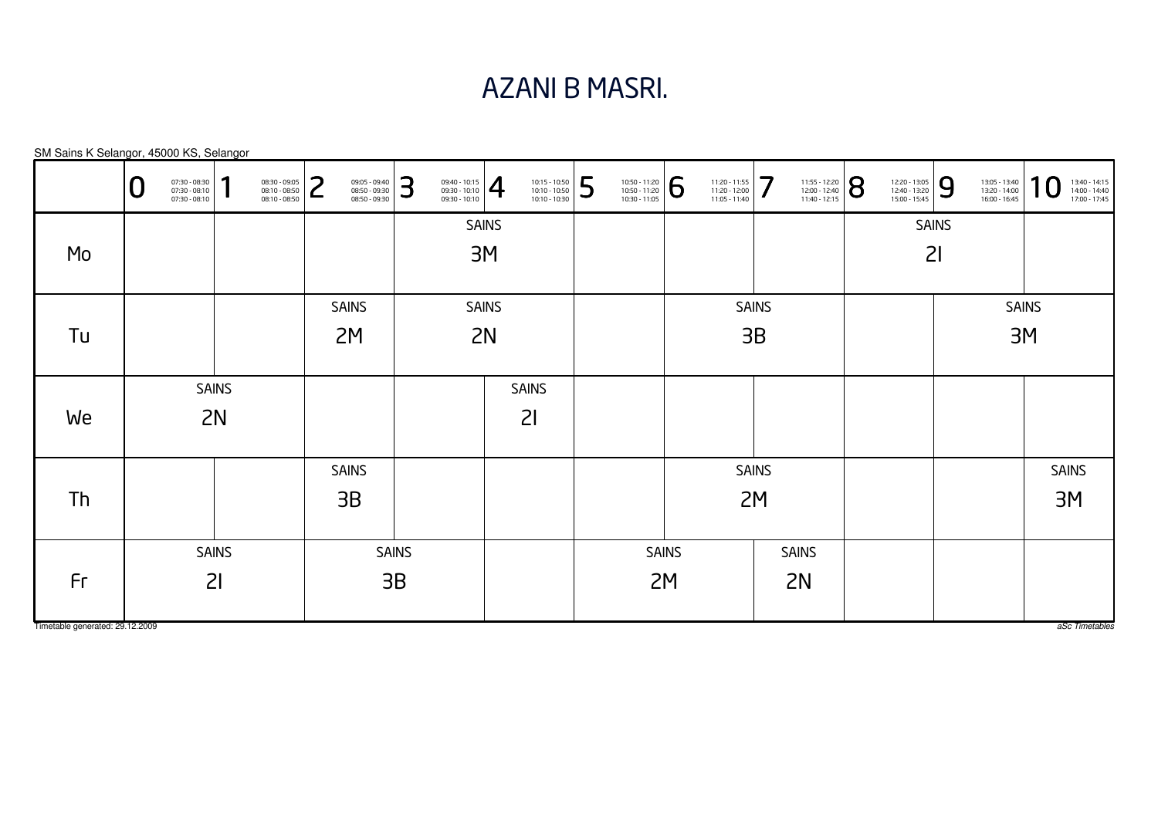## AZANI B MASRI.

| SM Sains K Selangor, 45000 KS, Selangor |   |                                                 |              |                                                 |                 |                                                 |              |                                                                                                                                                                                                                   |              |                                                 |   |                                                                                                                                  |              |                                                 |              |                                                                                                                  |                                                 |              |                                                 |                  |                                                 |
|-----------------------------------------|---|-------------------------------------------------|--------------|-------------------------------------------------|-----------------|-------------------------------------------------|--------------|-------------------------------------------------------------------------------------------------------------------------------------------------------------------------------------------------------------------|--------------|-------------------------------------------------|---|----------------------------------------------------------------------------------------------------------------------------------|--------------|-------------------------------------------------|--------------|------------------------------------------------------------------------------------------------------------------|-------------------------------------------------|--------------|-------------------------------------------------|------------------|-------------------------------------------------|
|                                         | U | 07:30 - 08:30<br>07:30 - 08:10<br>07:30 - 08:10 |              | 08:30 - 09:05<br>08:10 - 08:50<br>08:10 - 08:50 | っ<br>$\epsilon$ | 09:05 - 09:40<br>08:50 - 09:30<br>08:50 - 09:30 | 3            | $\left. \begin{array}{r} 09:40 - 10:15 \\ 09:30 - 10:10 \\ 09:30 - 10:10 \end{array} \right  \begin{array}{c} \begin{array}{c} \begin{array}{c} \begin{array}{c} \end{array} \end{array} \end{array} \end{array}$ |              | 10:15 - 10:50<br>10:10 - 10:50<br>10:10 - 10:30 | 5 | $\left. \begin{array}{r} \n 10:50 - 11:20 \\ 10:50 - 11:20 \\ 10:30 - 11:05 \n \end{array} \right  \, \, \widehat{\!\!\text{5}}$ |              | 11:20 - 11:55<br>11:20 - 12:00<br>11:05 - 11:40 | 7            | $\left. \begin{array}{l} \n 11:55 - 12:20 \\ 12:00 - 12:40 \\ 11:40 - 12:15\n \end{array} \right  \, \mathbf{S}$ | 12:20 - 13:05<br>12:40 - 13:20<br>15:00 - 15:45 | 9            | 13:05 - 13:40<br>13:20 - 14:00<br>16:00 - 16:45 | $\boldsymbol{0}$ | 13:40 - 14:15<br>14:00 - 14:40<br>17:00 - 17:45 |
|                                         |   |                                                 |              |                                                 |                 |                                                 |              |                                                                                                                                                                                                                   | <b>SAINS</b> |                                                 |   |                                                                                                                                  |              |                                                 |              |                                                                                                                  |                                                 | <b>SAINS</b> |                                                 |                  |                                                 |
| Mo                                      |   |                                                 |              |                                                 |                 |                                                 |              |                                                                                                                                                                                                                   | 3M           |                                                 |   |                                                                                                                                  |              |                                                 |              |                                                                                                                  |                                                 | 21           |                                                 |                  |                                                 |
|                                         |   |                                                 |              |                                                 |                 |                                                 |              |                                                                                                                                                                                                                   |              |                                                 |   |                                                                                                                                  |              |                                                 |              |                                                                                                                  |                                                 |              |                                                 |                  |                                                 |
|                                         |   |                                                 |              |                                                 |                 | <b>SAINS</b>                                    |              |                                                                                                                                                                                                                   | <b>SAINS</b> |                                                 |   |                                                                                                                                  |              |                                                 | <b>SAINS</b> |                                                                                                                  |                                                 |              |                                                 | <b>SAINS</b>     |                                                 |
| Tu                                      |   |                                                 |              |                                                 |                 | 2M                                              |              |                                                                                                                                                                                                                   | 2N           |                                                 |   |                                                                                                                                  |              |                                                 | 3B           |                                                                                                                  |                                                 |              |                                                 | 3M               |                                                 |
|                                         |   |                                                 |              |                                                 |                 |                                                 |              |                                                                                                                                                                                                                   |              |                                                 |   |                                                                                                                                  |              |                                                 |              |                                                                                                                  |                                                 |              |                                                 |                  |                                                 |
|                                         |   |                                                 | <b>SAINS</b> |                                                 |                 |                                                 |              |                                                                                                                                                                                                                   |              | <b>SAINS</b>                                    |   |                                                                                                                                  |              |                                                 |              |                                                                                                                  |                                                 |              |                                                 |                  |                                                 |
| We                                      |   |                                                 | 2N           |                                                 |                 |                                                 |              |                                                                                                                                                                                                                   |              | 21                                              |   |                                                                                                                                  |              |                                                 |              |                                                                                                                  |                                                 |              |                                                 |                  |                                                 |
|                                         |   |                                                 |              |                                                 |                 |                                                 |              |                                                                                                                                                                                                                   |              |                                                 |   |                                                                                                                                  |              |                                                 |              |                                                                                                                  |                                                 |              |                                                 |                  |                                                 |
|                                         |   |                                                 |              |                                                 |                 | <b>SAINS</b>                                    |              |                                                                                                                                                                                                                   |              |                                                 |   |                                                                                                                                  |              |                                                 | <b>SAINS</b> |                                                                                                                  |                                                 |              |                                                 |                  | <b>SAINS</b>                                    |
| <b>Th</b>                               |   |                                                 |              |                                                 |                 | 3B                                              |              |                                                                                                                                                                                                                   |              |                                                 |   |                                                                                                                                  |              |                                                 | 2M           |                                                                                                                  |                                                 |              |                                                 |                  | 3M                                              |
|                                         |   |                                                 |              |                                                 |                 |                                                 |              |                                                                                                                                                                                                                   |              |                                                 |   |                                                                                                                                  |              |                                                 |              |                                                                                                                  |                                                 |              |                                                 |                  |                                                 |
|                                         |   |                                                 | <b>SAINS</b> |                                                 |                 |                                                 | <b>SAINS</b> |                                                                                                                                                                                                                   |              |                                                 |   |                                                                                                                                  | <b>SAINS</b> |                                                 |              | <b>SAINS</b>                                                                                                     |                                                 |              |                                                 |                  |                                                 |
| Fr                                      |   |                                                 | 21           |                                                 |                 |                                                 | 3B           |                                                                                                                                                                                                                   |              |                                                 |   |                                                                                                                                  | 2M           |                                                 |              | 2N                                                                                                               |                                                 |              |                                                 |                  |                                                 |
|                                         |   |                                                 |              |                                                 |                 |                                                 |              |                                                                                                                                                                                                                   |              |                                                 |   |                                                                                                                                  |              |                                                 |              |                                                                                                                  |                                                 |              |                                                 |                  |                                                 |
| Timetable generated: 29.12.2009         |   |                                                 |              |                                                 |                 |                                                 |              |                                                                                                                                                                                                                   |              |                                                 |   |                                                                                                                                  |              |                                                 |              |                                                                                                                  |                                                 |              |                                                 |                  | aSc Timetables                                  |

 $\overline{S}$ M Sains K Selangor, 45000 KS, Sel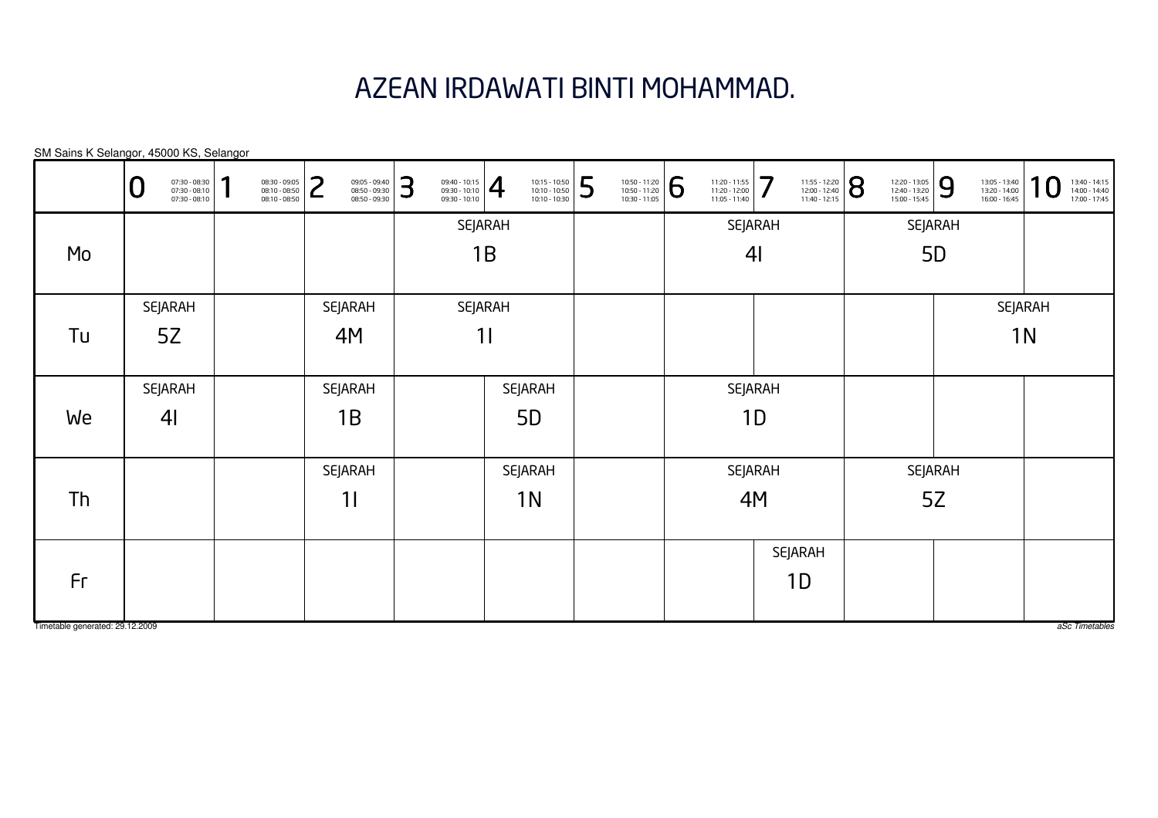# AZEAN IRDAWATI BINTI MOHAMMAD.

| SM Sains K Selangor, 45000 KS, Selangor |                                                      |   |                                                 |        |                                                 |   |                                                                                                                                                                          |         |                                                                                                                        |   |                                                                                                                                        |                                                 |                |                                                                                                               |                                                 |                |                                                 |                |                                                 |
|-----------------------------------------|------------------------------------------------------|---|-------------------------------------------------|--------|-------------------------------------------------|---|--------------------------------------------------------------------------------------------------------------------------------------------------------------------------|---------|------------------------------------------------------------------------------------------------------------------------|---|----------------------------------------------------------------------------------------------------------------------------------------|-------------------------------------------------|----------------|---------------------------------------------------------------------------------------------------------------|-------------------------------------------------|----------------|-------------------------------------------------|----------------|-------------------------------------------------|
|                                         | 07:30 - 08:30<br>07:30 - 08:10<br>07:30 - 08:10<br>O | 1 | 08:30 - 09:05<br>08:10 - 08:50<br>08:10 - 08:50 | っ<br>L | 09:05 - 09:40<br>08:50 - 09:30<br>08:50 - 09:30 | 3 | $\left\{\n \begin{array}{c}\n 09:40 - 10:15 \\ 09:30 - 10:10 \\ 09:30 - 10:10\n \end{array}\n \right \n \begin{array}{c}\n \begin{array}{c}\n \end{array}\n \end{array}$ |         | $\begin{array}{ l l l } \hline 10:15 & -10:50 \\ \hline 10:10 & -10:50 \\ \hline 10:10 & -10:30 \\ \hline \end{array}$ | 5 | $\left. \begin{array}{l} \n 10:50 - 11:20 \\ 10:50 - 11:20 \\ 10:30 - 11:05 \n \end{array} \right  \, \, \widehat{\hfill{\textbf{5}}}$ | 11:20 - 11:55<br>11:20 - 12:00<br>11:05 - 11:40 | 7              | $\left. \begin{array}{l} \n 11:55 - 12:20 \\ 12:00 - 12:40 \\ 11:40 - 12:15\n \end{array} \right  \bigotimes$ | 12:20 - 13:05<br>12:40 - 13:20<br>15:00 - 15:45 | $\overline{9}$ | 13:05 - 13:40<br>13:20 - 14:00<br>16:00 - 16:45 | 10             | 13:40 - 14:15<br>14:00 - 14:40<br>17:00 - 17:45 |
|                                         |                                                      |   |                                                 |        |                                                 |   |                                                                                                                                                                          | SEJARAH |                                                                                                                        |   |                                                                                                                                        | SEJARAH                                         |                |                                                                                                               |                                                 | <b>SEJARAH</b> |                                                 |                |                                                 |
| Mo                                      |                                                      |   |                                                 |        |                                                 |   |                                                                                                                                                                          | 1B      |                                                                                                                        |   |                                                                                                                                        |                                                 | 4 <sub>l</sub> |                                                                                                               |                                                 | 5 <sub>D</sub> |                                                 |                |                                                 |
|                                         |                                                      |   |                                                 |        |                                                 |   |                                                                                                                                                                          |         |                                                                                                                        |   |                                                                                                                                        |                                                 |                |                                                                                                               |                                                 |                |                                                 |                |                                                 |
|                                         | <b>SEJARAH</b>                                       |   |                                                 |        | <b>SEJARAH</b>                                  |   |                                                                                                                                                                          | SEJARAH |                                                                                                                        |   |                                                                                                                                        |                                                 |                |                                                                                                               |                                                 |                |                                                 | SEJARAH        |                                                 |
| Tu                                      | 5Z                                                   |   |                                                 |        | 4M                                              |   |                                                                                                                                                                          | 11      |                                                                                                                        |   |                                                                                                                                        |                                                 |                |                                                                                                               |                                                 |                |                                                 | 1 <sub>N</sub> |                                                 |
|                                         | <b>SEJARAH</b>                                       |   |                                                 |        | <b>SEJARAH</b>                                  |   |                                                                                                                                                                          |         | <b>SEJARAH</b>                                                                                                         |   |                                                                                                                                        | <b>SEJARAH</b>                                  |                |                                                                                                               |                                                 |                |                                                 |                |                                                 |
| We                                      | 4 <sub>l</sub>                                       |   |                                                 |        | 1B                                              |   |                                                                                                                                                                          |         | 5D                                                                                                                     |   |                                                                                                                                        |                                                 | 1D             |                                                                                                               |                                                 |                |                                                 |                |                                                 |
|                                         |                                                      |   |                                                 |        | <b>SEJARAH</b>                                  |   |                                                                                                                                                                          |         | <b>SEJARAH</b>                                                                                                         |   |                                                                                                                                        | <b>SEJARAH</b>                                  |                |                                                                                                               |                                                 | <b>SEJARAH</b> |                                                 |                |                                                 |
| Th                                      |                                                      |   |                                                 |        | 11                                              |   |                                                                                                                                                                          |         | 1 <sub>N</sub>                                                                                                         |   |                                                                                                                                        |                                                 | 4M             |                                                                                                               |                                                 | 5Z             |                                                 |                |                                                 |
|                                         |                                                      |   |                                                 |        |                                                 |   |                                                                                                                                                                          |         |                                                                                                                        |   |                                                                                                                                        |                                                 |                | SEJARAH                                                                                                       |                                                 |                |                                                 |                |                                                 |
| Fr                                      |                                                      |   |                                                 |        |                                                 |   |                                                                                                                                                                          |         |                                                                                                                        |   |                                                                                                                                        |                                                 |                | 1D                                                                                                            |                                                 |                |                                                 |                |                                                 |
|                                         |                                                      |   |                                                 |        |                                                 |   |                                                                                                                                                                          |         |                                                                                                                        |   |                                                                                                                                        |                                                 |                |                                                                                                               |                                                 |                |                                                 |                |                                                 |

Timetable generated: 29.12.2009

aSc Timetables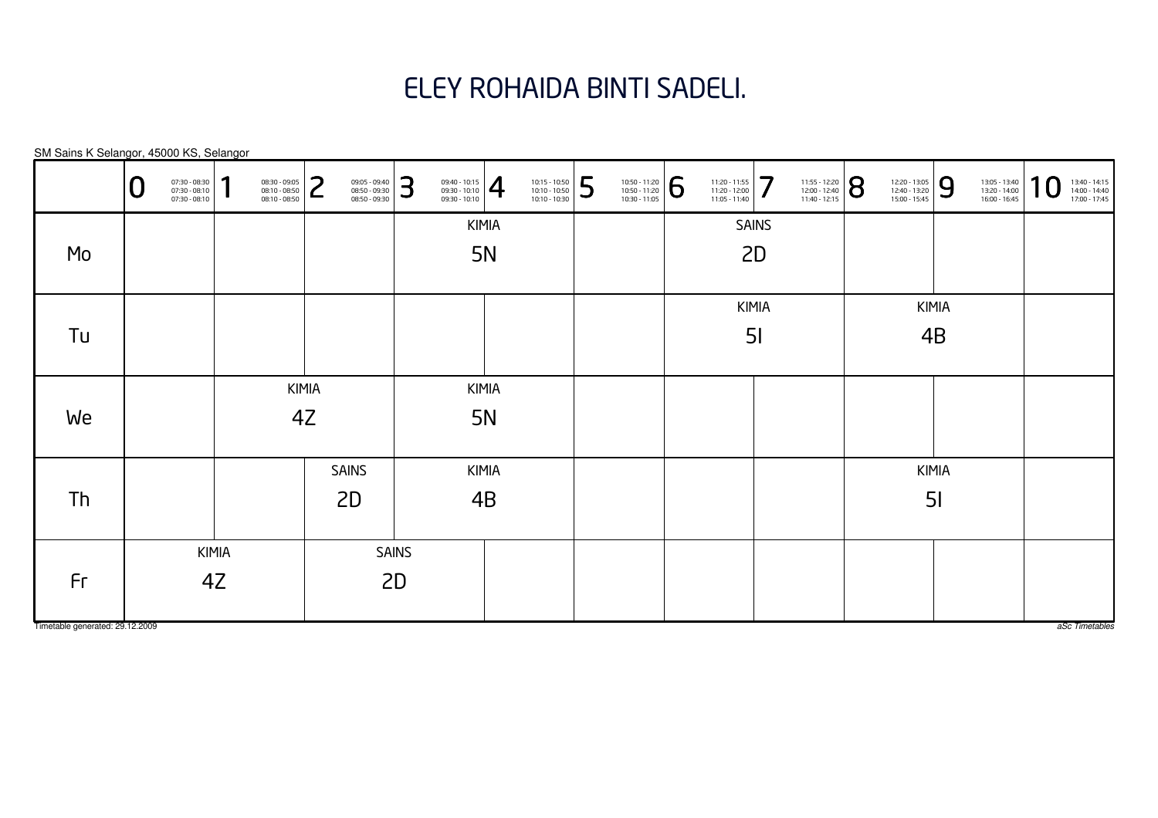# ELEY ROHAIDA BINTI SADELI.

|                                 | U | 07:30 - 08:30<br>07:30 - 08:10<br>07:30 - 08:10 | 1            | 08:30 - 09:05<br>08:10 - 08:50<br>08:10 - 08:50 | っ<br>L | 09:05 - 09:40<br>08:50 - 09:30<br>08:50 - 09:30 | 3            | $\left. \begin{array}{r} 09:40 - 10:15 \\ 09:30 - 10:10 \\ 09:30 - 10:10 \end{array} \right  \normalsize \rule{0.2cm}{0.2cm} \rule{2.2cm}{0.2cm}$ |           | 10:15 - 10:50<br>10:10 - 10:50<br>10:10 - 10:30 | 5 | $\begin{array}{ l l } \hline 10:50 & -11:20 \\ \hline 10:50 & -11:20 \\ \hline 10:30 & -11:05 \\ \hline \end{array}$ | 6 | 11:20 - 11:55<br>11:20 - 12:00<br>11:05 - 11:40 | 7              | 11:55 - 12:20<br>12:00 - 12:40<br>11:40 - 12:15 | 8 | 12:20 - 13:05<br>12:40 - 13:20<br>15:00 - 15:45 | 9              | 13:05 - 13:40<br>13:20 - 14:00<br>16:00 - 16:45 | 1<br>$\boldsymbol{0}$ | 13:40 - 14:15<br>14:00 - 14:40<br>17:00 - 17:45 |
|---------------------------------|---|-------------------------------------------------|--------------|-------------------------------------------------|--------|-------------------------------------------------|--------------|---------------------------------------------------------------------------------------------------------------------------------------------------|-----------|-------------------------------------------------|---|----------------------------------------------------------------------------------------------------------------------|---|-------------------------------------------------|----------------|-------------------------------------------------|---|-------------------------------------------------|----------------|-------------------------------------------------|-----------------------|-------------------------------------------------|
|                                 |   |                                                 |              |                                                 |        |                                                 |              |                                                                                                                                                   | KIMIA     |                                                 |   |                                                                                                                      |   |                                                 | <b>SAINS</b>   |                                                 |   |                                                 |                |                                                 |                       |                                                 |
| Mo                              |   |                                                 |              |                                                 |        |                                                 |              |                                                                                                                                                   | <b>5N</b> |                                                 |   |                                                                                                                      |   |                                                 | 2D             |                                                 |   |                                                 |                |                                                 |                       |                                                 |
|                                 |   |                                                 |              |                                                 |        |                                                 |              |                                                                                                                                                   |           |                                                 |   |                                                                                                                      |   |                                                 |                |                                                 |   |                                                 |                |                                                 |                       |                                                 |
|                                 |   |                                                 |              |                                                 |        |                                                 |              |                                                                                                                                                   |           |                                                 |   |                                                                                                                      |   |                                                 | KIMIA          |                                                 |   |                                                 | KIMIA          |                                                 |                       |                                                 |
| Tu                              |   |                                                 |              |                                                 |        |                                                 |              |                                                                                                                                                   |           |                                                 |   |                                                                                                                      |   |                                                 | 5 <sub>l</sub> |                                                 |   |                                                 | 4 <sub>B</sub> |                                                 |                       |                                                 |
|                                 |   |                                                 |              |                                                 |        |                                                 |              |                                                                                                                                                   |           |                                                 |   |                                                                                                                      |   |                                                 |                |                                                 |   |                                                 |                |                                                 |                       |                                                 |
|                                 |   |                                                 |              |                                                 | KIMIA  |                                                 |              |                                                                                                                                                   | KIMIA     |                                                 |   |                                                                                                                      |   |                                                 |                |                                                 |   |                                                 |                |                                                 |                       |                                                 |
| We                              |   |                                                 |              |                                                 | 4Z     |                                                 |              |                                                                                                                                                   | <b>5N</b> |                                                 |   |                                                                                                                      |   |                                                 |                |                                                 |   |                                                 |                |                                                 |                       |                                                 |
|                                 |   |                                                 |              |                                                 |        |                                                 |              |                                                                                                                                                   |           |                                                 |   |                                                                                                                      |   |                                                 |                |                                                 |   |                                                 |                |                                                 |                       |                                                 |
|                                 |   |                                                 |              |                                                 |        | <b>SAINS</b>                                    |              |                                                                                                                                                   | KIMIA     |                                                 |   |                                                                                                                      |   |                                                 |                |                                                 |   |                                                 | KIMIA          |                                                 |                       |                                                 |
| <b>Th</b>                       |   |                                                 |              |                                                 |        | 2D                                              |              |                                                                                                                                                   | 4B        |                                                 |   |                                                                                                                      |   |                                                 |                |                                                 |   |                                                 | 5 <sub>l</sub> |                                                 |                       |                                                 |
|                                 |   |                                                 |              |                                                 |        |                                                 |              |                                                                                                                                                   |           |                                                 |   |                                                                                                                      |   |                                                 |                |                                                 |   |                                                 |                |                                                 |                       |                                                 |
|                                 |   |                                                 | <b>KIMIA</b> |                                                 |        |                                                 | <b>SAINS</b> |                                                                                                                                                   |           |                                                 |   |                                                                                                                      |   |                                                 |                |                                                 |   |                                                 |                |                                                 |                       |                                                 |
| Fr                              |   |                                                 | 4Z           |                                                 |        |                                                 | 2D           |                                                                                                                                                   |           |                                                 |   |                                                                                                                      |   |                                                 |                |                                                 |   |                                                 |                |                                                 |                       |                                                 |
|                                 |   |                                                 |              |                                                 |        |                                                 |              |                                                                                                                                                   |           |                                                 |   |                                                                                                                      |   |                                                 |                |                                                 |   |                                                 |                |                                                 |                       |                                                 |
| Timetable generated: 29.12.2009 |   |                                                 |              |                                                 |        |                                                 |              |                                                                                                                                                   |           |                                                 |   |                                                                                                                      |   |                                                 |                |                                                 |   |                                                 |                |                                                 |                       | aSc Timetables                                  |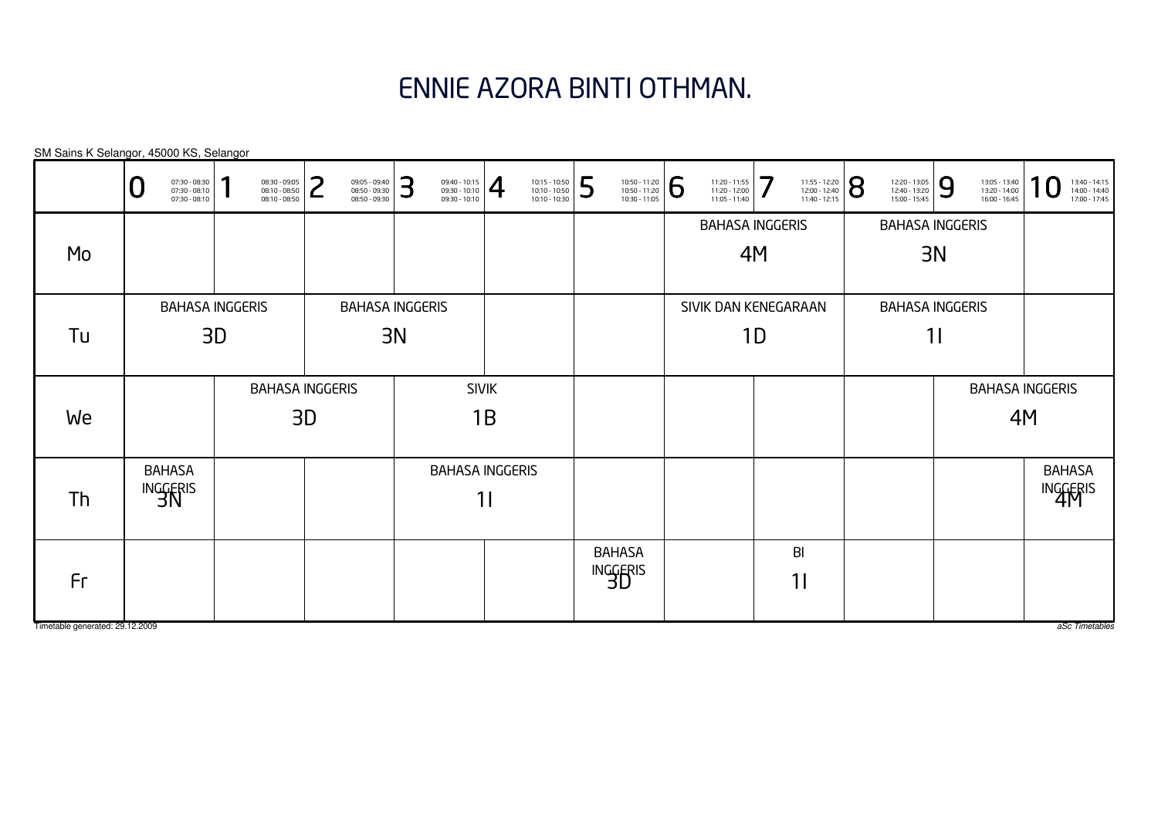# ENNIE AZORA BINTI OTHMAN.

SM Sains K Selangor, 45000 KS, Selangor

|                                 | 07:30 - 08:30<br>07:30 - 08:10<br>07:30 - 08:10 | ٠<br>08:30 - 09:05<br>08:10 - 08:50<br>08:10 - 08:50 | ົ<br>09:05 - 09:40<br>08:50 - 09:30<br>┕<br>08:50 - 09:30 | 3<br>$\frac{09:40 - 10:15}{09:30 - 10:10}$ | 10:15 - 10:50<br>10:10 - 10:50<br>10:10 - 10:30 | 5<br>10:50 - 11:20<br>10:50 - 11:20<br>10:30 - 11:05 | 6<br>11:20 - 11:55<br>11:20 - 12:00<br>11:05 - 11:40 | 7<br>11:55 - 12:20<br>12:00 - 12:40<br>11:40 - 12:15 | 8<br>12:20 - 13:05<br>12:40 - 13:20<br>15:00 - 15:45 | 9<br>13:05 - 13:40<br>13:20 - 14:00<br>16:00 - 16:45 | 1<br>13:40 - 14:15<br>14:00 - 14:40<br>17:00 - 17:45 |
|---------------------------------|-------------------------------------------------|------------------------------------------------------|-----------------------------------------------------------|--------------------------------------------|-------------------------------------------------|------------------------------------------------------|------------------------------------------------------|------------------------------------------------------|------------------------------------------------------|------------------------------------------------------|------------------------------------------------------|
|                                 |                                                 |                                                      |                                                           |                                            |                                                 |                                                      |                                                      | <b>BAHASA INGGERIS</b>                               |                                                      | <b>BAHASA INGGERIS</b>                               |                                                      |
| Mo                              |                                                 |                                                      |                                                           |                                            |                                                 |                                                      |                                                      | 4M                                                   |                                                      | 3N                                                   |                                                      |
|                                 |                                                 |                                                      |                                                           |                                            |                                                 |                                                      |                                                      |                                                      |                                                      |                                                      |                                                      |
|                                 |                                                 | <b>BAHASA INGGERIS</b>                               |                                                           | <b>BAHASA INGGERIS</b>                     |                                                 |                                                      |                                                      | SIVIK DAN KENEGARAAN                                 |                                                      | <b>BAHASA INGGERIS</b>                               |                                                      |
| Tu                              |                                                 | 3D                                                   |                                                           | 3N                                         |                                                 |                                                      |                                                      | 1D                                                   |                                                      | 11                                                   |                                                      |
|                                 |                                                 |                                                      |                                                           |                                            |                                                 |                                                      |                                                      |                                                      |                                                      |                                                      |                                                      |
|                                 |                                                 |                                                      | <b>BAHASA INGGERIS</b>                                    |                                            | <b>SIVIK</b>                                    |                                                      |                                                      |                                                      |                                                      |                                                      | <b>BAHASA INGGERIS</b>                               |
| We                              |                                                 |                                                      | 3D                                                        |                                            | 1B                                              |                                                      |                                                      |                                                      |                                                      |                                                      | 4M                                                   |
|                                 |                                                 |                                                      |                                                           |                                            |                                                 |                                                      |                                                      |                                                      |                                                      |                                                      |                                                      |
|                                 | <b>BAHASA</b>                                   |                                                      |                                                           |                                            | <b>BAHASA INGGERIS</b>                          |                                                      |                                                      |                                                      |                                                      |                                                      | <b>BAHASA</b>                                        |
| Th                              | INGGERIS                                        |                                                      |                                                           |                                            | 11                                              |                                                      |                                                      |                                                      |                                                      |                                                      | INGGERIS                                             |
|                                 |                                                 |                                                      |                                                           |                                            |                                                 |                                                      |                                                      |                                                      |                                                      |                                                      |                                                      |
|                                 |                                                 |                                                      |                                                           |                                            |                                                 | <b>BAHASA</b>                                        |                                                      | BI                                                   |                                                      |                                                      |                                                      |
| Fr                              |                                                 |                                                      |                                                           |                                            |                                                 | INGGERIS                                             |                                                      | 11                                                   |                                                      |                                                      |                                                      |
|                                 |                                                 |                                                      |                                                           |                                            |                                                 |                                                      |                                                      |                                                      |                                                      |                                                      |                                                      |
| Timetable generated: 29.12.2009 |                                                 |                                                      |                                                           |                                            |                                                 |                                                      |                                                      |                                                      |                                                      |                                                      | aSc Timetables                                       |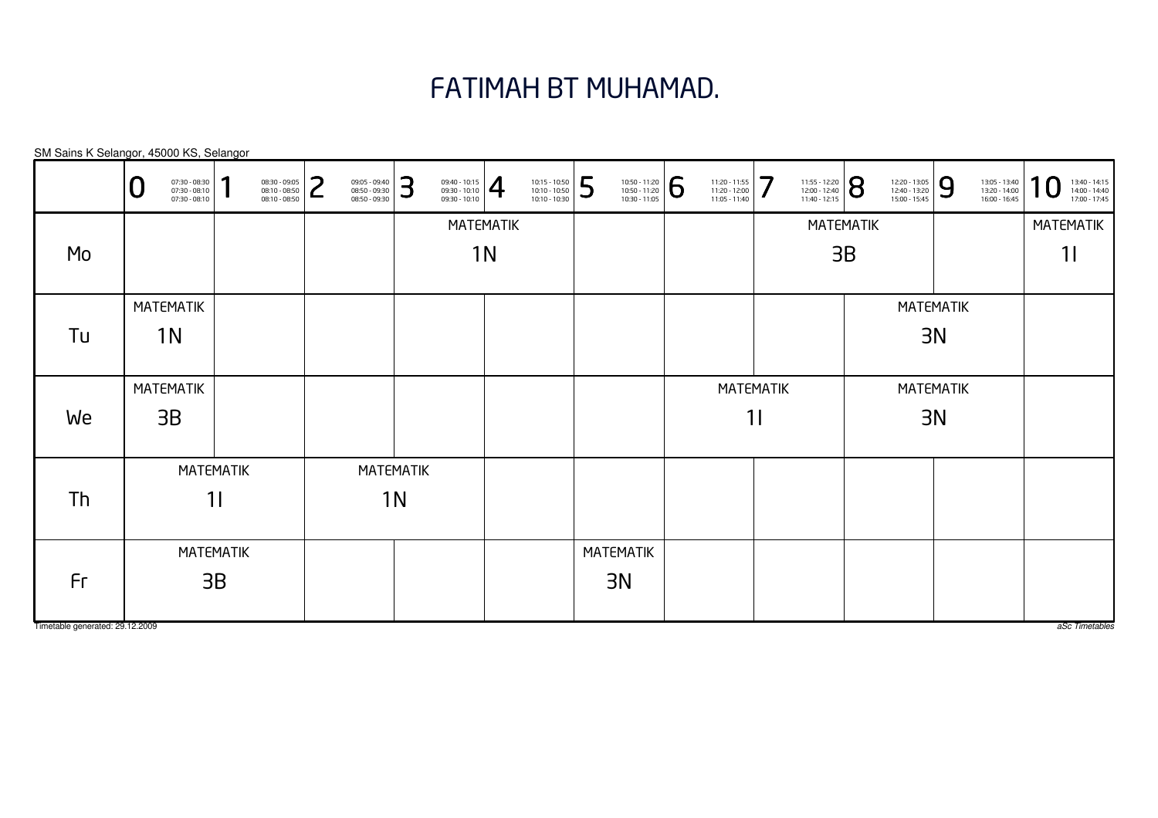#### FATIMAH BT MUHAMAD.

MATEMATIK1IMATEMATIK1IMATEMATIK1IMATEMATIK1NMATEMATIK1NMATEMATIK1NMATEMATIK3BMATEMATIK3BMATEMATIK3NMATEMATIK3NMATEMATIK3NMATEMATIK3BSM Sains K Selangor, 45000 KS, SelangorTimetable generated: 29.12.20090 $\textbf{0} \xrightarrow{\textbf{07:30-08:10}} {\textbf{07:30-08:10}} \xrightarrow{\textbf{08:30-09:30}} {\textbf{08:10-08:50}} \xrightarrow{\textbf{08:30-09:30}} {\textbf{08:50-09:30}} \xrightarrow{\textbf{08:50-09:30}} {\textbf{08:50-09:30}} \xrightarrow{\textbf{08:50-09:30}} {\textbf{08:50-09:30}} \xrightarrow{\textbf{08:50-09:30}} {\textbf{08:50-09:30}} \xrightarrow{\$ MoTuWeThFr

aSc Timetables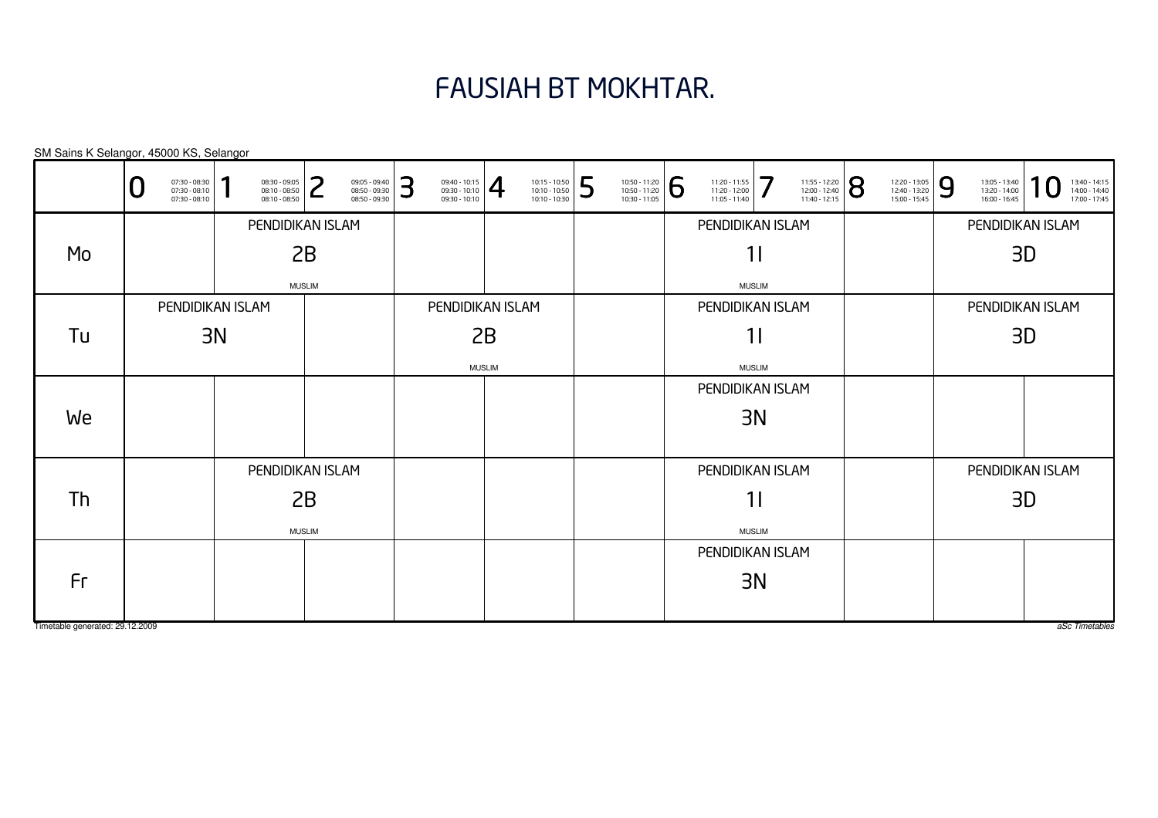# FAUSIAH BT MOKHTAR.

| SM Sains K Selangor, 45000 KS, Selangor |   |                                                 |    |                                                 |               |                                                 |   |                                       |               |                                                 |   |                                                                                                                      |                                                                                                                 |               |                                                                                                               |                                                 |   |                                                 |    |                                                 |
|-----------------------------------------|---|-------------------------------------------------|----|-------------------------------------------------|---------------|-------------------------------------------------|---|---------------------------------------|---------------|-------------------------------------------------|---|----------------------------------------------------------------------------------------------------------------------|-----------------------------------------------------------------------------------------------------------------|---------------|---------------------------------------------------------------------------------------------------------------|-------------------------------------------------|---|-------------------------------------------------|----|-------------------------------------------------|
|                                         | U | 07:30 - 08:30<br>07:30 - 08:10<br>07:30 - 08:10 |    | 08:30 - 09:05<br>08:10 - 08:50<br>08:10 - 08:50 | つ<br>L        | 09:05 - 09:40<br>08:50 - 09:30<br>08:50 - 09:30 | 3 | $\frac{09:40 - 10:15}{09:30 - 10:10}$ |               | 10:15 - 10:50<br>10:10 - 10:50<br>10:10 - 10:30 | 5 | $\left. \begin{array}{r} 10:50 - 11:20 \\ 10:50 - 11:20 \\ 10:30 - 11:05 \end{array} \right  \, \widehat{\bigoplus}$ | $\left. \begin{array}{r} 11:20 - 11:55 \\ 11:20 - 12:00 \\ 11:05 - 11:40 \end{array} \right  \text{ } \right\}$ |               | $\left. \begin{array}{l} \n 11:55 - 12:20 \\ 12:00 - 12:40 \\ 11:40 - 12:15\n \end{array} \right  \bigotimes$ | 12:20 - 13:05<br>12:40 - 13:20<br>15:00 - 15:45 | 9 | 13:05 - 13:40<br>13:20 - 14:00<br>16:00 - 16:45 |    | 13:40 - 14:15<br>14:00 - 14:40<br>17:00 - 17:45 |
|                                         |   |                                                 |    | PENDIDIKAN ISLAM                                |               |                                                 |   |                                       |               |                                                 |   |                                                                                                                      | PENDIDIKAN ISLAM                                                                                                |               |                                                                                                               |                                                 |   | PENDIDIKAN ISLAM                                |    |                                                 |
| Mo                                      |   |                                                 |    |                                                 | 2B            |                                                 |   |                                       |               |                                                 |   |                                                                                                                      |                                                                                                                 | 11            |                                                                                                               |                                                 |   |                                                 | 3D |                                                 |
|                                         |   |                                                 |    |                                                 | <b>MUSLIM</b> |                                                 |   |                                       |               |                                                 |   |                                                                                                                      |                                                                                                                 | <b>MUSLIM</b> |                                                                                                               |                                                 |   |                                                 |    |                                                 |
|                                         |   | PENDIDIKAN ISLAM                                |    |                                                 |               |                                                 |   | PENDIDIKAN ISLAM                      |               |                                                 |   |                                                                                                                      | PENDIDIKAN ISLAM                                                                                                |               |                                                                                                               |                                                 |   | PENDIDIKAN ISLAM                                |    |                                                 |
| Tu                                      |   |                                                 | 3N |                                                 |               |                                                 |   |                                       | 2B            |                                                 |   |                                                                                                                      |                                                                                                                 | 11            |                                                                                                               |                                                 |   |                                                 | 3D |                                                 |
|                                         |   |                                                 |    |                                                 |               |                                                 |   |                                       | <b>MUSLIM</b> |                                                 |   |                                                                                                                      |                                                                                                                 | <b>MUSLIM</b> |                                                                                                               |                                                 |   |                                                 |    |                                                 |
|                                         |   |                                                 |    |                                                 |               |                                                 |   |                                       |               |                                                 |   |                                                                                                                      | PENDIDIKAN ISLAM                                                                                                |               |                                                                                                               |                                                 |   |                                                 |    |                                                 |
| We                                      |   |                                                 |    |                                                 |               |                                                 |   |                                       |               |                                                 |   |                                                                                                                      |                                                                                                                 | 3N            |                                                                                                               |                                                 |   |                                                 |    |                                                 |
|                                         |   |                                                 |    |                                                 |               |                                                 |   |                                       |               |                                                 |   |                                                                                                                      |                                                                                                                 |               |                                                                                                               |                                                 |   |                                                 |    |                                                 |
|                                         |   |                                                 |    | PENDIDIKAN ISLAM                                |               |                                                 |   |                                       |               |                                                 |   |                                                                                                                      | PENDIDIKAN ISLAM                                                                                                |               |                                                                                                               |                                                 |   | PENDIDIKAN ISLAM                                |    |                                                 |
| Th                                      |   |                                                 |    |                                                 | 2B            |                                                 |   |                                       |               |                                                 |   |                                                                                                                      |                                                                                                                 | 11            |                                                                                                               |                                                 |   |                                                 | 3D |                                                 |
|                                         |   |                                                 |    |                                                 | <b>MUSLIM</b> |                                                 |   |                                       |               |                                                 |   |                                                                                                                      |                                                                                                                 | <b>MUSLIM</b> |                                                                                                               |                                                 |   |                                                 |    |                                                 |
|                                         |   |                                                 |    |                                                 |               |                                                 |   |                                       |               |                                                 |   |                                                                                                                      | PENDIDIKAN ISLAM                                                                                                |               |                                                                                                               |                                                 |   |                                                 |    |                                                 |
| Fr                                      |   |                                                 |    |                                                 |               |                                                 |   |                                       |               |                                                 |   |                                                                                                                      |                                                                                                                 | 3N            |                                                                                                               |                                                 |   |                                                 |    |                                                 |
|                                         |   |                                                 |    |                                                 |               |                                                 |   |                                       |               |                                                 |   |                                                                                                                      |                                                                                                                 |               |                                                                                                               |                                                 |   |                                                 |    |                                                 |
| Timetable generated: 29.12.2009         |   |                                                 |    |                                                 |               |                                                 |   |                                       |               |                                                 |   |                                                                                                                      |                                                                                                                 |               |                                                                                                               |                                                 |   |                                                 |    | aSc Timetables                                  |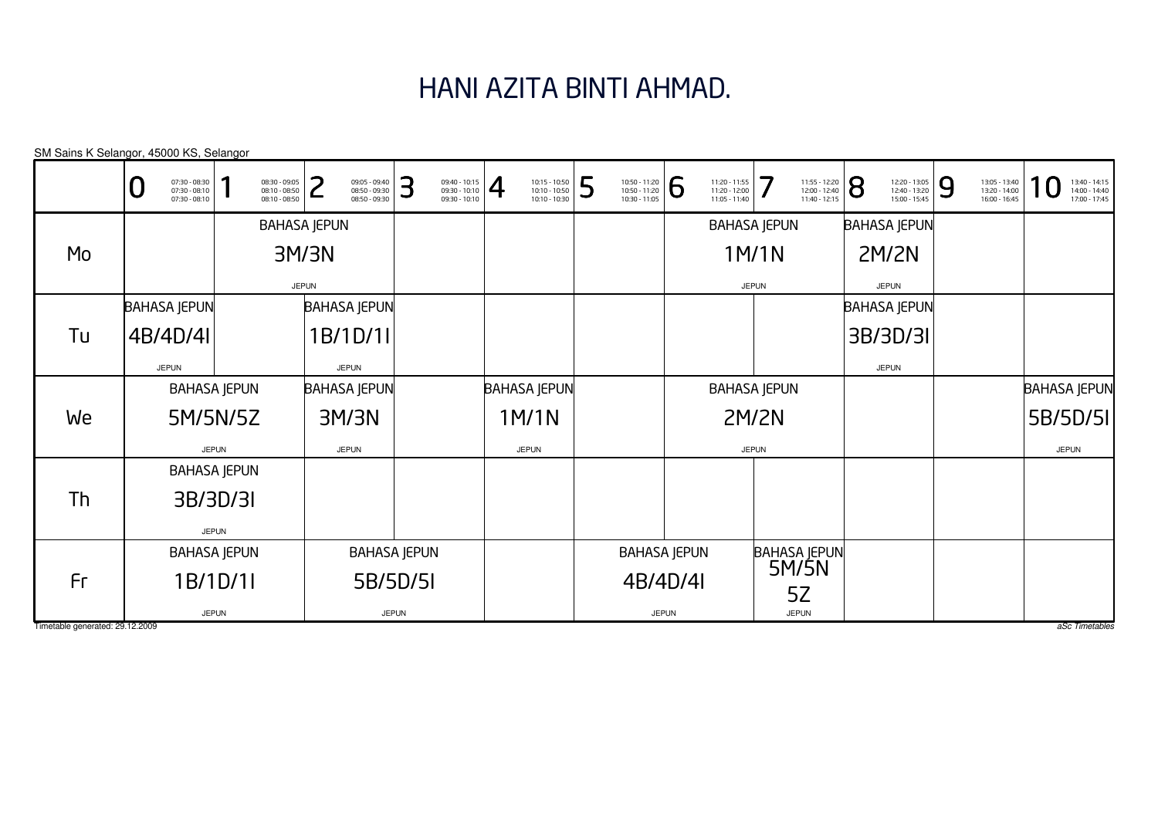# HANI AZITA BINTI AHMAD.

|                                 | SM Sains K Selangor, 45000 KS, Selangor              |                                                 |                                                      |                                                      |                                                                   |   |                                                 |              |                                                 |              |                                                 |                |                                                 |   |                                                 |                                                 |
|---------------------------------|------------------------------------------------------|-------------------------------------------------|------------------------------------------------------|------------------------------------------------------|-------------------------------------------------------------------|---|-------------------------------------------------|--------------|-------------------------------------------------|--------------|-------------------------------------------------|----------------|-------------------------------------------------|---|-------------------------------------------------|-------------------------------------------------|
|                                 | 07:30 - 08:30<br>07:30 - 08:10<br>O<br>07:30 - 08:10 | 08:30 - 09:05<br>08:10 - 08:50<br>08:10 - 08:50 | ว<br>09:05 - 09:40<br>08:50 - 09:30<br>08:50 - 09:30 | 3<br>09:40 - 10:15<br>09:30 - 10:10<br>09:30 - 10:10 | $\overline{4}$<br>10:15 - 10:50<br>10:10 - 10:50<br>10:10 - 10:30 | 5 | 10:50 - 11:20<br>10:50 - 11:20<br>10:30 - 11:05 | 6            | 11:20 - 11:55<br>11:20 - 12:00<br>11:05 - 11:40 | 7            | 11:55 - 12:20<br>12:00 - 12:40<br>11:40 - 12:15 | $\overline{8}$ | 12:20 - 13:05<br>12:40 - 13:20<br>15:00 - 15:45 | 9 | 13:05 - 13:40<br>13:20 - 14:00<br>16:00 - 16:45 | 13:40 - 14:15<br>14:00 - 14:40<br>17:00 - 17:45 |
|                                 |                                                      |                                                 | <b>BAHASA JEPUN</b>                                  |                                                      |                                                                   |   |                                                 |              | <b>BAHASA JEPUN</b>                             |              |                                                 |                | <b>BAHASA JEPUN</b>                             |   |                                                 |                                                 |
| Mo                              |                                                      |                                                 | 3M/3N                                                |                                                      |                                                                   |   |                                                 |              |                                                 | 1M/1N        |                                                 |                | <b>2M/2N</b>                                    |   |                                                 |                                                 |
|                                 |                                                      |                                                 | <b>JEPUN</b>                                         |                                                      |                                                                   |   |                                                 |              |                                                 | <b>JEPUN</b> |                                                 |                | <b>JEPUN</b>                                    |   |                                                 |                                                 |
|                                 | <b>BAHASA JEPUN</b>                                  |                                                 | <b>BAHASA JEPUN</b>                                  |                                                      |                                                                   |   |                                                 |              |                                                 |              |                                                 |                | <b>BAHASA JEPUN</b>                             |   |                                                 |                                                 |
| Tu                              | 4B/4D/4I                                             |                                                 | 1B/1D/11                                             |                                                      |                                                                   |   |                                                 |              |                                                 |              |                                                 |                | 3B/3D/3I                                        |   |                                                 |                                                 |
|                                 | <b>JEPUN</b>                                         |                                                 | <b>JEPUN</b>                                         |                                                      |                                                                   |   |                                                 |              |                                                 |              |                                                 |                | <b>JEPUN</b>                                    |   |                                                 |                                                 |
|                                 |                                                      | <b>BAHASA JEPUN</b>                             | <b>BAHASA JEPUN</b>                                  |                                                      | <b>BAHASA JEPUN</b>                                               |   |                                                 |              | <b>BAHASA JEPUN</b>                             |              |                                                 |                |                                                 |   |                                                 | <b>BAHASA JEPUN</b>                             |
| We                              |                                                      | 5M/5N/5Z                                        | 3M/3N                                                |                                                      | 1M/1N                                                             |   |                                                 |              |                                                 | <b>2M/2N</b> |                                                 |                |                                                 |   |                                                 | 5B/5D/5I                                        |
|                                 |                                                      | <b>JEPUN</b>                                    | <b>JEPUN</b>                                         |                                                      | <b>JEPUN</b>                                                      |   |                                                 |              |                                                 | <b>JEPUN</b> |                                                 |                |                                                 |   |                                                 | <b>JEPUN</b>                                    |
|                                 |                                                      | <b>BAHASA JEPUN</b>                             |                                                      |                                                      |                                                                   |   |                                                 |              |                                                 |              |                                                 |                |                                                 |   |                                                 |                                                 |
| Th                              |                                                      | 3B/3D/3I                                        |                                                      |                                                      |                                                                   |   |                                                 |              |                                                 |              |                                                 |                |                                                 |   |                                                 |                                                 |
|                                 |                                                      | <b>JEPUN</b>                                    |                                                      |                                                      |                                                                   |   |                                                 |              |                                                 |              |                                                 |                |                                                 |   |                                                 |                                                 |
|                                 |                                                      | <b>BAHASA JEPUN</b>                             |                                                      | <b>BAHASA JEPUN</b>                                  |                                                                   |   | <b>BAHASA JEPUN</b>                             |              |                                                 |              | BAHASA JEPUN                                    |                |                                                 |   |                                                 |                                                 |
| Fr                              |                                                      | 1B/1D/1I                                        |                                                      | 5B/5D/5I                                             |                                                                   |   | 4B/4D/4I                                        |              |                                                 |              |                                                 |                |                                                 |   |                                                 |                                                 |
|                                 |                                                      | <b>JEPUN</b>                                    |                                                      | <b>JEPUN</b>                                         |                                                                   |   |                                                 | <b>JEPUN</b> |                                                 |              | 5Ζ<br><b>JEPUN</b>                              |                |                                                 |   |                                                 |                                                 |
| Timetable generated: 29.12.2009 |                                                      |                                                 |                                                      |                                                      |                                                                   |   |                                                 |              |                                                 |              |                                                 |                |                                                 |   |                                                 | aSc Timetables                                  |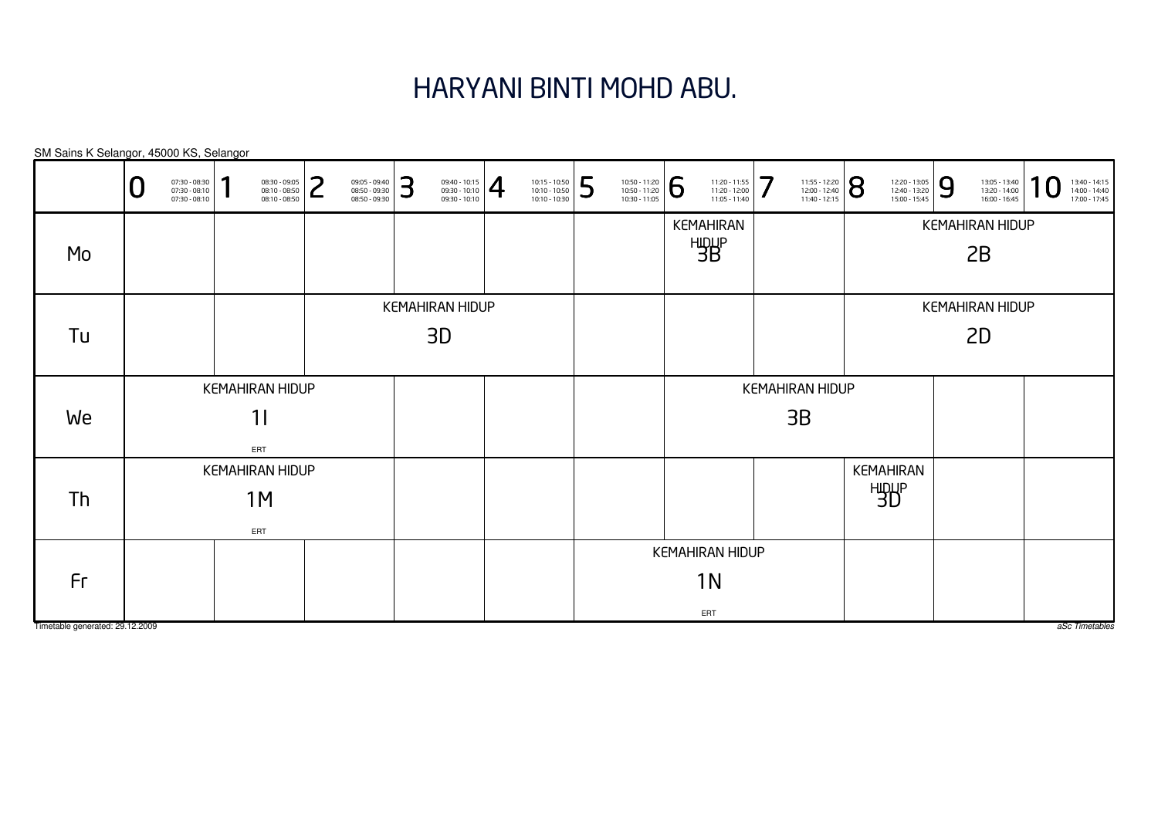#### HARYANI BINTI MOHD ABU.

KEMAHIRAN HIDUP1IERTKEMAHIRAN HIDUP1MERTKEMAHIRAN HIDUP1NERTKEMAHIRANHIDUP 3BKEMAHIRAN HIDUP3BKEMAHIRANHIDUP 3DKEMAHIRAN HIDUP3DKEMAHIRAN HIDUP2BKEMAHIRAN HIDUP2DSM Sains K Selangor, 45000 KS, Selangor0 $\textbf{0} \xrightarrow{\textbf{07:30-08:10}} {\textbf{07:30-08:10}} \xrightarrow{\textbf{08:30-09:30}} {\textbf{08:10-08:50}} \xrightarrow{\textbf{08:30-09:30}} {\textbf{08:50-09:30}} \xrightarrow{\textbf{08:50-09:30}} {\textbf{08:50-09:30}} \xrightarrow{\textbf{08:50-09:30}} {\textbf{08:50-09:30}} \xrightarrow{\textbf{08:50-09:30}} {\textbf{08:50-09:30}} \xrightarrow{\$ MoTuWeThFr

Timetable generated: 29.12.2009

aSc Timetables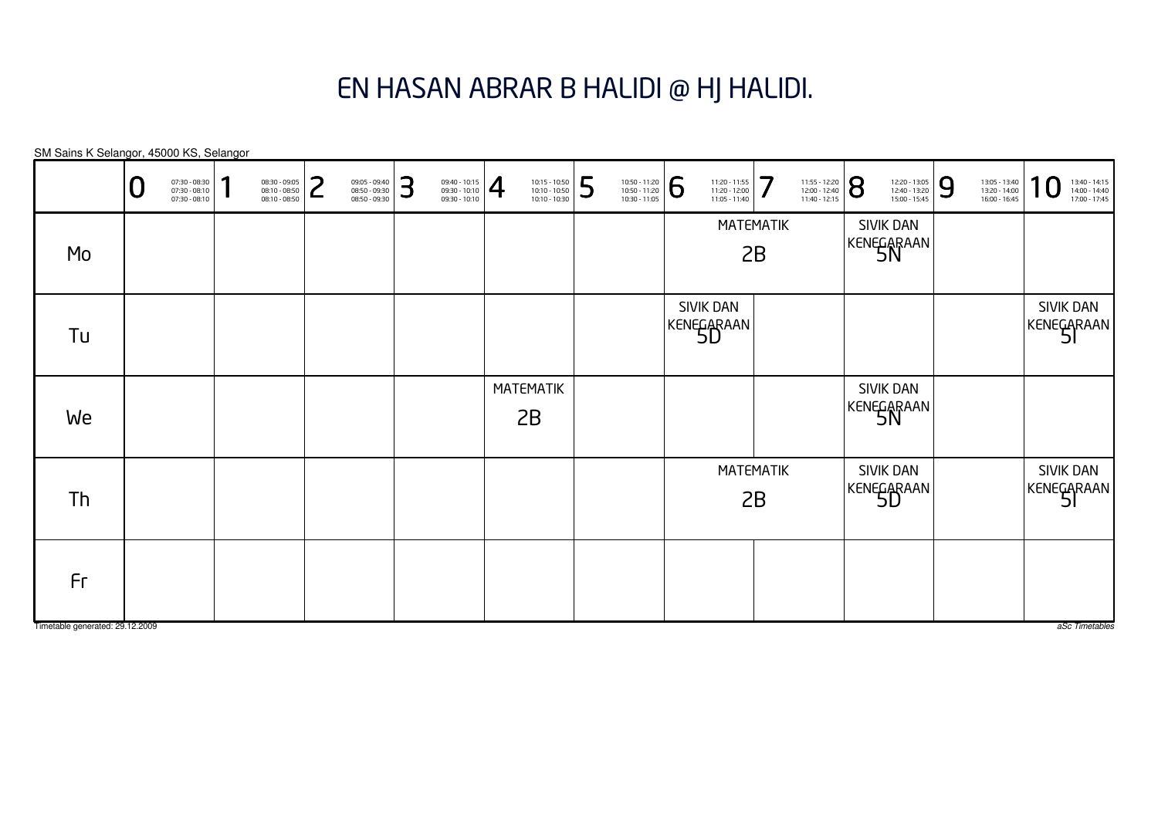#### EN HASAN ABRAR B HALIDI @ HJ HALIDI.

MATEMATIK2BMATEMATIK2BMATEMATIK2BSIVIK DANKENEGARAAN<br>5D SIVIK DANKENEGARAAN<br>5D SIVIK DANKENEGARAAN<br>51 SIVIK DANKENEGARAAN<br>51 SIVIK DANKENEGARAAN<br>5N SIVIK DANKENEGARAAN<br>5N SM Sains K Selangor, 45000 KS, Selangor aSc Timetables 0 $\textbf{0} \xrightarrow{\textbf{07:30-08:10}} {\textbf{07:30-08:10}} \xrightarrow{\textbf{08:30-09:30}} {\textbf{08:10-08:50}} \xrightarrow{\textbf{08:30-09:30}} {\textbf{08:50-09:30}} \xrightarrow{\textbf{08:50-09:30}} {\textbf{08:50-09:30}} \xrightarrow{\textbf{08:50-09:30}} {\textbf{08:50-09:30}} \xrightarrow{\textbf{08:50-09:30}} {\textbf{08:50-09:30}} \xrightarrow{\$ MoTuWeThFr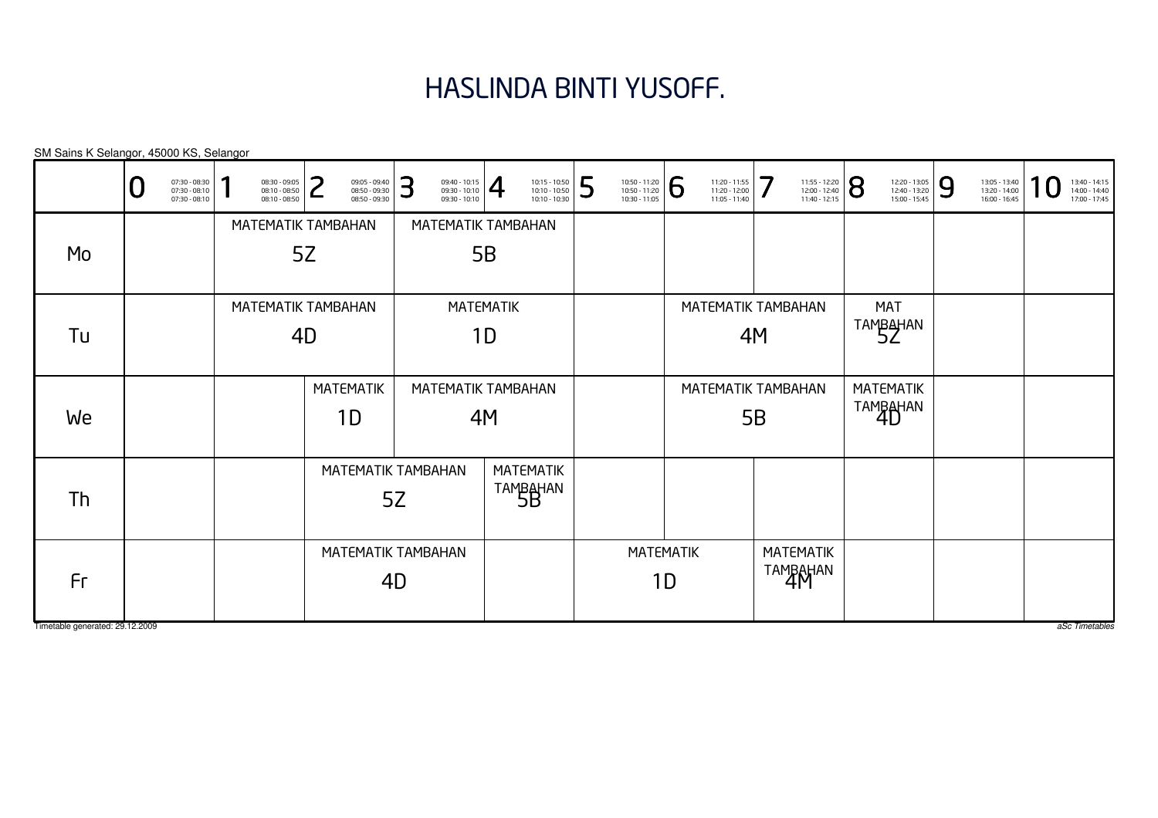# HASLINDA BINTI YUSOFF.

|                                 | 07:30 - 08:30<br>07:30 - 08:10<br>$07:30 - 08:10$ | 08:30 - 09:05<br>08:10 - 08:50<br>08:10 - 08:50 | っ                  | 09:05 - 09:40<br>08:50 - 09:30<br>08:50 - 09:30 | 3  | $\frac{09:40 - 10:15}{09:30 - 10:10}$<br>09:30 - 10:10 |                  | 10:15 - 10:50<br>10:10 - 10:50<br>10:10 - 10:30 | 5 | 10:50 - 11:20<br>10:50 - 11:20<br>10:30 - 11:05 | <b>6</b> | 11:20 - 11:55<br>11:20 - 12:00<br>11:05 - 11:40 | 7  | 11:55 - 12:20<br>12:00 - 12:40<br>11:40 - 12:15 | 8 | 12:20 - 13:05<br>12:40 - 13:20<br>15:00 - 15:45 | 9 | 13:05 - 13:40<br>13:20 - 14:00<br>16:00 - 16:45 | 13:40 - 14:15<br>14:00 - 14:40<br>17:00 - 17:45 |
|---------------------------------|---------------------------------------------------|-------------------------------------------------|--------------------|-------------------------------------------------|----|--------------------------------------------------------|------------------|-------------------------------------------------|---|-------------------------------------------------|----------|-------------------------------------------------|----|-------------------------------------------------|---|-------------------------------------------------|---|-------------------------------------------------|-------------------------------------------------|
|                                 |                                                   |                                                 | MATEMATIK TAMBAHAN |                                                 |    | MATEMATIK TAMBAHAN                                     |                  |                                                 |   |                                                 |          |                                                 |    |                                                 |   |                                                 |   |                                                 |                                                 |
| Mo                              |                                                   |                                                 | 5Z                 |                                                 |    |                                                        | 5B               |                                                 |   |                                                 |          |                                                 |    |                                                 |   |                                                 |   |                                                 |                                                 |
|                                 |                                                   |                                                 | MATEMATIK TAMBAHAN |                                                 |    |                                                        | <b>MATEMATIK</b> |                                                 |   |                                                 |          | MATEMATIK TAMBAHAN                              |    |                                                 |   | MAT                                             |   |                                                 |                                                 |
| Tu                              |                                                   | 4D                                              |                    |                                                 |    |                                                        | 1D               |                                                 |   |                                                 |          |                                                 | 4M |                                                 |   | TAMBAHAN                                        |   |                                                 |                                                 |
|                                 |                                                   |                                                 | <b>MATEMATIK</b>   |                                                 |    | MATEMATIK TAMBAHAN                                     |                  |                                                 |   |                                                 |          | MATEMATIK TAMBAHAN                              |    |                                                 |   | <b>MATEMATIK</b>                                |   |                                                 |                                                 |
| We                              |                                                   |                                                 | 1D                 |                                                 |    |                                                        | 4M               |                                                 |   |                                                 |          |                                                 | 5B |                                                 |   | TAMBAHAN                                        |   |                                                 |                                                 |
| Th                              |                                                   |                                                 |                    | MATEMATIK TAMBAHAN                              | 5Z |                                                        |                  | <b>MATEMATIK</b><br>TAMBAHAN                    |   |                                                 |          |                                                 |    |                                                 |   |                                                 |   |                                                 |                                                 |
| Fr                              |                                                   |                                                 |                    | MATEMATIK TAMBAHAN<br>4D                        |    |                                                        |                  |                                                 |   | <b>MATEMATIK</b>                                | 1D       |                                                 |    | <b>MATEMATIK</b><br>TAMBAHAN                    |   |                                                 |   |                                                 |                                                 |
| Timetable generated: 29.12.2009 |                                                   |                                                 |                    |                                                 |    |                                                        |                  |                                                 |   |                                                 |          |                                                 |    |                                                 |   |                                                 |   |                                                 | aSc Timetables                                  |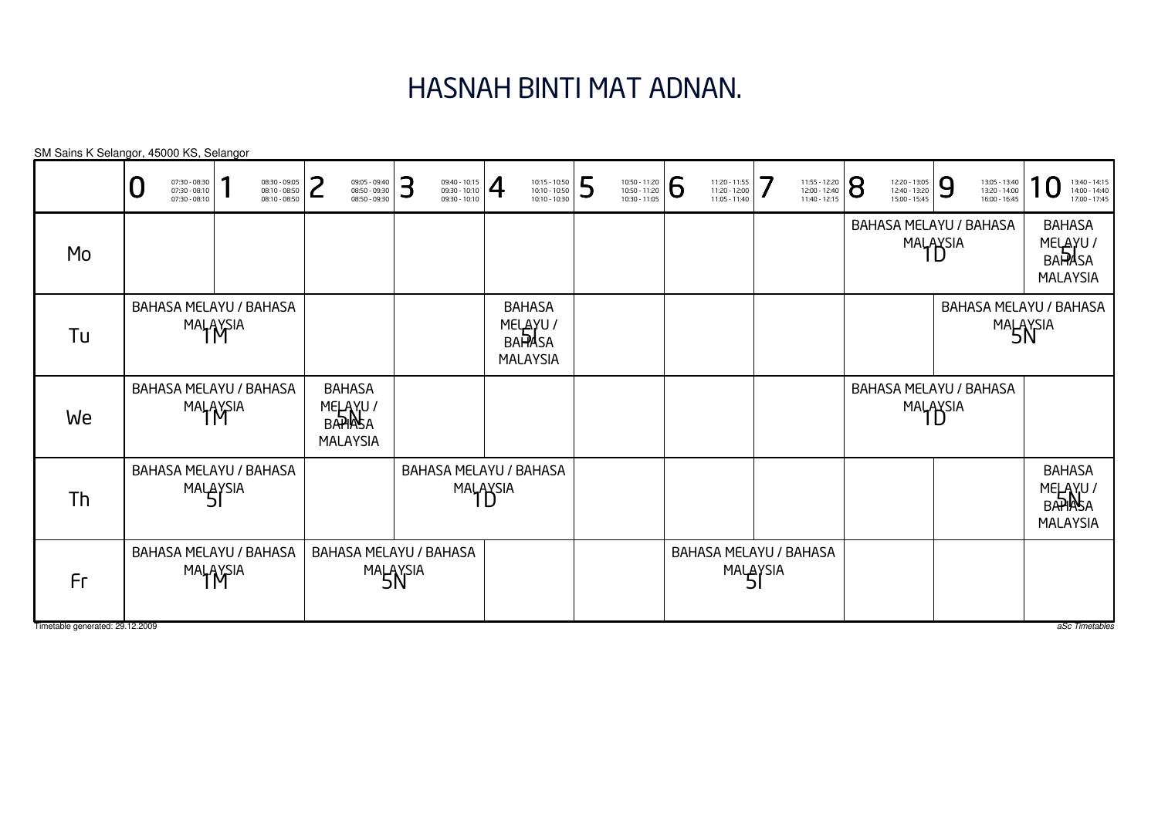# HASNAH BINTI MAT ADNAN.

| BAHASA MELAYU / BAHASA<br>MALAYSIA<br>Mo<br><b>BAHASA</b><br>BAHASA MELAYU / BAHASA<br>MELAYU /<br><b>MALAYSIA</b><br>Tu                         | 7<br>11:20 - 11:55<br>8<br>9<br>11:55 - 12:20<br>12:20 - 13:05<br>12:40 - 13:20<br>15:00 - 15:45<br>13:05 - 13:40<br>13:20 - 14:00<br>16:00 - 16:45<br>13:40 - 14:15<br>14:00 - 14:40<br>17:00 - 17:45<br>11:20 - 12:00<br>12:00 - 12:40<br>11:40 - 12:15<br>11:05 - 11:40 | 6 | 5<br>10:50 - 11:20<br>10:50 - 11:20<br>10:30 - 11:05 | 10:15 - 10:50<br>10:10 - 10:50<br>10:10 - 10:30<br>$\overline{4}$ | З<br>$\begin{array}{c} 09:40 - 10:15 \\ 09:30 - 10:10 \\ 09:30 - 10:10 \end{array}$ | つ<br>09:05 - 09:40<br>08:50 - 09:30<br>08:50 - 09:30 | 08:30 - 09:05<br>08:10 - 08:50<br>08:10 - 08:50 | 07:30 - 08:30<br>07:30 - 08:10<br>07:30 - 08:10 |  |
|--------------------------------------------------------------------------------------------------------------------------------------------------|----------------------------------------------------------------------------------------------------------------------------------------------------------------------------------------------------------------------------------------------------------------------------|---|------------------------------------------------------|-------------------------------------------------------------------|-------------------------------------------------------------------------------------|------------------------------------------------------|-------------------------------------------------|-------------------------------------------------|--|
|                                                                                                                                                  | <b>BAHASA</b><br>MELAYU /<br>BAPASA<br><b>MALAYSIA</b>                                                                                                                                                                                                                     |   |                                                      |                                                                   |                                                                                     |                                                      |                                                 |                                                 |  |
| <b>MALAYSIA</b>                                                                                                                                  | BAHASA MELAYU / BAHASA<br>MALAYSIA                                                                                                                                                                                                                                         |   |                                                      | <b>BAPASA</b>                                                     |                                                                                     |                                                      |                                                 |                                                 |  |
| BAHASA MELAYU / BAHASA<br><b>BAHASA</b><br><b>BAHASA MELAYU / BAHASA</b><br>MALAYSIA<br>MELAYU /<br>BAPIASA<br>MALAYSIA<br>We<br><b>MALAYSIA</b> |                                                                                                                                                                                                                                                                            |   |                                                      |                                                                   |                                                                                     |                                                      |                                                 |                                                 |  |
| BAHASA MELAYU / BAHASA<br>BAHASA MELAYU / BAHASA<br>MALAYSIA<br>MALAYSIA<br>Th                                                                   | <b>BAHASA</b><br>MELAYU/<br>BAPIASA<br><b>MALAYSIA</b>                                                                                                                                                                                                                     |   |                                                      |                                                                   |                                                                                     |                                                      |                                                 |                                                 |  |
| BAHASA MELAYU / BAHASA<br><b>BAHASA MELAYU / BAHASA</b><br><b>BAHASA MELAYU / BAHASA</b><br><b>MALAYSIA</b><br>MALAYSIA<br>MALAYSIA<br>Fr        |                                                                                                                                                                                                                                                                            |   |                                                      |                                                                   |                                                                                     |                                                      |                                                 |                                                 |  |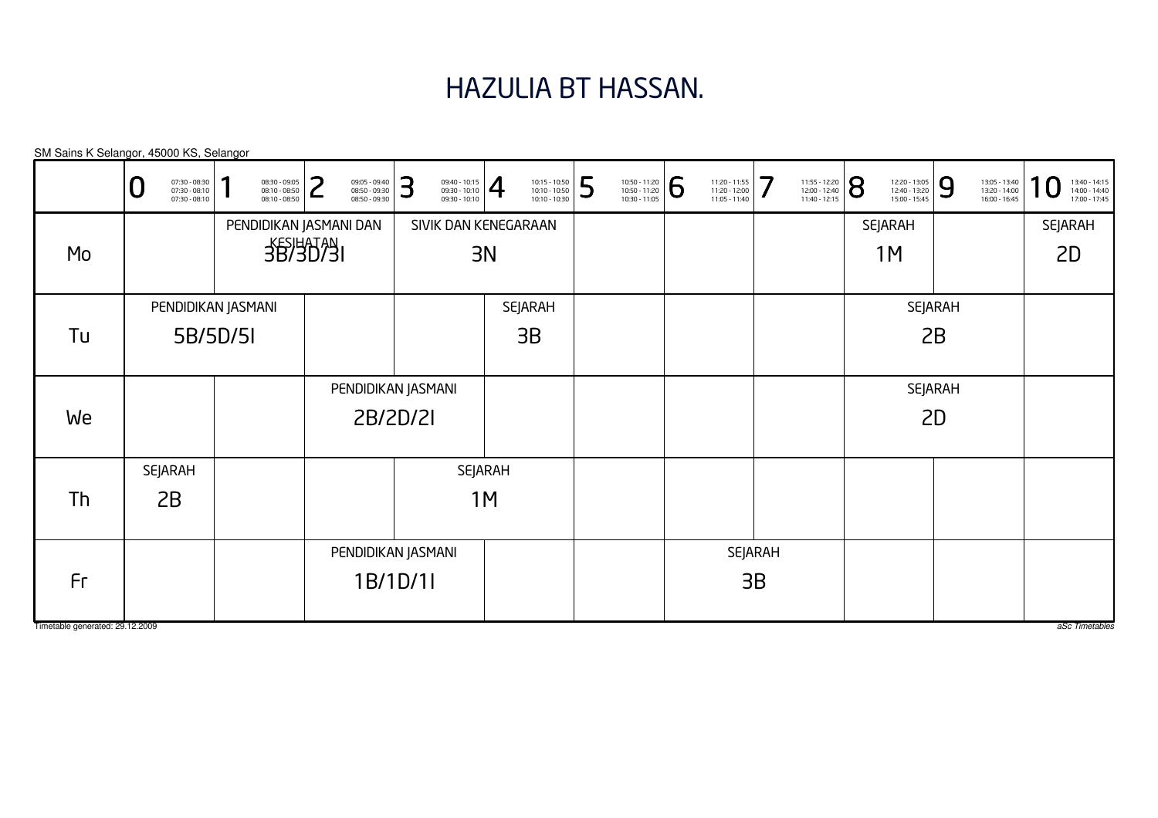# HAZULIA BT HASSAN.

| SM Sains K Selangor, 45000 KS, Selangor |   |                                                   |                                                 |   |                                                 |   |                                                                                                                                                                                                                   |    |                                                 |   |                                                 |   |                                                 |         |                                                 |                |                                                 |                |                                                 |                                                                     |
|-----------------------------------------|---|---------------------------------------------------|-------------------------------------------------|---|-------------------------------------------------|---|-------------------------------------------------------------------------------------------------------------------------------------------------------------------------------------------------------------------|----|-------------------------------------------------|---|-------------------------------------------------|---|-------------------------------------------------|---------|-------------------------------------------------|----------------|-------------------------------------------------|----------------|-------------------------------------------------|---------------------------------------------------------------------|
|                                         | U | 07:30 - 08:30<br>07:30 - 08:10<br>$07:30 - 08:10$ | 08:30 - 09:05<br>08:10 - 08:50<br>08:10 - 08:50 | ົ | 09:05 - 09:40<br>08:50 - 09:30<br>08:50 - 09:30 | 3 | $\left. \begin{array}{l} 09:40 - 10:15 \\ 09:30 - 10:10 \\ 09:30 - 10:10 \end{array} \right  \begin{array}{c} \begin{array}{c} \begin{array}{c} \begin{array}{c} \end{array} \end{array} \end{array} \end{array}$ |    | 10:15 - 10:50<br>10:10 - 10:50<br>10:10 - 10:30 | 5 | 10:50 - 11:20<br>10:50 - 11:20<br>10:30 - 11:05 | 6 | 11:20 - 11:55<br>11:20 - 12:00<br>11:05 - 11:40 | 7       | 11:55 - 12:20<br>12:00 - 12:40<br>11:40 - 12:15 | $\overline{8}$ | 12:20 - 13:05<br>12:40 - 13:20<br>15:00 - 15:45 | 9              | 13:05 - 13:40<br>13:20 - 14:00<br>16:00 - 16:45 | $\boldsymbol{0}$<br>13:40 - 14:15<br>14:00 - 14:40<br>17:00 - 17:45 |
|                                         |   |                                                   |                                                 |   | PENDIDIKAN JASMANI DAN                          |   | SIVIK DAN KENEGARAAN                                                                                                                                                                                              |    |                                                 |   |                                                 |   |                                                 |         |                                                 |                | <b>SEJARAH</b>                                  |                |                                                 | <b>SEJARAH</b>                                                      |
| Mo                                      |   |                                                   | <b>3B/3D/3I</b>                                 |   |                                                 |   |                                                                                                                                                                                                                   | 3N |                                                 |   |                                                 |   |                                                 |         |                                                 |                | 1M                                              |                |                                                 | 2D                                                                  |
|                                         |   | PENDIDIKAN JASMANI                                |                                                 |   |                                                 |   |                                                                                                                                                                                                                   |    | <b>SEJARAH</b>                                  |   |                                                 |   |                                                 |         |                                                 |                |                                                 | <b>SEJARAH</b> |                                                 |                                                                     |
| Tu                                      |   | 5B/5D/5I                                          |                                                 |   |                                                 |   |                                                                                                                                                                                                                   |    | 3B                                              |   |                                                 |   |                                                 |         |                                                 |                |                                                 | 2B             |                                                 |                                                                     |
|                                         |   |                                                   |                                                 |   | PENDIDIKAN JASMANI                              |   |                                                                                                                                                                                                                   |    |                                                 |   |                                                 |   |                                                 |         |                                                 |                |                                                 | <b>SEJARAH</b> |                                                 |                                                                     |
| We                                      |   |                                                   |                                                 |   | 2B/2D/2I                                        |   |                                                                                                                                                                                                                   |    |                                                 |   |                                                 |   |                                                 |         |                                                 |                |                                                 | 2D             |                                                 |                                                                     |
|                                         |   | <b>SEJARAH</b>                                    |                                                 |   |                                                 |   | SEJARAH                                                                                                                                                                                                           |    |                                                 |   |                                                 |   |                                                 |         |                                                 |                |                                                 |                |                                                 |                                                                     |
| Th                                      |   | 2B                                                |                                                 |   |                                                 |   |                                                                                                                                                                                                                   | 1M |                                                 |   |                                                 |   |                                                 |         |                                                 |                |                                                 |                |                                                 |                                                                     |
|                                         |   |                                                   |                                                 |   | PENDIDIKAN JASMANI                              |   |                                                                                                                                                                                                                   |    |                                                 |   |                                                 |   |                                                 | SEJARAH |                                                 |                |                                                 |                |                                                 |                                                                     |
| Fr                                      |   |                                                   |                                                 |   | 1B/1D/1I                                        |   |                                                                                                                                                                                                                   |    |                                                 |   |                                                 |   |                                                 | 3B      |                                                 |                |                                                 |                |                                                 |                                                                     |
| Timetable generated: 29.12.2009         |   |                                                   |                                                 |   |                                                 |   |                                                                                                                                                                                                                   |    |                                                 |   |                                                 |   |                                                 |         |                                                 |                |                                                 |                |                                                 | aSc Timetables                                                      |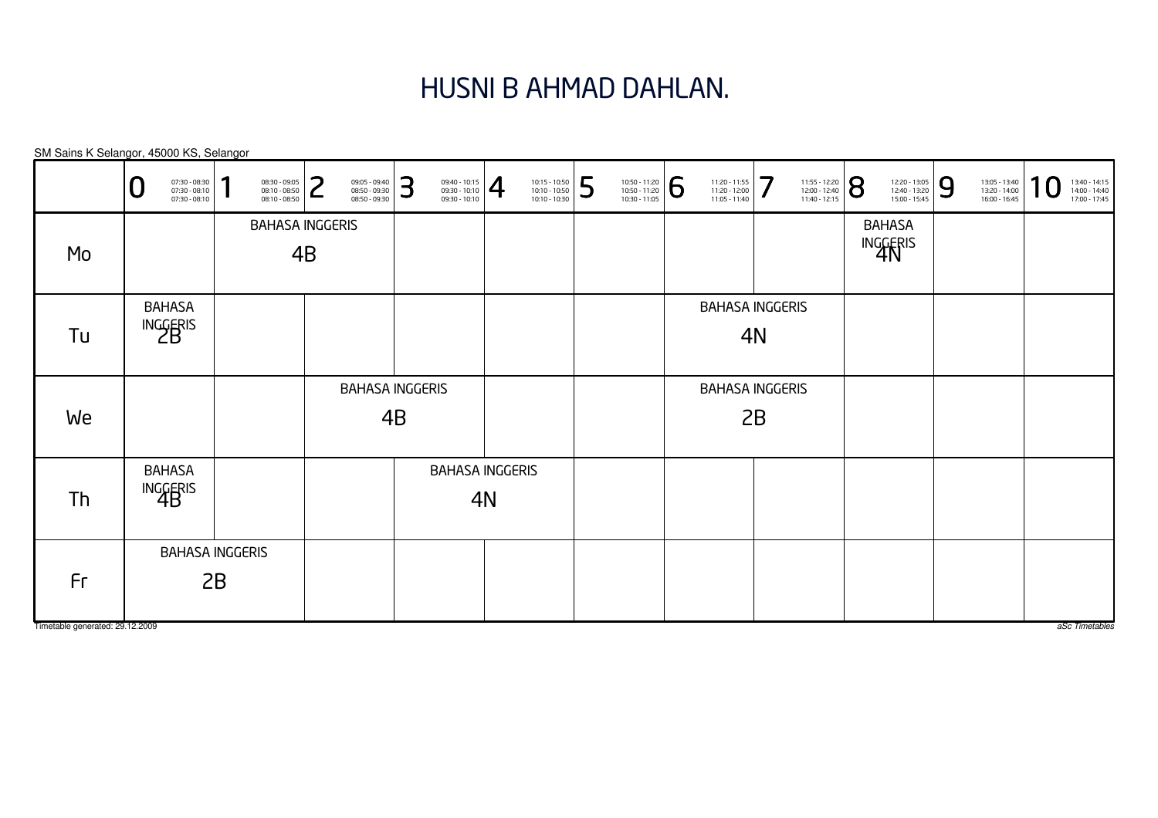#### HUSNI B AHMAD DAHLAN.

BAHASAINGGERIS<br>4B BAHASA INGGERIS4BBAHASA INGGERIS4BBAHASAINGGERIS<br>4N BAHASA INGGERIS4NBAHASA INGGERIS4NBAHASAINGGERIS<br>2B BAHASA INGGERIS2BBAHASA INGGERIS2BSM Sains K Selangor, 45000 KS, Selangor0 $\textbf{0} \xrightarrow{\textbf{07:30-08:10}} {\textbf{07:30-08:10}} \xrightarrow{\textbf{08:30-09:30}} {\textbf{08:10-08:50}} \xrightarrow{\textbf{08:30-09:30}} {\textbf{08:50-09:30}} \xrightarrow{\textbf{08:50-09:30}} {\textbf{08:50-09:30}} \xrightarrow{\textbf{08:50-09:30}} {\textbf{08:50-09:30}} \xrightarrow{\textbf{08:50-09:30}} {\textbf{08:50-09:30}} \xrightarrow{\$ MoTuWeThFr

Timetable generated: 29.12.2009

aSc Timetables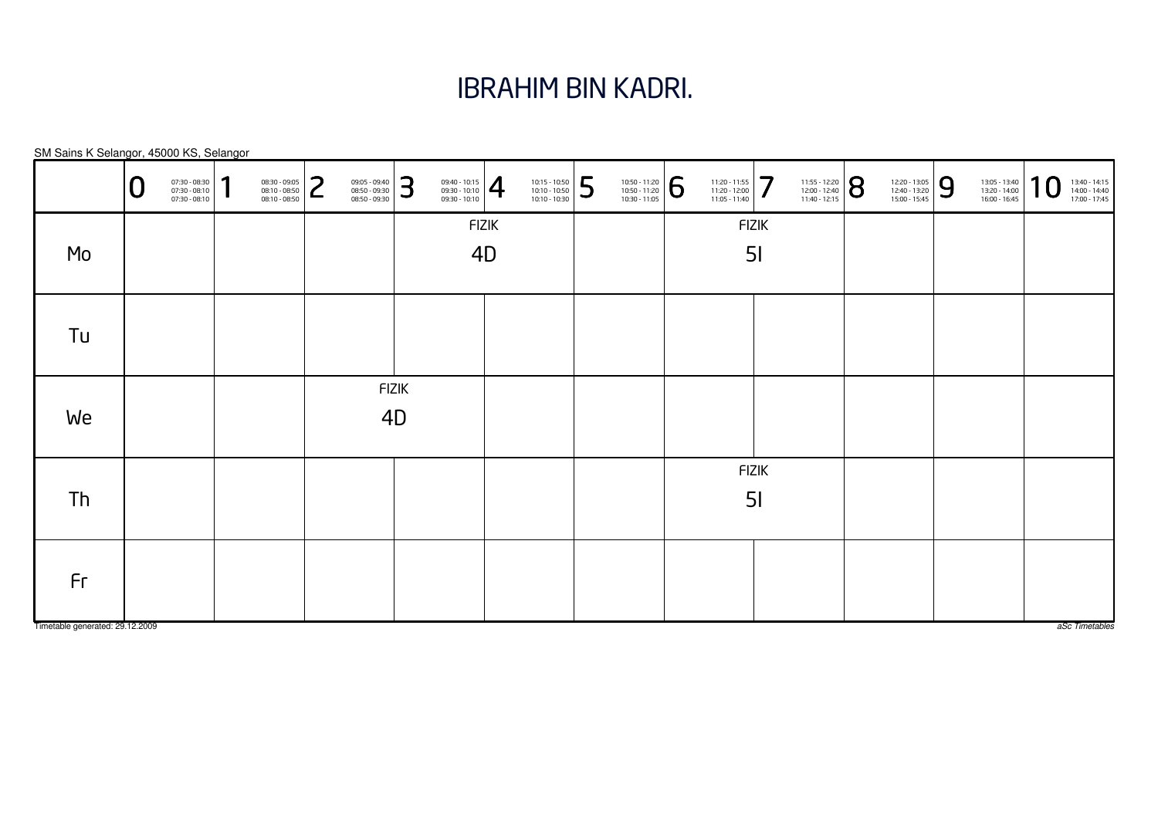# IBRAHIM BIN KADRI.

|                                                            | 10<br>13:40 - 14:15<br>14:00 - 14:40<br>17:00 - 17:45 |
|------------------------------------------------------------|-------------------------------------------------------|
| <b>FIZIK</b><br><b>FIZIK</b><br>4D<br>5 <sub>l</sub><br>Mo |                                                       |
| Tu                                                         |                                                       |
| <b>FIZIK</b><br>We<br>4D                                   |                                                       |
| FIZIK<br>5 <sub>l</sub><br>Th                              |                                                       |
| Fr<br>Timetable generated: 29.12.2009                      | aSc Timetables                                        |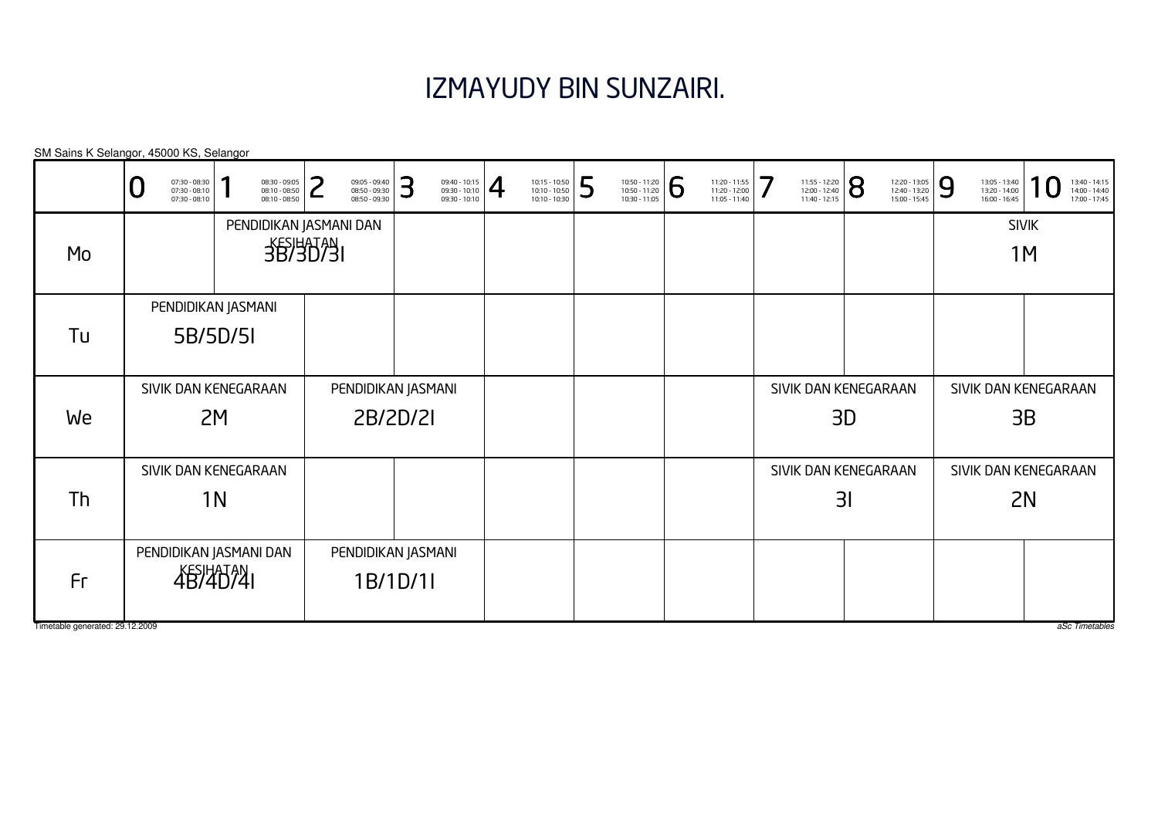#### IZMAYUDY BIN SUNZAIRI.

SIVIK DAN KENEGARAAN2MSIVIK DAN KENEGARAAN2NSIVIK DAN KENEGARAAN3BSIVIK DAN KENEGARAAN3DSIVIK DAN KENEGARAAN3ISIVIK1MSIVIK DAN KENEGARAAN1NPENDIDIKAN JASMANI DANKESIHATAN 4B/4D/4IPENDIDIKAN JASMANI5B/5D/5IPENDIDIKAN JASMANI DANKESIHATAN<br>3B/3D/3I PENDIDIKAN JASMANI2B/2D/2IPENDIDIKAN JASMANI1B/1D/1ISM Sains K Selangor, 45000 KS, SelangorTimetable generated: 29.12.2009 aSc Timetables 0 $\textbf{0} \xrightarrow{\textbf{07:30-08:10}} {\textbf{07:30-08:10}} \xrightarrow{\textbf{08:30-09:30}} {\textbf{08:10-08:50}} \xrightarrow{\textbf{08:30-09:30}} {\textbf{08:50-09:30}} \xrightarrow{\textbf{08:50-09:30}} {\textbf{08:50-09:30}} \xrightarrow{\textbf{08:50-09:30}} {\textbf{08:50-09:30}} \xrightarrow{\textbf{08:50-09:30}} {\textbf{08:50-09:30}} \xrightarrow{\$ MoTuWeThFr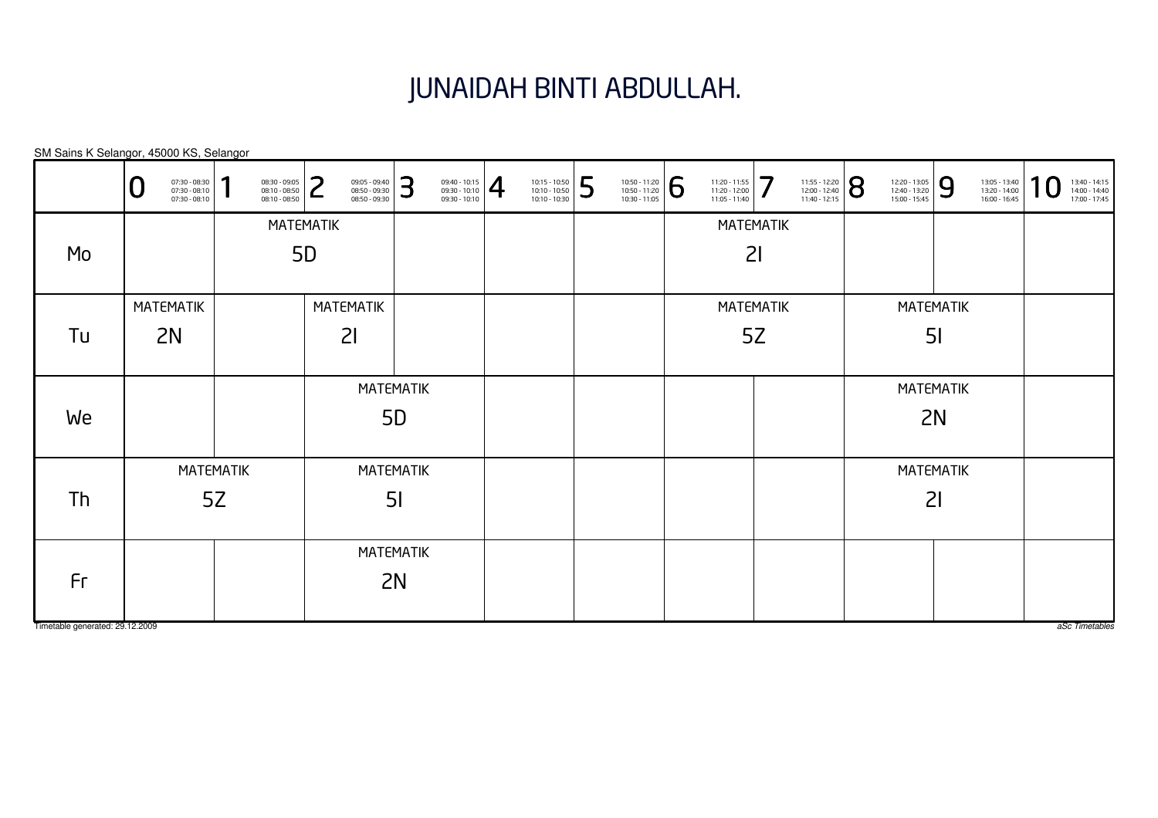# JUNAIDAH BINTI ABDULLAH.

|                                 | 07:30 - 08:30<br>07:30 - 08:10<br>07:30 - 08:10 | я<br>08:30 - 09:05<br>08:10 - 08:50<br>08:10 - 08:50 | っ<br>09:05 - 09:40<br>08:50 - 09:30<br>ட<br>08:50 - 09:30 | 3              | $\left. \begin{array}{l} 09:40 - 10:15 \\ 09:30 - 10:10 \\ 09:30 - 10:10 \end{array} \right  \begin{array}{c} \begin{array}{c} \begin{array}{c} \end{array} \end{array}$ | 10:15 - 10:50<br>10:10 - 10:50<br>10:10 - 10:30 | 5 | $\left. \begin{array}{r} 10:50 - 11:20 \\ 10:50 - 11:20 \\ 10:30 - 11:05 \end{array} \right  \, \, \widehat{\!\!\text{\textbf{6}}}$ | 11:20 - 11:55<br>11:20 - 12:00<br>$11:05 - 11:40$ | 7                | 11:55 - 12:20<br>12:00 - 12:40<br>11:40 - 12:15 | $\overline{8}$ | 12:20 - 13:05<br>12:40 - 13:20<br>15:00 - 15:45 | 9              | 13:05 - 13:40<br>13:20 - 14:00<br>16:00 - 16:45 | 1 | 13:40 - 14:15<br>14:00 - 14:40<br>17:00 - 17:45 |
|---------------------------------|-------------------------------------------------|------------------------------------------------------|-----------------------------------------------------------|----------------|--------------------------------------------------------------------------------------------------------------------------------------------------------------------------|-------------------------------------------------|---|-------------------------------------------------------------------------------------------------------------------------------------|---------------------------------------------------|------------------|-------------------------------------------------|----------------|-------------------------------------------------|----------------|-------------------------------------------------|---|-------------------------------------------------|
|                                 |                                                 |                                                      | <b>MATEMATIK</b>                                          |                |                                                                                                                                                                          |                                                 |   |                                                                                                                                     | <b>MATEMATIK</b>                                  |                  |                                                 |                |                                                 |                |                                                 |   |                                                 |
| Mo                              |                                                 |                                                      | <b>5D</b>                                                 |                |                                                                                                                                                                          |                                                 |   |                                                                                                                                     |                                                   | 21               |                                                 |                |                                                 |                |                                                 |   |                                                 |
|                                 | <b>MATEMATIK</b>                                |                                                      | MATEMATIK                                                 |                |                                                                                                                                                                          |                                                 |   |                                                                                                                                     |                                                   | <b>MATEMATIK</b> |                                                 |                | <b>MATEMATIK</b>                                |                |                                                 |   |                                                 |
| Tu                              | 2N                                              |                                                      | 21                                                        |                |                                                                                                                                                                          |                                                 |   |                                                                                                                                     |                                                   | 5Z               |                                                 |                |                                                 | 5 <sub>l</sub> |                                                 |   |                                                 |
|                                 |                                                 |                                                      | <b>MATEMATIK</b>                                          |                |                                                                                                                                                                          |                                                 |   |                                                                                                                                     |                                                   |                  |                                                 |                | <b>MATEMATIK</b>                                |                |                                                 |   |                                                 |
| We                              |                                                 |                                                      |                                                           | 5 <sub>D</sub> |                                                                                                                                                                          |                                                 |   |                                                                                                                                     |                                                   |                  |                                                 |                |                                                 | 2N             |                                                 |   |                                                 |
|                                 |                                                 | <b>MATEMATIK</b>                                     | <b>MATEMATIK</b>                                          |                |                                                                                                                                                                          |                                                 |   |                                                                                                                                     |                                                   |                  |                                                 |                | <b>MATEMATIK</b>                                |                |                                                 |   |                                                 |
| Th                              |                                                 | 5Z                                                   |                                                           | 5 <sub>l</sub> |                                                                                                                                                                          |                                                 |   |                                                                                                                                     |                                                   |                  |                                                 |                | 21                                              |                |                                                 |   |                                                 |
|                                 |                                                 |                                                      | MATEMATIK                                                 |                |                                                                                                                                                                          |                                                 |   |                                                                                                                                     |                                                   |                  |                                                 |                |                                                 |                |                                                 |   |                                                 |
| Fr                              |                                                 |                                                      |                                                           | 2N             |                                                                                                                                                                          |                                                 |   |                                                                                                                                     |                                                   |                  |                                                 |                |                                                 |                |                                                 |   |                                                 |
| Timetable generated: 29.12.2009 |                                                 |                                                      |                                                           |                |                                                                                                                                                                          |                                                 |   |                                                                                                                                     |                                                   |                  |                                                 |                |                                                 |                |                                                 |   | aSc Timetables                                  |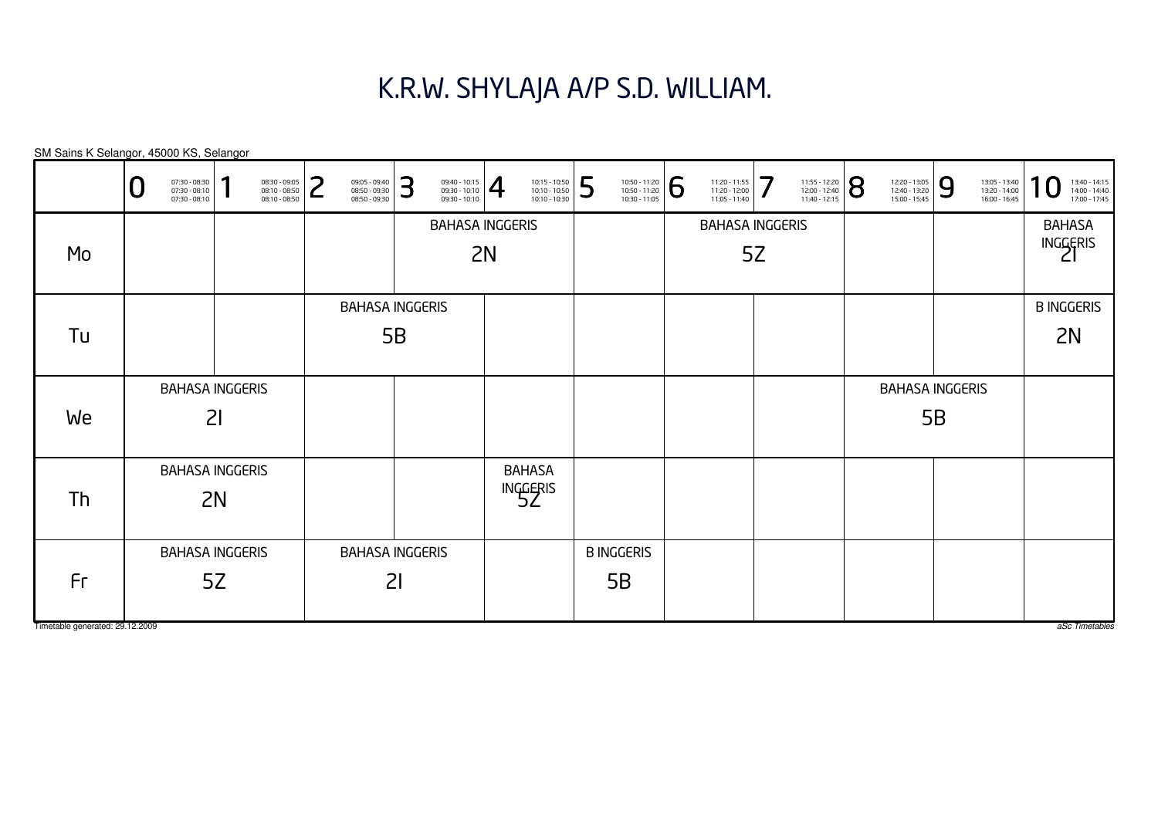# K.R.W. SHYLAJA A/P S.D. WILLIAM.

B INGGERIS5BBAHASA INGGERIS5BBAHASA INGGERIS5BBAHASAINGGERIS<br>5Z BAHASA INGGERIS5ZBAHASA INGGERIS5ZBAHASA INGGERIS 2IBAHASA INGGERIS2IBAHASA INGGERIS2IB INGGERIS2NBAHASA INGGERIS2NBAHASA INGGERIS2NSM Sains K Selangor, 45000 KS, Selangor aSc Timetables 0 $\textbf{0} \xrightarrow{\textbf{07:30-08:10}} {\textbf{07:30-08:10}} \xrightarrow{\textbf{08:30-09:30}} {\textbf{08:10-08:50}} \xrightarrow{\textbf{08:30-09:30}} {\textbf{08:50-09:30}} \xrightarrow{\textbf{08:50-09:30}} {\textbf{08:50-09:30}} \xrightarrow{\textbf{08:50-09:30}} {\textbf{08:50-09:30}} \xrightarrow{\textbf{08:50-09:30}} {\textbf{08:50-09:30}} \xrightarrow{\$ MoTuWeThFr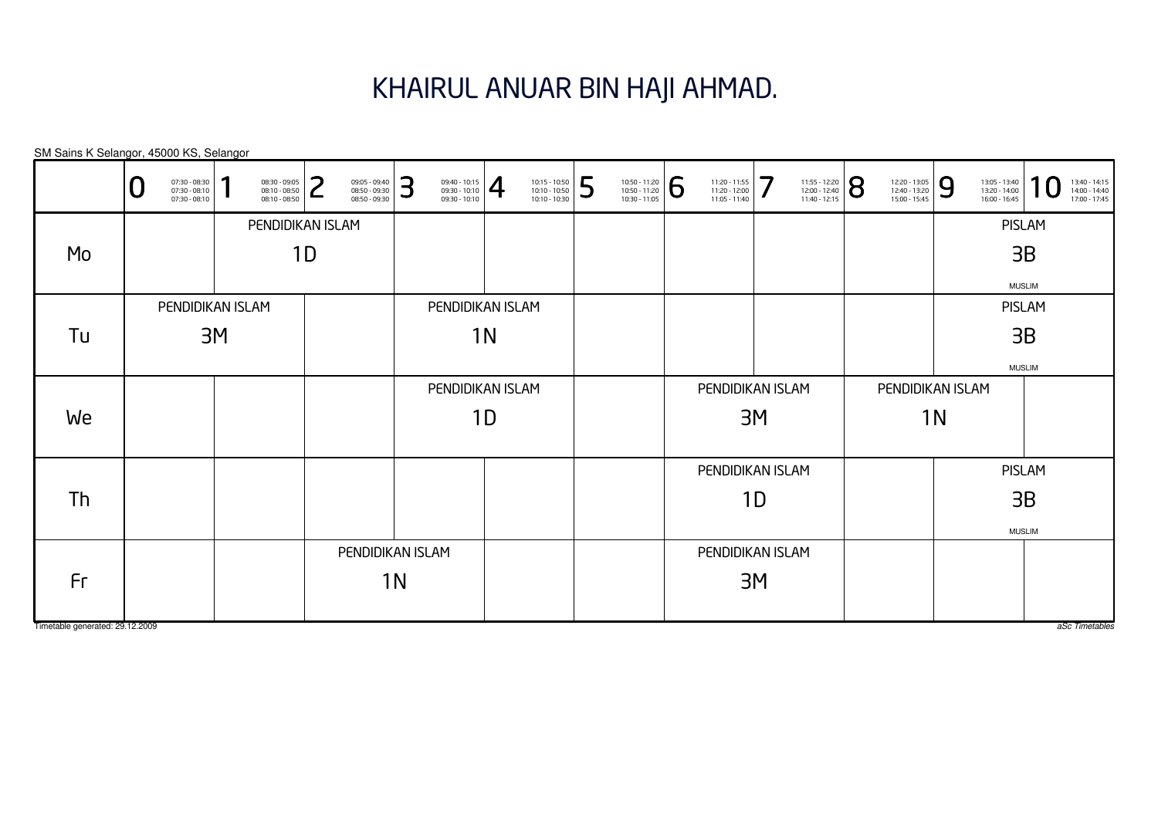# KHAIRUL ANUAR BIN HAJI AHMAD.

| SM Sains K Selangor, 45000 KS, Selangor |   |                                                 |    |                                                 |        |                                                 |    |                                                                                                                                                                                 |    |                                                                                                                        |   |                                                                                                                     |   |                                                 |    |                                                                                                               |                                                 |    |                                                 |          |                                                 |
|-----------------------------------------|---|-------------------------------------------------|----|-------------------------------------------------|--------|-------------------------------------------------|----|---------------------------------------------------------------------------------------------------------------------------------------------------------------------------------|----|------------------------------------------------------------------------------------------------------------------------|---|---------------------------------------------------------------------------------------------------------------------|---|-------------------------------------------------|----|---------------------------------------------------------------------------------------------------------------|-------------------------------------------------|----|-------------------------------------------------|----------|-------------------------------------------------|
|                                         | U | 07:30 - 08:30<br>07:30 - 08:10<br>07:30 - 08:10 |    | 08:30 - 09:05<br>08:10 - 08:50<br>08:10 - 08:50 | つ<br>L | 09:05 - 09:40<br>08:50 - 09:30<br>08:50 - 09:30 | 3  | $\left\{\n \begin{array}{c}\n 09:40 - 10:15 \\ 09:30 - 10:10 \\ 09:30 - 10:10\n \end{array}\n \right \n \begin{array}{c}\n \begin{array}{c}\n 4 \\ \end{array}\n \end{array}\n$ |    | $\begin{array}{ l l l } \hline 10:15 & -10:50 \\ \hline 10:10 & -10:50 \\ \hline 10:10 & -10:30 \\ \hline \end{array}$ | 5 | $\begin{array}{ l l } \hline 10:50 & -11:20 \\ \hline 10:50 & -11:20 \\ \hline 10:30 & -11:05 \\\hline \end{array}$ | 6 | 11:20 - 11:55<br>11:20 - 12:00<br>11:05 - 11:40 | 7  | $\left. \begin{array}{l} \n 11:55 - 12:20 \\ 12:00 - 12:40 \\ 11:40 - 12:15\n \end{array} \right  \bigotimes$ | 12:20 - 13:05<br>12:40 - 13:20<br>15:00 - 15:45 | 9  | 13:05 - 13:40<br>13:20 - 14:00<br>16:00 - 16:45 | $\Omega$ | 13:40 - 14:15<br>14:00 - 14:40<br>17:00 - 17:45 |
|                                         |   |                                                 |    | PENDIDIKAN ISLAM                                |        |                                                 |    |                                                                                                                                                                                 |    |                                                                                                                        |   |                                                                                                                     |   |                                                 |    |                                                                                                               |                                                 |    | <b>PISLAM</b>                                   |          |                                                 |
| Mo                                      |   |                                                 |    |                                                 | 1D     |                                                 |    |                                                                                                                                                                                 |    |                                                                                                                        |   |                                                                                                                     |   |                                                 |    |                                                                                                               |                                                 |    | 3B                                              |          |                                                 |
|                                         |   |                                                 |    |                                                 |        |                                                 |    |                                                                                                                                                                                 |    |                                                                                                                        |   |                                                                                                                     |   |                                                 |    |                                                                                                               |                                                 |    | <b>MUSLIM</b>                                   |          |                                                 |
|                                         |   | PENDIDIKAN ISLAM                                |    |                                                 |        |                                                 |    | PENDIDIKAN ISLAM                                                                                                                                                                |    |                                                                                                                        |   |                                                                                                                     |   |                                                 |    |                                                                                                               |                                                 |    | <b>PISLAM</b>                                   |          |                                                 |
| Tu                                      |   |                                                 | 3M |                                                 |        |                                                 |    |                                                                                                                                                                                 | 1N |                                                                                                                        |   |                                                                                                                     |   |                                                 |    |                                                                                                               |                                                 |    | 3B                                              |          |                                                 |
|                                         |   |                                                 |    |                                                 |        |                                                 |    |                                                                                                                                                                                 |    |                                                                                                                        |   |                                                                                                                     |   |                                                 |    |                                                                                                               |                                                 |    | <b>MUSLIM</b>                                   |          |                                                 |
|                                         |   |                                                 |    |                                                 |        |                                                 |    | PENDIDIKAN ISLAM                                                                                                                                                                |    |                                                                                                                        |   |                                                                                                                     |   | PENDIDIKAN ISLAM                                |    |                                                                                                               | PENDIDIKAN ISLAM                                |    |                                                 |          |                                                 |
| We                                      |   |                                                 |    |                                                 |        |                                                 |    |                                                                                                                                                                                 | 1D |                                                                                                                        |   |                                                                                                                     |   |                                                 | 3M |                                                                                                               |                                                 | 1N |                                                 |          |                                                 |
|                                         |   |                                                 |    |                                                 |        |                                                 |    |                                                                                                                                                                                 |    |                                                                                                                        |   |                                                                                                                     |   | PENDIDIKAN ISLAM                                |    |                                                                                                               |                                                 |    | <b>PISLAM</b>                                   |          |                                                 |
| Th                                      |   |                                                 |    |                                                 |        |                                                 |    |                                                                                                                                                                                 |    |                                                                                                                        |   |                                                                                                                     |   |                                                 | 1D |                                                                                                               |                                                 |    | 3B                                              |          |                                                 |
|                                         |   |                                                 |    |                                                 |        |                                                 |    |                                                                                                                                                                                 |    |                                                                                                                        |   |                                                                                                                     |   |                                                 |    |                                                                                                               |                                                 |    | <b>MUSLIM</b>                                   |          |                                                 |
|                                         |   |                                                 |    |                                                 |        | PENDIDIKAN ISLAM                                |    |                                                                                                                                                                                 |    |                                                                                                                        |   |                                                                                                                     |   | PENDIDIKAN ISLAM                                |    |                                                                                                               |                                                 |    |                                                 |          |                                                 |
| Fr                                      |   |                                                 |    |                                                 |        |                                                 | 1N |                                                                                                                                                                                 |    |                                                                                                                        |   |                                                                                                                     |   |                                                 | 3M |                                                                                                               |                                                 |    |                                                 |          |                                                 |
| Timetable generated: 29.12.2009         |   |                                                 |    |                                                 |        |                                                 |    |                                                                                                                                                                                 |    |                                                                                                                        |   |                                                                                                                     |   |                                                 |    |                                                                                                               |                                                 |    |                                                 |          | aSc Timetables                                  |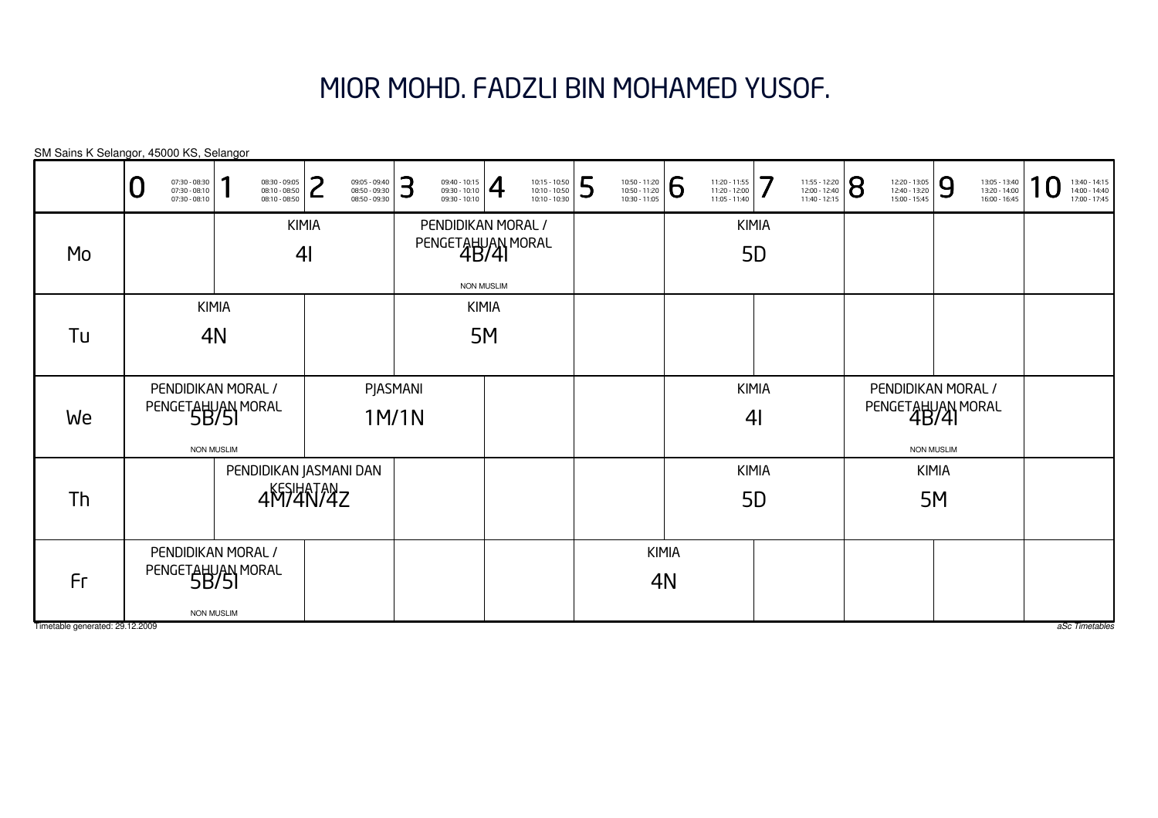# MIOR MOHD. FADZLI BIN MOHAMED YUSOF.

SM Sains K Selangor, 45000 KS, Selangor

|                                       | 07:30 - 08:30<br>07:30 - 08:10<br>07:30 - 08:10 | я<br>08:30 - 09:05<br>08:10 - 08:50<br>08:10 - 08:50         | っ<br>09:05 - 09:40<br>08:50 - 09:30<br>08:50 - 09:30 | З<br>09:40 - 10:15<br>09:30 - 10:10<br>09:30 - 10:10 | $\overline{4}$<br>10:15 - 10:50<br>10:10 - 10:50<br>10:10 - 10:30 | 5 | 10:50 - 11:20<br>10:50 - 11:20<br>10:30 - 11:05 | 6                  | 11:20 - 11:55<br>$11:20 - 12:00$<br>11:05 - 11:40 | 7<br>11:55 - 12:20<br>12:00 - 12:40<br>11:40 - 12:15 | 8 | 12:20 - 13:05<br>12:40 - 13:20<br>15:00 - 15:45              | 9  | 13:05 - 13:40<br>13:20 - 14:00<br>16:00 - 16:45 | 1 | 13:40 - 14:15<br>14:00 - 14:40<br>17:00 - 17:45 |
|---------------------------------------|-------------------------------------------------|--------------------------------------------------------------|------------------------------------------------------|------------------------------------------------------|-------------------------------------------------------------------|---|-------------------------------------------------|--------------------|---------------------------------------------------|------------------------------------------------------|---|--------------------------------------------------------------|----|-------------------------------------------------|---|-------------------------------------------------|
| Mo                                    |                                                 |                                                              | <b>KIMIA</b><br>4 <sub>l</sub>                       |                                                      | PENDIDIKAN MORAL /<br>PENGETAHUAN MORAL<br><b>NON MUSLIM</b>      |   |                                                 |                    | <b>KIMIA</b><br><b>5D</b>                         |                                                      |   |                                                              |    |                                                 |   |                                                 |
| Tu                                    |                                                 | <b>KIMIA</b><br>4N                                           |                                                      |                                                      | <b>KIMIA</b><br>5M                                                |   |                                                 |                    |                                                   |                                                      |   |                                                              |    |                                                 |   |                                                 |
| We                                    |                                                 | PENDIDIKAN MORAL /<br>PENGETAHUAN MORAL<br><b>NON MUSLIM</b> |                                                      | PJASMANI<br>1M/1N                                    |                                                                   |   |                                                 |                    | <b>KIMIA</b><br>4 <sub>l</sub>                    |                                                      |   | PENDIDIKAN MORAL /<br>PENGETAHUAN MORAL<br><b>NON MUSLIM</b> |    |                                                 |   |                                                 |
| Th                                    |                                                 |                                                              | PENDIDIKAN JASMANI DAN<br>4M74N74Z                   |                                                      |                                                                   |   |                                                 |                    | <b>KIMIA</b><br><b>5D</b>                         |                                                      |   | <b>KIMIA</b>                                                 | 5M |                                                 |   |                                                 |
| Fr<br>Timetable generated: 29.12.2009 |                                                 | PENDIDIKAN MORAL /<br>PENGETAHUAN MORAL<br><b>NON MUSLIM</b> |                                                      |                                                      |                                                                   |   |                                                 | <b>KIMIA</b><br>4N |                                                   |                                                      |   |                                                              |    |                                                 |   | aSc Timetables                                  |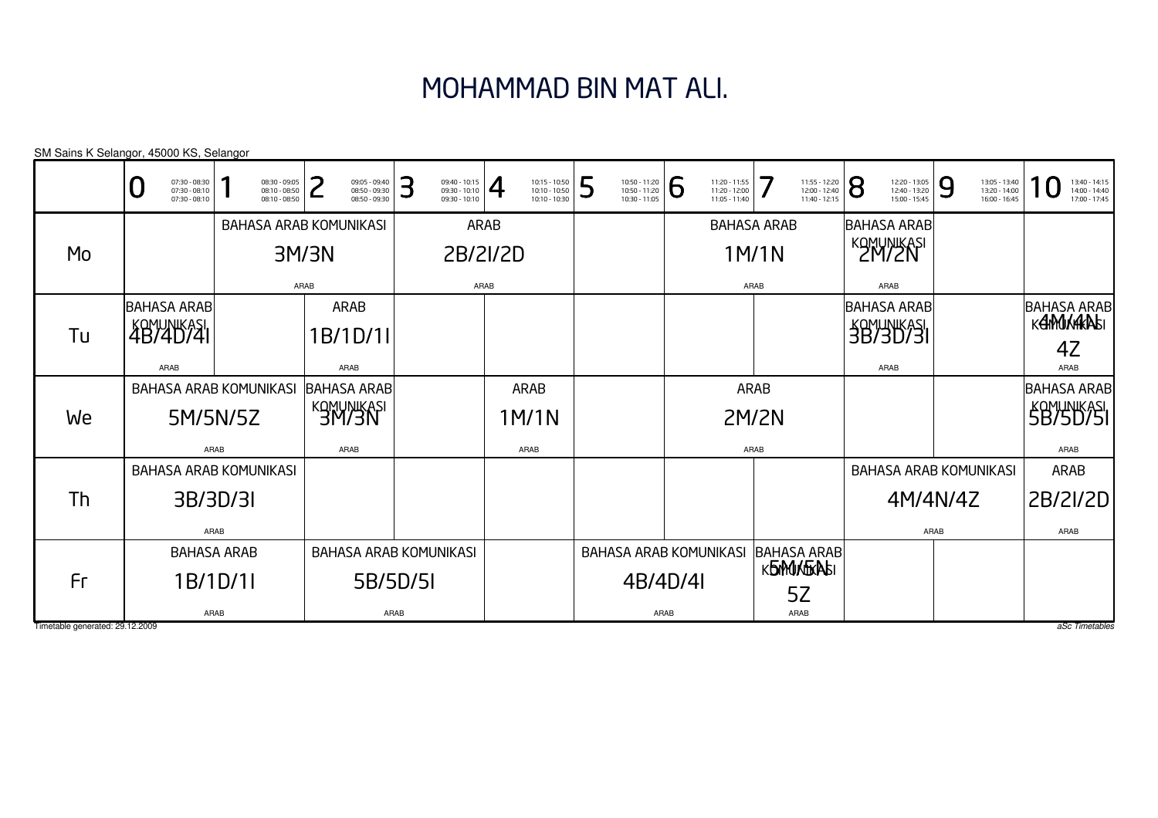# MOHAMMAD BIN MAT ALI.

| SM Sains K Selangor, 45000 KS, Selangor |                                                   |      |                                                 |      |       |                                                 |      |                                                 |                |                                                 |   |                                                 |      |                                                 |              |                                                 |   |                                                 |      |                                                 |                                                 |
|-----------------------------------------|---------------------------------------------------|------|-------------------------------------------------|------|-------|-------------------------------------------------|------|-------------------------------------------------|----------------|-------------------------------------------------|---|-------------------------------------------------|------|-------------------------------------------------|--------------|-------------------------------------------------|---|-------------------------------------------------|------|-------------------------------------------------|-------------------------------------------------|
|                                         | 07:30 - 08:30<br>07:30 - 08:10<br>$07:30 - 08:10$ |      | 08:30 - 09:05<br>08:10 - 08:50<br>08:10 - 08:50 |      |       | 09:05 - 09:40<br>08:50 - 09:30<br>08:50 - 09:30 | З    | 09:40 - 10:15<br>09:30 - 10:10<br>09:30 - 10:10 | $\overline{4}$ | 10:15 - 10:50<br>10:10 - 10:50<br>10:10 - 10:30 | 5 | 10:50 - 11:20<br>10:50 - 11:20<br>10:30 - 11:05 | 6    | 11:20 - 11:55<br>11:20 - 12:00<br>11:05 - 11:40 |              | 11:55 - 12:20<br>12:00 - 12:40<br>11:40 - 12:15 | 8 | 12:20 - 13:05<br>12:40 - 13:20<br>15:00 - 15:45 | 9    | 13:05 - 13:40<br>13:20 - 14:00<br>16:00 - 16:45 | 13:40 - 14:15<br>14:00 - 14:40<br>17:00 - 17:45 |
|                                         |                                                   |      | <b>BAHASA ARAB KOMUNIKASI</b>                   |      |       |                                                 |      |                                                 | <b>ARAB</b>    |                                                 |   |                                                 |      | <b>BAHASA ARAB</b>                              |              |                                                 |   | <b>BAHASA ARAB</b>                              |      |                                                 |                                                 |
| Mo                                      |                                                   |      |                                                 |      | 3M/3N |                                                 |      | 2B/2I/2D                                        |                |                                                 |   |                                                 |      |                                                 | 1M/1N        |                                                 |   | <b>KOMUNIKASI</b>                               |      |                                                 |                                                 |
|                                         |                                                   |      |                                                 | ARAB |       |                                                 |      |                                                 | ARAB           |                                                 |   |                                                 |      |                                                 | ARAB         |                                                 |   | ARAB                                            |      |                                                 |                                                 |
| Tu                                      | <b>BAHASA ARAB</b><br><b>4B/4D/41</b>             |      |                                                 |      |       | ARAB<br>1B/1D/1I                                |      |                                                 |                |                                                 |   |                                                 |      |                                                 |              |                                                 |   | <b>BAHASA ARAB</b><br><b>58/90/31</b>           |      |                                                 | <b>BAHASA ARAB</b><br><b>KAMUKARASI</b><br>4Z   |
|                                         | ARAB                                              |      |                                                 |      |       | ARAB                                            |      |                                                 |                |                                                 |   |                                                 |      |                                                 |              |                                                 |   | ARAB                                            |      |                                                 | ARAB                                            |
|                                         | <b>BAHASA ARAB KOMUNIKASI</b>                     |      |                                                 |      |       | <b>BAHASA ARAB</b>                              |      |                                                 |                | ARAB                                            |   |                                                 |      |                                                 | <b>ARAB</b>  |                                                 |   |                                                 |      |                                                 | <b>BAHASA ARAB</b>                              |
| We                                      | 5M/5N/5Z                                          |      |                                                 |      |       | <b>KOMUNIKASI</b>                               |      |                                                 |                | 1M/1N                                           |   |                                                 |      |                                                 | <b>2M/2N</b> |                                                 |   |                                                 |      |                                                 | <b>SB/5D/5I</b>                                 |
|                                         |                                                   | ARAB |                                                 |      |       | ARAB                                            |      |                                                 |                | ARAB                                            |   |                                                 |      |                                                 | ARAB         |                                                 |   |                                                 |      |                                                 | ARAB                                            |
|                                         | BAHASA ARAB KOMUNIKASI                            |      |                                                 |      |       |                                                 |      |                                                 |                |                                                 |   |                                                 |      |                                                 |              |                                                 |   |                                                 |      | <b>BAHASA ARAB KOMUNIKASI</b>                   | ARAB                                            |
| Th                                      | 3B/3D/3I                                          |      |                                                 |      |       |                                                 |      |                                                 |                |                                                 |   |                                                 |      |                                                 |              |                                                 |   | 4M/4N/4Z                                        |      |                                                 | 2B/2I/2D                                        |
|                                         |                                                   | ARAB |                                                 |      |       |                                                 |      |                                                 |                |                                                 |   |                                                 |      |                                                 |              |                                                 |   |                                                 | ARAB |                                                 | ARAB                                            |
|                                         | <b>BAHASA ARAB</b>                                |      |                                                 |      |       |                                                 |      | <b>BAHASA ARAB KOMUNIKASI</b>                   |                |                                                 |   | <b>BAHASA ARAB KOMUNIKASI</b>                   |      |                                                 |              | <b>BAHASA ARAB</b>                              |   |                                                 |      |                                                 |                                                 |
| Fr                                      | 1B/1D/1I                                          |      |                                                 |      |       | 5B/5D/5I                                        |      |                                                 |                |                                                 |   | 4B/4D/4I                                        |      |                                                 |              | <b>KENMUNTERASI</b>                             |   |                                                 |      |                                                 |                                                 |
|                                         |                                                   | ARAB |                                                 |      |       |                                                 | ARAB |                                                 |                |                                                 |   |                                                 | ARAB |                                                 |              | 5Z<br>ARAB                                      |   |                                                 |      |                                                 |                                                 |
| Timetable generated: 29.12.2009         |                                                   |      |                                                 |      |       |                                                 |      |                                                 |                |                                                 |   |                                                 |      |                                                 |              |                                                 |   |                                                 |      |                                                 | aSc Timetables                                  |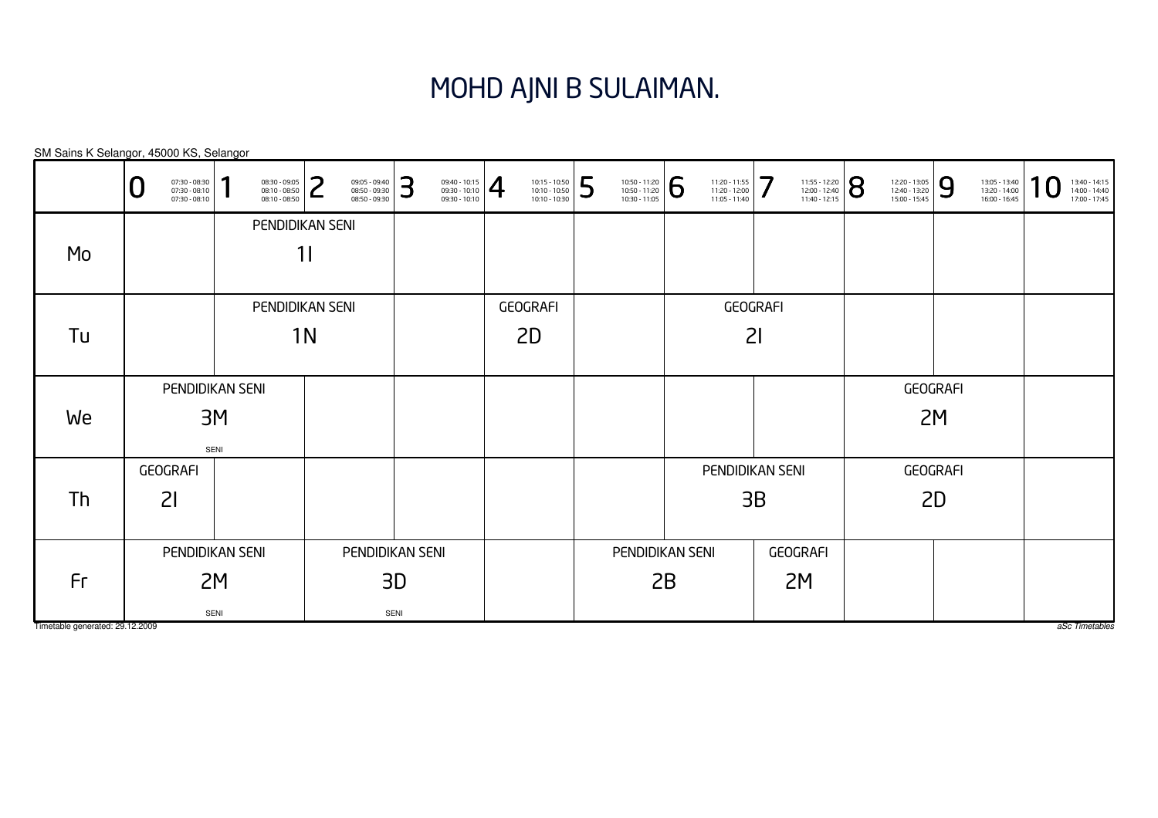#### MOHD AJNI B SULAIMAN.

GEOGRAFI2IGEOGRAFI2IGEOGRAFI2MGEOGRAFI2MPENDIDIKAN SENI1IPENDIDIKAN SENI2MSENIGEOGRAFI2DGEOGRAFI2DPENDIDIKAN SENI3DSENIPENDIDIKAN SENI3M SENIPENDIDIKAN SENI1NPENDIDIKAN SENI2BPENDIDIKAN SENI3BSM Sains K Selangor, 45000 KS, SelangorTimetable generated: 29.12.2009 aSc Timetables 0 $\textbf{0} \xrightarrow{\textbf{07:30-08:10}} {\textbf{07:30-08:10}} \xrightarrow{\textbf{08:30-09:30}} {\textbf{08:10-08:50}} \xrightarrow{\textbf{08:30-09:30}} {\textbf{08:50-09:30}} \xrightarrow{\textbf{08:50-09:30}} {\textbf{08:50-09:30}} \xrightarrow{\textbf{08:50-09:30}} {\textbf{08:50-09:30}} \xrightarrow{\textbf{08:50-09:30}} {\textbf{08:50-09:30}} \xrightarrow{\$ MoTuWeThFr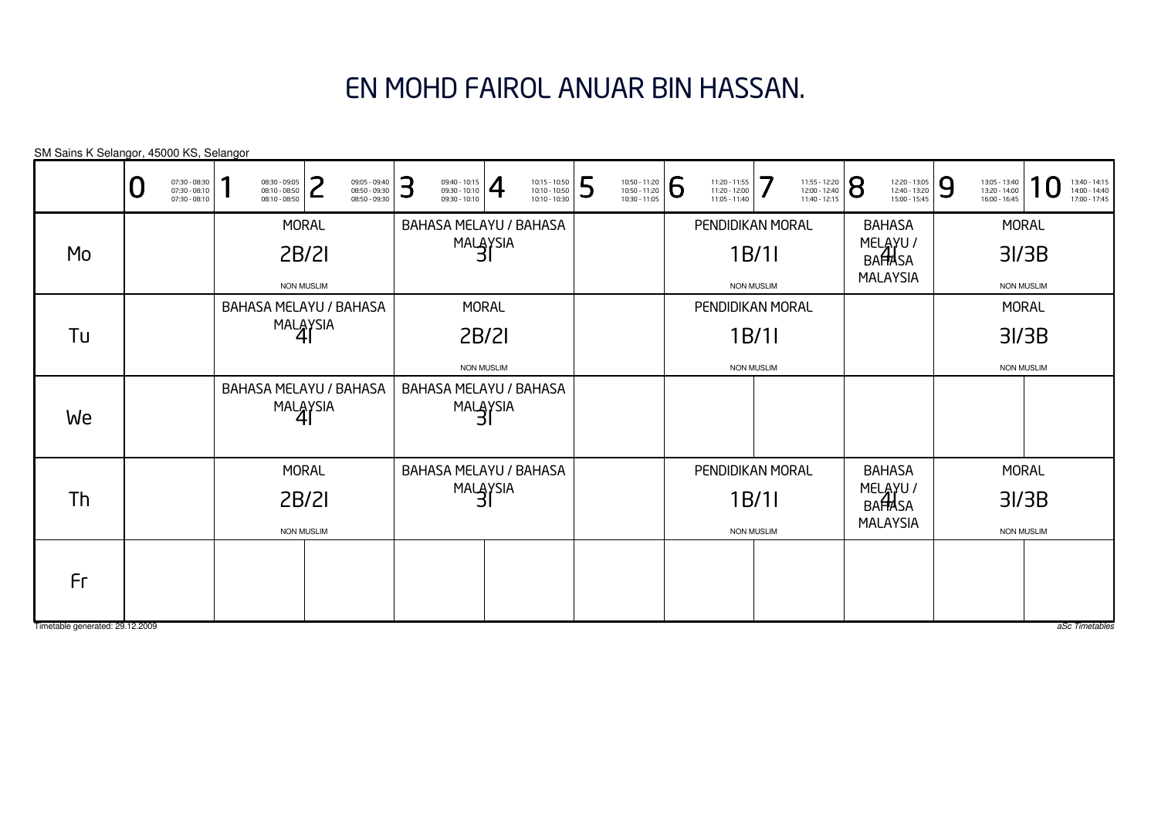# EN MOHD FAIROL ANUAR BIN HASSAN.

|                                 | 07:30 - 08:30<br>07:30 - 08:10<br>07:30 - 08:10 | 08:30 - 09:05<br>08:10 - 08:50<br>08:10 - 08:50 | つ                 | 09:05 - 09:40<br>08:50 - 09:30<br>08:50 - 09:30 | 3 | $\frac{09:40 - 10:15}{09:30 - 10:10}$ |                   | 10:15 - 10:50<br>10:10 - 10:50<br>10:10 - 10:30 | 5 | 10:50 - 11:20<br>10:50 - 11:20<br>10:30 - 11:05 | 6 | 11:20 - 11:55<br>11:20 - 12:00<br>11:05 - 11:40 | 7                 | 11:55 - 12:20<br>12:00 - 12:40<br>11:40 - 12:15 | 8 | 12:20 - 13:05<br>12:40 - 13:20<br>15:00 - 15:45 | 9 | 13:05 - 13:40<br>13:20 - 14:00<br>16:00 - 16:45 |                   | 13:40 - 14:15<br>14:00 - 14:40<br>17:00 - 17:45 |
|---------------------------------|-------------------------------------------------|-------------------------------------------------|-------------------|-------------------------------------------------|---|---------------------------------------|-------------------|-------------------------------------------------|---|-------------------------------------------------|---|-------------------------------------------------|-------------------|-------------------------------------------------|---|-------------------------------------------------|---|-------------------------------------------------|-------------------|-------------------------------------------------|
|                                 |                                                 |                                                 | <b>MORAL</b>      |                                                 |   | <b>BAHASA MELAYU / BAHASA</b>         |                   |                                                 |   |                                                 |   | PENDIDIKAN MORAL                                |                   |                                                 |   | <b>BAHASA</b>                                   |   |                                                 | <b>MORAL</b>      |                                                 |
| Mo                              |                                                 |                                                 | 2B/2I             |                                                 |   |                                       | MALAYSIA          |                                                 |   |                                                 |   |                                                 | 1B/11             |                                                 |   | MELAYU /<br>BAHASA                              |   |                                                 | 3I/3B             |                                                 |
|                                 |                                                 |                                                 | <b>NON MUSLIM</b> |                                                 |   |                                       |                   |                                                 |   |                                                 |   |                                                 | <b>NON MUSLIM</b> |                                                 |   | <b>MALAYSIA</b>                                 |   |                                                 | <b>NON MUSLIM</b> |                                                 |
|                                 |                                                 | BAHASA MELAYU / BAHASA                          |                   |                                                 |   |                                       | <b>MORAL</b>      |                                                 |   |                                                 |   | PENDIDIKAN MORAL                                |                   |                                                 |   |                                                 |   |                                                 | <b>MORAL</b>      |                                                 |
| Tu                              |                                                 |                                                 | MALAYSIA          |                                                 |   |                                       | 2B/2I             |                                                 |   |                                                 |   |                                                 | 1B/11             |                                                 |   |                                                 |   |                                                 | 3I/3B             |                                                 |
|                                 |                                                 |                                                 |                   |                                                 |   |                                       | <b>NON MUSLIM</b> |                                                 |   |                                                 |   |                                                 | <b>NON MUSLIM</b> |                                                 |   |                                                 |   |                                                 | <b>NON MUSLIM</b> |                                                 |
| We                              |                                                 | BAHASA MELAYU / BAHASA                          | MALAYSIA          |                                                 |   | <b>BAHASA MELAYU / BAHASA</b>         | MALAYSIA          |                                                 |   |                                                 |   |                                                 |                   |                                                 |   |                                                 |   |                                                 |                   |                                                 |
|                                 |                                                 |                                                 | <b>MORAL</b>      |                                                 |   | <b>BAHASA MELAYU / BAHASA</b>         |                   |                                                 |   |                                                 |   | PENDIDIKAN MORAL                                |                   |                                                 |   | <b>BAHASA</b>                                   |   |                                                 | <b>MORAL</b>      |                                                 |
| Th                              |                                                 |                                                 | 2B/2I             |                                                 |   |                                       | MALAYSIA          |                                                 |   |                                                 |   |                                                 | 1B/11             |                                                 |   | MELAYU /<br>BAHASA                              |   |                                                 | 3I/3B             |                                                 |
|                                 |                                                 |                                                 | <b>NON MUSLIM</b> |                                                 |   |                                       |                   |                                                 |   |                                                 |   |                                                 | <b>NON MUSLIM</b> |                                                 |   | <b>MALAYSIA</b>                                 |   |                                                 | <b>NON MUSLIM</b> |                                                 |
| Fr                              |                                                 |                                                 |                   |                                                 |   |                                       |                   |                                                 |   |                                                 |   |                                                 |                   |                                                 |   |                                                 |   |                                                 |                   |                                                 |
| Timetable generated: 29.12.2009 |                                                 |                                                 |                   |                                                 |   |                                       |                   |                                                 |   |                                                 |   |                                                 |                   |                                                 |   |                                                 |   |                                                 |                   | aSc Timetables                                  |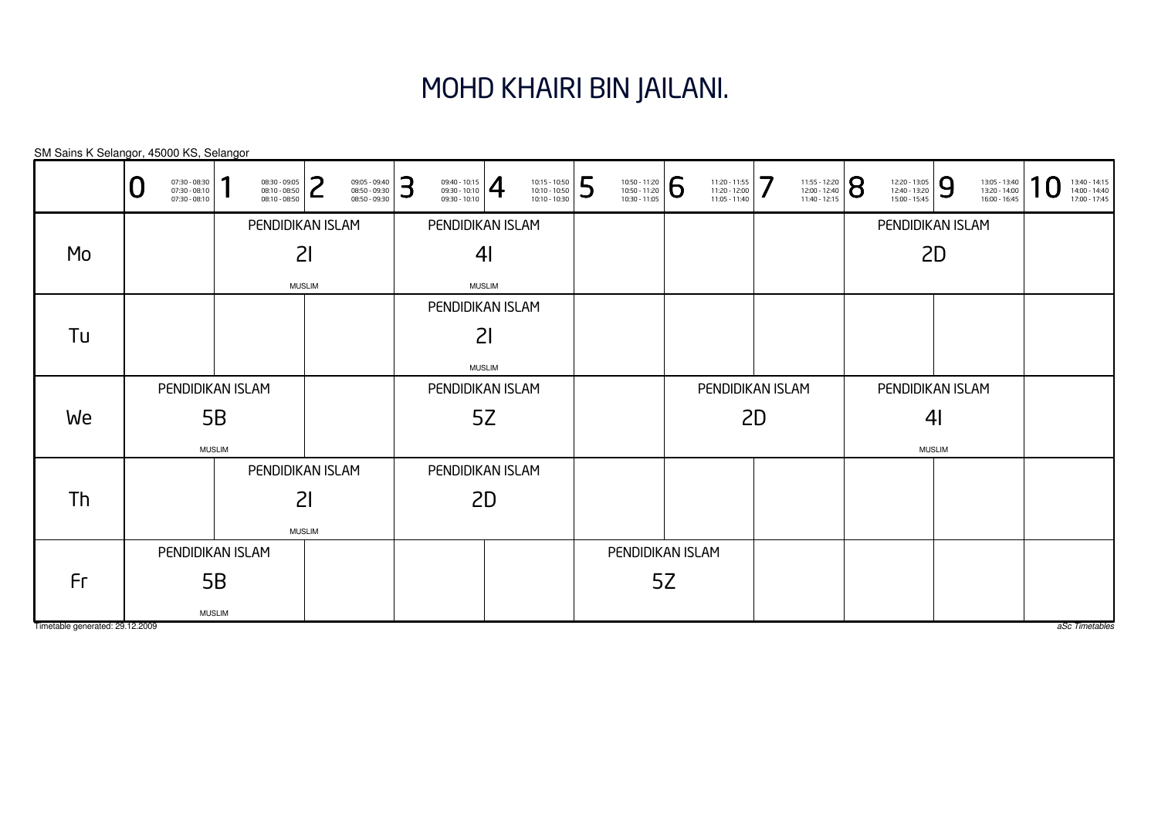## MOHD KHAIRI BIN JAILANI.

| SM Sains K Selangor, 45000 KS, Selangor |
|-----------------------------------------|
|-----------------------------------------|

|                                 | 07:30 - 08:30<br>07:30 - 08:10<br>Ū<br>$07:30 - 08:10$ | $08:30 - 09:05$<br>08:10 - 08:50<br>08:10 - 08:50 | ີ<br>09:05 - 09:40<br>08:50 - 09:30<br>┕<br>08:50 - 09:30 | 3<br>$\frac{09:40 - 10:15}{09:30 - 10:10}$<br>09:30 - 10:10 | 10:15 - 10:50<br>10:10 - 10:50<br>10:10 - 10:30 | 5<br>$\left. \begin{array}{c} \n 10:50 - 11:20 \\ 10:50 - 11:20 \\ 10:30 - 11:05 \n \end{array} \right  \, \bigodot$ | 11:20 - 11:55<br>11:20 - 12:00<br>11:05 - 11:40 | 7<br>$11:40 - 12:15$ | $\frac{11:55 - 12:20}{12:00 - 12:40}$ | 12:20 - 13:05<br>12:40 - 13:20<br>15:00 - 15:45 | 9<br>13:05 - 13:40<br>13:20 - 14:00<br>16:00 - 16:45 | 1<br>13:40 - 14:15<br>14:00 - 14:40<br>17:00 - 17:45 |
|---------------------------------|--------------------------------------------------------|---------------------------------------------------|-----------------------------------------------------------|-------------------------------------------------------------|-------------------------------------------------|----------------------------------------------------------------------------------------------------------------------|-------------------------------------------------|----------------------|---------------------------------------|-------------------------------------------------|------------------------------------------------------|------------------------------------------------------|
|                                 |                                                        |                                                   | PENDIDIKAN ISLAM                                          |                                                             | PENDIDIKAN ISLAM                                |                                                                                                                      |                                                 |                      |                                       |                                                 | PENDIDIKAN ISLAM                                     |                                                      |
| Mo                              |                                                        |                                                   | 21                                                        |                                                             | 4 <sub>l</sub>                                  |                                                                                                                      |                                                 |                      |                                       |                                                 | 2D                                                   |                                                      |
|                                 |                                                        |                                                   | <b>MUSLIM</b>                                             |                                                             | <b>MUSLIM</b>                                   |                                                                                                                      |                                                 |                      |                                       |                                                 |                                                      |                                                      |
|                                 |                                                        |                                                   |                                                           |                                                             | PENDIDIKAN ISLAM                                |                                                                                                                      |                                                 |                      |                                       |                                                 |                                                      |                                                      |
| Tu                              |                                                        |                                                   |                                                           |                                                             | 21                                              |                                                                                                                      |                                                 |                      |                                       |                                                 |                                                      |                                                      |
|                                 |                                                        |                                                   |                                                           |                                                             | <b>MUSLIM</b>                                   |                                                                                                                      |                                                 |                      |                                       |                                                 |                                                      |                                                      |
|                                 |                                                        | PENDIDIKAN ISLAM                                  |                                                           |                                                             | PENDIDIKAN ISLAM                                |                                                                                                                      |                                                 | PENDIDIKAN ISLAM     |                                       |                                                 | PENDIDIKAN ISLAM                                     |                                                      |
| We                              |                                                        | 5B                                                |                                                           |                                                             | 5Z                                              |                                                                                                                      |                                                 | 2D                   |                                       |                                                 | 4 <sub>l</sub>                                       |                                                      |
|                                 |                                                        | <b>MUSLIM</b>                                     |                                                           |                                                             |                                                 |                                                                                                                      |                                                 |                      |                                       |                                                 | <b>MUSLIM</b>                                        |                                                      |
|                                 |                                                        |                                                   | PENDIDIKAN ISLAM                                          |                                                             | PENDIDIKAN ISLAM                                |                                                                                                                      |                                                 |                      |                                       |                                                 |                                                      |                                                      |
| Th                              |                                                        |                                                   | 21                                                        |                                                             | 2D                                              |                                                                                                                      |                                                 |                      |                                       |                                                 |                                                      |                                                      |
|                                 |                                                        |                                                   | <b>MUSLIM</b>                                             |                                                             |                                                 |                                                                                                                      |                                                 |                      |                                       |                                                 |                                                      |                                                      |
|                                 |                                                        | PENDIDIKAN ISLAM                                  |                                                           |                                                             |                                                 |                                                                                                                      | PENDIDIKAN ISLAM                                |                      |                                       |                                                 |                                                      |                                                      |
| Fr                              |                                                        | 5B                                                |                                                           |                                                             |                                                 |                                                                                                                      | 5Z                                              |                      |                                       |                                                 |                                                      |                                                      |
|                                 |                                                        | <b>MUSLIM</b>                                     |                                                           |                                                             |                                                 |                                                                                                                      |                                                 |                      |                                       |                                                 |                                                      |                                                      |
| Timetable generated: 29.12.2009 |                                                        |                                                   |                                                           |                                                             |                                                 |                                                                                                                      |                                                 |                      |                                       |                                                 |                                                      | aSc Timetables                                       |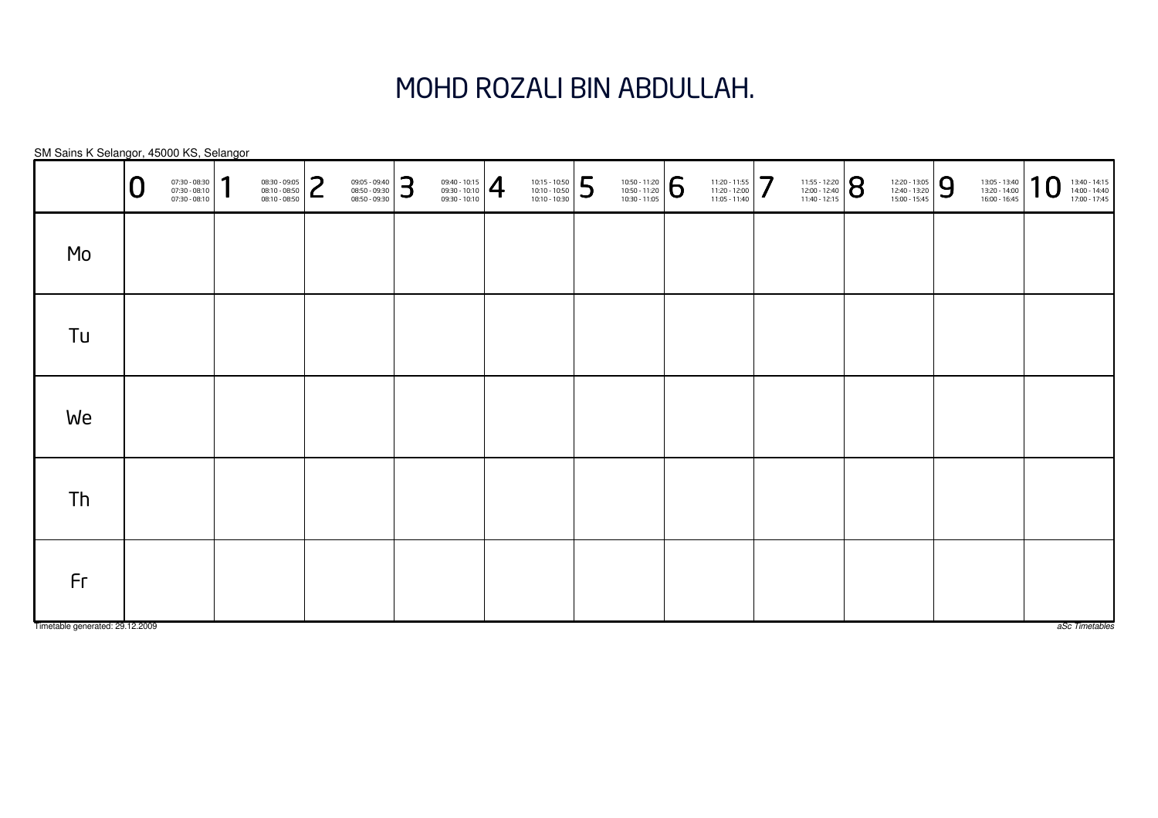# MOHD ROZALI BIN ABDULLAH.

|                                       | r<br>╰ | 07:30 - 08:30<br>07:30 - 08:10<br>07:30 - 08:10 | 1 | 08:30 - 09:05<br>$08:10 - 08:50$<br>$08:10 - 08:50$ | っ<br>$\epsilon$ | 09:05 - 09:40<br>08:50 - 09:30<br>08:50 - 09:30 | 3 | $\left. \begin{array}{r} 09:40 - 10:15 \\ 09:30 - 10:10 \\ 09:30 - 10:10 \end{array} \right  \begin{array}{c} \begin{array}{c} \begin{array}{c} \begin{array}{c} \end{array} \end{array} \end{array} \end{array}$ | 10:15 - 10:50<br>10:10 - 10:50<br>10:10 - 10:30 | 5 | $\left. \begin{array}{c} \n 10:50 - 11:20 \\ 10:50 - 11:20 \\ 10:30 - 11:05 \n \end{array} \right  \begin{array}{c} \bigodot \n \end{array}$ | $\left. \begin{array}{c} 11:20 - 11:55 \\ 11:20 - 12:00 \\ 11:05 - 11:40 \end{array} \right] \normalsize\color{red} \normalsize\color{red} \normalsize\color{black} \normalsize\color{black} \normalsize\color{black} \normalsize\color{black} \normalsize\color{black} \normalsize\color{black} \normalsize\color{black} \normalsize\color{black} \normalsize\color{black} \normalsize\color{black} \normalsize\color{black} \normalsize\color{black} \normalsize\color{black} \normalsize\color{black} \normalsize\color{black} \normalsize\color{black$ | 11:55 - 12:20<br>12:00 - 12:40<br>11:40 - 12:15 | 8 | 12:20 - 13:05<br>12:40 - 13:20<br>15:00 - 15:45 | 9 | 13:05 - 13:40<br>13:20 - 14:00<br>16:00 - 16:45 | 10 | 13:40 - 14:15<br>14:00 - 14:40<br>17:00 - 17:45 |
|---------------------------------------|--------|-------------------------------------------------|---|-----------------------------------------------------|-----------------|-------------------------------------------------|---|-------------------------------------------------------------------------------------------------------------------------------------------------------------------------------------------------------------------|-------------------------------------------------|---|----------------------------------------------------------------------------------------------------------------------------------------------|------------------------------------------------------------------------------------------------------------------------------------------------------------------------------------------------------------------------------------------------------------------------------------------------------------------------------------------------------------------------------------------------------------------------------------------------------------------------------------------------------------------------------------------------------------|-------------------------------------------------|---|-------------------------------------------------|---|-------------------------------------------------|----|-------------------------------------------------|
| Mo                                    |        |                                                 |   |                                                     |                 |                                                 |   |                                                                                                                                                                                                                   |                                                 |   |                                                                                                                                              |                                                                                                                                                                                                                                                                                                                                                                                                                                                                                                                                                            |                                                 |   |                                                 |   |                                                 |    |                                                 |
| Tu                                    |        |                                                 |   |                                                     |                 |                                                 |   |                                                                                                                                                                                                                   |                                                 |   |                                                                                                                                              |                                                                                                                                                                                                                                                                                                                                                                                                                                                                                                                                                            |                                                 |   |                                                 |   |                                                 |    |                                                 |
| We                                    |        |                                                 |   |                                                     |                 |                                                 |   |                                                                                                                                                                                                                   |                                                 |   |                                                                                                                                              |                                                                                                                                                                                                                                                                                                                                                                                                                                                                                                                                                            |                                                 |   |                                                 |   |                                                 |    |                                                 |
| Th                                    |        |                                                 |   |                                                     |                 |                                                 |   |                                                                                                                                                                                                                   |                                                 |   |                                                                                                                                              |                                                                                                                                                                                                                                                                                                                                                                                                                                                                                                                                                            |                                                 |   |                                                 |   |                                                 |    |                                                 |
| Fr<br>Timetable generated: 29.12.2009 |        |                                                 |   |                                                     |                 |                                                 |   |                                                                                                                                                                                                                   |                                                 |   |                                                                                                                                              |                                                                                                                                                                                                                                                                                                                                                                                                                                                                                                                                                            |                                                 |   |                                                 |   |                                                 |    | aSc Timetables                                  |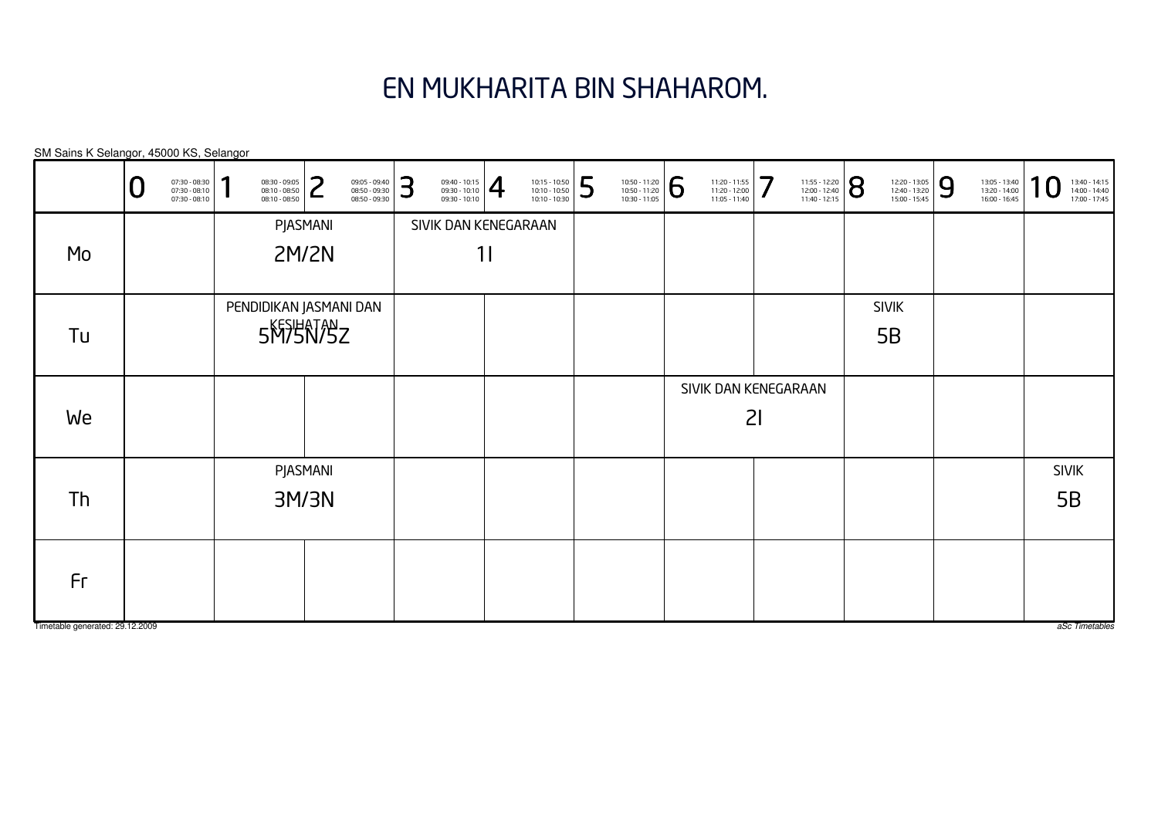# EN MUKHARITA BIN SHAHAROM.

| SM Sains K Selangor, 45000 KS, Selangor |   |                                                 |   |                                                 |              |                                                 |   |                                                 |                          |                                                                                                                     |   |                                                                                                                        |                                                 |           |                                                                                                               |                                                 |   |                                                 |                |                                                 |
|-----------------------------------------|---|-------------------------------------------------|---|-------------------------------------------------|--------------|-------------------------------------------------|---|-------------------------------------------------|--------------------------|---------------------------------------------------------------------------------------------------------------------|---|------------------------------------------------------------------------------------------------------------------------|-------------------------------------------------|-----------|---------------------------------------------------------------------------------------------------------------|-------------------------------------------------|---|-------------------------------------------------|----------------|-------------------------------------------------|
|                                         | U | 07:30 - 08:30<br>07:30 - 08:10<br>07:30 - 08:10 | п | 08:30 - 09:05<br>08:10 - 08:50<br>08:10 - 08:50 | っ<br>L       | 09:05 - 09:40<br>08:50 - 09:30<br>08:50 - 09:30 | 3 | 09:40 - 10:15<br>09:30 - 10:10<br>09:30 - 10:10 | $\overline{\mathcal{A}}$ | $\begin{array}{ l l } \hline 10:15 & -10:50 \\ \hline 10:10 & -10:50 \\ \hline 10:10 & -10:30 \\\hline \end{array}$ | 5 | $\left. \begin{array}{r} 10:50 - 11:20 \\ 10:50 - 11:20 \\ 10:30 - 11:05 \end{array} \right  \, \, \widehat{\bigcirc}$ | 11:20 - 11:55<br>11:20 - 12:00<br>11:05 - 11:40 | $\cdot 7$ | $\left. \begin{array}{l} \n 11:55 - 12:20 \\ 12:00 - 12:40 \\ 11:40 - 12:15\n \end{array} \right  \bigotimes$ | 12:20 - 13:05<br>12:40 - 13:20<br>15:00 - 15:45 | 9 | 13:05 - 13:40<br>13:20 - 14:00<br>16:00 - 16:45 | $\overline{0}$ | 13:40 - 14:15<br>14:00 - 14:40<br>17:00 - 17:45 |
|                                         |   |                                                 |   |                                                 | PJASMANI     |                                                 |   | SIVIK DAN KENEGARAAN                            |                          |                                                                                                                     |   |                                                                                                                        |                                                 |           |                                                                                                               |                                                 |   |                                                 |                |                                                 |
| Mo                                      |   |                                                 |   |                                                 | <b>2M/2N</b> |                                                 |   |                                                 | 11                       |                                                                                                                     |   |                                                                                                                        |                                                 |           |                                                                                                               |                                                 |   |                                                 |                |                                                 |
|                                         |   |                                                 |   | PENDIDIKAN JASMANI DAN                          |              |                                                 |   |                                                 |                          |                                                                                                                     |   |                                                                                                                        |                                                 |           |                                                                                                               | <b>SIVIK</b>                                    |   |                                                 |                |                                                 |
| Tu                                      |   |                                                 |   | 5MSHATASZ                                       |              |                                                 |   |                                                 |                          |                                                                                                                     |   |                                                                                                                        |                                                 |           |                                                                                                               | 5B                                              |   |                                                 |                |                                                 |
|                                         |   |                                                 |   |                                                 |              |                                                 |   |                                                 |                          |                                                                                                                     |   |                                                                                                                        | SIVIK DAN KENEGARAAN                            |           |                                                                                                               |                                                 |   |                                                 |                |                                                 |
| We                                      |   |                                                 |   |                                                 |              |                                                 |   |                                                 |                          |                                                                                                                     |   |                                                                                                                        |                                                 | 21        |                                                                                                               |                                                 |   |                                                 |                |                                                 |
|                                         |   |                                                 |   |                                                 | PJASMANI     |                                                 |   |                                                 |                          |                                                                                                                     |   |                                                                                                                        |                                                 |           |                                                                                                               |                                                 |   |                                                 |                | <b>SIVIK</b>                                    |
| Th                                      |   |                                                 |   |                                                 | 3M/3N        |                                                 |   |                                                 |                          |                                                                                                                     |   |                                                                                                                        |                                                 |           |                                                                                                               |                                                 |   |                                                 |                | 5B                                              |
| Fr                                      |   |                                                 |   |                                                 |              |                                                 |   |                                                 |                          |                                                                                                                     |   |                                                                                                                        |                                                 |           |                                                                                                               |                                                 |   |                                                 |                |                                                 |

Timetable generated: 29.12.2009

aSc Timetables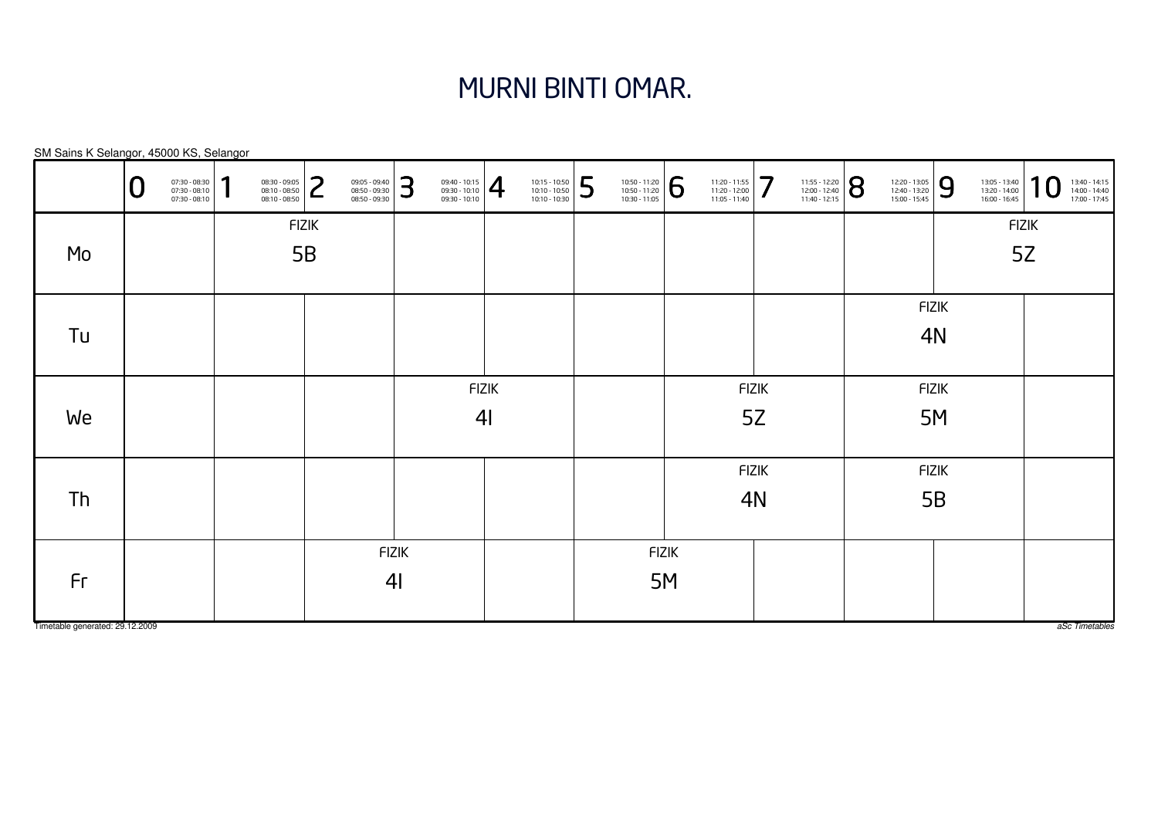#### MURNI BINTI OMAR.

FIZIK4IFIZIK4IFIZIK4NFIZIK4NFIZIK5BFIZIK5BFIZIK5MFIZIK5MFIZIK5ZFIZIK5ZSM Sains K Selangor, 45000 KS, Selangor aSc Timetables 0 $\textbf{0} \xrightarrow{\textbf{07:30-08:10}} {\textbf{07:30-08:10}} \xrightarrow{\textbf{08:30-09:30}} {\textbf{08:10-08:50}} \xrightarrow{\textbf{08:30-09:30}} {\textbf{08:50-09:30}} \xrightarrow{\textbf{08:50-09:30}} {\textbf{08:50-09:30}} \xrightarrow{\textbf{08:50-09:30}} {\textbf{08:50-09:30}} \xrightarrow{\textbf{08:50-09:30}} {\textbf{08:50-09:30}} \xrightarrow{\$ MoTuWeThFr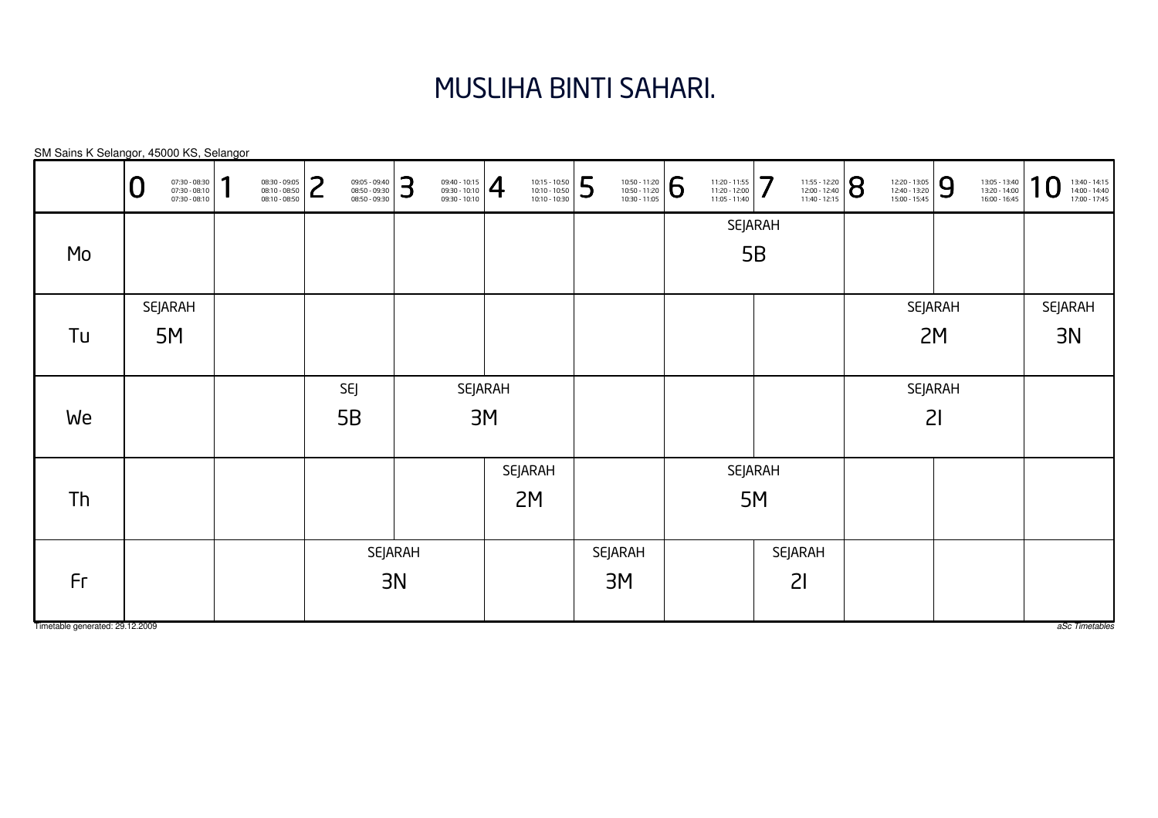# MUSLIHA BINTI SAHARI.

|                                 | 07:30 - 08:30<br>07:30 - 08:10<br>07:30 - 08:10<br>⊾ | 1 | 08:30 - 09:05<br>08:10 - 08:50<br>08:10 - 08:50 | っ | 09:05 - 09:40<br>08:50 - 09:30<br>08:50 - 09:30 | 3       | $\left. \begin{array}{r} 09:40 - 10:15 \\ 09:30 - 10:10 \\ 09:30 - 10:10 \end{array} \right  \bigoplus$ |                | 10:15 - 10:50<br>10:10 - 10:50<br>10:10 - 10:30 | 5 | 10:50 - 11:20<br>10:50 - 11:20<br>10:30 - 11:05 | 6 | 11:20 - 11:55<br>11:20 - 12:00<br>11:05 - 11:40 | 7       | 11:55 - 12:20<br>12:00 - 12:40<br>11:40 - 12:15 | 8 | 12:20 - 13:05<br>12:40 - 13:20<br>15:00 - 15:45 | 9       | 13:05 - 13:40<br>13:20 - 14:00<br>16:00 - 16:45 | 10<br>13:40 - 14:15<br>14:00 - 14:40<br>17:00 - 17:45 |
|---------------------------------|------------------------------------------------------|---|-------------------------------------------------|---|-------------------------------------------------|---------|---------------------------------------------------------------------------------------------------------|----------------|-------------------------------------------------|---|-------------------------------------------------|---|-------------------------------------------------|---------|-------------------------------------------------|---|-------------------------------------------------|---------|-------------------------------------------------|-------------------------------------------------------|
|                                 |                                                      |   |                                                 |   |                                                 |         |                                                                                                         |                |                                                 |   |                                                 |   |                                                 | SEJARAH |                                                 |   |                                                 |         |                                                 |                                                       |
| Mo                              |                                                      |   |                                                 |   |                                                 |         |                                                                                                         |                |                                                 |   |                                                 |   |                                                 | 5B      |                                                 |   |                                                 |         |                                                 |                                                       |
|                                 | <b>SEJARAH</b>                                       |   |                                                 |   |                                                 |         |                                                                                                         |                |                                                 |   |                                                 |   |                                                 |         |                                                 |   |                                                 | SEJARAH |                                                 | SEJARAH                                               |
| Tu                              | 5M                                                   |   |                                                 |   |                                                 |         |                                                                                                         |                |                                                 |   |                                                 |   |                                                 |         |                                                 |   |                                                 | 2M      |                                                 | 3N                                                    |
|                                 |                                                      |   |                                                 |   |                                                 |         |                                                                                                         |                |                                                 |   |                                                 |   |                                                 |         |                                                 |   |                                                 |         |                                                 |                                                       |
|                                 |                                                      |   |                                                 |   | SEJ                                             |         |                                                                                                         | <b>SEJARAH</b> |                                                 |   |                                                 |   |                                                 |         |                                                 |   |                                                 | SEJARAH |                                                 |                                                       |
| We                              |                                                      |   |                                                 |   | 5B                                              |         |                                                                                                         | 3M             |                                                 |   |                                                 |   |                                                 |         |                                                 |   | 21                                              |         |                                                 |                                                       |
|                                 |                                                      |   |                                                 |   |                                                 |         |                                                                                                         |                |                                                 |   |                                                 |   |                                                 |         |                                                 |   |                                                 |         |                                                 |                                                       |
|                                 |                                                      |   |                                                 |   |                                                 |         |                                                                                                         |                | SEJARAH                                         |   |                                                 |   |                                                 | SEJARAH |                                                 |   |                                                 |         |                                                 |                                                       |
| Th                              |                                                      |   |                                                 |   |                                                 |         |                                                                                                         |                | 2M                                              |   |                                                 |   |                                                 | 5M      |                                                 |   |                                                 |         |                                                 |                                                       |
|                                 |                                                      |   |                                                 |   |                                                 |         |                                                                                                         |                |                                                 |   |                                                 |   |                                                 |         |                                                 |   |                                                 |         |                                                 |                                                       |
|                                 |                                                      |   |                                                 |   |                                                 | SEJARAH |                                                                                                         |                |                                                 |   | SEJARAH                                         |   |                                                 | SEJARAH |                                                 |   |                                                 |         |                                                 |                                                       |
| Fr                              |                                                      |   |                                                 |   |                                                 | 3N      |                                                                                                         |                |                                                 |   | 3M                                              |   |                                                 | 21      |                                                 |   |                                                 |         |                                                 |                                                       |
|                                 |                                                      |   |                                                 |   |                                                 |         |                                                                                                         |                |                                                 |   |                                                 |   |                                                 |         |                                                 |   |                                                 |         |                                                 |                                                       |
| Timetable generated: 29.12.2009 |                                                      |   |                                                 |   |                                                 |         |                                                                                                         |                |                                                 |   |                                                 |   |                                                 |         |                                                 |   |                                                 |         |                                                 | aSc Timetables                                        |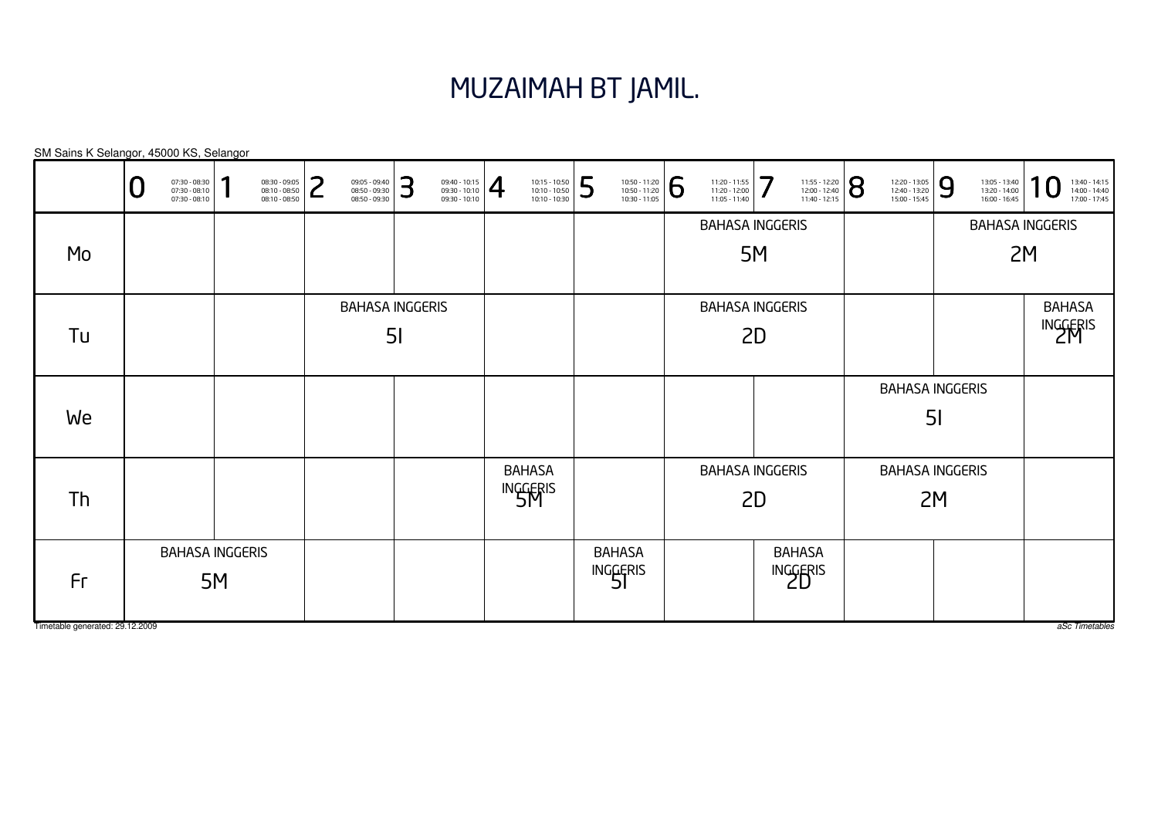#### MUZAIMAH BT JAMIL.

SM Sains K Selangor, 45000 KS, Selangor

|                                 | 07:30 - 08:30<br>07:30 - 08:10<br>07:30 - 08:10 | ٠  | 08:30 - 09:05<br>08:10 - 08:50<br>08:10 - 08:50 | ົ<br>┕ | 09:05 - 09:40<br>08:50 - 09:30<br>08:50 - 09:30 | 3              | $\left. \begin{array}{l} 09:40 - 10:15 \\ 09:30 - 10:10 \\ 09:30 - 10:10 \end{array} \right  \begin{array}{c} \begin{array}{c} \begin{array}{c} \begin{array}{c} \end{array} \end{array} \end{array} \end{array}$ | 10:15 - 10:50<br>10:10 - 10:50<br>10:10 - 10:30 | 5 | 10:50 - 11:20<br>10:50 - 11:20<br>10:30 - 11:05 | 6 | 11:20 - 11:55<br>11:20 - 12:00<br>11:05 - 11:40 | 7  | 11:55 - 12:20<br>12:00 - 12:40<br>11:40 - 12:15 | 8 | 12:20 - 13:05<br>12:40 - 13:20<br>15:00 - 15:45 | 9              | 13:05 - 13:40<br>13:20 - 14:00<br>16:00 - 16:45 | ٠<br>13:40 - 14:15<br>14:00 - 14:40<br>17:00 - 17:45 |
|---------------------------------|-------------------------------------------------|----|-------------------------------------------------|--------|-------------------------------------------------|----------------|-------------------------------------------------------------------------------------------------------------------------------------------------------------------------------------------------------------------|-------------------------------------------------|---|-------------------------------------------------|---|-------------------------------------------------|----|-------------------------------------------------|---|-------------------------------------------------|----------------|-------------------------------------------------|------------------------------------------------------|
|                                 |                                                 |    |                                                 |        |                                                 |                |                                                                                                                                                                                                                   |                                                 |   |                                                 |   | <b>BAHASA INGGERIS</b>                          |    |                                                 |   |                                                 |                |                                                 | <b>BAHASA INGGERIS</b>                               |
| Mo                              |                                                 |    |                                                 |        |                                                 |                |                                                                                                                                                                                                                   |                                                 |   |                                                 |   |                                                 | 5M |                                                 |   |                                                 |                |                                                 | 2M                                                   |
|                                 |                                                 |    |                                                 |        | <b>BAHASA INGGERIS</b>                          |                |                                                                                                                                                                                                                   |                                                 |   |                                                 |   | <b>BAHASA INGGERIS</b>                          |    |                                                 |   |                                                 |                |                                                 | <b>BAHASA</b>                                        |
| Tu                              |                                                 |    |                                                 |        |                                                 | 5 <sub>l</sub> |                                                                                                                                                                                                                   |                                                 |   |                                                 |   |                                                 | 2D |                                                 |   |                                                 |                |                                                 | <b>INGGERIS</b>                                      |
|                                 |                                                 |    |                                                 |        |                                                 |                |                                                                                                                                                                                                                   |                                                 |   |                                                 |   |                                                 |    |                                                 |   | <b>BAHASA INGGERIS</b>                          |                |                                                 |                                                      |
| We                              |                                                 |    |                                                 |        |                                                 |                |                                                                                                                                                                                                                   |                                                 |   |                                                 |   |                                                 |    |                                                 |   |                                                 | 5 <sub>l</sub> |                                                 |                                                      |
|                                 |                                                 |    |                                                 |        |                                                 |                |                                                                                                                                                                                                                   | <b>BAHASA</b>                                   |   |                                                 |   | <b>BAHASA INGGERIS</b>                          |    |                                                 |   | <b>BAHASA INGGERIS</b>                          |                |                                                 |                                                      |
| Th                              |                                                 |    |                                                 |        |                                                 |                |                                                                                                                                                                                                                   | <b>INGGERIS</b>                                 |   |                                                 |   |                                                 | 2D |                                                 |   |                                                 | 2M             |                                                 |                                                      |
|                                 | <b>BAHASA INGGERIS</b>                          |    |                                                 |        |                                                 |                |                                                                                                                                                                                                                   |                                                 |   | <b>BAHASA</b>                                   |   |                                                 |    | <b>BAHASA</b>                                   |   |                                                 |                |                                                 |                                                      |
| Fr                              |                                                 | 5M |                                                 |        |                                                 |                |                                                                                                                                                                                                                   |                                                 |   | INGGERIS                                        |   |                                                 |    | INGGERIS                                        |   |                                                 |                |                                                 |                                                      |
| Timetable generated: 29.12.2009 |                                                 |    |                                                 |        |                                                 |                |                                                                                                                                                                                                                   |                                                 |   |                                                 |   |                                                 |    |                                                 |   |                                                 |                |                                                 | aSc Timetables                                       |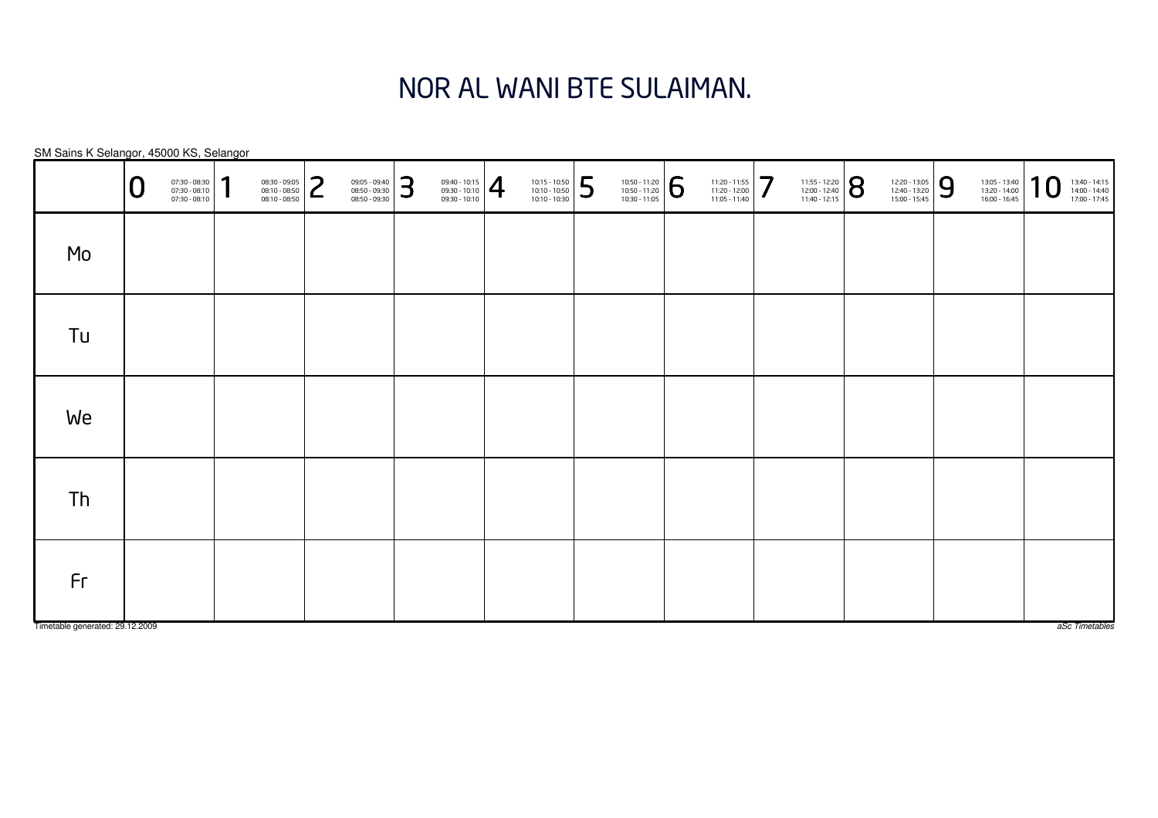# NOR AL WANI BTE SULAIMAN.

SM Sains K Selangor, 45000 KS, Selangor

|                                       | 0 | 07:30 - 08:30<br>07:30 - 08:10<br>07:30 - 08:10 | 1 | 08:30 - 09:05<br>08:10 - 08:50<br>08:10 - 08:50 | っ<br>L | 09:05 - 09:40<br>08:50 - 09:30<br>08:50 - 09:30 | 3 | $\left. \begin{array}{r} 09:40 - 10:15 \\ 09:30 - 10:10 \\ 09:30 - 10:10 \end{array} \right  \begin{array}{c} \begin{array}{c} \begin{array}{c} \begin{array}{c} \end{array} \end{array} \end{array} \end{array}$ | $\begin{array}{ l l } \hline 10:15 & -10:50 \\ \hline 10:10 & -10:50 \\ \hline 10:10 & -10:30 \\\hline \end{array}$ | 5 | $\left. \begin{array}{c} \n 10:50 - 11:20 \\ 10:50 - 11:20 \\ 10:30 - 11:05 \n \end{array} \right  \begin{array}{c} \bigodot \n \end{array}$ | $\begin{array}{c} 11:20 - 11:55 \\ 11:20 - 12:00 \\ 11:05 - 11:40 \end{array}$ | 11:55 - 12:20<br>12:00 - 12:40<br>11:40 - 12:15 | 12:20 - 13:05<br>12:40 - 13:20<br>15:00 - 15:45 | 9 | 13:05 - 13:40<br>13:20 - 14:00<br>16:00 - 16:45 | 10 | 13:40 - 14:15<br>14:00 - 14:40<br>17:00 - 17:45 |
|---------------------------------------|---|-------------------------------------------------|---|-------------------------------------------------|--------|-------------------------------------------------|---|-------------------------------------------------------------------------------------------------------------------------------------------------------------------------------------------------------------------|---------------------------------------------------------------------------------------------------------------------|---|----------------------------------------------------------------------------------------------------------------------------------------------|--------------------------------------------------------------------------------|-------------------------------------------------|-------------------------------------------------|---|-------------------------------------------------|----|-------------------------------------------------|
| Mo                                    |   |                                                 |   |                                                 |        |                                                 |   |                                                                                                                                                                                                                   |                                                                                                                     |   |                                                                                                                                              |                                                                                |                                                 |                                                 |   |                                                 |    |                                                 |
| Tu                                    |   |                                                 |   |                                                 |        |                                                 |   |                                                                                                                                                                                                                   |                                                                                                                     |   |                                                                                                                                              |                                                                                |                                                 |                                                 |   |                                                 |    |                                                 |
| We                                    |   |                                                 |   |                                                 |        |                                                 |   |                                                                                                                                                                                                                   |                                                                                                                     |   |                                                                                                                                              |                                                                                |                                                 |                                                 |   |                                                 |    |                                                 |
| Th                                    |   |                                                 |   |                                                 |        |                                                 |   |                                                                                                                                                                                                                   |                                                                                                                     |   |                                                                                                                                              |                                                                                |                                                 |                                                 |   |                                                 |    |                                                 |
| Fr<br>Timetable generated: 29.12.2009 |   |                                                 |   |                                                 |        |                                                 |   |                                                                                                                                                                                                                   |                                                                                                                     |   |                                                                                                                                              |                                                                                |                                                 |                                                 |   |                                                 |    | aSc Timetables                                  |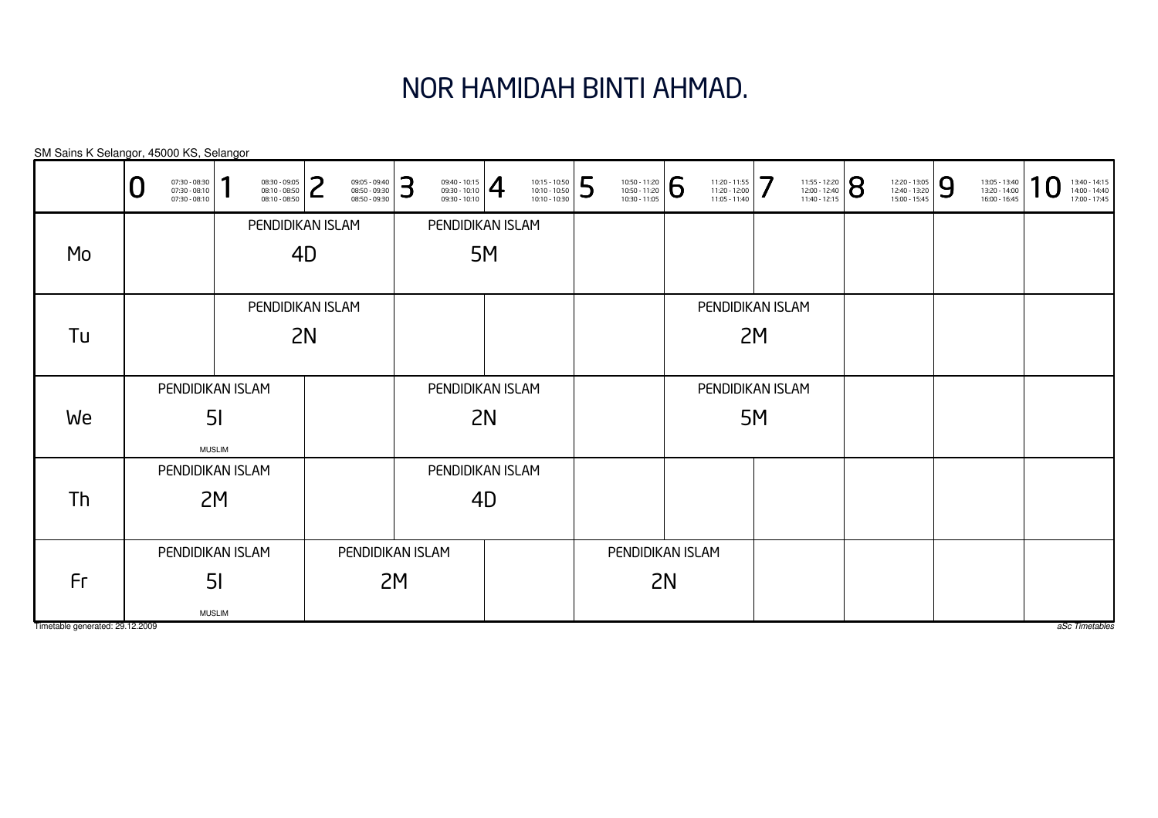# NOR HAMIDAH BINTI AHMAD.

|                                 | 07:30 - 08:30<br>07:30 - 08:10<br>07:30 - 08:10 | и                | 08:30 - 09:05<br>08:10 - 08:50<br>08:10 - 08:50 | ົ<br>L           | 09:05 - 09:40<br>08:50 - 09:30<br>08:50 - 09:30 | 3                | $\frac{09:40 - 10:15}{09:30 - 10:10}$ |    | 10:15 - 10:50<br>10:10 - 10:50<br>10:10 - 10:30 | 5 | 10:50 - 11:20<br>10:50 - 11:20<br>10:30 - 11:05 | 6                | 11:20 - 11:55<br>11:20 - 12:00<br>11:05 - 11:40 | 7  | 11:55 - 12:20<br>12:00 - 12:40<br>11:40 - 12:15 | 8 | 12:20 - 13:05<br>12:40 - 13:20<br>15:00 - 15:45 | 9 | 13:05 - 13:40<br>13:20 - 14:00<br>16:00 - 16:45 | л | 13:40 - 14:15<br>14:00 - 14:40<br>17:00 - 17:45 |
|---------------------------------|-------------------------------------------------|------------------|-------------------------------------------------|------------------|-------------------------------------------------|------------------|---------------------------------------|----|-------------------------------------------------|---|-------------------------------------------------|------------------|-------------------------------------------------|----|-------------------------------------------------|---|-------------------------------------------------|---|-------------------------------------------------|---|-------------------------------------------------|
|                                 |                                                 |                  |                                                 | PENDIDIKAN ISLAM |                                                 |                  | PENDIDIKAN ISLAM                      |    |                                                 |   |                                                 |                  |                                                 |    |                                                 |   |                                                 |   |                                                 |   |                                                 |
| Mo                              |                                                 |                  | 4D                                              |                  |                                                 |                  |                                       | 5M |                                                 |   |                                                 |                  |                                                 |    |                                                 |   |                                                 |   |                                                 |   |                                                 |
|                                 |                                                 |                  |                                                 |                  |                                                 |                  |                                       |    |                                                 |   |                                                 |                  |                                                 |    |                                                 |   |                                                 |   |                                                 |   |                                                 |
|                                 |                                                 |                  |                                                 | PENDIDIKAN ISLAM |                                                 |                  |                                       |    |                                                 |   |                                                 |                  | PENDIDIKAN ISLAM                                |    |                                                 |   |                                                 |   |                                                 |   |                                                 |
| Tu                              |                                                 |                  |                                                 | 2N               |                                                 |                  |                                       |    |                                                 |   |                                                 |                  |                                                 | 2M |                                                 |   |                                                 |   |                                                 |   |                                                 |
|                                 |                                                 |                  |                                                 |                  |                                                 |                  |                                       |    |                                                 |   |                                                 |                  |                                                 |    |                                                 |   |                                                 |   |                                                 |   |                                                 |
|                                 |                                                 | PENDIDIKAN ISLAM |                                                 |                  |                                                 | PENDIDIKAN ISLAM |                                       |    |                                                 |   |                                                 |                  | PENDIDIKAN ISLAM                                |    |                                                 |   |                                                 |   |                                                 |   |                                                 |
| We                              |                                                 | 5 <sub>l</sub>   |                                                 |                  |                                                 | 2N               |                                       |    |                                                 |   |                                                 |                  |                                                 | 5M |                                                 |   |                                                 |   |                                                 |   |                                                 |
|                                 |                                                 | <b>MUSLIM</b>    |                                                 |                  |                                                 |                  |                                       |    |                                                 |   |                                                 |                  |                                                 |    |                                                 |   |                                                 |   |                                                 |   |                                                 |
|                                 | PENDIDIKAN ISLAM                                |                  |                                                 |                  |                                                 |                  | PENDIDIKAN ISLAM                      |    |                                                 |   |                                                 |                  |                                                 |    |                                                 |   |                                                 |   |                                                 |   |                                                 |
| Th                              |                                                 | 2M               |                                                 | 4D               |                                                 |                  |                                       |    |                                                 |   |                                                 |                  |                                                 |    |                                                 |   |                                                 |   |                                                 |   |                                                 |
|                                 |                                                 |                  |                                                 |                  |                                                 |                  |                                       |    |                                                 |   |                                                 |                  |                                                 |    |                                                 |   |                                                 |   |                                                 |   |                                                 |
|                                 |                                                 | PENDIDIKAN ISLAM |                                                 | PENDIDIKAN ISLAM |                                                 |                  |                                       |    |                                                 |   |                                                 | PENDIDIKAN ISLAM |                                                 |    |                                                 |   |                                                 |   |                                                 |   |                                                 |
| Fr                              |                                                 | 5 <sub>l</sub>   |                                                 |                  | 2M                                              |                  |                                       |    |                                                 |   | 2N                                              |                  |                                                 |    |                                                 |   |                                                 |   |                                                 |   |                                                 |
|                                 |                                                 |                  |                                                 |                  |                                                 |                  |                                       |    |                                                 |   |                                                 |                  |                                                 |    |                                                 |   |                                                 |   |                                                 |   |                                                 |
| Timetable generated: 29.12.2009 |                                                 | <b>MUSLIM</b>    |                                                 |                  |                                                 |                  |                                       |    |                                                 |   |                                                 |                  |                                                 |    |                                                 |   |                                                 |   |                                                 |   | aSc Timetables                                  |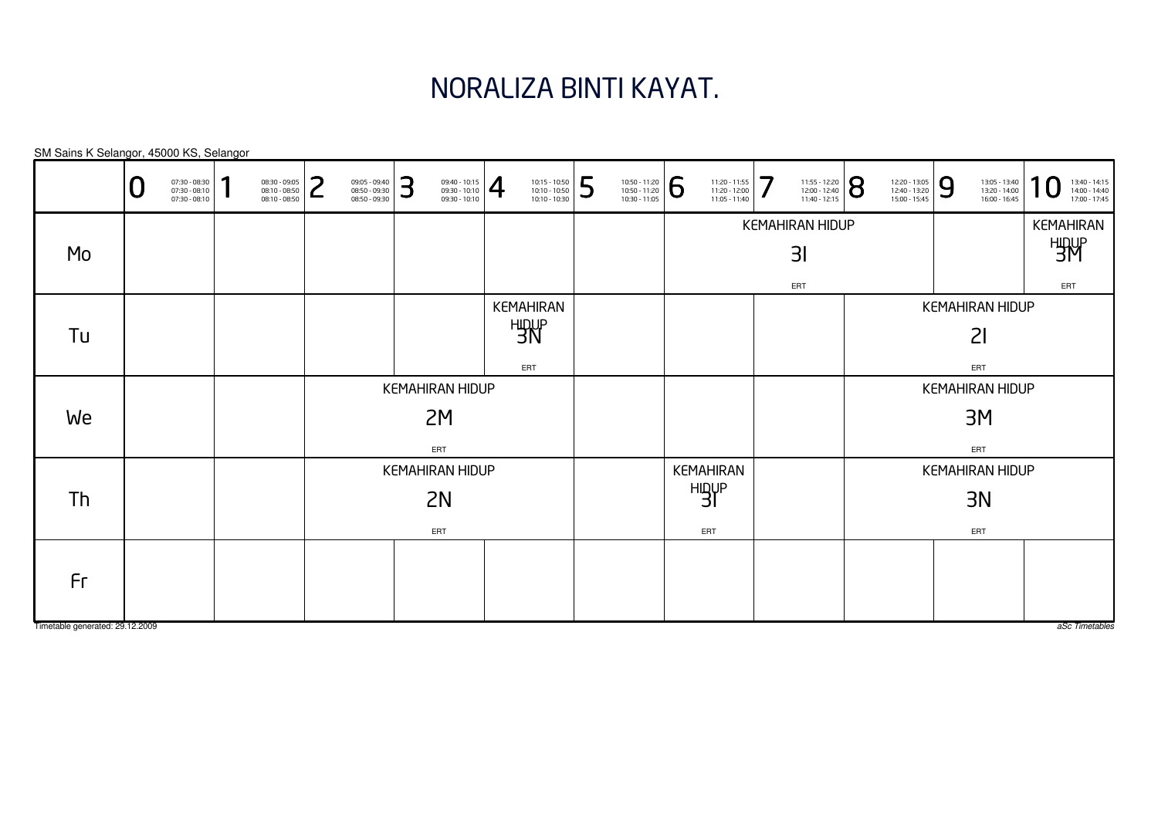#### NORALIZA BINTI KAYAT.

KEMAHIRANHIDUP 3IERTKEMAHIRAN HIDUP $3<sub>l</sub>$ ERTKEMAHIRANHIDUP 3M ERTKEMAHIRAN HIDUP3M ERTKEMAHIRANHIDUP 3NERTKEMAHIRAN HIDUP3NERTKEMAHIRAN HIDUP2IERTKEMAHIRAN HIDUP2M ERTKEMAHIRAN HIDUP2NERTSM Sains K Selangor, 45000 KS, Selangor0 $\textbf{0} \xrightarrow{\textbf{07:30-08:10}} {\textbf{07:30-08:10}} \xrightarrow{\textbf{08:30-09:30}} {\textbf{08:10-08:50}} \xrightarrow{\textbf{08:30-09:30}} {\textbf{08:50-09:30}} \xrightarrow{\textbf{08:50-09:30}} {\textbf{08:50-09:30}} \xrightarrow{\textbf{08:50-09:30}} {\textbf{08:50-09:30}} \xrightarrow{\textbf{08:50-09:30}} {\textbf{08:50-09:30}} \xrightarrow{\$ MoTuWeThFr

Timetable generated: 29.12.2009

aSc Timetables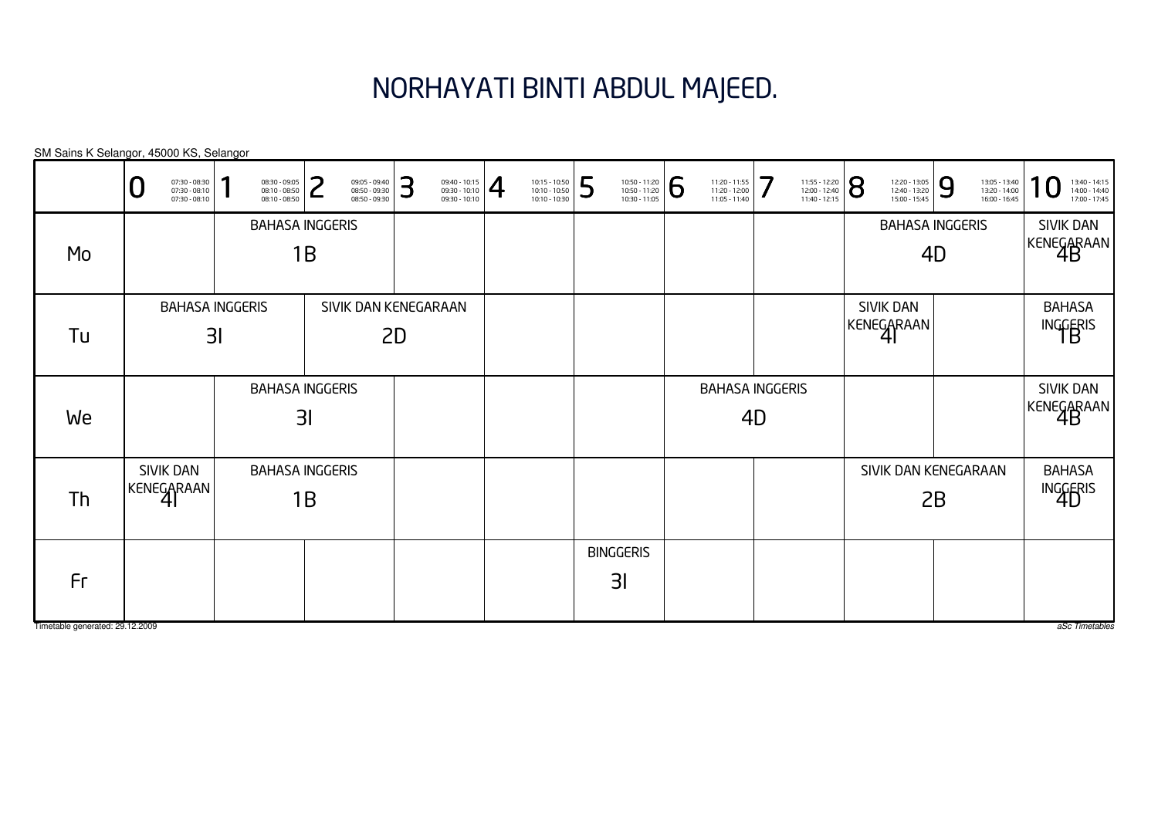# NORHAYATI BINTI ABDUL MAJEED.

| SM Sains K Selangor, 45000 KS, Selangor |                              |                                                 |                                          |                                                 |        |                                                 |    |                                       |                                                                                                                     |   |                                                 |   |                                                 |    |                                                                                                               |                                                 |    |                                                 |                                                 |
|-----------------------------------------|------------------------------|-------------------------------------------------|------------------------------------------|-------------------------------------------------|--------|-------------------------------------------------|----|---------------------------------------|---------------------------------------------------------------------------------------------------------------------|---|-------------------------------------------------|---|-------------------------------------------------|----|---------------------------------------------------------------------------------------------------------------|-------------------------------------------------|----|-------------------------------------------------|-------------------------------------------------|
|                                         | U                            | 07:30 - 08:30<br>07:30 - 08:10<br>07:30 - 08:10 |                                          | 08:30 - 09:05<br>08:10 - 08:50<br>08:10 - 08:50 | っ<br>L | 09:05 - 09:40<br>08:50 - 09:30<br>08:50 - 09:30 | 3  | $\frac{09:40 - 10:15}{09:30 - 10:10}$ | $\begin{array}{ l l } \hline 10:15 & -10:50 \\ \hline 10:10 & -10:50 \\ \hline 10:10 & -10:30 \\\hline \end{array}$ | 5 | 10:50 - 11:20<br>10:50 - 11:20<br>10:30 - 11:05 | 6 | 11:20 - 11:55<br>11:20 - 12:00<br>11:05 - 11:40 | 7  | $\left. \begin{array}{l} \n 11:55 - 12:20 \\ 12:00 - 12:40 \\ 11:40 - 12:15\n \end{array} \right  \bigotimes$ | 12:20 - 13:05<br>12:40 - 13:20<br>15:00 - 15:45 | 9  | 13:05 - 13:40<br>13:20 - 14:00<br>16:00 - 16:45 | 13:40 - 14:15<br>14:00 - 14:40<br>17:00 - 17:45 |
| Mo                                      |                              |                                                 |                                          | <b>BAHASA INGGERIS</b>                          | 1B     |                                                 |    |                                       |                                                                                                                     |   |                                                 |   |                                                 |    |                                                                                                               | <b>BAHASA INGGERIS</b>                          | 4D |                                                 | SIVIK DAN<br>KENEGARAAN                         |
| Tu                                      | <b>BAHASA INGGERIS</b><br>31 |                                                 |                                          |                                                 |        | SIVIK DAN KENEGARAAN                            | 2D |                                       |                                                                                                                     |   |                                                 |   |                                                 |    |                                                                                                               | <b>SIVIK DAN</b><br>KENEGARAAN                  |    |                                                 | <b>BAHASA</b><br>INGGERIS                       |
| We                                      |                              |                                                 | <b>BAHASA INGGERIS</b><br>3 <sub>l</sub> |                                                 |        |                                                 |    |                                       |                                                                                                                     |   |                                                 |   | <b>BAHASA INGGERIS</b>                          | 4D |                                                                                                               |                                                 |    |                                                 | SIVIK DAN<br>KENEGARAAN                         |
| Th                                      |                              | SIVIK DAN<br>KENEGARAAN                         |                                          | <b>BAHASA INGGERIS</b>                          | 1B     |                                                 |    |                                       |                                                                                                                     |   |                                                 |   |                                                 |    |                                                                                                               | SIVIK DAN KENEGARAAN                            | 2B |                                                 | <b>BAHASA</b><br>INGGERIS                       |
| Fr                                      |                              |                                                 |                                          |                                                 |        |                                                 |    |                                       |                                                                                                                     |   | <b>BINGGERIS</b><br>3 <sup>l</sup>              |   |                                                 |    |                                                                                                               |                                                 |    |                                                 |                                                 |
| Timetable generated: 29.12.2009         |                              |                                                 |                                          |                                                 |        |                                                 |    |                                       |                                                                                                                     |   |                                                 |   |                                                 |    |                                                                                                               |                                                 |    |                                                 | aSc Timetables                                  |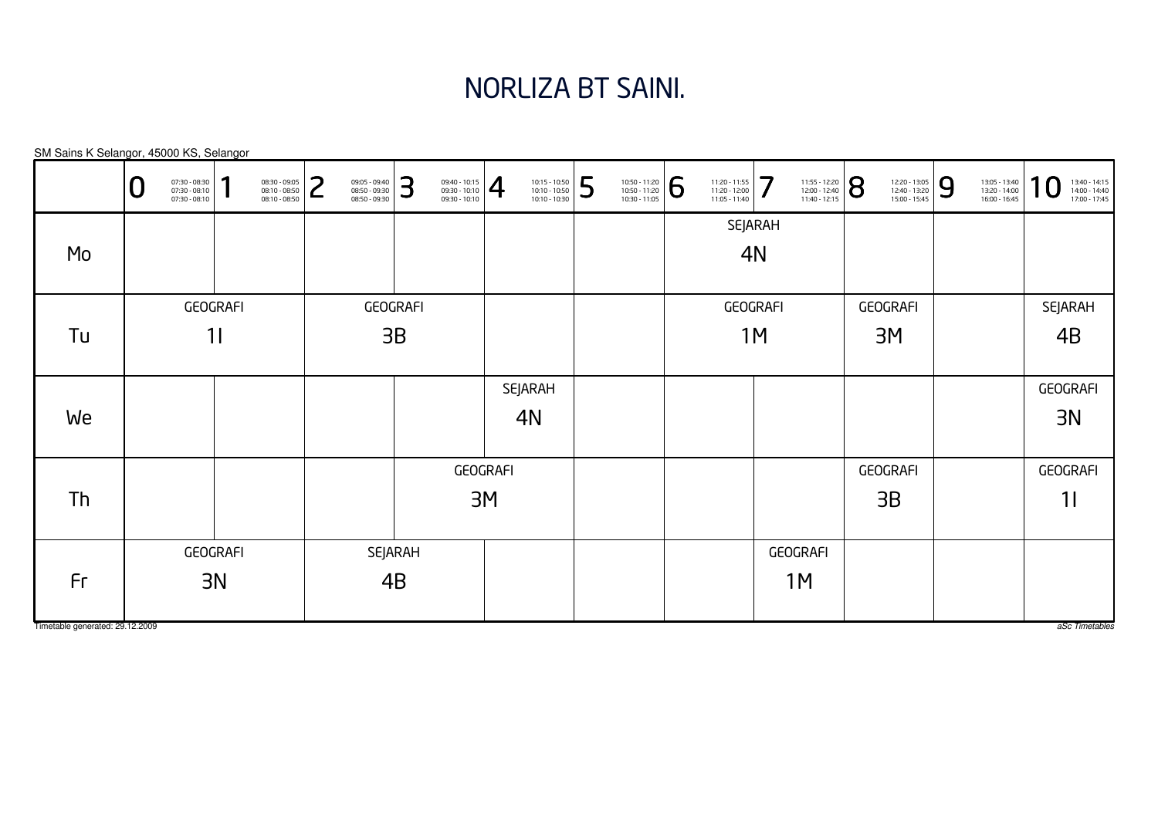# NORLIZA BT SAINI.

|                                 | O              | 07:30 - 08:30<br>07:30 - 08:10<br>07:30 - 08:10 | ٠ | 08:30 - 09:05<br>08:10 - 08:50<br>08:10 - 08:50 | っ<br>┕  | 09:05 - 09:40<br>08:50 - 09:30<br>08:50 - 09:30 | 3  | $\left\{\n \begin{array}{c}\n 09:40 - 10:15 \\ 09:30 - 10:10 \\ 09:30 - 10:10\n \end{array}\n \right \n \begin{array}{c}\n \begin{array}{c}\n \end{array}\n \end{array}$ |  | 10:15 - 10:50<br>10:10 - 10:50<br>10:10 - 10:30 | 5 | 10:50 - 11:20<br>10:50 - 11:20<br>10:30 - 11:05 | 6  | 11:20 - 11:55<br>11:20 - 12:00<br>11:05 - 11:40 | 7             | 11:55 - 12:20<br>12:00 - 12:40<br>11:40 - 12:15 | 8        | 12:20 - 13:05<br>12:40 - 13:20<br>15:00 - 15:45 | 9  | 13:05 - 13:40<br>13:20 - 14:00<br>16:00 - 16:45 | 1<br>$\overline{0}$<br>13:40 - 14:15<br>14:00 - 14:40<br>17:00 - 17:45 |
|---------------------------------|----------------|-------------------------------------------------|---|-------------------------------------------------|---------|-------------------------------------------------|----|--------------------------------------------------------------------------------------------------------------------------------------------------------------------------|--|-------------------------------------------------|---|-------------------------------------------------|----|-------------------------------------------------|---------------|-------------------------------------------------|----------|-------------------------------------------------|----|-------------------------------------------------|------------------------------------------------------------------------|
| Mo                              |                |                                                 |   |                                                 |         |                                                 |    |                                                                                                                                                                          |  |                                                 |   |                                                 |    |                                                 | SEJARAH<br>4N |                                                 |          |                                                 |    |                                                 |                                                                        |
|                                 |                | GEOGRAFI                                        |   | <b>GEOGRAFI</b>                                 |         |                                                 |    |                                                                                                                                                                          |  |                                                 |   |                                                 |    | <b>GEOGRAFI</b>                                 |               |                                                 | GEOGRAFI |                                                 |    | SEJARAH                                         |                                                                        |
| Tu                              | 11             |                                                 |   |                                                 |         | 3B                                              |    |                                                                                                                                                                          |  |                                                 |   |                                                 | 1M |                                                 |               |                                                 |          | 3M                                              |    |                                                 | 4B                                                                     |
| We                              |                |                                                 |   |                                                 |         |                                                 |    |                                                                                                                                                                          |  | SEJARAH<br>4N                                   |   |                                                 |    |                                                 |               |                                                 |          |                                                 |    |                                                 | GEOGRAFI<br>3N                                                         |
|                                 |                |                                                 |   |                                                 |         |                                                 |    | <b>GEOGRAFI</b>                                                                                                                                                          |  |                                                 |   |                                                 |    |                                                 |               |                                                 |          | GEOGRAFI                                        |    |                                                 | GEOGRAFI                                                               |
| Th                              |                |                                                 |   |                                                 |         |                                                 | 3M |                                                                                                                                                                          |  |                                                 |   |                                                 |    |                                                 |               | 3B                                              |          |                                                 | 11 |                                                 |                                                                        |
|                                 | GEOGRAFI<br>3N |                                                 |   |                                                 | SEJARAH |                                                 |    |                                                                                                                                                                          |  |                                                 |   |                                                 |    |                                                 |               | <b>GEOGRAFI</b>                                 |          |                                                 |    |                                                 |                                                                        |
| Fr                              |                |                                                 |   |                                                 |         | 4B                                              |    |                                                                                                                                                                          |  |                                                 |   |                                                 |    |                                                 |               | 1M                                              |          |                                                 |    |                                                 |                                                                        |
| Timetable generated: 29.12.2009 |                |                                                 |   |                                                 |         |                                                 |    |                                                                                                                                                                          |  |                                                 |   |                                                 |    |                                                 |               |                                                 |          |                                                 |    |                                                 | aSc Timetables                                                         |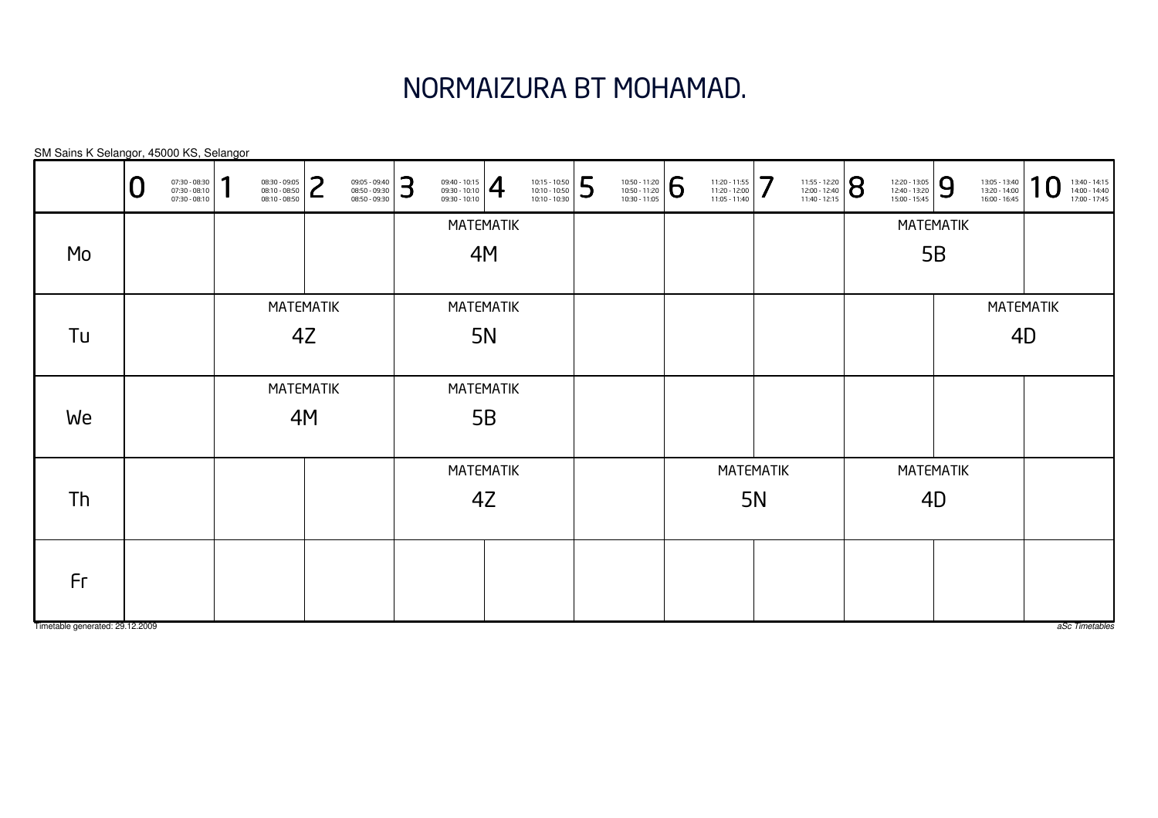### NORMAIZURA BT MOHAMAD.

|                                 | ◡ | 07:30 - 08:30<br>07:30 - 08:10<br>07:30 - 08:10 | и | 08:30 - 09:05<br>08:10 - 08:50<br>08:10 - 08:50 | っ<br>┕ | 09:05 - 09:40<br>08:50 - 09:30<br>08:50 - 09:30 | 3                      | $\left. \begin{array}{l} 09:40 - 10:15 \\ 09:30 - 10:10 \\ 09:30 - 10:10 \end{array} \right  \begin{array}{c} \begin{array}{c} \begin{array}{c} \begin{array}{c} \end{array} \end{array} \end{array} \end{array}$ |                  | 10:15 - 10:50<br>10:10 - 10:50<br>10:10 - 10:30 | 5 | 10:50 - 11:20<br>10:50 - 11:20<br>10:30 - 11:05 | 6 | 11:20 - 11:55<br>11:20 - 12:00<br>11:05 - 11:40 | 7         | 11:55 - 12:20<br>12:00 - 12:40<br>11:40 - 12:15 | 8 | 12:20 - 13:05<br>12:40 - 13:20<br>15:00 - 15:45 | 9         | 13:05 - 13:40<br>13:20 - 14:00<br>16:00 - 16:45 | 1                | 13:40 - 14:15<br>14:00 - 14:40<br>17:00 - 17:45 |
|---------------------------------|---|-------------------------------------------------|---|-------------------------------------------------|--------|-------------------------------------------------|------------------------|-------------------------------------------------------------------------------------------------------------------------------------------------------------------------------------------------------------------|------------------|-------------------------------------------------|---|-------------------------------------------------|---|-------------------------------------------------|-----------|-------------------------------------------------|---|-------------------------------------------------|-----------|-------------------------------------------------|------------------|-------------------------------------------------|
|                                 |   |                                                 |   |                                                 |        |                                                 |                        |                                                                                                                                                                                                                   | MATEMATIK        |                                                 |   |                                                 |   |                                                 |           |                                                 |   |                                                 | MATEMATIK |                                                 |                  |                                                 |
| Mo                              |   |                                                 |   |                                                 |        |                                                 |                        |                                                                                                                                                                                                                   | 4M               |                                                 |   |                                                 |   |                                                 |           |                                                 |   |                                                 | 5B        |                                                 |                  |                                                 |
|                                 |   |                                                 |   | <b>MATEMATIK</b>                                |        |                                                 |                        |                                                                                                                                                                                                                   | <b>MATEMATIK</b> |                                                 |   |                                                 |   |                                                 |           |                                                 |   |                                                 |           |                                                 | <b>MATEMATIK</b> |                                                 |
| Tu                              |   |                                                 |   |                                                 | 4Z     |                                                 |                        |                                                                                                                                                                                                                   | 5N               |                                                 |   |                                                 |   |                                                 |           |                                                 |   |                                                 |           | 4D                                              |                  |                                                 |
|                                 |   |                                                 |   | <b>MATEMATIK</b>                                |        |                                                 |                        |                                                                                                                                                                                                                   | MATEMATIK        |                                                 |   |                                                 |   |                                                 |           |                                                 |   |                                                 |           |                                                 |                  |                                                 |
| We                              |   |                                                 |   |                                                 | 4M     |                                                 |                        |                                                                                                                                                                                                                   | 5B               |                                                 |   |                                                 |   |                                                 |           |                                                 |   |                                                 |           |                                                 |                  |                                                 |
|                                 |   |                                                 |   |                                                 |        |                                                 |                        |                                                                                                                                                                                                                   |                  |                                                 |   |                                                 |   | <b>MATEMATIK</b>                                |           |                                                 |   |                                                 | MATEMATIK |                                                 |                  |                                                 |
| Th                              |   |                                                 |   |                                                 |        |                                                 | <b>MATEMATIK</b><br>4Z |                                                                                                                                                                                                                   |                  |                                                 |   |                                                 |   |                                                 | <b>5N</b> |                                                 |   |                                                 | 4D        |                                                 |                  |                                                 |
| Fr                              |   |                                                 |   |                                                 |        |                                                 |                        |                                                                                                                                                                                                                   |                  |                                                 |   |                                                 |   |                                                 |           |                                                 |   |                                                 |           |                                                 |                  |                                                 |
| Timetable generated: 29.12.2009 |   |                                                 |   |                                                 |        |                                                 |                        |                                                                                                                                                                                                                   |                  |                                                 |   |                                                 |   |                                                 |           |                                                 |   |                                                 |           |                                                 |                  | aSc Timetables                                  |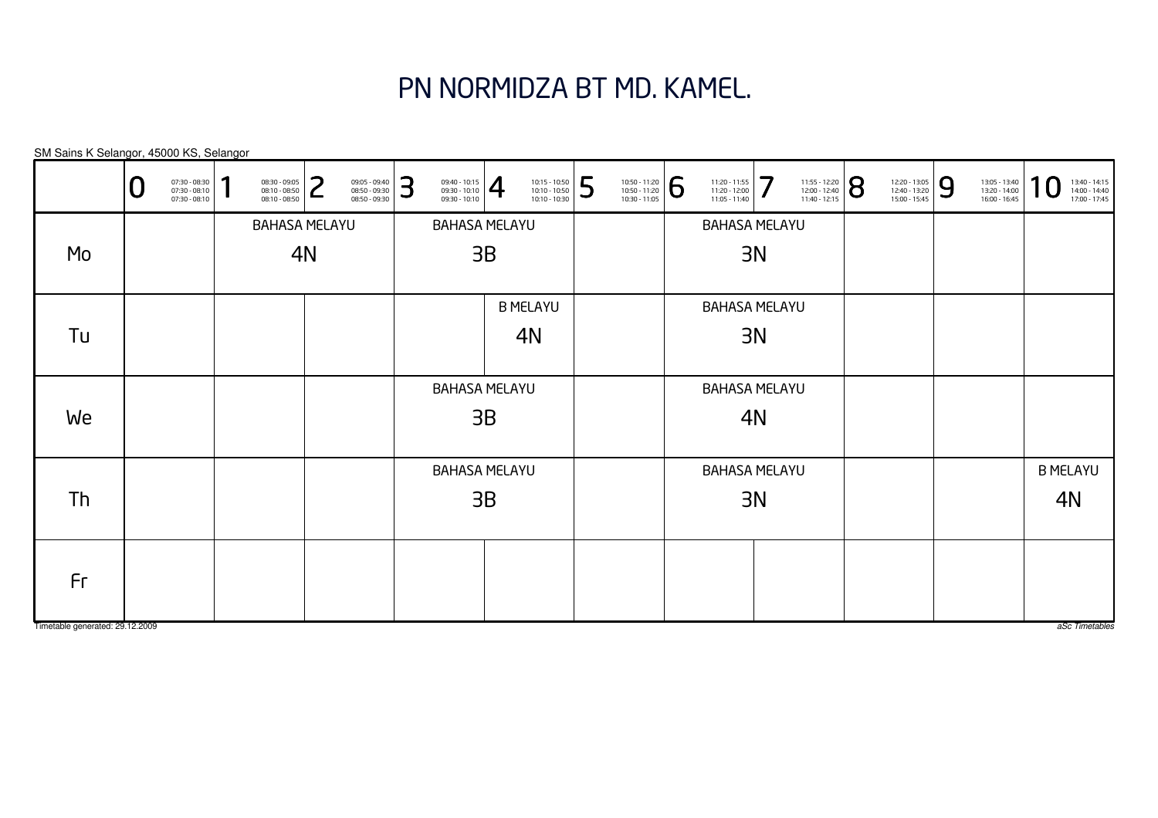### PN NORMIDZA BT MD. KAMEL.

BAHASA MELAYU3BBAHASA MELAYU3BBAHASA MELAYU3BBAHASA MELAYU3NBAHASA MELAYU3NBAHASA MELAYU3NB MELAYU4NB MELAYU4NBAHASA MELAYU4NBAHASA MELAYU4NSM Sains K Selangor, 45000 KS, Selangor0 $\textbf{0} \xrightarrow{\textbf{07:30-08:10}} {\textbf{07:30-08:10}} \xrightarrow{\textbf{08:30-09:30}} {\textbf{08:10-08:50}} \xrightarrow{\textbf{08:30-09:30}} {\textbf{08:50-09:30}} \xrightarrow{\textbf{08:50-09:30}} {\textbf{08:50-09:30}} \xrightarrow{\textbf{08:50-09:30}} {\textbf{08:50-09:30}} \xrightarrow{\textbf{08:50-09:30}} {\textbf{08:50-09:30}} \xrightarrow{\$ MoTuWeThFr

Timetable generated: 29.12.2009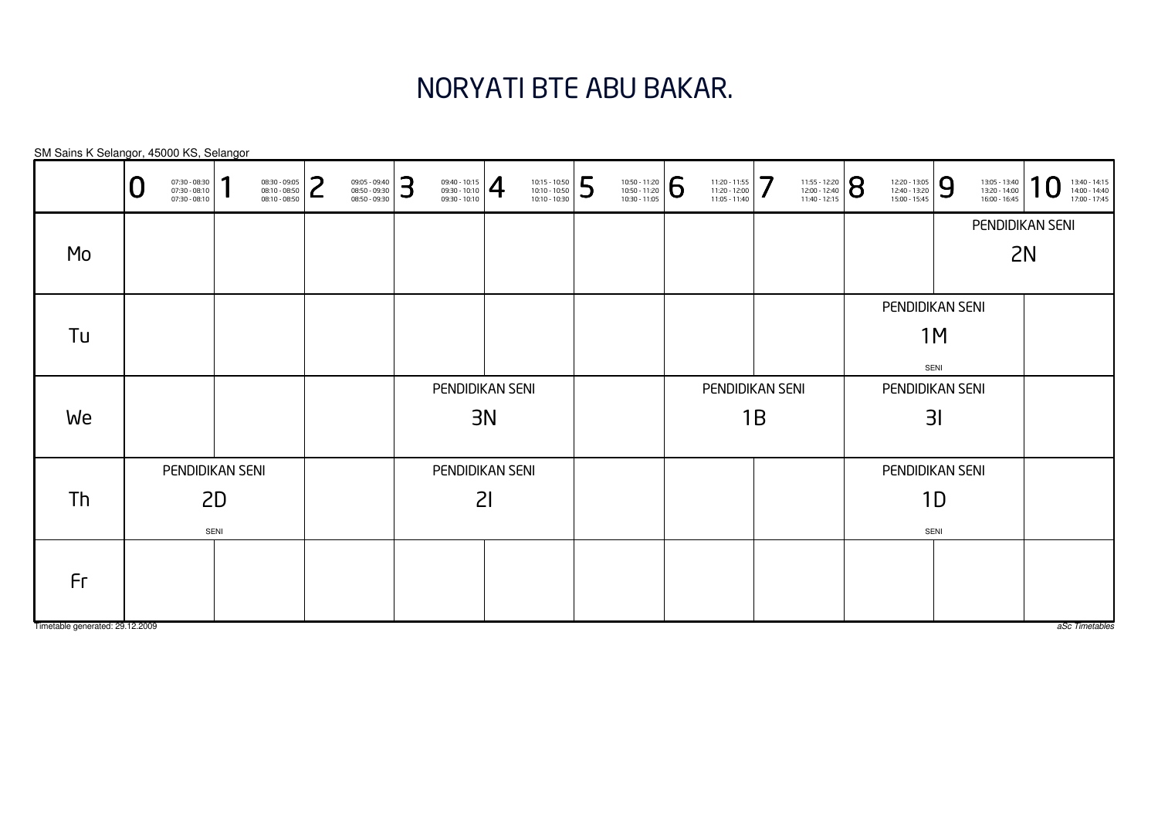### NORYATI BTE ABU BAKAR.

|                                 | 07:30 - 08:30<br>07:30 - 08:10<br>07:30 - 08:10 | п    | 08:30 - 09:05<br>08:10 - 08:50<br>08:10 - 08:50 | っ | 09:05 - 09:40<br>08:50 - 09:30<br>08:50 - 09:30 | 3 | $\left. \begin{array}{l} 09:40 - 10:15 \\ 09:30 - 10:10 \\ 09:30 - 10:10 \end{array} \right  \bigoplus$ |    | 10:15 - 10:50<br>10:10 - 10:50<br>10:10 - 10:30 | 5 | 10:50 - 11:20<br>10:50 - 11:20<br>10:30 - 11:05 | 6 | 11:20 - 11:55<br>11:20 - 12:00<br>11:05 - 11:40 | 7  | 11:55 - 12:20<br>12:00 - 12:40<br>11:40 - 12:15 | 8 | 12:20 - 13:05<br>12:40 - 13:20<br>15:00 - 15:45 | 9    | 13:05 - 13:40<br>13:20 - 14:00<br>16:00 - 16:45 | 1<br>$\boldsymbol{0}$<br>13:40 - 14:15<br>14:00 - 14:40<br>17:00 - 17:45 |
|---------------------------------|-------------------------------------------------|------|-------------------------------------------------|---|-------------------------------------------------|---|---------------------------------------------------------------------------------------------------------|----|-------------------------------------------------|---|-------------------------------------------------|---|-------------------------------------------------|----|-------------------------------------------------|---|-------------------------------------------------|------|-------------------------------------------------|--------------------------------------------------------------------------|
|                                 |                                                 |      |                                                 |   |                                                 |   |                                                                                                         |    |                                                 |   |                                                 |   |                                                 |    |                                                 |   |                                                 |      |                                                 | PENDIDIKAN SENI                                                          |
| Mo                              |                                                 |      |                                                 |   |                                                 |   |                                                                                                         |    |                                                 |   |                                                 |   |                                                 |    |                                                 |   |                                                 |      | 2N                                              |                                                                          |
|                                 |                                                 |      |                                                 |   |                                                 |   |                                                                                                         |    |                                                 |   |                                                 |   |                                                 |    |                                                 |   | PENDIDIKAN SENI                                 |      |                                                 |                                                                          |
| Tu                              |                                                 |      |                                                 |   |                                                 |   |                                                                                                         |    |                                                 |   |                                                 |   |                                                 |    |                                                 |   |                                                 | 1M   |                                                 |                                                                          |
|                                 |                                                 |      |                                                 |   |                                                 |   |                                                                                                         |    |                                                 |   |                                                 |   |                                                 |    |                                                 |   |                                                 | SENI |                                                 |                                                                          |
|                                 |                                                 |      |                                                 |   |                                                 |   | PENDIDIKAN SENI                                                                                         |    |                                                 |   |                                                 |   | PENDIDIKAN SENI                                 |    |                                                 |   | PENDIDIKAN SENI                                 |      |                                                 |                                                                          |
| We                              |                                                 |      |                                                 |   |                                                 |   |                                                                                                         | 3N |                                                 |   |                                                 |   |                                                 | 1B |                                                 |   |                                                 | 31   |                                                 |                                                                          |
|                                 |                                                 |      |                                                 |   |                                                 |   |                                                                                                         |    |                                                 |   |                                                 |   |                                                 |    |                                                 |   |                                                 |      |                                                 |                                                                          |
|                                 | PENDIDIKAN SENI                                 |      |                                                 |   |                                                 |   | PENDIDIKAN SENI                                                                                         |    |                                                 |   |                                                 |   |                                                 |    |                                                 |   | PENDIDIKAN SENI                                 |      |                                                 |                                                                          |
| Th                              |                                                 | 2D   |                                                 |   |                                                 |   |                                                                                                         | 21 |                                                 |   |                                                 |   |                                                 |    |                                                 |   |                                                 | 1D   |                                                 |                                                                          |
|                                 |                                                 | SENI |                                                 |   |                                                 |   |                                                                                                         |    |                                                 |   |                                                 |   |                                                 |    |                                                 |   |                                                 | SENI |                                                 |                                                                          |
|                                 |                                                 |      |                                                 |   |                                                 |   |                                                                                                         |    |                                                 |   |                                                 |   |                                                 |    |                                                 |   |                                                 |      |                                                 |                                                                          |
| Fr                              |                                                 |      |                                                 |   |                                                 |   |                                                                                                         |    |                                                 |   |                                                 |   |                                                 |    |                                                 |   |                                                 |      |                                                 |                                                                          |
| Timetable generated: 29.12.2009 |                                                 |      |                                                 |   |                                                 |   |                                                                                                         |    |                                                 |   |                                                 |   |                                                 |    |                                                 |   |                                                 |      |                                                 | aSc Timetables                                                           |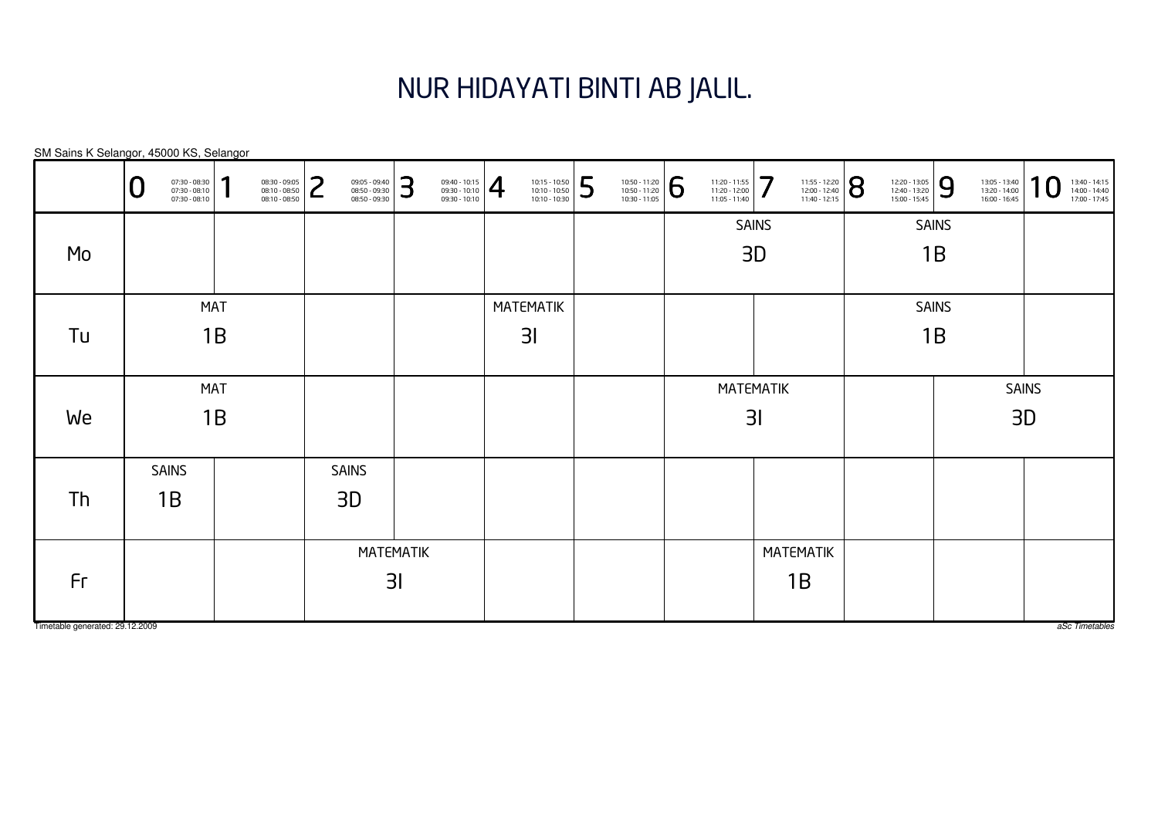## NUR HIDAYATI BINTI AB JALIL.

|                                 | 07:30 - 08:30<br>07:30 - 08:10<br>07:30 - 08:10 | я<br>08:30 - 09:05<br>08:10 - 08:50<br>08:10 - 08:50 | つ<br>09:05 - 09:40<br>08:50 - 09:30<br>┕<br>08:50 - 09:30 | 3              | $\left. \begin{array}{r} 09:40 - 10:15 \\ 09:30 - 10:10 \\ 09:30 - 10:10 \end{array} \right  \begin{array}{c} \begin{array}{c} \begin{array}{c} \end{array} \end{array}$ | 10:15 - 10:50<br>10:10 - 10:50<br>10:10 - 10:30 | 5 | 10:50 - 11:20<br>10:50 - 11:20<br>10:30 - 11:05 | 6 | 11:20 - 11:55<br>11:20 - 12:00<br>11:05 - 11:40 | 7                | 11:55 - 12:20<br>12:00 - 12:40<br>11:40 - 12:15 | 8 | 12:20 - 13:05<br>12:40 - 13:20<br>15:00 - 15:45 | 9            | 13:05 - 13:40<br>13:20 - 14:00<br>16:00 - 16:45 | 1<br>13:40 - 14:15<br>14:00 - 14:40<br>17:00 - 17:45 |
|---------------------------------|-------------------------------------------------|------------------------------------------------------|-----------------------------------------------------------|----------------|--------------------------------------------------------------------------------------------------------------------------------------------------------------------------|-------------------------------------------------|---|-------------------------------------------------|---|-------------------------------------------------|------------------|-------------------------------------------------|---|-------------------------------------------------|--------------|-------------------------------------------------|------------------------------------------------------|
|                                 |                                                 |                                                      |                                                           |                |                                                                                                                                                                          |                                                 |   |                                                 |   |                                                 | <b>SAINS</b>     |                                                 |   |                                                 | <b>SAINS</b> |                                                 |                                                      |
| Mo                              |                                                 |                                                      |                                                           |                |                                                                                                                                                                          |                                                 |   |                                                 |   |                                                 | 3D               |                                                 |   |                                                 | 1B           |                                                 |                                                      |
|                                 |                                                 |                                                      |                                                           |                |                                                                                                                                                                          |                                                 |   |                                                 |   |                                                 |                  |                                                 |   |                                                 |              |                                                 |                                                      |
|                                 | <b>MAT</b>                                      |                                                      |                                                           |                |                                                                                                                                                                          | <b>MATEMATIK</b>                                |   |                                                 |   |                                                 |                  |                                                 |   |                                                 | <b>SAINS</b> |                                                 |                                                      |
| Tu                              | 1B                                              |                                                      |                                                           |                |                                                                                                                                                                          | 3 <sub>l</sub>                                  |   |                                                 |   |                                                 |                  |                                                 |   |                                                 | 1B           |                                                 |                                                      |
|                                 |                                                 |                                                      |                                                           |                |                                                                                                                                                                          |                                                 |   |                                                 |   |                                                 |                  |                                                 |   |                                                 |              |                                                 |                                                      |
|                                 | <b>MAT</b>                                      |                                                      |                                                           |                |                                                                                                                                                                          |                                                 |   |                                                 |   |                                                 | <b>MATEMATIK</b> |                                                 |   |                                                 |              |                                                 | <b>SAINS</b>                                         |
| We                              | 1B                                              |                                                      |                                                           |                |                                                                                                                                                                          |                                                 |   |                                                 |   |                                                 | 31               |                                                 |   |                                                 |              | 3D                                              |                                                      |
|                                 |                                                 |                                                      |                                                           |                |                                                                                                                                                                          |                                                 |   |                                                 |   |                                                 |                  |                                                 |   |                                                 |              |                                                 |                                                      |
|                                 | <b>SAINS</b>                                    |                                                      | <b>SAINS</b>                                              |                |                                                                                                                                                                          |                                                 |   |                                                 |   |                                                 |                  |                                                 |   |                                                 |              |                                                 |                                                      |
| Th                              | 1B                                              |                                                      | 3D                                                        |                |                                                                                                                                                                          |                                                 |   |                                                 |   |                                                 |                  |                                                 |   |                                                 |              |                                                 |                                                      |
|                                 |                                                 |                                                      |                                                           |                |                                                                                                                                                                          |                                                 |   |                                                 |   |                                                 |                  |                                                 |   |                                                 |              |                                                 |                                                      |
|                                 |                                                 |                                                      |                                                           | MATEMATIK      |                                                                                                                                                                          |                                                 |   |                                                 |   |                                                 | <b>MATEMATIK</b> |                                                 |   |                                                 |              |                                                 |                                                      |
| Fr                              |                                                 |                                                      |                                                           | 3 <sub>l</sub> |                                                                                                                                                                          |                                                 |   |                                                 |   |                                                 |                  | 1B                                              |   |                                                 |              |                                                 |                                                      |
|                                 |                                                 |                                                      |                                                           |                |                                                                                                                                                                          |                                                 |   |                                                 |   |                                                 |                  |                                                 |   |                                                 |              |                                                 |                                                      |
| Timetable generated: 29.12.2009 |                                                 |                                                      |                                                           |                |                                                                                                                                                                          |                                                 |   |                                                 |   |                                                 |                  |                                                 |   |                                                 |              |                                                 | aSc Timetables                                       |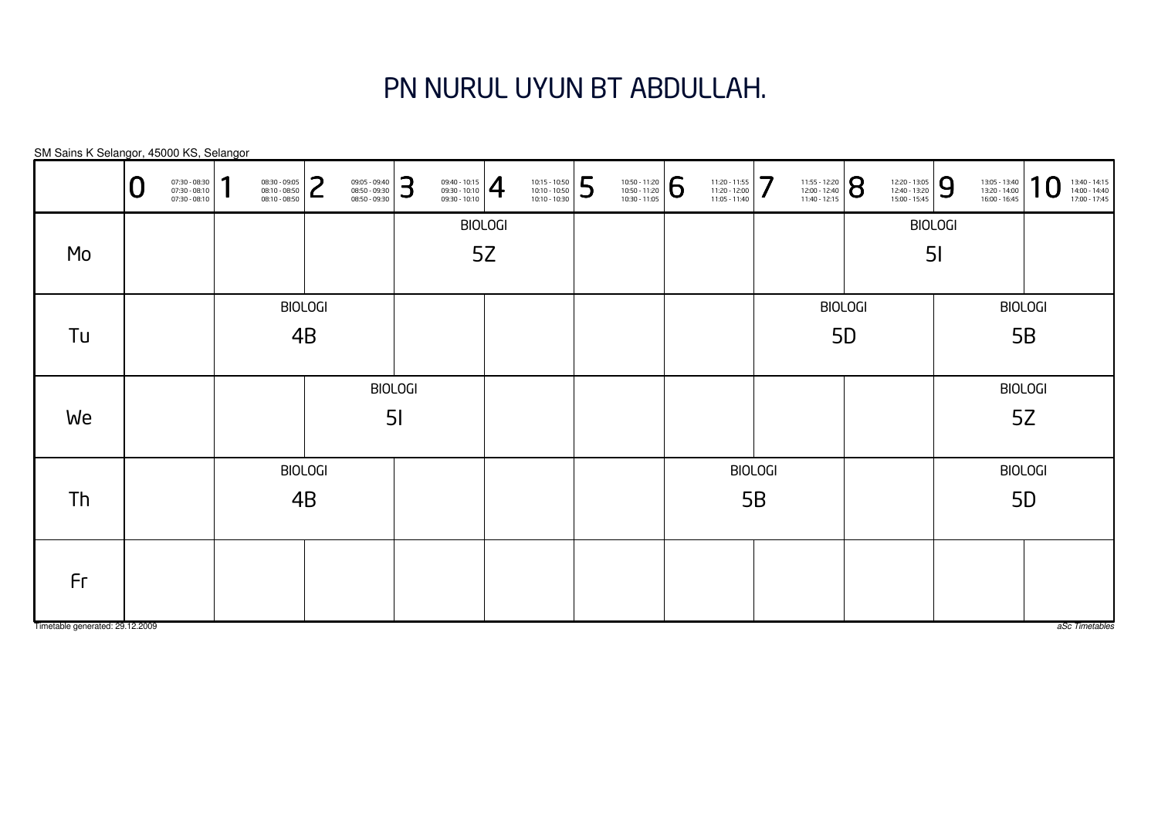# PN NURUL UYUN BT ABDULLAH.

| SM Sains K Selangor, 45000 KS, Selangor |   |                                                 |                                  |                                                 |                |                                                 |   |                                                                                                                                                                          |                |                                                 |   |                                                                                                                                              |                                                 |                |                                                                                                                  |    |                                                 |   |                                                 |                   |                                                 |
|-----------------------------------------|---|-------------------------------------------------|----------------------------------|-------------------------------------------------|----------------|-------------------------------------------------|---|--------------------------------------------------------------------------------------------------------------------------------------------------------------------------|----------------|-------------------------------------------------|---|----------------------------------------------------------------------------------------------------------------------------------------------|-------------------------------------------------|----------------|------------------------------------------------------------------------------------------------------------------|----|-------------------------------------------------|---|-------------------------------------------------|-------------------|-------------------------------------------------|
|                                         | U | 07:30 - 08:30<br>07:30 - 08:10<br>07:30 - 08:10 | 1                                | 08:30 - 09:05<br>08:10 - 08:50<br>08:10 - 08:50 | っ<br>L         | 09:05 - 09:40<br>08:50 - 09:30<br>08:50 - 09:30 | 3 | $\left\{\n \begin{array}{c}\n 09:40 - 10:15 \\ 09:30 - 10:10 \\ 09:30 - 10:10\n \end{array}\n \right \n \begin{array}{c}\n \begin{array}{c}\n \end{array}\n \end{array}$ |                | 10:15 - 10:50<br>10:10 - 10:50<br>10:10 - 10:30 | 5 | $\left. \begin{array}{c} \n 10:50 - 11:20 \\ 10:50 - 11:20 \\ 10:30 - 11:05 \n \end{array} \right  \begin{array}{c} \bigodot \n \end{array}$ | 11:20 - 11:55<br>11:20 - 12:00<br>11:05 - 11:40 | 7              | $\left. \begin{array}{l} \n 11:55 - 12:20 \\ 12:00 - 12:40 \\ 11:40 - 12:15\n \end{array} \right  \, \mathbf{S}$ |    | 12:20 - 13:05<br>12:40 - 13:20<br>15:00 - 15:45 | 9 | 13:05 - 13:40<br>13:20 - 14:00<br>16:00 - 16:45 | $\bm{\mathsf{O}}$ | 13:40 - 14:15<br>14:00 - 14:40<br>17:00 - 17:45 |
|                                         |   |                                                 |                                  |                                                 |                |                                                 |   |                                                                                                                                                                          | <b>BIOLOGI</b> |                                                 |   |                                                                                                                                              |                                                 |                |                                                                                                                  |    | <b>BIOLOGI</b>                                  |   |                                                 |                   |                                                 |
| Mo                                      |   |                                                 |                                  |                                                 |                |                                                 |   |                                                                                                                                                                          | 5Z             |                                                 |   |                                                                                                                                              |                                                 |                |                                                                                                                  |    | 5 <sub>l</sub>                                  |   |                                                 |                   |                                                 |
|                                         |   |                                                 |                                  |                                                 | <b>BIOLOGI</b> |                                                 |   |                                                                                                                                                                          |                |                                                 |   |                                                                                                                                              |                                                 |                | <b>BIOLOGI</b>                                                                                                   |    |                                                 |   |                                                 | <b>BIOLOGI</b>    |                                                 |
| Tu                                      |   |                                                 |                                  |                                                 | 4B             |                                                 |   |                                                                                                                                                                          |                |                                                 |   |                                                                                                                                              |                                                 |                |                                                                                                                  | 5D |                                                 |   |                                                 | 5B                |                                                 |
|                                         |   |                                                 |                                  |                                                 |                |                                                 |   |                                                                                                                                                                          |                |                                                 |   |                                                                                                                                              |                                                 |                |                                                                                                                  |    |                                                 |   |                                                 | <b>BIOLOGI</b>    |                                                 |
| We                                      |   |                                                 | <b>BIOLOGI</b><br>5 <sub>l</sub> |                                                 |                |                                                 |   |                                                                                                                                                                          |                |                                                 |   |                                                                                                                                              |                                                 |                |                                                                                                                  |    |                                                 |   |                                                 | 5Z                |                                                 |
|                                         |   |                                                 |                                  |                                                 | <b>BIOLOGI</b> |                                                 |   |                                                                                                                                                                          |                |                                                 |   |                                                                                                                                              |                                                 | <b>BIOLOGI</b> |                                                                                                                  |    |                                                 |   |                                                 | <b>BIOLOGI</b>    |                                                 |
| Th                                      |   |                                                 |                                  |                                                 | 4B             |                                                 |   |                                                                                                                                                                          |                |                                                 |   |                                                                                                                                              |                                                 | 5B             |                                                                                                                  |    |                                                 |   |                                                 | 5D                |                                                 |
| Fr                                      |   |                                                 |                                  |                                                 |                |                                                 |   |                                                                                                                                                                          |                |                                                 |   |                                                                                                                                              |                                                 |                |                                                                                                                  |    |                                                 |   |                                                 |                   |                                                 |
| Timetable generated: 29.12.2009         |   |                                                 |                                  |                                                 |                |                                                 |   |                                                                                                                                                                          |                |                                                 |   |                                                                                                                                              |                                                 |                |                                                                                                                  |    |                                                 |   |                                                 |                   | aSc Timetables                                  |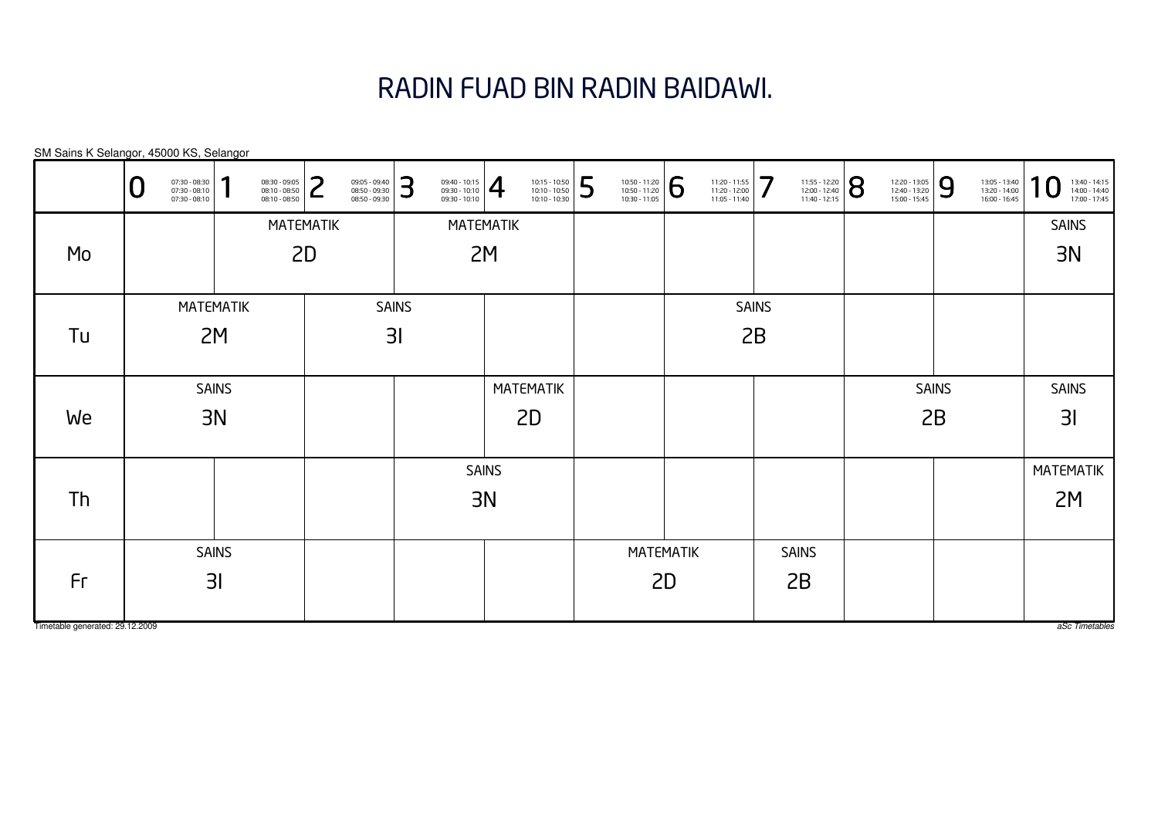# RADIN FUAD BIN RADIN BAIDAWI.

| SM Sains K Selangor, 45000 KS, Selangor |   |                                                 |              |                                                 |                  |                                                 |              |                                                                                                                                                                                                                   |              |                                                 |    |                                                                                                                            |  |                                                 |              |                                                 |                |                                                 |              |                                                 |                                                                  |
|-----------------------------------------|---|-------------------------------------------------|--------------|-------------------------------------------------|------------------|-------------------------------------------------|--------------|-------------------------------------------------------------------------------------------------------------------------------------------------------------------------------------------------------------------|--------------|-------------------------------------------------|----|----------------------------------------------------------------------------------------------------------------------------|--|-------------------------------------------------|--------------|-------------------------------------------------|----------------|-------------------------------------------------|--------------|-------------------------------------------------|------------------------------------------------------------------|
|                                         | U | 07:30 - 08:30<br>07:30 - 08:10<br>07:30 - 08:10 | 1            | 08:30 - 09:05<br>08:10 - 08:50<br>08:10 - 08:50 | 2                | 09:05 - 09:40<br>08:50 - 09:30<br>08:50 - 09:30 | 3            | $\left. \begin{array}{l} 09:40 - 10:15 \\ 09:30 - 10:10 \\ 09:30 - 10:10 \end{array} \right  \begin{array}{c} \begin{array}{c} \begin{array}{c} \begin{array}{c} \end{array} \end{array} \end{array} \end{array}$ |              | 10:15 - 10:50<br>10:10 - 10:50<br>10:10 - 10:30 | 5  | $\left. \begin{array}{r} \n 10:50 - 11:20 \\ 10:50 - 11:20 \\ 10:30 - 11:05 \n \end{array} \right  \, \widehat{\bigoplus}$ |  | 11:20 - 11:55<br>11:20 - 12:00<br>11:05 - 11:40 | 7            | 11:55 - 12:20<br>12:00 - 12:40<br>11:40 - 12:15 | $ \mathsf{8} $ | 12:20 - 13:05<br>12:40 - 13:20<br>15:00 - 15:45 | 9            | 13:05 - 13:40<br>13:20 - 14:00<br>16:00 - 16:45 | $\bf{0}$<br>1<br>13:40 - 14:15<br>14:00 - 14:40<br>17:00 - 17:45 |
|                                         |   |                                                 |              |                                                 | <b>MATEMATIK</b> |                                                 |              | MATEMATIK                                                                                                                                                                                                         |              |                                                 |    |                                                                                                                            |  |                                                 |              |                                                 |                |                                                 |              |                                                 | <b>SAINS</b>                                                     |
| Mo                                      |   |                                                 |              |                                                 | 2D               |                                                 |              |                                                                                                                                                                                                                   | 2M           |                                                 |    |                                                                                                                            |  |                                                 |              |                                                 |                |                                                 |              |                                                 | 3N                                                               |
|                                         |   |                                                 |              |                                                 |                  |                                                 |              |                                                                                                                                                                                                                   |              |                                                 |    |                                                                                                                            |  |                                                 |              |                                                 |                |                                                 |              |                                                 |                                                                  |
|                                         |   | MATEMATIK                                       |              |                                                 |                  |                                                 | <b>SAINS</b> |                                                                                                                                                                                                                   |              |                                                 |    |                                                                                                                            |  |                                                 | <b>SAINS</b> |                                                 |                |                                                 |              |                                                 |                                                                  |
| Tu                                      |   |                                                 | 2M           |                                                 | 3 <sub>l</sub>   |                                                 |              |                                                                                                                                                                                                                   |              |                                                 |    |                                                                                                                            |  |                                                 | 2B           |                                                 |                |                                                 |              |                                                 |                                                                  |
|                                         |   |                                                 |              |                                                 |                  |                                                 |              |                                                                                                                                                                                                                   |              |                                                 |    |                                                                                                                            |  |                                                 |              |                                                 |                |                                                 |              |                                                 |                                                                  |
|                                         |   |                                                 | <b>SAINS</b> |                                                 |                  |                                                 |              |                                                                                                                                                                                                                   |              | <b>MATEMATIK</b>                                |    |                                                                                                                            |  |                                                 |              |                                                 |                |                                                 | <b>SAINS</b> |                                                 | <b>SAINS</b>                                                     |
| We                                      |   |                                                 | 3N           |                                                 |                  |                                                 |              |                                                                                                                                                                                                                   |              | 2D                                              |    |                                                                                                                            |  |                                                 |              |                                                 |                |                                                 | 2B           |                                                 | 31                                                               |
|                                         |   |                                                 |              |                                                 |                  |                                                 |              |                                                                                                                                                                                                                   |              |                                                 |    |                                                                                                                            |  |                                                 |              |                                                 |                |                                                 |              |                                                 |                                                                  |
|                                         |   |                                                 |              |                                                 |                  |                                                 |              |                                                                                                                                                                                                                   | <b>SAINS</b> |                                                 |    |                                                                                                                            |  |                                                 |              |                                                 |                |                                                 |              |                                                 | MATEMATIK                                                        |
| Th                                      |   |                                                 |              |                                                 |                  |                                                 |              |                                                                                                                                                                                                                   | 3N           |                                                 |    |                                                                                                                            |  |                                                 |              |                                                 |                |                                                 |              |                                                 | 2M                                                               |
|                                         |   |                                                 |              |                                                 |                  |                                                 |              |                                                                                                                                                                                                                   |              |                                                 |    |                                                                                                                            |  |                                                 |              |                                                 |                |                                                 |              |                                                 |                                                                  |
|                                         |   |                                                 | <b>SAINS</b> |                                                 |                  |                                                 |              |                                                                                                                                                                                                                   |              |                                                 |    | <b>MATEMATIK</b>                                                                                                           |  |                                                 |              | <b>SAINS</b>                                    |                |                                                 |              |                                                 |                                                                  |
| Fr                                      |   | 3I                                              |              |                                                 |                  |                                                 |              |                                                                                                                                                                                                                   |              |                                                 | 2D |                                                                                                                            |  | 2B                                              |              |                                                 |                |                                                 |              |                                                 |                                                                  |
|                                         |   |                                                 |              |                                                 |                  |                                                 |              |                                                                                                                                                                                                                   |              |                                                 |    |                                                                                                                            |  |                                                 |              |                                                 |                |                                                 |              |                                                 |                                                                  |

Timetable generated: 29.12.2009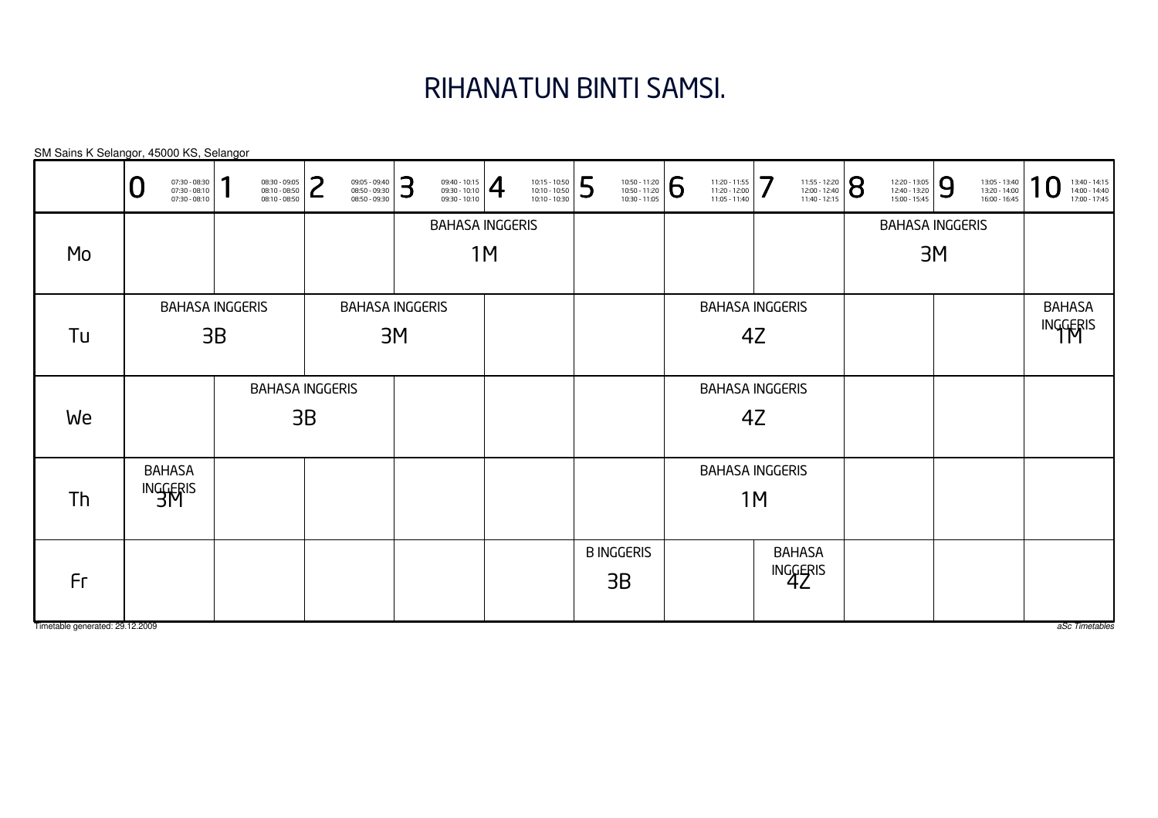## RIHANATUN BINTI SAMSI.

|                                       | 07:30 - 08:30<br>07:30 - 08:10<br>◡<br>07:30 - 08:10 | ٠<br>08:30 - 09:05<br>08:10 - 08:50<br>08:10 - 08:50 | ົ<br>09:05 - 09:40<br>08:50 - 09:30<br>┕<br>08:50 - 09:30 | 3<br>$\frac{09:40 - 10:15}{09:30 - 10:10}$ | 10:15 - 10:50<br>10:10 - 10:50<br>10:10 - 10:30 | 5<br>10:50 - 11:20<br>10:50 - 11:20<br>10:30 - 11:05 | 6<br>11:20 - 11:55<br>11:20 - 12:00<br>11:05 - 11:40 | 7<br>11:55 - 12:20<br>12:00 - 12:40<br>11:40 - 12:15 | 8<br>12:20 - 13:05<br>12:40 - 13:20<br>15:00 - 15:45 | 9<br>13:05 - 13:40<br>13:20 - 14:00<br>16:00 - 16:45 | 1<br>$\boldsymbol{0}$<br>13:40 - 14:15<br>14:00 - 14:40<br>17:00 - 17:45 |
|---------------------------------------|------------------------------------------------------|------------------------------------------------------|-----------------------------------------------------------|--------------------------------------------|-------------------------------------------------|------------------------------------------------------|------------------------------------------------------|------------------------------------------------------|------------------------------------------------------|------------------------------------------------------|--------------------------------------------------------------------------|
| Mo                                    |                                                      |                                                      |                                                           |                                            | <b>BAHASA INGGERIS</b><br>1M                    |                                                      |                                                      |                                                      |                                                      | <b>BAHASA INGGERIS</b><br>3M                         |                                                                          |
|                                       |                                                      | <b>BAHASA INGGERIS</b>                               |                                                           | <b>BAHASA INGGERIS</b>                     |                                                 |                                                      |                                                      | <b>BAHASA INGGERIS</b>                               |                                                      |                                                      | <b>BAHASA</b>                                                            |
| Tu                                    |                                                      | 3B                                                   |                                                           | 3M                                         |                                                 |                                                      |                                                      | 4Z                                                   |                                                      |                                                      | INGGERIS                                                                 |
| We                                    |                                                      |                                                      | <b>BAHASA INGGERIS</b><br>3B                              |                                            |                                                 |                                                      |                                                      | <b>BAHASA INGGERIS</b><br>4Z                         |                                                      |                                                      |                                                                          |
| Th                                    | <b>BAHASA</b><br>INGGERIS                            |                                                      |                                                           |                                            |                                                 |                                                      |                                                      | <b>BAHASA INGGERIS</b><br>1M                         |                                                      |                                                      |                                                                          |
| Fr<br>Timetable generated: 29.12.2009 |                                                      |                                                      |                                                           |                                            |                                                 | <b>B INGGERIS</b><br>3B                              |                                                      | <b>BAHASA</b><br>INGGERIS                            |                                                      |                                                      | aSc Timetables                                                           |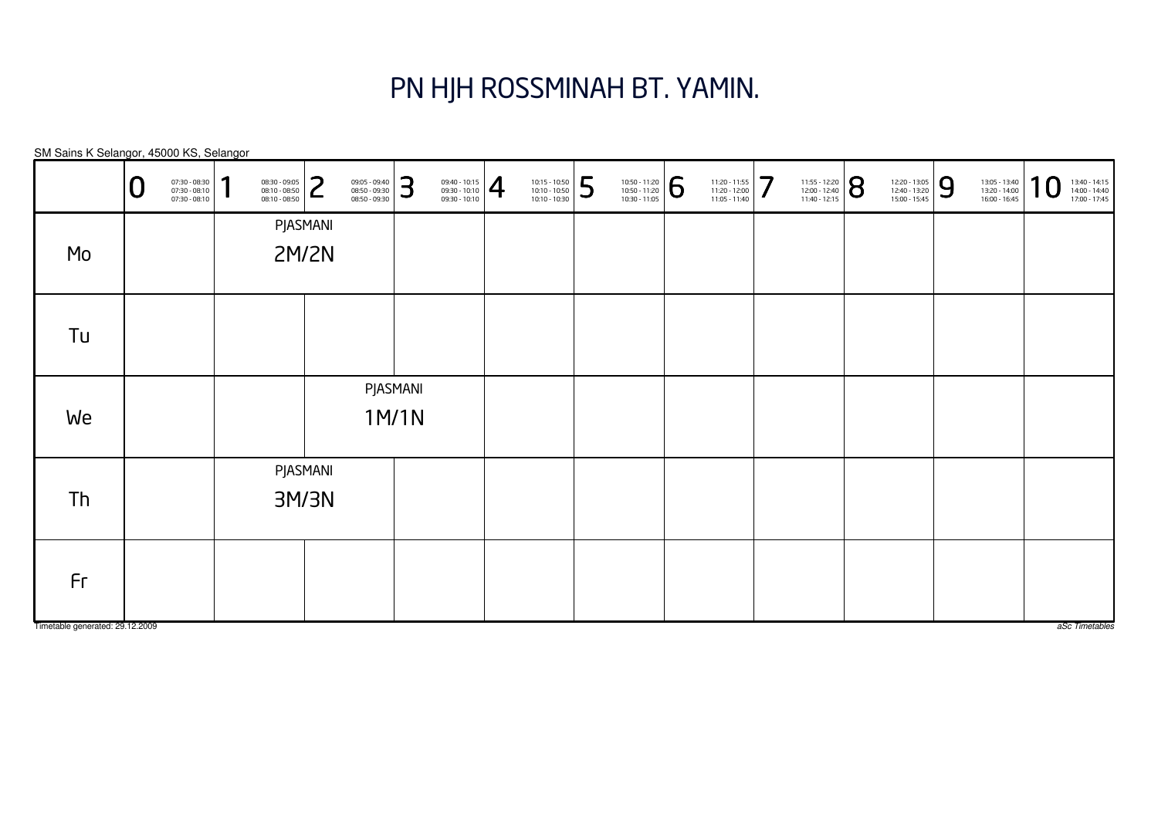### PN HJH ROSSMINAH BT. YAMIN.

| SM Sains K Selangor, 45000 KS, Selangor |   |                                                 |   |                                                 |                   |                                                 |                   |                                                                                                                                               |                                                 |   |                                                                                                                                              |                                                 |   |                                                 |   |                                                 |   |                                                 |                   |                                                 |
|-----------------------------------------|---|-------------------------------------------------|---|-------------------------------------------------|-------------------|-------------------------------------------------|-------------------|-----------------------------------------------------------------------------------------------------------------------------------------------|-------------------------------------------------|---|----------------------------------------------------------------------------------------------------------------------------------------------|-------------------------------------------------|---|-------------------------------------------------|---|-------------------------------------------------|---|-------------------------------------------------|-------------------|-------------------------------------------------|
|                                         | O | 07:30 - 08:30<br>07:30 - 08:10<br>07:30 - 08:10 | 1 | 08:30 - 09:05<br>08:10 - 08:50<br>08:10 - 08:50 | っ<br>L            | 09:05 - 09:40<br>08:50 - 09:30<br>08:50 - 09:30 | 3                 | $\left\{\n \begin{array}{c}\n 09:40 - 10:15 \\ 09:30 - 10:10 \\ 09:30 - 10:10\n \end{array}\n \right \n \begin{array}{c}\n 4\n \end{array}\n$ | 10:15 - 10:50<br>10:10 - 10:50<br>10:10 - 10:30 | 5 | $\left. \begin{array}{r} \n 10:50 - 11:20 \\ 10:50 - 11:20 \\ 10:30 - 11:05 \n \end{array} \right  \begin{array}{r} \bigodot \n \end{array}$ | 11:20 - 11:55<br>11:20 - 12:00<br>11:05 - 11:40 | 7 | 11:55 - 12:20<br>12:00 - 12:40<br>11:40 - 12:15 | 8 | 12:20 - 13:05<br>12:40 - 13:20<br>15:00 - 15:45 | 9 | 13:05 - 13:40<br>13:20 - 14:00<br>16:00 - 16:45 | $\mathbf C$<br>-1 | 13:40 - 14:15<br>14:00 - 14:40<br>17:00 - 17:45 |
|                                         |   |                                                 |   |                                                 | PJASMANI          |                                                 |                   |                                                                                                                                               |                                                 |   |                                                                                                                                              |                                                 |   |                                                 |   |                                                 |   |                                                 |                   |                                                 |
| Mo                                      |   |                                                 |   |                                                 | 2M/2N             |                                                 |                   |                                                                                                                                               |                                                 |   |                                                                                                                                              |                                                 |   |                                                 |   |                                                 |   |                                                 |                   |                                                 |
| Tu                                      |   |                                                 |   |                                                 |                   |                                                 |                   |                                                                                                                                               |                                                 |   |                                                                                                                                              |                                                 |   |                                                 |   |                                                 |   |                                                 |                   |                                                 |
| We                                      |   |                                                 |   |                                                 |                   |                                                 | PJASMANI<br>1M/1N |                                                                                                                                               |                                                 |   |                                                                                                                                              |                                                 |   |                                                 |   |                                                 |   |                                                 |                   |                                                 |
| Th                                      |   |                                                 |   |                                                 | PJASMANI<br>3M/3N |                                                 |                   |                                                                                                                                               |                                                 |   |                                                                                                                                              |                                                 |   |                                                 |   |                                                 |   |                                                 |                   |                                                 |
| Fr                                      |   |                                                 |   |                                                 |                   |                                                 |                   |                                                                                                                                               |                                                 |   |                                                                                                                                              |                                                 |   |                                                 |   |                                                 |   |                                                 |                   |                                                 |

Timetable generated: 29.12.2009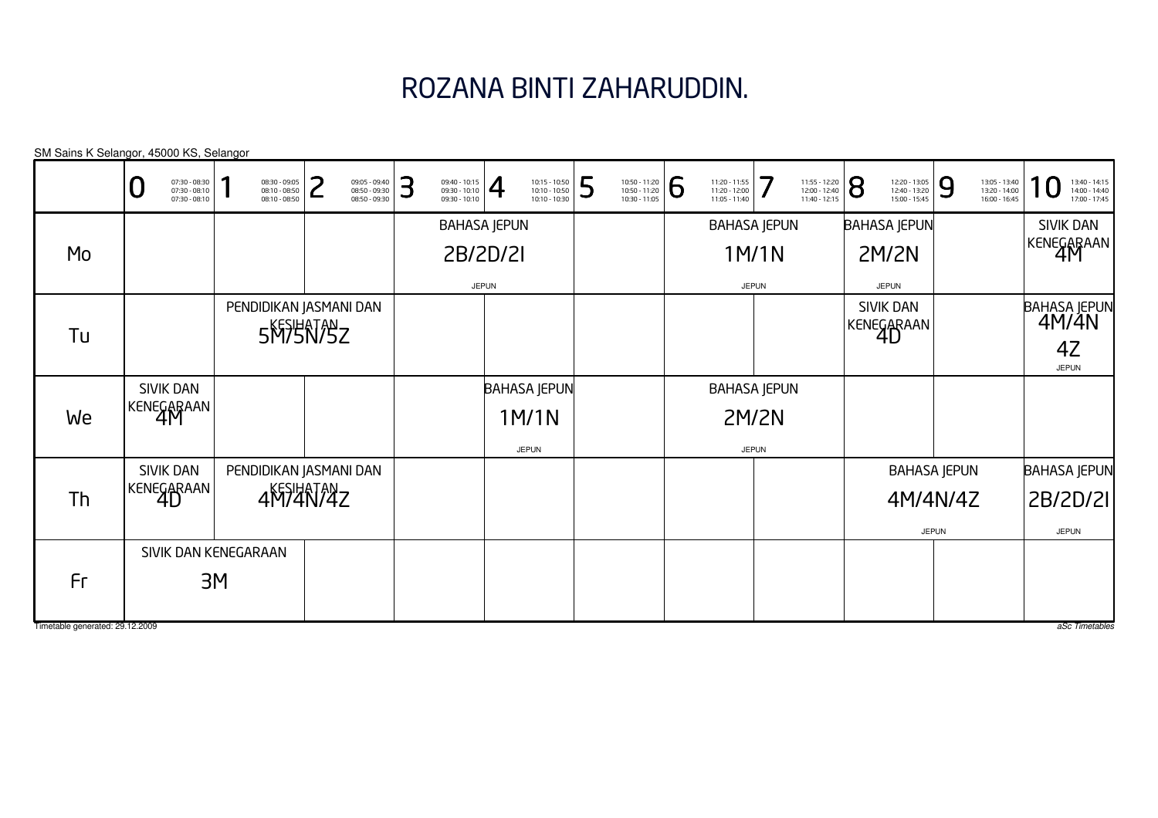# ROZANA BINTI ZAHARUDDIN.

| SM Sains K Selangor, 45000 KS, Selangor |                                                   |    |                                                 |   |                                                 |   |                                                 |              |                                                 |   |                                                 |                |                                                 |              |                                                 |                |                                                 |              |                                                 |                                                 |
|-----------------------------------------|---------------------------------------------------|----|-------------------------------------------------|---|-------------------------------------------------|---|-------------------------------------------------|--------------|-------------------------------------------------|---|-------------------------------------------------|----------------|-------------------------------------------------|--------------|-------------------------------------------------|----------------|-------------------------------------------------|--------------|-------------------------------------------------|-------------------------------------------------|
|                                         | 07:30 - 08:30<br>07:30 - 08:10<br>$07:30 - 08:10$ |    | 08:30 - 09:05<br>08:10 - 08:50<br>08:10 - 08:50 | ີ | 09:05 - 09:40<br>08:50 - 09:30<br>08:50 - 09:30 | 3 | 09:40 - 10:15<br>09:30 - 10:10<br>09:30 - 10:10 | $\vert 4$    | 10:15 - 10:50<br>10:10 - 10:50<br>10:10 - 10:30 | 5 | 10:50 - 11:20<br>10:50 - 11:20<br>10:30 - 11:05 | $\overline{6}$ | 11:20 - 11:55<br>11:20 - 12:00<br>11:05 - 11:40 | 7            | 11:55 - 12:20<br>12:00 - 12:40<br>11:40 - 12:15 | $\overline{8}$ | 12:20 - 13:05<br>12:40 - 13:20<br>15:00 - 15:45 | 9            | 13:05 - 13:40<br>13:20 - 14:00<br>16:00 - 16:45 | 13:40 - 14:15<br>14:00 - 14:40<br>17:00 - 17:45 |
|                                         |                                                   |    |                                                 |   |                                                 |   | <b>BAHASA JEPUN</b>                             |              |                                                 |   |                                                 |                | <b>BAHASA JEPUN</b>                             |              |                                                 |                | <b>BAHASA JEPUN</b>                             |              |                                                 | <b>SIVIK DAN</b>                                |
| Mo                                      |                                                   |    |                                                 |   |                                                 |   | 2B/2D/2I                                        |              |                                                 |   |                                                 |                |                                                 | 1M/1N        |                                                 |                | <b>2M/2N</b>                                    |              |                                                 | KENEGARAAN                                      |
|                                         |                                                   |    |                                                 |   |                                                 |   |                                                 | <b>JEPUN</b> |                                                 |   |                                                 |                |                                                 | <b>JEPUN</b> |                                                 |                | <b>JEPUN</b>                                    |              |                                                 |                                                 |
|                                         |                                                   |    | PENDIDIKAN JASMANI DAN<br>5MSHATASZ             |   |                                                 |   |                                                 |              |                                                 |   |                                                 |                |                                                 |              |                                                 |                | <b>SIVIK DAN</b><br>KENEGARAAN                  |              |                                                 | BAHASA JEPUN<br>  4M/4N                         |
| Tu                                      |                                                   |    |                                                 |   |                                                 |   |                                                 |              |                                                 |   |                                                 |                |                                                 |              |                                                 |                |                                                 |              |                                                 | 4Z<br><b>JEPUN</b>                              |
|                                         | SIVIK DAN                                         |    |                                                 |   |                                                 |   |                                                 |              | <b>BAHASA JEPUN</b>                             |   |                                                 |                | <b>BAHASA JEPUN</b>                             |              |                                                 |                |                                                 |              |                                                 |                                                 |
| We                                      | KENEGARAAN                                        |    |                                                 |   |                                                 |   |                                                 |              | 1M/1N                                           |   |                                                 |                |                                                 | <b>2M/2N</b> |                                                 |                |                                                 |              |                                                 |                                                 |
|                                         |                                                   |    |                                                 |   |                                                 |   |                                                 |              | <b>JEPUN</b>                                    |   |                                                 |                |                                                 | <b>JEPUN</b> |                                                 |                |                                                 |              |                                                 |                                                 |
|                                         | SIVIK DAN                                         |    | PENDIDIKAN JASMANI DAN                          |   |                                                 |   |                                                 |              |                                                 |   |                                                 |                |                                                 |              |                                                 |                | <b>BAHASA JEPUN</b>                             |              |                                                 | <b>BAHASA JEPUN</b>                             |
| Th                                      | KENEGARAAN                                        |    | 4M74N74Z                                        |   |                                                 |   |                                                 |              |                                                 |   |                                                 |                |                                                 |              |                                                 |                | 4M/4N/4Z                                        |              |                                                 | 2B/2D/2I                                        |
|                                         |                                                   |    |                                                 |   |                                                 |   |                                                 |              |                                                 |   |                                                 |                |                                                 |              |                                                 |                |                                                 | <b>JEPUN</b> |                                                 | <b>JEPUN</b>                                    |
|                                         | SIVIK DAN KENEGARAAN                              |    |                                                 |   |                                                 |   |                                                 |              |                                                 |   |                                                 |                |                                                 |              |                                                 |                |                                                 |              |                                                 |                                                 |
| Fr                                      |                                                   | 3M |                                                 |   |                                                 |   |                                                 |              |                                                 |   |                                                 |                |                                                 |              |                                                 |                |                                                 |              |                                                 |                                                 |
| Timetable generated: 29.12.2009         |                                                   |    |                                                 |   |                                                 |   |                                                 |              |                                                 |   |                                                 |                |                                                 |              |                                                 |                |                                                 |              |                                                 | aSc Timetables                                  |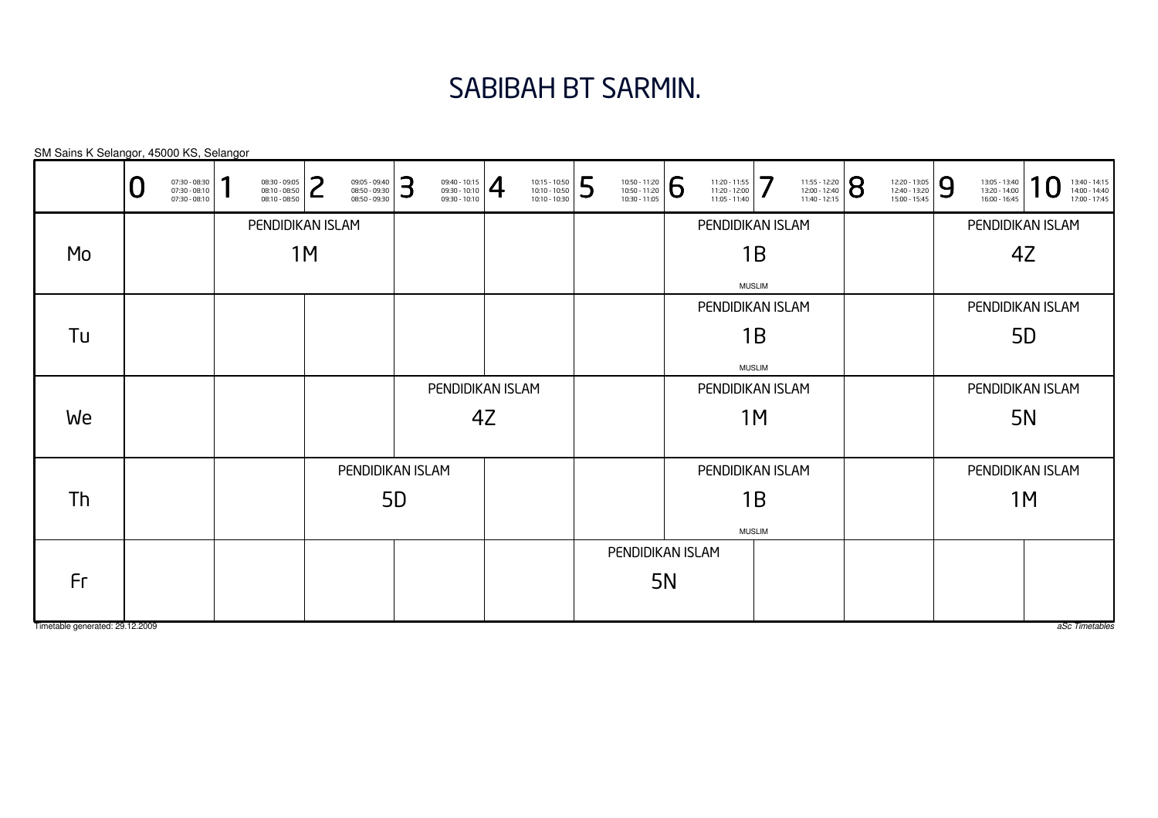#### SABIBAH BT SARMIN.

| SM Sains K Selangor, 45000 KS, Selangor |                                                   |   |                                                 |    |                                                 |   |                                                        |    |                                                 |                  |                                                 |           |                                                 |               |                                                 |   |                                                 |   |                                                 |                                                 |
|-----------------------------------------|---------------------------------------------------|---|-------------------------------------------------|----|-------------------------------------------------|---|--------------------------------------------------------|----|-------------------------------------------------|------------------|-------------------------------------------------|-----------|-------------------------------------------------|---------------|-------------------------------------------------|---|-------------------------------------------------|---|-------------------------------------------------|-------------------------------------------------|
|                                         | 07:30 - 08:30<br>07:30 - 08:10<br>$07:30 - 08:10$ | Π | 08:30 - 09:05<br>08:10 - 08:50<br>08:10 - 08:50 | つ  | 09:05 - 09:40<br>08:50 - 09:30<br>08:50 - 09:30 | 3 | $\frac{09:40 - 10:15}{09:30 - 10:10}$<br>09:30 - 10:10 |    | 10:15 - 10:50<br>10:10 - 10:50<br>10:10 - 10:30 | 5                | 10:50 - 11:20<br>10:50 - 11:20<br>10:30 - 11:05 | 6         | 11:20 - 11:55<br>11:20 - 12:00<br>11:05 - 11:40 | 7             | 11:55 - 12:20<br>12:00 - 12:40<br>11:40 - 12:15 | 8 | 12:20 - 13:05<br>12:40 - 13:20<br>15:00 - 15:45 | 9 | 13:05 - 13:40<br>13:20 - 14:00<br>16:00 - 16:45 | 13:40 - 14:15<br>14:00 - 14:40<br>17:00 - 17:45 |
|                                         |                                                   |   | PENDIDIKAN ISLAM                                |    |                                                 |   |                                                        |    |                                                 |                  |                                                 |           | PENDIDIKAN ISLAM                                |               |                                                 |   |                                                 |   |                                                 | PENDIDIKAN ISLAM                                |
| Mo                                      |                                                   |   |                                                 | 1M |                                                 |   |                                                        |    |                                                 |                  |                                                 |           |                                                 | 1B            |                                                 |   |                                                 |   |                                                 | 4Z                                              |
|                                         |                                                   |   |                                                 |    |                                                 |   |                                                        |    |                                                 |                  |                                                 |           |                                                 | <b>MUSLIM</b> |                                                 |   |                                                 |   |                                                 |                                                 |
|                                         |                                                   |   |                                                 |    |                                                 |   |                                                        |    |                                                 |                  |                                                 |           | PENDIDIKAN ISLAM                                |               |                                                 |   |                                                 |   |                                                 | PENDIDIKAN ISLAM                                |
| Tu                                      |                                                   |   |                                                 |    |                                                 |   |                                                        |    |                                                 |                  |                                                 |           |                                                 | 1B            |                                                 |   |                                                 |   |                                                 | 5 <sub>D</sub>                                  |
|                                         |                                                   |   |                                                 |    |                                                 |   |                                                        |    |                                                 |                  |                                                 |           |                                                 | <b>MUSLIM</b> |                                                 |   |                                                 |   |                                                 |                                                 |
|                                         |                                                   |   |                                                 |    |                                                 |   | PENDIDIKAN ISLAM                                       |    |                                                 |                  |                                                 |           | PENDIDIKAN ISLAM                                |               |                                                 |   |                                                 |   |                                                 | PENDIDIKAN ISLAM                                |
| We                                      |                                                   |   |                                                 |    |                                                 |   |                                                        | 4Z |                                                 |                  |                                                 |           |                                                 | 1M            |                                                 |   |                                                 |   |                                                 | <b>5N</b>                                       |
|                                         |                                                   |   |                                                 |    |                                                 |   |                                                        |    |                                                 |                  |                                                 |           |                                                 |               |                                                 |   |                                                 |   |                                                 |                                                 |
|                                         |                                                   |   |                                                 |    | PENDIDIKAN ISLAM                                |   |                                                        |    |                                                 |                  |                                                 |           | PENDIDIKAN ISLAM                                |               |                                                 |   |                                                 |   |                                                 | PENDIDIKAN ISLAM                                |
| Th                                      |                                                   |   | 5D                                              |    |                                                 |   |                                                        |    |                                                 |                  |                                                 |           |                                                 | 1B            |                                                 |   |                                                 |   |                                                 | 1M                                              |
|                                         |                                                   |   |                                                 |    |                                                 |   |                                                        |    |                                                 | <b>MUSLIM</b>    |                                                 |           |                                                 |               |                                                 |   |                                                 |   |                                                 |                                                 |
|                                         |                                                   |   |                                                 |    |                                                 |   |                                                        |    |                                                 | PENDIDIKAN ISLAM |                                                 |           |                                                 |               |                                                 |   |                                                 |   |                                                 |                                                 |
| Fr                                      |                                                   |   |                                                 |    |                                                 |   |                                                        |    |                                                 |                  |                                                 | <b>5N</b> |                                                 |               |                                                 |   |                                                 |   |                                                 |                                                 |
|                                         |                                                   |   |                                                 |    |                                                 |   |                                                        |    |                                                 |                  |                                                 |           |                                                 |               |                                                 |   |                                                 |   |                                                 |                                                 |
| Timetable generated: 29.12.2009         |                                                   |   |                                                 |    |                                                 |   |                                                        |    |                                                 |                  |                                                 |           |                                                 |               |                                                 |   |                                                 |   |                                                 | aSc Timetable                                   |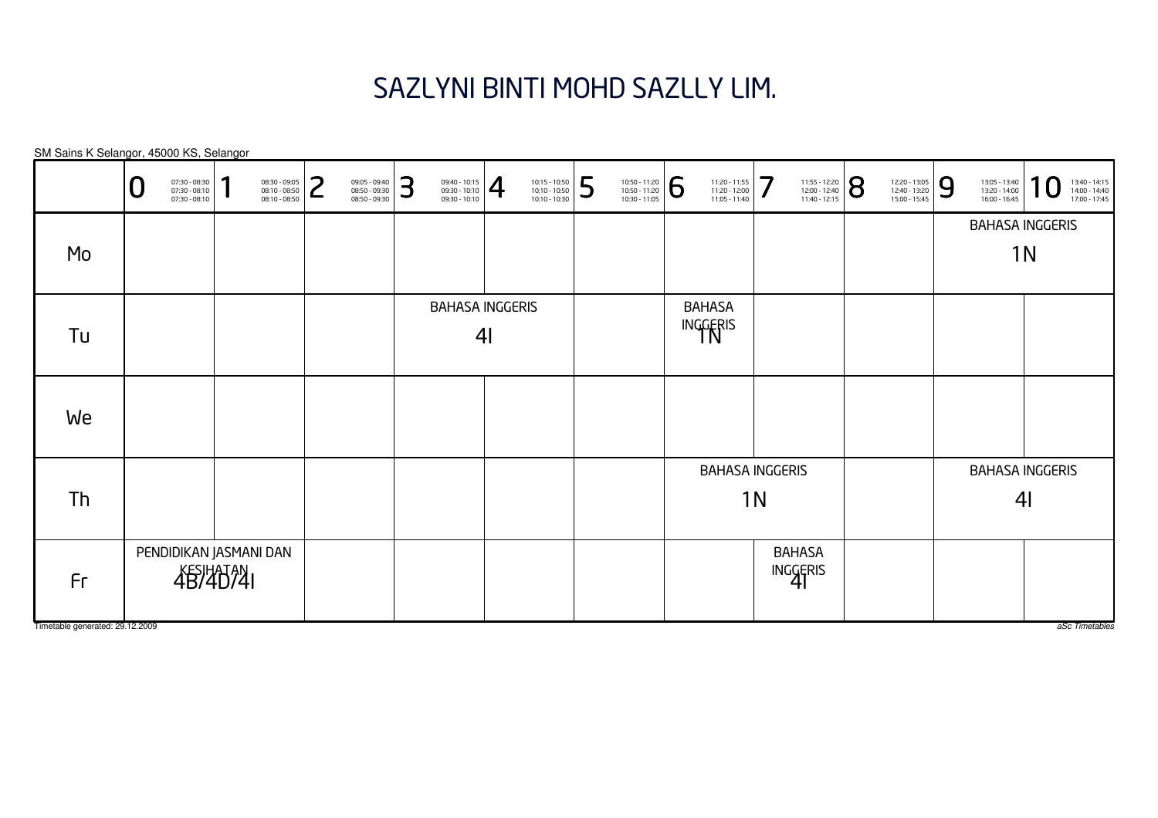# SAZLYNI BINTI MOHD SAZLLY LIM.

|                                 | 07:30 - 08:30<br>07:30 - 08:10<br>Ū<br>$07:30 - 08:10$ |                 | $08:30 - 09:05$<br>08:10 - 08:50<br>08:10 - 08:50 | っ<br>┕ | 09:05 - 09:40<br>08:50 - 09:30<br>08:50 - 09:30 | 3 | $\left. \begin{array}{l} 09:40 - 10:15 \\ 09:30 - 10:10 \\ 09:30 - 10:10 \end{array} \right  \bigoplus$ |                | 10:15 - 10:50<br>10:10 - 10:50<br>10:10 - 10:30 | 5 | 10:50 - 11:20<br>10:50 - 11:20<br>10:30 - 11:05 | 6 | 11:20 - 11:55<br>11:20 - 12:00<br>11:05 - 11:40 | 7              | 11:55 - 12:20<br>12:00 - 12:40<br>11:40 - 12:15 | 8 | 12:20 - 13:05<br>12:40 - 13:20<br>15:00 - 15:45 | 9 | 13:05 - 13:40<br>13:20 - 14:00<br>16:00 - 16:45 | я<br>13:40 - 14:15<br>14:00 - 14:40<br>17:00 - 17:45 |  |
|---------------------------------|--------------------------------------------------------|-----------------|---------------------------------------------------|--------|-------------------------------------------------|---|---------------------------------------------------------------------------------------------------------|----------------|-------------------------------------------------|---|-------------------------------------------------|---|-------------------------------------------------|----------------|-------------------------------------------------|---|-------------------------------------------------|---|-------------------------------------------------|------------------------------------------------------|--|
|                                 |                                                        |                 |                                                   |        |                                                 |   |                                                                                                         |                |                                                 |   |                                                 |   |                                                 |                |                                                 |   |                                                 |   |                                                 | <b>BAHASA INGGERIS</b>                               |  |
| Mo                              |                                                        |                 |                                                   |        |                                                 |   |                                                                                                         |                |                                                 |   |                                                 |   |                                                 |                |                                                 |   |                                                 |   |                                                 | 1 <sub>N</sub>                                       |  |
|                                 |                                                        |                 |                                                   |        |                                                 |   | <b>BAHASA INGGERIS</b>                                                                                  |                |                                                 |   |                                                 |   | <b>BAHASA</b>                                   |                |                                                 |   |                                                 |   |                                                 |                                                      |  |
| Tu                              |                                                        |                 |                                                   |        |                                                 |   |                                                                                                         | 4 <sub>l</sub> |                                                 |   |                                                 |   | INGGERIS                                        |                |                                                 |   |                                                 |   |                                                 |                                                      |  |
|                                 |                                                        |                 |                                                   |        |                                                 |   |                                                                                                         |                |                                                 |   |                                                 |   |                                                 |                |                                                 |   |                                                 |   |                                                 |                                                      |  |
| We                              |                                                        |                 |                                                   |        |                                                 |   |                                                                                                         |                |                                                 |   |                                                 |   |                                                 |                |                                                 |   |                                                 |   |                                                 |                                                      |  |
|                                 |                                                        |                 |                                                   |        |                                                 |   |                                                                                                         |                |                                                 |   |                                                 |   | <b>BAHASA INGGERIS</b>                          |                |                                                 |   |                                                 |   |                                                 | <b>BAHASA INGGERIS</b>                               |  |
| Th                              |                                                        |                 |                                                   |        |                                                 |   |                                                                                                         |                |                                                 |   |                                                 |   |                                                 | 1 <sub>N</sub> |                                                 |   |                                                 |   |                                                 | 4 <sub>l</sub>                                       |  |
|                                 |                                                        |                 |                                                   |        |                                                 |   |                                                                                                         |                |                                                 |   |                                                 |   |                                                 |                |                                                 |   |                                                 |   |                                                 |                                                      |  |
|                                 | PENDIDIKAN JASMANI DAN                                 |                 |                                                   |        |                                                 |   |                                                                                                         |                |                                                 |   |                                                 |   |                                                 |                | <b>BAHASA</b>                                   |   |                                                 |   |                                                 |                                                      |  |
| Fr                              |                                                        | <b>4B/40741</b> |                                                   |        |                                                 |   |                                                                                                         |                |                                                 |   |                                                 |   |                                                 |                | INGGERIS                                        |   |                                                 |   |                                                 |                                                      |  |
| Timetable generated: 29.12.2009 |                                                        |                 |                                                   |        |                                                 |   |                                                                                                         |                |                                                 |   |                                                 |   |                                                 |                |                                                 |   |                                                 |   |                                                 | aSc Timetables                                       |  |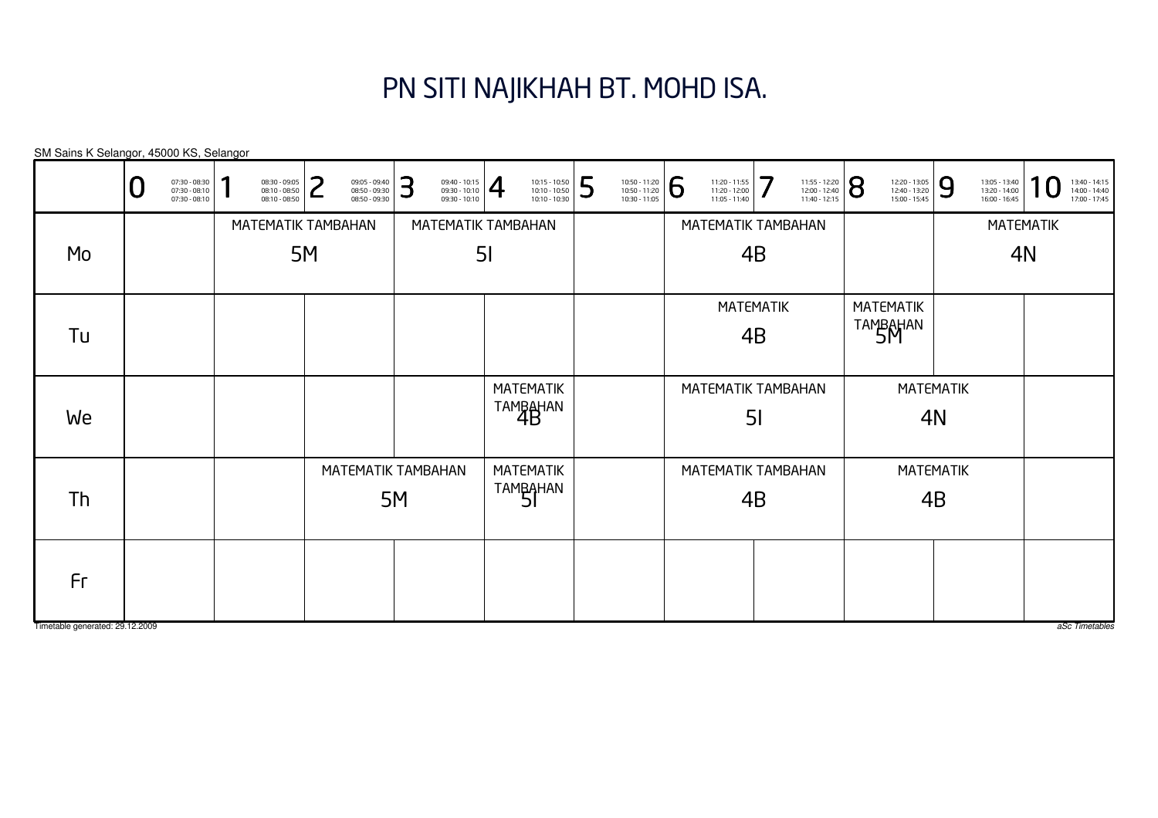### PN SITI NAJIKHAH BT. MOHD ISA.

MATEMATIK4BMATEMATIK4BMATEMATIK4NMATEMATIK4NMATEMATIKtambahan<br>4B MATEMATIK TAMBAHAN4BMATEMATIK TAMBAHAN4BMATEMATIKTAMBAHAN<br>51 MATEMATIK TAMBAHAN5IMATEMATIK TAMBAHAN5IMATEMATIKTAMBAHAN<br>SM MATEMATIK TAMBAHAN5MMATEMATIK TAMBAHAN5MSM Sains K Selangor, 45000 KS, Selangor0 $\textbf{0} \xrightarrow{\textbf{07:30-08:10}} {\textbf{07:30-08:10}} \xrightarrow{\textbf{08:30-09:30}} {\textbf{08:10-08:50}} \xrightarrow{\textbf{08:30-09:30}} {\textbf{08:50-09:30}} \xrightarrow{\textbf{08:50-09:30}} {\textbf{08:50-09:30}} \xrightarrow{\textbf{08:50-09:30}} {\textbf{08:50-09:30}} \xrightarrow{\textbf{08:50-09:30}} {\textbf{08:50-09:30}} \xrightarrow{\$ MoTuWeThFr

Timetable generated: 29.12.2009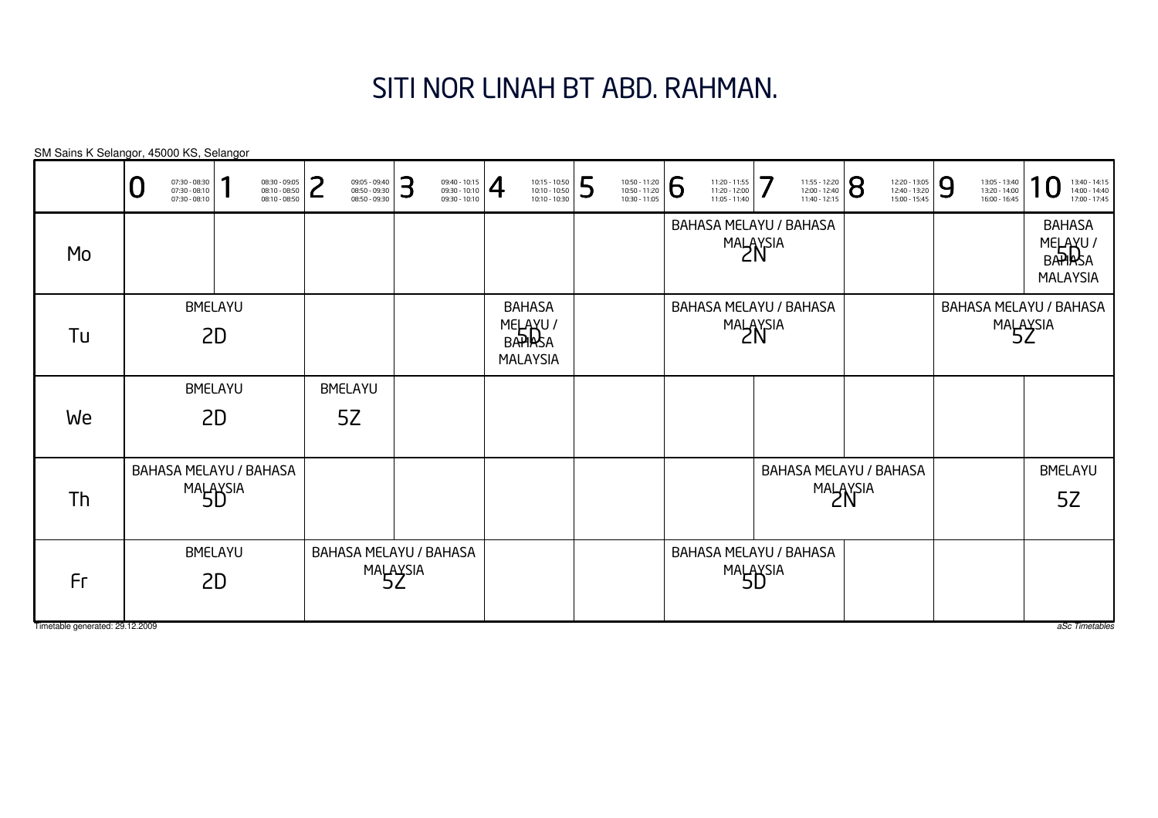# SITI NOR LINAH BT ABD. RAHMAN.

|                                       | 07:30 - 08:30<br>07:30 - 08:10<br>$07:30 - 08:10$ |  | 08:30 - 09:05<br>08:10 - 08:50<br>08:10 - 08:50 | ⊃                    | 09:05 - 09:40<br>08:50 - 09:30<br>08:50 - 09:30 | 3                      | $\left. \begin{array}{l} 09:40 - 10:15 \\ 09:30 - 10:10 \\ 09:30 - 10:10 \end{array} \right  \normalsize \rule{0.2cm}{0.2cm} \right\}$ | 10:15 - 10:50<br>10:10 - 10:50<br>10:10 - 10:30        | 5 | 10:50 - 11:20<br>10:50 - 11:20<br>10:30 - 11:05 | 6                      | 11:20 - 11:55<br>11:20 - 12:00<br>11:05 - 11:40 | 7                      | 11:55 - 12:20<br>12:00 - 12:40<br>11:40 - 12:15 | 8 | 12:20 - 13:05<br>12:40 - 13:20<br>15:00 - 15:45 | 9 | 13:05 - 13:40<br>13:20 - 14:00<br>16:00 - 16:45 | 13:40 - 14:15<br>14:00 - 14:40<br>17:00 - 17:45        |
|---------------------------------------|---------------------------------------------------|--|-------------------------------------------------|----------------------|-------------------------------------------------|------------------------|----------------------------------------------------------------------------------------------------------------------------------------|--------------------------------------------------------|---|-------------------------------------------------|------------------------|-------------------------------------------------|------------------------|-------------------------------------------------|---|-------------------------------------------------|---|-------------------------------------------------|--------------------------------------------------------|
| Mo                                    |                                                   |  |                                                 |                      |                                                 |                        |                                                                                                                                        |                                                        |   |                                                 |                        | BAHASA MELAYU / BAHASA                          | MALAYSIA               |                                                 |   |                                                 |   |                                                 | <b>BAHASA</b><br>MELAYU/<br>BAPIRSA<br><b>MALAYSIA</b> |
| Tu                                    | BMELAYU<br>2D<br><b>BMELAYU</b><br>2D             |  |                                                 |                      |                                                 |                        |                                                                                                                                        | <b>BAHASA</b><br>MELAYU/<br>BAPIRSA<br><b>MALAYSIA</b> |   |                                                 |                        | BAHASA MELAYU / BAHASA                          | MALAYSIA               |                                                 |   |                                                 |   |                                                 | BAHASA MELAYU / BAHASA<br>MALAYSIA                     |
| We                                    | BAHASA MELAYU / BAHASA                            |  |                                                 | <b>BMELAYU</b><br>5Z |                                                 |                        |                                                                                                                                        |                                                        |   |                                                 |                        |                                                 |                        |                                                 |   |                                                 |   |                                                 |                                                        |
| Th                                    | MALAYSIA                                          |  |                                                 |                      |                                                 |                        |                                                                                                                                        |                                                        |   |                                                 |                        |                                                 | BAHASA MELAYU / BAHASA | MALAYSIA                                        |   |                                                 |   | <b>BMELAYU</b><br>5Z                            |                                                        |
| Fr<br>Timetable generated: 29.12.2009 | <b>BMELAYU</b><br>2D                              |  |                                                 | MALAYSIA             |                                                 | BAHASA MELAYU / BAHASA |                                                                                                                                        |                                                        |   |                                                 | BAHASA MELAYU / BAHASA | MALAYSIA                                        |                        |                                                 |   |                                                 |   | aSc Timetables                                  |                                                        |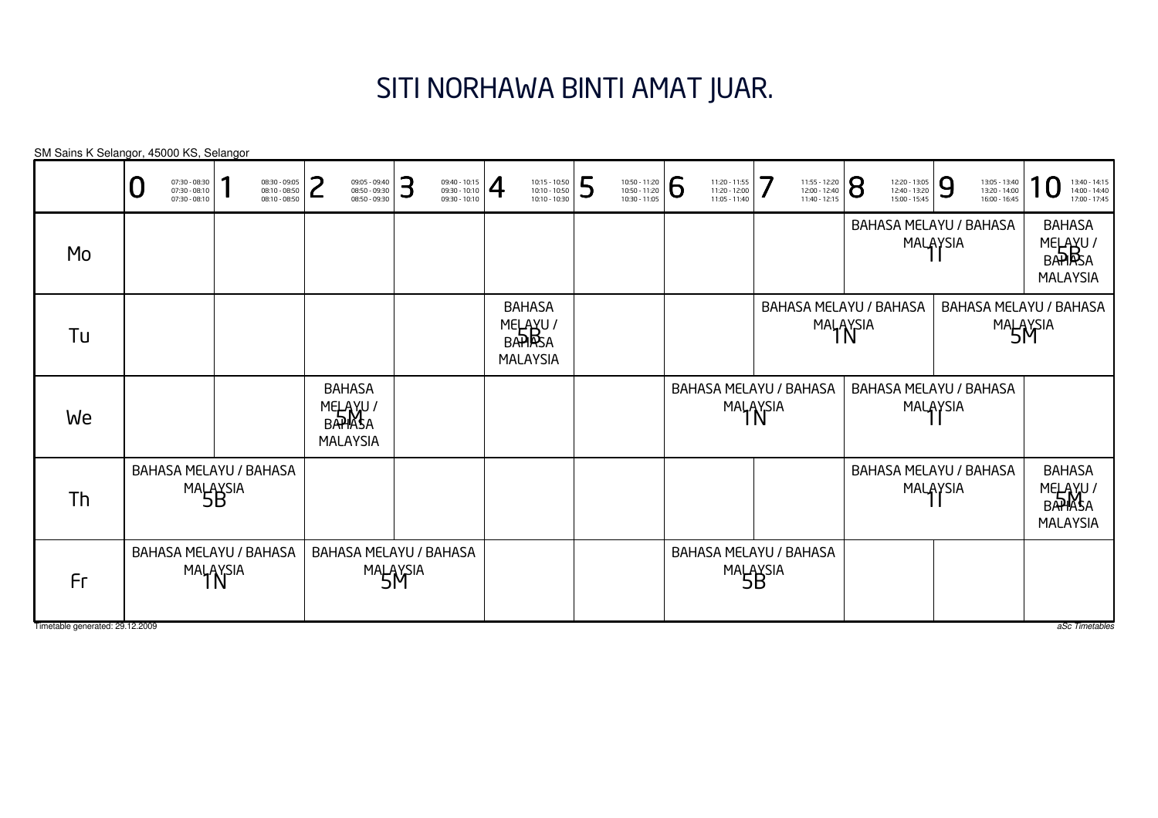## SITI NORHAWA BINTI AMAT JUAR.

BAHASA MELAYU / BAHASAmalaysia<br>1N BAHASA MELAYU / BAHASAmalaysia<br>1N BAHASA MELAYU / BAHASAmalaysia<br>1N BAHASA MELAYU / BAHASAMALAYSIA<br>11 BAHASA MELAYU / BAHASAMALAYSIA<br>11 BAHASA MELAYU / BAHASAMALAYSIA<br>11 BAHASAMELAYU /<br>BA**HA**SA MALAYSIA BAHASAMELAYU /<br>BAHRSA MALAYSIA BAHASA MELAYU / BAHASAmalaysia<br>5B BAHASA MELAYU / BAHASAmalaysia<br>5B BAHASAMELAYU /<br>BAHASA MALAYSIA BAHASAMELAYU /<br>BAHASA MALAYSIA BAHASA MELAYU / BAHASAmalaysia<br>5**M** BAHASA MELAYU / BAHASAmalaysia<br>5**M** SM Sains K Selangor, 45000 KS, SelangorTimetable generated: 29.12.2009 aSc Timetables 0 $\textbf{0} \xrightarrow{\textbf{07:30-08:10}} {\textbf{07:30-08:10}} \xrightarrow{\textbf{08:30-09:30}} {\textbf{08:10-08:50}} \xrightarrow{\textbf{08:30-09:30}} {\textbf{08:50-09:30}} \xrightarrow{\textbf{08:50-09:30}} {\textbf{08:50-09:30}} \xrightarrow{\textbf{08:50-09:30}} {\textbf{08:50-09:30}} \xrightarrow{\textbf{08:50-09:30}} {\textbf{08:50-09:30}} \xrightarrow{\$ MoTuWeThFr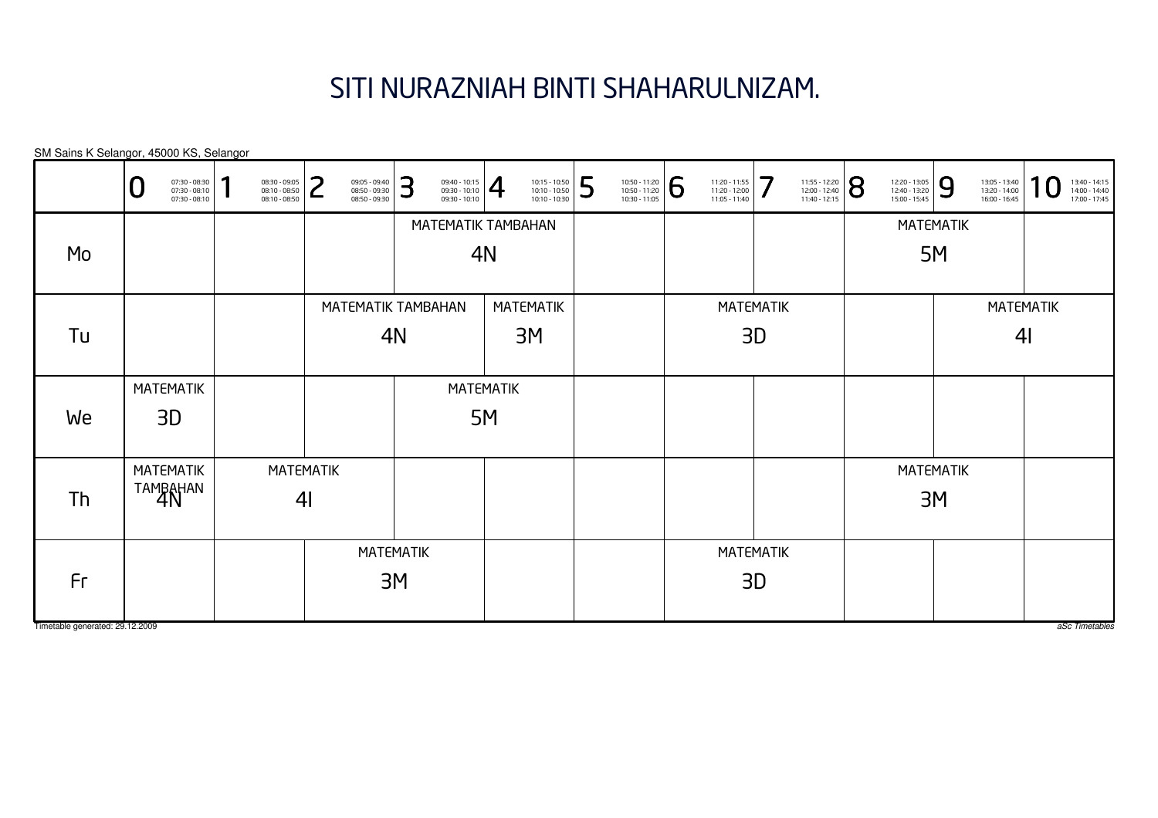# SITI NURAZNIAH BINTI SHAHARULNIZAM.

SM Sains K Selangor, 45000 KS, Selangor

|                                 | 07:30 - 08:30<br>07:30 - 08:10<br>07:30 - 08:10 | п | 08:30 - 09:05<br>08:10 - 08:50<br>08:10 - 08:50 | ີ<br>09:05 - 09:40<br>08:50 - 09:30<br>08:50 - 09:30 | 3<br>$\left. \begin{array}{l} 09:40 - 10:15 \\ 09:30 - 10:10 \\ 09:30 - 10:10 \end{array} \right  \bigoplus$ |                  | 5<br>10:15 - 10:50<br>10:10 - 10:50<br>10:10 - 10:30 | 10:50 - 11:20<br>10:50 - 11:20<br>10:30 - 11:05 | 6 | 11:20 - 11:55<br>11:20 - 12:00<br>11:05 - 11:40 | 7  | 11:55 - 12:20<br>12:00 - 12:40<br>11:40 - 12:15 | $\overline{8}$ | 12:20 - 13:05<br>12:40 - 13:20<br>15:00 - 15:45 | 9                | 13:05 - 13:40<br>13:20 - 14:00<br>$16:00 - 16:45$ | 1<br>$\boldsymbol{0}$ | 13:40 - 14:15<br>14:00 - 14:40<br>17:00 - 17:45 |
|---------------------------------|-------------------------------------------------|---|-------------------------------------------------|------------------------------------------------------|--------------------------------------------------------------------------------------------------------------|------------------|------------------------------------------------------|-------------------------------------------------|---|-------------------------------------------------|----|-------------------------------------------------|----------------|-------------------------------------------------|------------------|---------------------------------------------------|-----------------------|-------------------------------------------------|
|                                 |                                                 |   |                                                 |                                                      | MATEMATIK TAMBAHAN                                                                                           |                  |                                                      |                                                 |   |                                                 |    |                                                 |                |                                                 | <b>MATEMATIK</b> |                                                   |                       |                                                 |
| Mo                              |                                                 |   |                                                 |                                                      |                                                                                                              | 4N               |                                                      |                                                 |   |                                                 |    |                                                 |                |                                                 | 5M               |                                                   |                       |                                                 |
|                                 |                                                 |   |                                                 |                                                      | MATEMATIK TAMBAHAN                                                                                           |                  | MATEMATIK                                            |                                                 |   | <b>MATEMATIK</b>                                |    |                                                 |                |                                                 |                  |                                                   | <b>MATEMATIK</b>      |                                                 |
| Tu                              |                                                 |   |                                                 |                                                      | 4N                                                                                                           |                  | 3M                                                   |                                                 |   | 3D                                              |    |                                                 |                |                                                 |                  | 4 <sub>l</sub>                                    |                       |                                                 |
|                                 | <b>MATEMATIK</b>                                |   |                                                 |                                                      |                                                                                                              | <b>MATEMATIK</b> |                                                      |                                                 |   |                                                 |    |                                                 |                |                                                 |                  |                                                   |                       |                                                 |
| We                              | 3D                                              |   |                                                 |                                                      |                                                                                                              | 5M               |                                                      |                                                 |   |                                                 |    |                                                 |                |                                                 |                  |                                                   |                       |                                                 |
|                                 | <b>MATEMATIK</b>                                |   |                                                 | <b>MATEMATIK</b>                                     |                                                                                                              |                  |                                                      |                                                 |   |                                                 |    |                                                 |                |                                                 | <b>MATEMATIK</b> |                                                   |                       |                                                 |
| Th                              | TAMBAHAN                                        |   | 4 <sub>l</sub>                                  |                                                      |                                                                                                              |                  |                                                      |                                                 |   |                                                 |    |                                                 |                |                                                 | 3M               |                                                   |                       |                                                 |
|                                 |                                                 |   |                                                 |                                                      | <b>MATEMATIK</b>                                                                                             |                  |                                                      |                                                 |   | <b>MATEMATIK</b>                                |    |                                                 |                |                                                 |                  |                                                   |                       |                                                 |
| Fr                              |                                                 |   |                                                 |                                                      | 3M                                                                                                           |                  |                                                      |                                                 |   |                                                 | 3D |                                                 |                |                                                 |                  |                                                   |                       |                                                 |
| Timetable generated: 29.12.2009 |                                                 |   |                                                 |                                                      |                                                                                                              |                  |                                                      |                                                 |   |                                                 |    |                                                 |                |                                                 |                  |                                                   |                       | aSc Timetables                                  |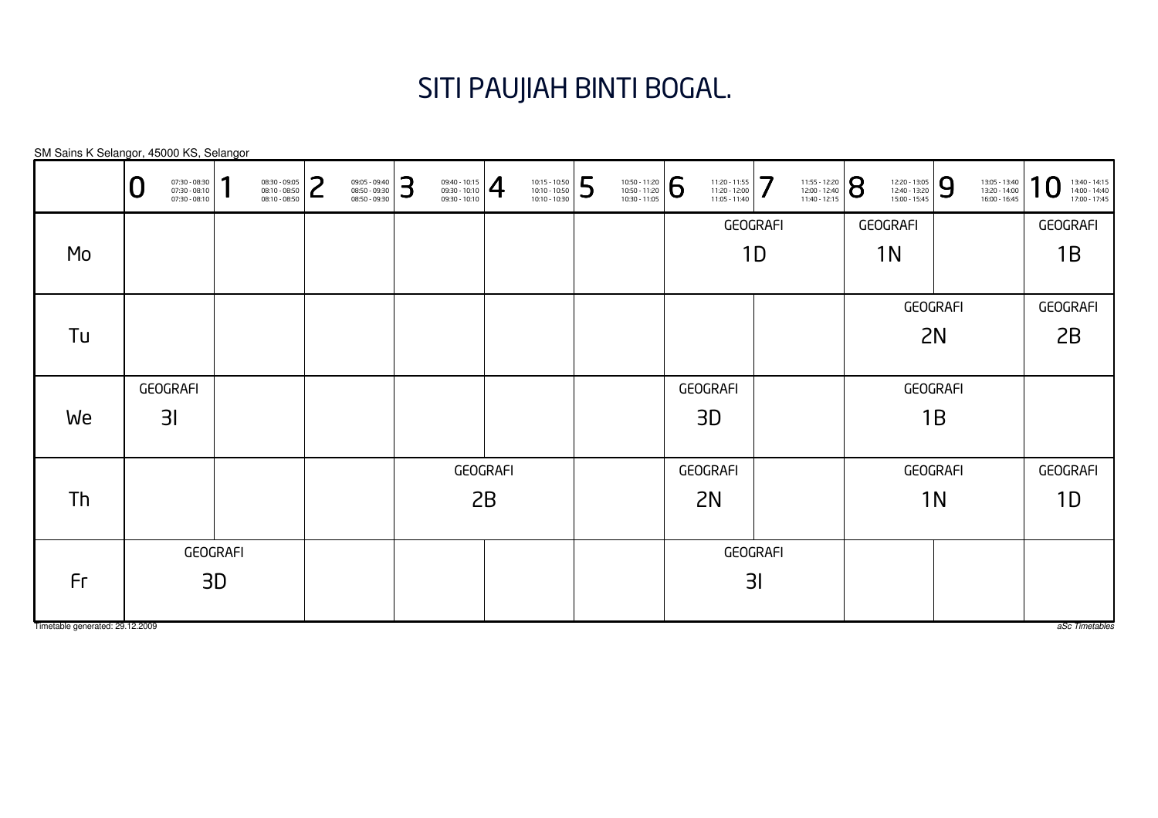### SITI PAUJIAH BINTI BOGAL.

SM Sains K Selangor, 45000 KS, Selangor

|                                 | 07:30 - 08:30<br>07:30 - 08:10<br>0<br>$07:30 - 08:10$ | и | 08:30 - 09:05<br>08:10 - 08:50<br>08:10 - 08:50 | っ<br>┕ | 09:05 - 09:40<br>08:50 - 09:30<br>08:50 - 09:30 | 3  | $\left. \begin{array}{l} 09:40 - 10:15 \\ 09:30 - 10:10 \\ 09:30 - 10:10 \end{array} \right  \bigoplus$ |                 | 10:15 - 10:50<br>10:10 - 10:50<br>10:10 - 10:30 | 5 | 10:50 - 11:20<br>10:50 - 11:20<br>10:30 - 11:05 | 6               | 11:20 - 11:55<br>11:20 - 12:00<br>11:05 - 11:40 | 7  | 11:55 - 12:20<br>12:00 - 12:40<br>11:40 - 12:15 | 8              | 12:20 - 13:05<br>12:40 - 13:20<br>15:00 - 15:45 | 9        | 13:05 - 13:40<br>13:20 - 14:00<br>16:00 - 16:45 | 1<br>13:40 - 14:15<br>14:00 - 14:40<br>17:00 - 17:45 |
|---------------------------------|--------------------------------------------------------|---|-------------------------------------------------|--------|-------------------------------------------------|----|---------------------------------------------------------------------------------------------------------|-----------------|-------------------------------------------------|---|-------------------------------------------------|-----------------|-------------------------------------------------|----|-------------------------------------------------|----------------|-------------------------------------------------|----------|-------------------------------------------------|------------------------------------------------------|
|                                 |                                                        |   |                                                 |        |                                                 |    |                                                                                                         |                 |                                                 |   |                                                 |                 | GEOGRAFI                                        |    |                                                 |                | GEOGRAFI                                        |          |                                                 | GEOGRAFI                                             |
| Mo                              |                                                        |   |                                                 |        |                                                 |    |                                                                                                         |                 |                                                 |   |                                                 |                 |                                                 | 1D |                                                 |                | 1N                                              |          |                                                 | 1B                                                   |
|                                 |                                                        |   |                                                 |        |                                                 |    |                                                                                                         |                 |                                                 |   |                                                 |                 |                                                 |    |                                                 |                |                                                 |          |                                                 |                                                      |
|                                 |                                                        |   |                                                 |        |                                                 |    |                                                                                                         |                 |                                                 |   |                                                 |                 |                                                 |    |                                                 |                |                                                 | GEOGRAFI |                                                 | <b>GEOGRAFI</b>                                      |
| Tu                              |                                                        |   |                                                 |        |                                                 |    |                                                                                                         |                 |                                                 |   |                                                 |                 |                                                 |    |                                                 |                |                                                 | 2N       |                                                 | 2B                                                   |
|                                 |                                                        |   |                                                 |        |                                                 |    |                                                                                                         |                 |                                                 |   |                                                 |                 |                                                 |    |                                                 |                |                                                 |          |                                                 |                                                      |
|                                 | GEOGRAFI                                               |   |                                                 |        |                                                 |    |                                                                                                         |                 |                                                 |   |                                                 | <b>GEOGRAFI</b> |                                                 |    |                                                 |                | GEOGRAFI                                        |          |                                                 |                                                      |
| We                              | 31                                                     |   |                                                 |        |                                                 |    |                                                                                                         |                 |                                                 |   |                                                 |                 | 3D                                              |    |                                                 |                |                                                 | 1B       |                                                 |                                                      |
|                                 |                                                        |   |                                                 |        |                                                 |    |                                                                                                         |                 |                                                 |   |                                                 |                 |                                                 |    |                                                 |                |                                                 |          |                                                 |                                                      |
|                                 |                                                        |   |                                                 |        |                                                 |    |                                                                                                         | <b>GEOGRAFI</b> |                                                 |   |                                                 |                 | <b>GEOGRAFI</b>                                 |    |                                                 |                |                                                 | GEOGRAFI |                                                 | <b>GEOGRAFI</b>                                      |
| Th                              |                                                        |   |                                                 |        |                                                 | 2B |                                                                                                         |                 |                                                 |   | 2N                                              |                 |                                                 |    |                                                 | 1 <sub>N</sub> |                                                 | 1D       |                                                 |                                                      |
|                                 |                                                        |   |                                                 |        |                                                 |    |                                                                                                         |                 |                                                 |   |                                                 |                 |                                                 |    |                                                 |                |                                                 |          |                                                 |                                                      |
|                                 | GEOGRAFI                                               |   |                                                 |        |                                                 |    |                                                                                                         |                 |                                                 |   |                                                 | GEOGRAFI        |                                                 |    |                                                 |                |                                                 |          |                                                 |                                                      |
| Fr                              | 3D                                                     |   |                                                 |        |                                                 |    |                                                                                                         |                 |                                                 |   |                                                 |                 |                                                 | 31 |                                                 |                |                                                 |          |                                                 |                                                      |
|                                 |                                                        |   |                                                 |        |                                                 |    |                                                                                                         |                 |                                                 |   |                                                 |                 |                                                 |    |                                                 |                |                                                 |          |                                                 |                                                      |
| Timetable generated: 29.12.2009 |                                                        |   |                                                 |        |                                                 |    |                                                                                                         |                 |                                                 |   |                                                 |                 |                                                 |    |                                                 |                |                                                 |          |                                                 | aSc Timetables                                       |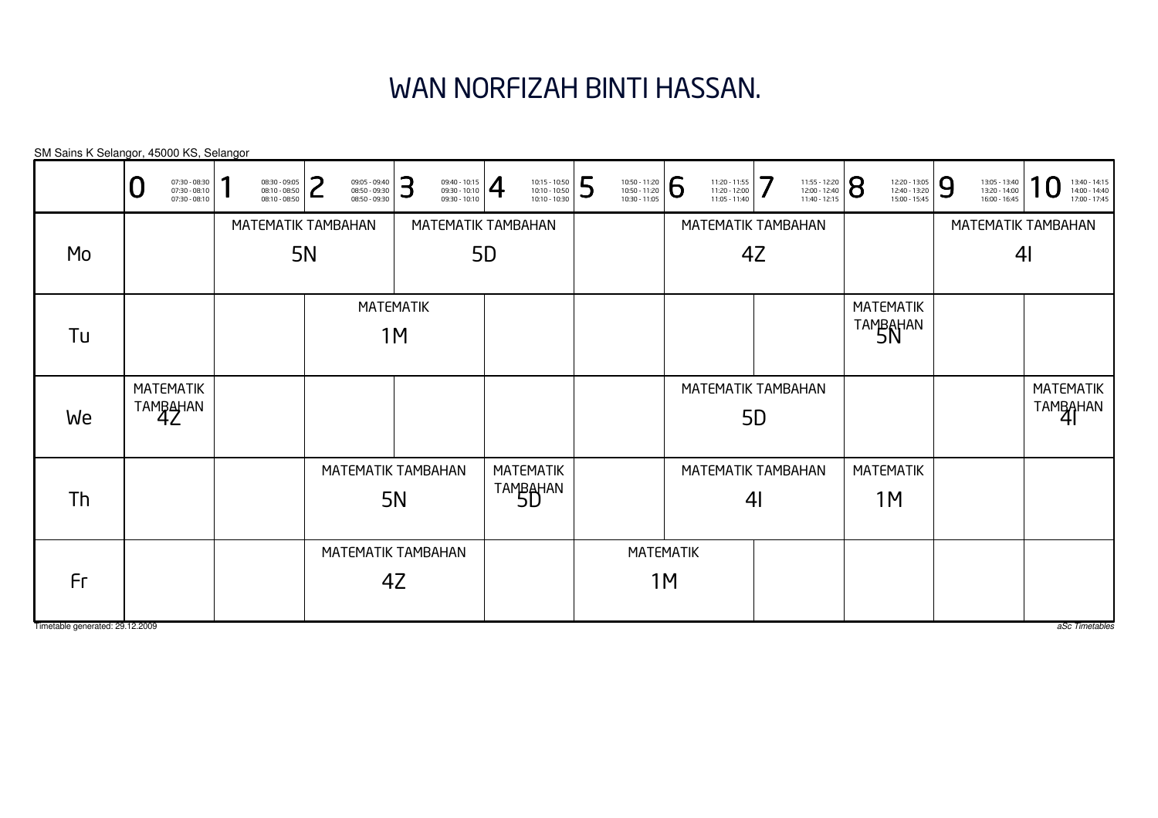# WAN NORFIZAH BINTI HASSAN.

| SM Sains K Selangor, 45000 KS, Selangor |                                                   |                                                 |                        |   |                                                 |    |                                                                                                                                                                                                                   |    |                                                 |   |                                                 |                    |                                                 |                |                                                 |   |                                                 |   |                                                 |                              |                                                 |
|-----------------------------------------|---------------------------------------------------|-------------------------------------------------|------------------------|---|-------------------------------------------------|----|-------------------------------------------------------------------------------------------------------------------------------------------------------------------------------------------------------------------|----|-------------------------------------------------|---|-------------------------------------------------|--------------------|-------------------------------------------------|----------------|-------------------------------------------------|---|-------------------------------------------------|---|-------------------------------------------------|------------------------------|-------------------------------------------------|
|                                         | 07:30 - 08:30<br>07:30 - 08:10<br>$07:30 - 08:10$ | 08:30 - 09:05<br>08:10 - 08:50<br>08:10 - 08:50 |                        | つ | 09:05 - 09:40<br>08:50 - 09:30<br>08:50 - 09:30 | 3  | $\left. \begin{array}{l} 09:40 - 10:15 \\ 09:30 - 10:10 \\ 09:30 - 10:10 \end{array} \right  \begin{array}{c} \begin{array}{c} \begin{array}{c} \begin{array}{c} \end{array} \end{array} \end{array} \end{array}$ |    | 10:15 - 10:50<br>10:10 - 10:50<br>10:10 - 10:30 | 5 | 10:50 - 11:20<br>10:50 - 11:20<br>10:30 - 11:05 | 6                  | 11:20 - 11:55<br>11:20 - 12:00<br>11:05 - 11:40 | 7              | 11:55 - 12:20<br>12:00 - 12:40<br>11:40 - 12:15 | 8 | 12:20 - 13:05<br>12:40 - 13:20<br>15:00 - 15:45 | 9 | 13:05 - 13:40<br>13:20 - 14:00<br>16:00 - 16:45 |                              | 13:40 - 14:15<br>14:00 - 14:40<br>17:00 - 17:45 |
|                                         |                                                   | MATEMATIK TAMBAHAN                              |                        |   |                                                 |    | MATEMATIK TAMBAHAN                                                                                                                                                                                                |    |                                                 |   |                                                 |                    | MATEMATIK TAMBAHAN                              |                |                                                 |   |                                                 |   |                                                 |                              | MATEMATIK TAMBAHAN                              |
| Mo                                      |                                                   |                                                 | <b>5N</b>              |   |                                                 |    |                                                                                                                                                                                                                   | 5D |                                                 |   |                                                 |                    |                                                 | 4Z             |                                                 |   |                                                 |   |                                                 | 4 <sub>l</sub>               |                                                 |
| Tu                                      |                                                   |                                                 | <b>MATEMATIK</b><br>1M |   |                                                 |    |                                                                                                                                                                                                                   |    |                                                 |   |                                                 |                    |                                                 |                |                                                 |   | <b>MATEMATIK</b><br>TAMBAHAN                    |   |                                                 |                              |                                                 |
| We                                      | <b>MATEMATIK</b><br>TAMBAHAN                      |                                                 |                        |   |                                                 |    |                                                                                                                                                                                                                   |    |                                                 |   |                                                 | MATEMATIK TAMBAHAN | 5 <sub>D</sub>                                  |                |                                                 |   |                                                 |   |                                                 | <b>MATEMATIK</b><br>TAMBAHAN |                                                 |
|                                         |                                                   |                                                 |                        |   |                                                 |    |                                                                                                                                                                                                                   |    | <b>MATEMATIK</b>                                |   |                                                 |                    | MATEMATIK TAMBAHAN                              |                |                                                 |   | <b>MATEMATIK</b>                                |   |                                                 |                              |                                                 |
| Th                                      |                                                   |                                                 |                        |   | MATEMATIK TAMBAHAN<br><b>5N</b>                 |    |                                                                                                                                                                                                                   |    | TAMBAHAN                                        |   |                                                 |                    |                                                 | 4 <sub>l</sub> |                                                 |   | 1M                                              |   |                                                 |                              |                                                 |
|                                         |                                                   |                                                 |                        |   |                                                 |    | MATEMATIK TAMBAHAN                                                                                                                                                                                                |    |                                                 |   | <b>MATEMATIK</b>                                |                    |                                                 |                |                                                 |   |                                                 |   |                                                 |                              |                                                 |
| Fr                                      |                                                   |                                                 |                        |   |                                                 | 4Z |                                                                                                                                                                                                                   |    |                                                 |   |                                                 | 1M                 |                                                 |                |                                                 |   |                                                 |   |                                                 |                              |                                                 |
| Timetable generated: 29.12.2009         |                                                   |                                                 |                        |   |                                                 |    |                                                                                                                                                                                                                   |    |                                                 |   |                                                 |                    |                                                 |                |                                                 |   |                                                 |   |                                                 |                              | aSc Timetables                                  |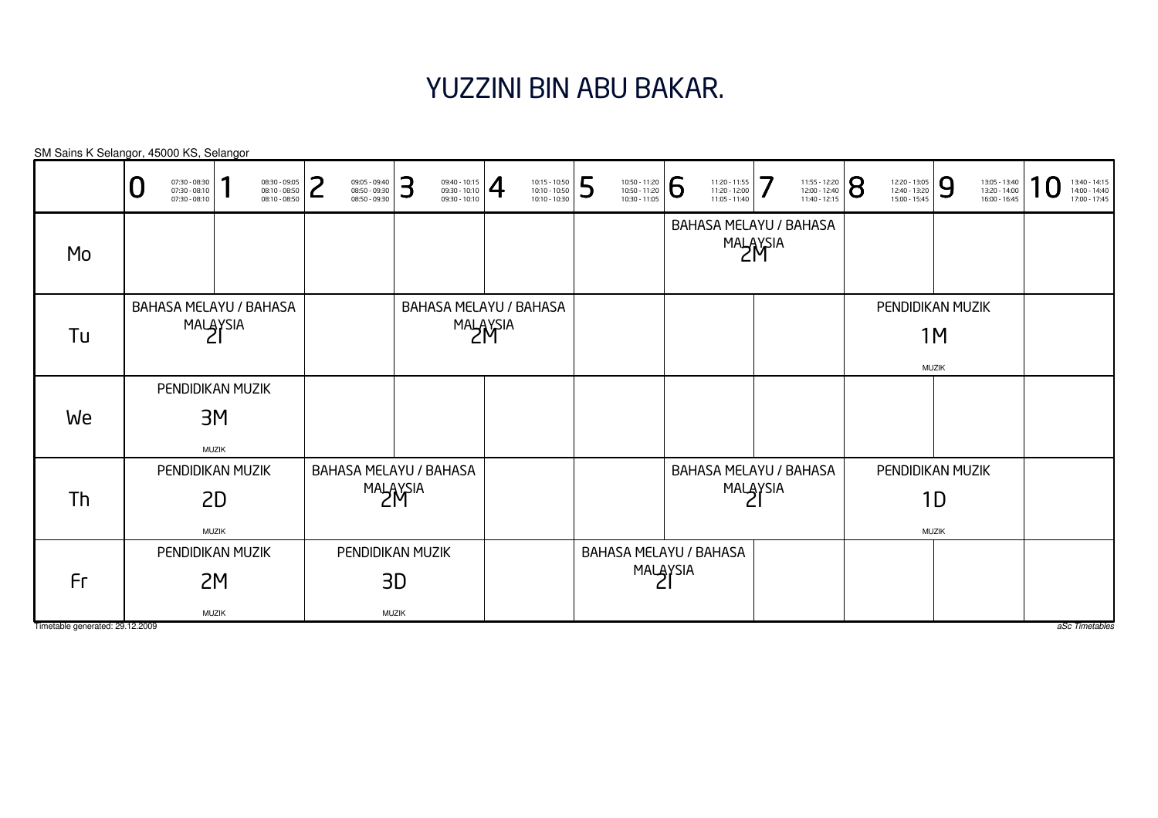### YUZZINI BIN ABU BAKAR.

|                                       | 07:30 - 08:30<br>07:30 - 08:10<br>07:30 - 08:10 | 08:30 - 09:05<br>08:10 - 08:50<br>08:10 - 08:50 | っ<br>09:05 - 09:40<br>08:50 - 09:30<br>08:50 - 09:30 | З<br>09:40 - 10:15<br>09:30 - 10:10<br>09:30 - 10:10 | $\overline{4}$ | 5<br>10:15 - 10:50<br>10:10 - 10:50<br>10:10 - 10:30 | 10:50 - 11:20<br>10:50 - 11:20<br>10:30 - 11:05 | 6<br>11:20 - 11:55<br>11:20 - 12:00<br>11:05 - 11:40 | 7<br>11:55 - 12:20<br>12:00 - 12:40<br>11:40 - 12:15 | 8<br>12:20 - 13:05<br>12:40 - 13:20<br>15:00 - 15:45 | 9<br>13:05 - 13:40<br>13:20 - 14:00<br>16:00 - 16:45 | 13:40 - 14:15<br>14:00 - 14:40<br>17:00 - 17:45 |
|---------------------------------------|-------------------------------------------------|-------------------------------------------------|------------------------------------------------------|------------------------------------------------------|----------------|------------------------------------------------------|-------------------------------------------------|------------------------------------------------------|------------------------------------------------------|------------------------------------------------------|------------------------------------------------------|-------------------------------------------------|
| Mo                                    |                                                 |                                                 |                                                      |                                                      |                |                                                      |                                                 |                                                      | <b>BAHASA MELAYU / BAHASA</b><br>MALAYSIA            |                                                      |                                                      |                                                 |
| Tu                                    |                                                 | BAHASA MELAYU / BAHASA<br>MALAYSIA              |                                                      | BAHASA MELAYU / BAHASA                               | MALAYSIA       |                                                      |                                                 |                                                      |                                                      |                                                      | PENDIDIKAN MUZIK<br>1M<br><b>MUZIK</b>               |                                                 |
| We                                    |                                                 | PENDIDIKAN MUZIK<br>3M<br><b>MUZIK</b>          |                                                      |                                                      |                |                                                      |                                                 |                                                      |                                                      |                                                      |                                                      |                                                 |
| Th                                    |                                                 | PENDIDIKAN MUZIK<br>2D<br><b>MUZIK</b>          | BAHASA MELAYU / BAHASA                               | MALAYSIA                                             |                |                                                      |                                                 |                                                      | <b>BAHASA MELAYU / BAHASA</b><br>MALAYSIA            |                                                      | PENDIDIKAN MUZIK<br>1D<br><b>MUZIK</b>               |                                                 |
| Fr<br>Timetable generated: 29.12.2009 |                                                 | PENDIDIKAN MUZIK<br>2M<br><b>MUZIK</b>          |                                                      | PENDIDIKAN MUZIK<br>3D<br><b>MUZIK</b>               |                |                                                      | MALAYSIA                                        | <b>BAHASA MELAYU / BAHASA</b>                        |                                                      |                                                      |                                                      | aSc Timetables                                  |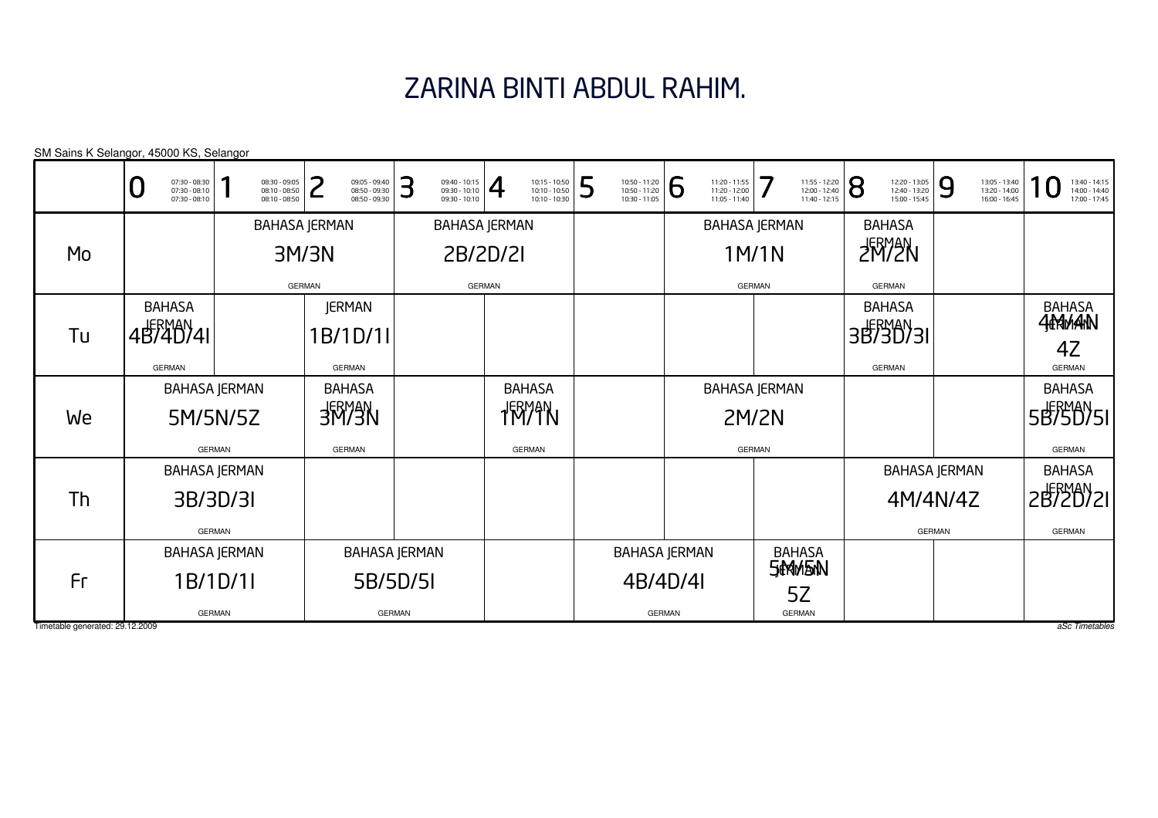## ZARINA BINTI ABDUL RAHIM.

|    | SM Sains K Selangor, 45000 KS, Selangor           |                                                 |                                                      |                                                      |                                                                             |                                                      |                                                      |                                                      |                                                      |                                                      |                                                 |
|----|---------------------------------------------------|-------------------------------------------------|------------------------------------------------------|------------------------------------------------------|-----------------------------------------------------------------------------|------------------------------------------------------|------------------------------------------------------|------------------------------------------------------|------------------------------------------------------|------------------------------------------------------|-------------------------------------------------|
|    | 07:30 - 08:30<br>07:30 - 08:10<br>$07:30 - 08:10$ | 08:30 - 09:05<br>08:10 - 08:50<br>08:10 - 08:50 | っ<br>09:05 - 09:40<br>08:50 - 09:30<br>08:50 - 09:30 | 3<br>09:40 - 10:15<br>09:30 - 10:10<br>09:30 - 10:10 | $\overline{\mathcal{A}}$<br>10:15 - 10:50<br>10:10 - 10:50<br>10:10 - 10:30 | 5<br>10:50 - 11:20<br>10:50 - 11:20<br>10:30 - 11:05 | 6<br>11:20 - 11:55<br>11:20 - 12:00<br>11:05 - 11:40 | 7<br>11:55 - 12:20<br>12:00 - 12:40<br>11:40 - 12:15 | 8<br>12:20 - 13:05<br>12:40 - 13:20<br>15:00 - 15:45 | 9<br>13:05 - 13:40<br>13:20 - 14:00<br>16:00 - 16:45 | 13:40 - 14:15<br>14:00 - 14:40<br>17:00 - 17:45 |
|    |                                                   |                                                 | <b>BAHASA JERMAN</b>                                 |                                                      | <b>BAHASA JERMAN</b>                                                        |                                                      |                                                      | <b>BAHASA JERMAN</b>                                 | <b>BAHASA</b>                                        |                                                      |                                                 |
| Mo |                                                   |                                                 | 3M/3N                                                |                                                      | 2B/2D/2I                                                                    |                                                      |                                                      | 1M/1N                                                | <b>FRYEN</b>                                         |                                                      |                                                 |
|    |                                                   |                                                 | <b>GERMAN</b>                                        |                                                      | <b>GERMAN</b>                                                               |                                                      |                                                      | <b>GERMAN</b>                                        | <b>GERMAN</b>                                        |                                                      |                                                 |
|    | <b>BAHASA</b>                                     |                                                 | <b>JERMAN</b>                                        |                                                      |                                                                             |                                                      |                                                      |                                                      | <b>BAHASA</b>                                        |                                                      | BAHASA<br><b>444MAN</b>                         |
| Tu | 4B740741                                          |                                                 | 1B/1D/1II                                            |                                                      |                                                                             |                                                      |                                                      |                                                      | 3B730731                                             |                                                      |                                                 |
|    | <b>GERMAN</b>                                     |                                                 | <b>GERMAN</b>                                        |                                                      |                                                                             |                                                      |                                                      |                                                      | <b>GERMAN</b>                                        |                                                      | 4Z<br><b>GERMAN</b>                             |
|    |                                                   | <b>BAHASA JERMAN</b>                            | <b>BAHASA</b>                                        |                                                      | <b>BAHASA</b>                                                               |                                                      |                                                      | <b>BAHASA JERMAN</b>                                 |                                                      |                                                      | <b>BAHASA</b>                                   |
| We |                                                   | 5M/5N/5Z                                        | <b>NEWRE</b>                                         |                                                      | 1M71N                                                                       |                                                      |                                                      | <b>2M/2N</b>                                         |                                                      |                                                      | 5B750751                                        |
|    |                                                   | <b>GERMAN</b>                                   | <b>GERMAN</b>                                        |                                                      | <b>GERMAN</b>                                                               |                                                      |                                                      | <b>GERMAN</b>                                        |                                                      |                                                      | <b>GERMAN</b>                                   |
|    |                                                   | <b>BAHASA JERMAN</b>                            |                                                      |                                                      |                                                                             |                                                      |                                                      |                                                      |                                                      | <b>BAHASA JERMAN</b>                                 | <b>BAHASA</b>                                   |
| Th |                                                   | 3B/3D/3I                                        |                                                      |                                                      |                                                                             |                                                      |                                                      |                                                      |                                                      | 4M/4N/4Z                                             | 2B720721                                        |
|    |                                                   | <b>GERMAN</b>                                   |                                                      |                                                      |                                                                             |                                                      |                                                      |                                                      |                                                      | <b>GERMAN</b>                                        | <b>GERMAN</b>                                   |
|    |                                                   | <b>BAHASA JERMAN</b>                            |                                                      | <b>BAHASA JERMAN</b>                                 |                                                                             |                                                      | <b>BAHASA JERMAN</b>                                 | <b>BAHASA</b>                                        |                                                      |                                                      |                                                 |
| Fr |                                                   | 1B/1D/1I                                        |                                                      | 5B/5D/5I                                             |                                                                             |                                                      | 4B/4D/4I                                             | <b>SIMMENN</b>                                       |                                                      |                                                      |                                                 |
|    |                                                   | <b>GERMAN</b>                                   |                                                      | <b>GERMAN</b>                                        |                                                                             |                                                      | <b>GERMAN</b>                                        | 5Z<br><b>GERMAN</b>                                  |                                                      |                                                      |                                                 |

Timetable generated: 29.12.2009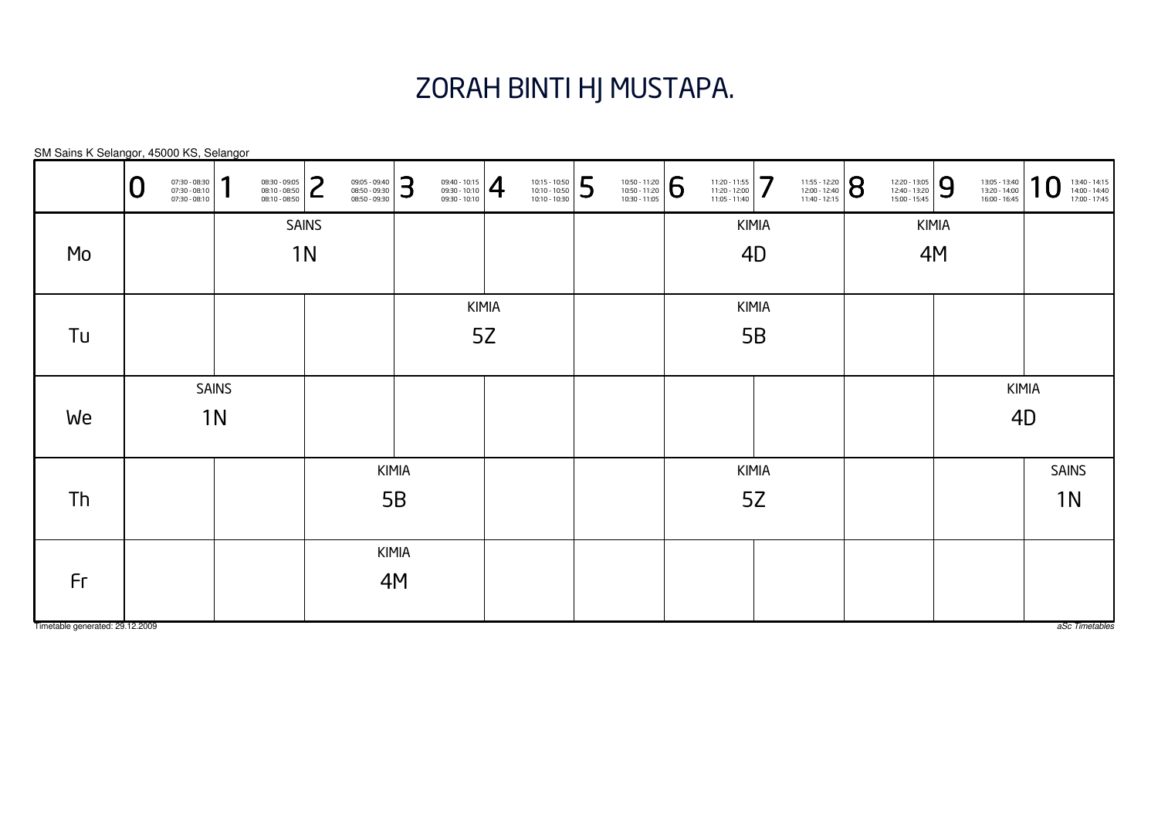### ZORAH BINTI HJ MUSTAPA.

KIMIA5BKIMIA5BKIMIA5ZKIMIA5ZSAINS1NSAINS1NKIMIA4DKIMIA4MKIMIA4MSM Sains K Selangor, 45000 KS, Selangor0 $\textbf{0} \xrightarrow{\textbf{0}730-08:30}_{0730-08:10} \xrightarrow{\textbf{0}830-09:05}_{0830-08:10} \xrightarrow{\textbf{0}830-09:05}_{0850-09:30} \xrightarrow{\textbf{0}830-08:040}_{0850-09:30} \xrightarrow{\textbf{0}830-10:10}_{0830-10:10} \xrightarrow{\textbf{0}830-10:10}_{0830-10:10} \xrightarrow{\textbf{0}830-10:10}_{0830-11:05} \xrightarrow$ MoTuWeThFr

Timetable generated: 29.12.2009

aSc Timetables

SAINS

KIMIA

4D

1N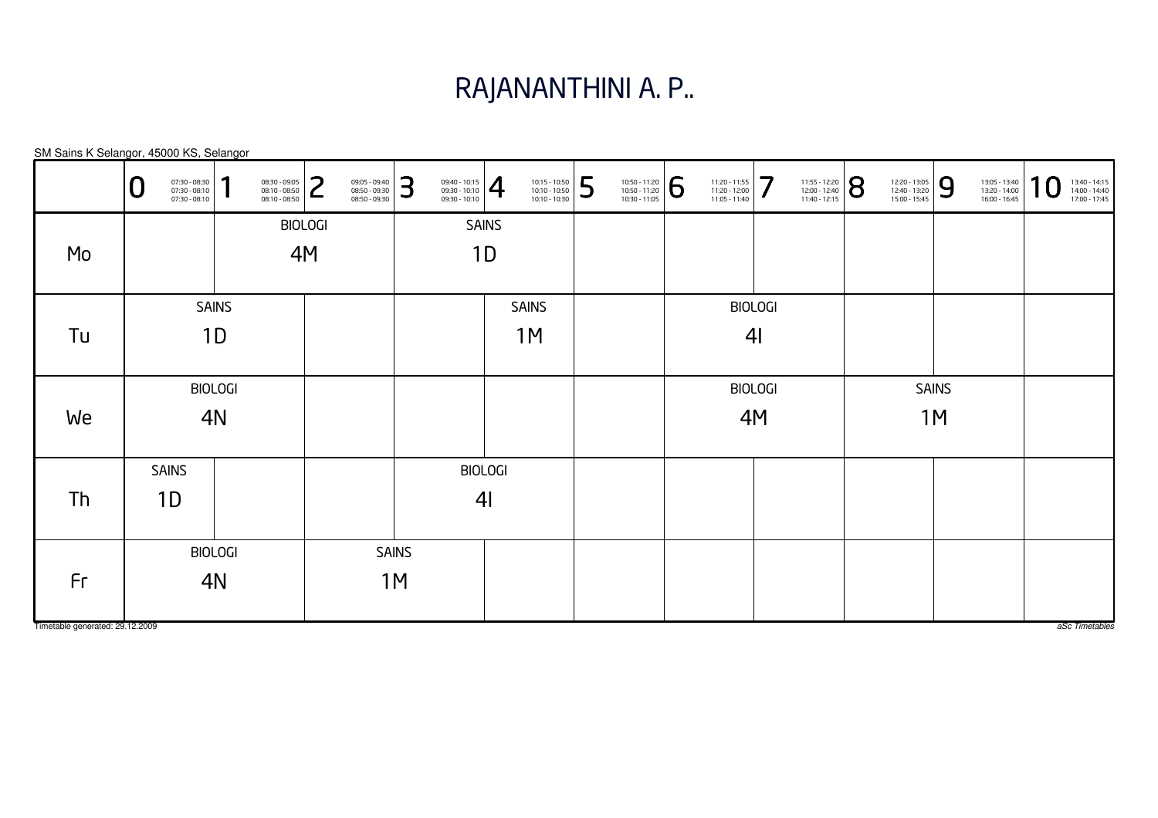#### RAJANANTHINI A. P..

| SM Sains K Selangor, 45000 KS, Selangor |                    |                                                 |              |                                                 |                |                                                 |    |                                                                                                                                                                                                 |              |                                                                                                                     |   |                                                 |   |                                                 |                |                                                 |                |                                                 |              |                                                 |             |                                                 |
|-----------------------------------------|--------------------|-------------------------------------------------|--------------|-------------------------------------------------|----------------|-------------------------------------------------|----|-------------------------------------------------------------------------------------------------------------------------------------------------------------------------------------------------|--------------|---------------------------------------------------------------------------------------------------------------------|---|-------------------------------------------------|---|-------------------------------------------------|----------------|-------------------------------------------------|----------------|-------------------------------------------------|--------------|-------------------------------------------------|-------------|-------------------------------------------------|
|                                         | Ū                  | 07:30 - 08:30<br>07:30 - 08:10<br>07:30 - 08:10 | 1            | 08:30 - 09:05<br>08:10 - 08:50<br>08:10 - 08:50 | っ<br>L         | 09:05 - 09:40<br>08:50 - 09:30<br>08:50 - 09:30 | 3  | $\left\{\n \begin{array}{c}\n 09:40 - 10:15 \\ 09:30 - 10:10 \\ 09:30 - 10:10\n \end{array}\n \right \n \begin{array}{c}\n \begin{array}{c}\n 4\n \end{array} \\ 6\n \end{array}\n \end{array}$ |              | $\begin{array}{ l l } \hline 10:15 & -10:50 \\ \hline 10:10 & -10:50 \\ \hline 10:10 & -10:30 \\\hline \end{array}$ | 5 | 10:50 - 11:20<br>10:50 - 11:20<br>10:30 - 11:05 | 6 | 11:20 - 11:55<br>11:20 - 12:00<br>11:05 - 11:40 | 7              | 11:55 - 12:20<br>12:00 - 12:40<br>11:40 - 12:15 | $ \mathsf{8} $ | 12:20 - 13:05<br>12:40 - 13:20<br>15:00 - 15:45 | 9            | 13:05 - 13:40<br>13:20 - 14:00<br>16:00 - 16:45 | $\mathbf 0$ | 13:40 - 14:15<br>14:00 - 14:40<br>17:00 - 17:45 |
|                                         |                    |                                                 |              |                                                 | <b>BIOLOGI</b> |                                                 |    |                                                                                                                                                                                                 | <b>SAINS</b> |                                                                                                                     |   |                                                 |   |                                                 |                |                                                 |                |                                                 |              |                                                 |             |                                                 |
| Mo                                      |                    |                                                 |              |                                                 | 4M             |                                                 |    |                                                                                                                                                                                                 | 1D           |                                                                                                                     |   |                                                 |   |                                                 |                |                                                 |                |                                                 |              |                                                 |             |                                                 |
|                                         |                    |                                                 | <b>SAINS</b> |                                                 |                |                                                 |    |                                                                                                                                                                                                 |              | <b>SAINS</b>                                                                                                        |   |                                                 |   |                                                 | <b>BIOLOGI</b> |                                                 |                |                                                 |              |                                                 |             |                                                 |
| Tu                                      |                    | 1 <sub>D</sub><br><b>BIOLOGI</b>                |              |                                                 |                |                                                 |    |                                                                                                                                                                                                 |              | 1M                                                                                                                  |   |                                                 |   |                                                 | 4 <sub>l</sub> |                                                 |                |                                                 |              |                                                 |             |                                                 |
|                                         |                    |                                                 |              |                                                 |                |                                                 |    |                                                                                                                                                                                                 |              |                                                                                                                     |   |                                                 |   |                                                 | <b>BIOLOGI</b> |                                                 |                |                                                 | <b>SAINS</b> |                                                 |             |                                                 |
| We                                      | 4N                 |                                                 |              |                                                 |                |                                                 |    |                                                                                                                                                                                                 |              |                                                                                                                     |   |                                                 |   | 4M                                              |                |                                                 |                | 1M                                              |              |                                                 |             |                                                 |
|                                         |                    |                                                 |              |                                                 |                |                                                 |    | <b>BIOLOGI</b>                                                                                                                                                                                  |              |                                                                                                                     |   |                                                 |   |                                                 |                |                                                 |                |                                                 |              |                                                 |             |                                                 |
| Th                                      | <b>SAINS</b><br>1D |                                                 |              |                                                 |                |                                                 |    | 4 <sub>l</sub>                                                                                                                                                                                  |              |                                                                                                                     |   |                                                 |   |                                                 |                |                                                 |                |                                                 |              |                                                 |             |                                                 |
|                                         | <b>BIOLOGI</b>     |                                                 |              |                                                 | <b>SAINS</b>   |                                                 |    |                                                                                                                                                                                                 |              |                                                                                                                     |   |                                                 |   |                                                 |                |                                                 |                |                                                 |              |                                                 |             |                                                 |
| Fr                                      |                    | 4N                                              |              |                                                 |                |                                                 | 1M |                                                                                                                                                                                                 |              |                                                                                                                     |   |                                                 |   |                                                 |                |                                                 |                |                                                 |              |                                                 |             |                                                 |
| Timetable generated: 29.12.2009         |                    |                                                 |              |                                                 |                |                                                 |    |                                                                                                                                                                                                 |              |                                                                                                                     |   |                                                 |   |                                                 |                |                                                 |                |                                                 |              |                                                 |             | aSc Timetables                                  |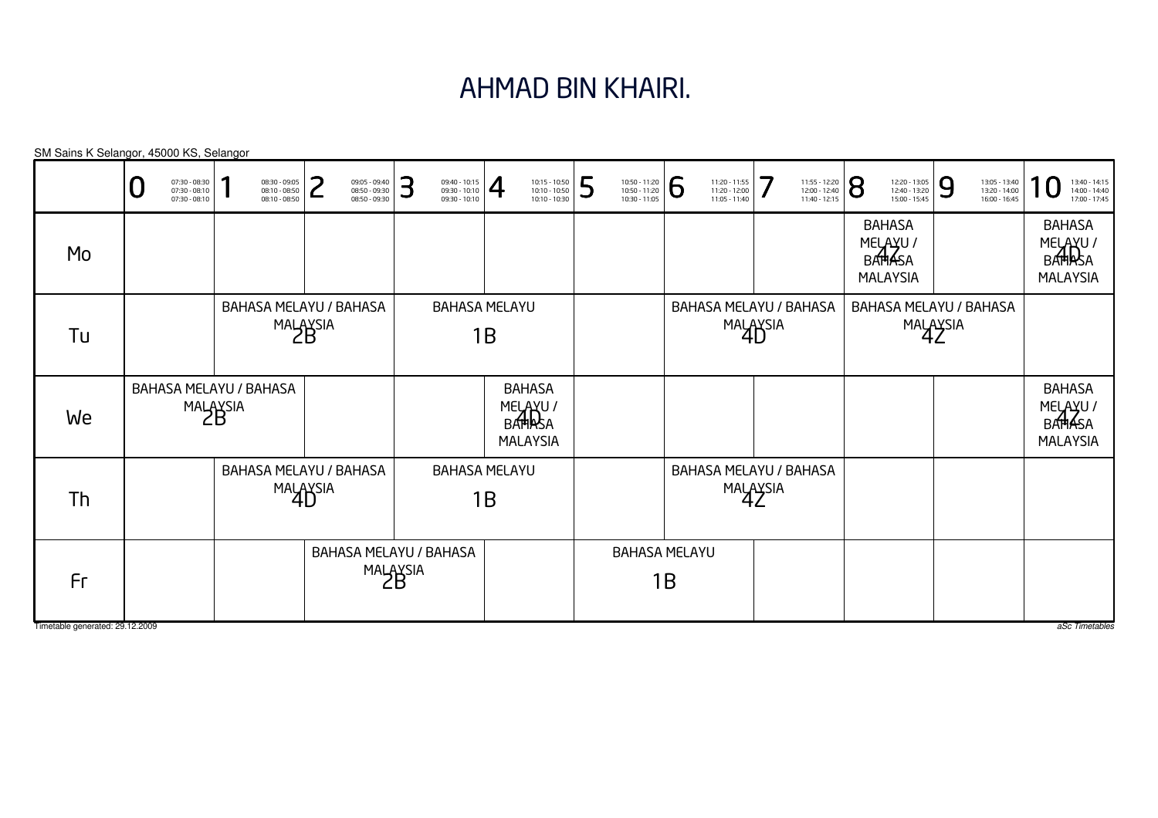#### AHMAD BIN KHAIRI.

|                                       | 07:30 - 08:30<br>07:30 - 08:10<br>$07:30 - 08:10$ | 08:30 - 09:05<br>08:10 - 08:50<br>08:10 - 08:50 | ว<br>09:05 - 09:40<br>08:50 - 09:30<br>08:50 - 09:30 | 3<br>09:40 - 10:15<br>09:30 - 10:10<br>09:30 - 10:10 | $\overline{4}$<br>10:15 - 10:50<br>10:10 - 10:50<br>10:10 - 10:30 | 5<br>10:50 - 11:20<br>10:50 - 11:20<br>10:30 - 11:05 | 6<br>11:20 - 11:55<br>11:20 - 12:00<br>11:05 - 11:40 | 7<br>11:55 - 12:20<br>12:00 - 12:40<br>11:40 - 12:15 | 8<br>12:20 - 13:05<br>12:40 - 13:20<br>15:00 - 15:45           | 9<br>13:05 - 13:40<br>13:20 - 14:00<br>16:00 - 16:45 | 13:40 - 14:15<br>14:00 - 14:40<br>17:00 - 17:45                |
|---------------------------------------|---------------------------------------------------|-------------------------------------------------|------------------------------------------------------|------------------------------------------------------|-------------------------------------------------------------------|------------------------------------------------------|------------------------------------------------------|------------------------------------------------------|----------------------------------------------------------------|------------------------------------------------------|----------------------------------------------------------------|
| Mo                                    |                                                   |                                                 |                                                      |                                                      |                                                                   |                                                      |                                                      |                                                      | <b>BAHASA</b><br>MELAYU /<br><b>BATHASA</b><br><b>MALAYSIA</b> |                                                      | <b>BAHASA</b><br>MELAYU/<br>BAHRSA<br><b>MALAYSIA</b>          |
| Tu                                    |                                                   | MALAYSIA                                        | BAHASA MELAYU / BAHASA                               |                                                      | <b>BAHASA MELAYU</b><br>1B                                        |                                                      |                                                      | BAHASA MELAYU / BAHASA<br>MALAYSIA                   |                                                                | BAHASA MELAYU / BAHASA<br>MALAYSIA                   |                                                                |
| We                                    |                                                   | BAHASA MELAYU / BAHASA<br>MALAYSIA              |                                                      |                                                      | <b>BAHASA</b><br>MELAYU /<br>BAHRSA<br><b>MALAYSIA</b>            |                                                      |                                                      |                                                      |                                                                |                                                      | <b>BAHASA</b><br>MELAYU /<br><b>BATHASA</b><br><b>MALAYSIA</b> |
| Th                                    |                                                   | BAHASA MELAYU / BAHASA<br>MALAYSIA              |                                                      |                                                      | <b>BAHASA MELAYU</b><br>1B                                        |                                                      |                                                      | BAHASA MELAYU / BAHASA<br>MALAYSIA                   |                                                                |                                                      |                                                                |
| Fr<br>Timetable generated: 29.12.2009 |                                                   |                                                 |                                                      | <b>BAHASA MELAYU / BAHASA</b><br>MALAYSIA            |                                                                   |                                                      | <b>BAHASA MELAYU</b><br>1B                           |                                                      |                                                                |                                                      | aSc Timetables                                                 |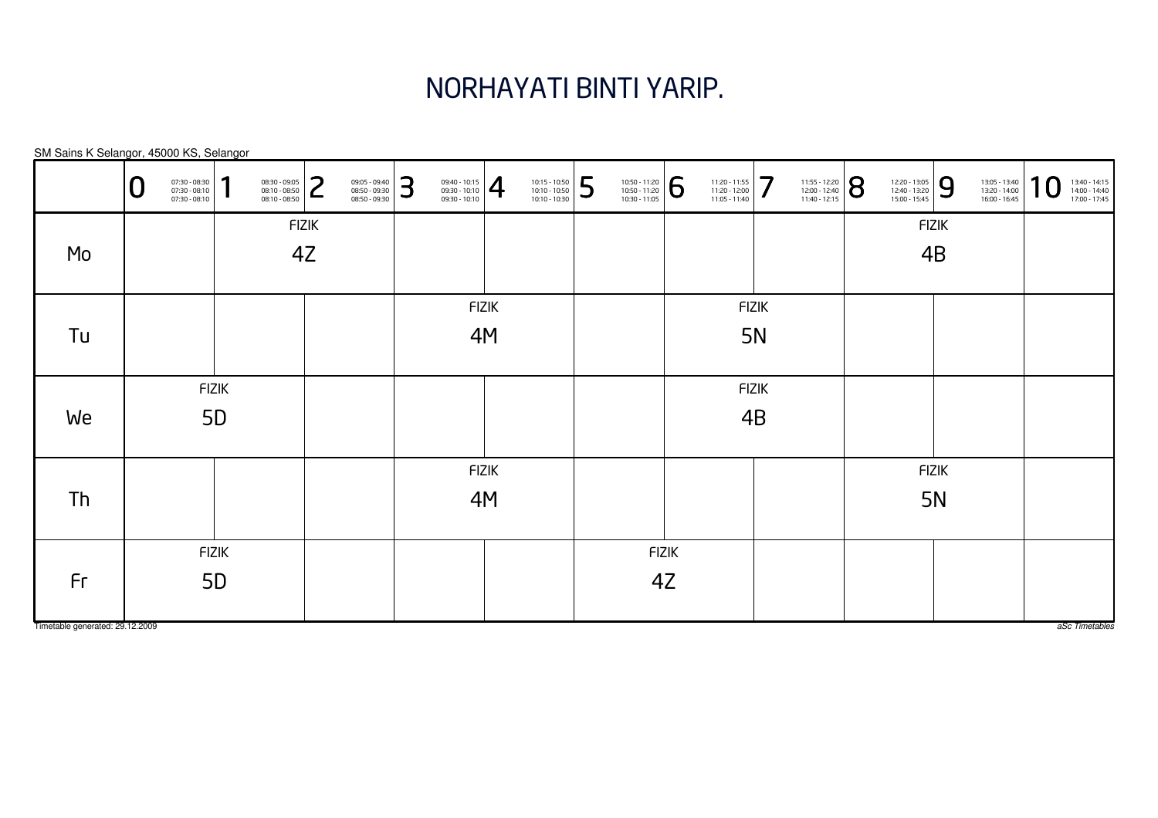## NORHAYATI BINTI YARIP.

|                                 | 07:30 - 08:30<br>07:30 - 08:10<br>07:30 - 08:10 | 1              | 08:30 - 09:05<br>08:10 - 08:50<br>08:10 - 08:50 | っ<br>L       | 09:05 - 09:40<br>08:50 - 09:30<br>08:50 - 09:30 | 3 | $\left. \begin{array}{r} 09:40 - 10:15 \\ 09:30 - 10:10 \\ 09:30 - 10:10 \end{array} \right  \begin{array}{c} \begin{array}{c} \begin{array}{c} \begin{array}{c} \end{array} \end{array} \end{array} \end{array}$ |              | 10:15 - 10:50<br>10:10 - 10:50<br>10:10 - 10:30 | 5 | $\left. \begin{array}{l} \n 10:50 - 11:20 \\ 10:50 - 11:20 \\ 10:30 - 11:05 \n \end{array} \right  \begin{array}{c} \bigodot \n \end{array}$ |              | 11:20 - 11:55<br>11:20 - 12:00<br>11:05 - 11:40 | 7            | 11:55 - 12:20<br>12:00 - 12:40<br>11:40 - 12:15 | $\overline{8}$ | 12:20 - 13:05<br>12:40 - 13:20<br>15:00 - 15:45 | 9            | 13:05 - 13:40<br>13:20 - 14:00<br>16:00 - 16:45 | 10 | 13:40 - 14:15<br>14:00 - 14:40<br>17:00 - 17:45 |
|---------------------------------|-------------------------------------------------|----------------|-------------------------------------------------|--------------|-------------------------------------------------|---|-------------------------------------------------------------------------------------------------------------------------------------------------------------------------------------------------------------------|--------------|-------------------------------------------------|---|----------------------------------------------------------------------------------------------------------------------------------------------|--------------|-------------------------------------------------|--------------|-------------------------------------------------|----------------|-------------------------------------------------|--------------|-------------------------------------------------|----|-------------------------------------------------|
|                                 |                                                 |                |                                                 | <b>FIZIK</b> |                                                 |   |                                                                                                                                                                                                                   |              |                                                 |   |                                                                                                                                              |              |                                                 |              |                                                 |                |                                                 | <b>FIZIK</b> |                                                 |    |                                                 |
| Mo                              |                                                 |                |                                                 | 4Z           |                                                 |   |                                                                                                                                                                                                                   |              |                                                 |   |                                                                                                                                              |              |                                                 |              |                                                 |                |                                                 | 4B           |                                                 |    |                                                 |
|                                 |                                                 |                |                                                 |              |                                                 |   |                                                                                                                                                                                                                   |              |                                                 |   |                                                                                                                                              |              |                                                 |              |                                                 |                |                                                 |              |                                                 |    |                                                 |
|                                 |                                                 |                |                                                 |              |                                                 |   |                                                                                                                                                                                                                   | <b>FIZIK</b> |                                                 |   |                                                                                                                                              |              |                                                 | <b>FIZIK</b> |                                                 |                |                                                 |              |                                                 |    |                                                 |
| Tu                              |                                                 |                |                                                 |              |                                                 |   |                                                                                                                                                                                                                   | 4M           |                                                 |   |                                                                                                                                              |              |                                                 | 5N           |                                                 |                |                                                 |              |                                                 |    |                                                 |
|                                 |                                                 |                |                                                 |              |                                                 |   |                                                                                                                                                                                                                   |              |                                                 |   |                                                                                                                                              |              |                                                 |              |                                                 |                |                                                 |              |                                                 |    |                                                 |
|                                 | <b>FIZIK</b>                                    |                |                                                 |              |                                                 |   |                                                                                                                                                                                                                   |              |                                                 |   |                                                                                                                                              |              |                                                 | <b>FIZIK</b> |                                                 |                |                                                 |              |                                                 |    |                                                 |
| We                              |                                                 | 5 <sub>D</sub> |                                                 |              |                                                 |   |                                                                                                                                                                                                                   |              |                                                 |   |                                                                                                                                              |              |                                                 | 4B           |                                                 |                |                                                 |              |                                                 |    |                                                 |
|                                 |                                                 |                |                                                 |              |                                                 |   |                                                                                                                                                                                                                   |              |                                                 |   |                                                                                                                                              |              |                                                 |              |                                                 |                |                                                 |              |                                                 |    |                                                 |
|                                 |                                                 |                |                                                 |              |                                                 |   |                                                                                                                                                                                                                   | <b>FIZIK</b> |                                                 |   |                                                                                                                                              |              |                                                 |              |                                                 |                |                                                 | <b>FIZIK</b> |                                                 |    |                                                 |
| Th                              |                                                 |                |                                                 |              |                                                 |   |                                                                                                                                                                                                                   | 4M           |                                                 |   |                                                                                                                                              |              |                                                 |              |                                                 |                |                                                 | <b>5N</b>    |                                                 |    |                                                 |
|                                 |                                                 |                |                                                 |              |                                                 |   |                                                                                                                                                                                                                   |              |                                                 |   |                                                                                                                                              |              |                                                 |              |                                                 |                |                                                 |              |                                                 |    |                                                 |
|                                 |                                                 | <b>FIZIK</b>   |                                                 |              |                                                 |   |                                                                                                                                                                                                                   |              |                                                 |   |                                                                                                                                              | <b>FIZIK</b> |                                                 |              |                                                 |                |                                                 |              |                                                 |    |                                                 |
| Fr                              |                                                 | 5 <sub>D</sub> |                                                 |              |                                                 |   |                                                                                                                                                                                                                   |              |                                                 |   |                                                                                                                                              | 4Z           |                                                 |              |                                                 |                |                                                 |              |                                                 |    |                                                 |
|                                 |                                                 |                |                                                 |              |                                                 |   |                                                                                                                                                                                                                   |              |                                                 |   |                                                                                                                                              |              |                                                 |              |                                                 |                |                                                 |              |                                                 |    |                                                 |
| Timetable generated: 29.12.2009 |                                                 |                |                                                 |              |                                                 |   |                                                                                                                                                                                                                   |              |                                                 |   |                                                                                                                                              |              |                                                 |              |                                                 |                |                                                 |              |                                                 |    | aSc Timetables                                  |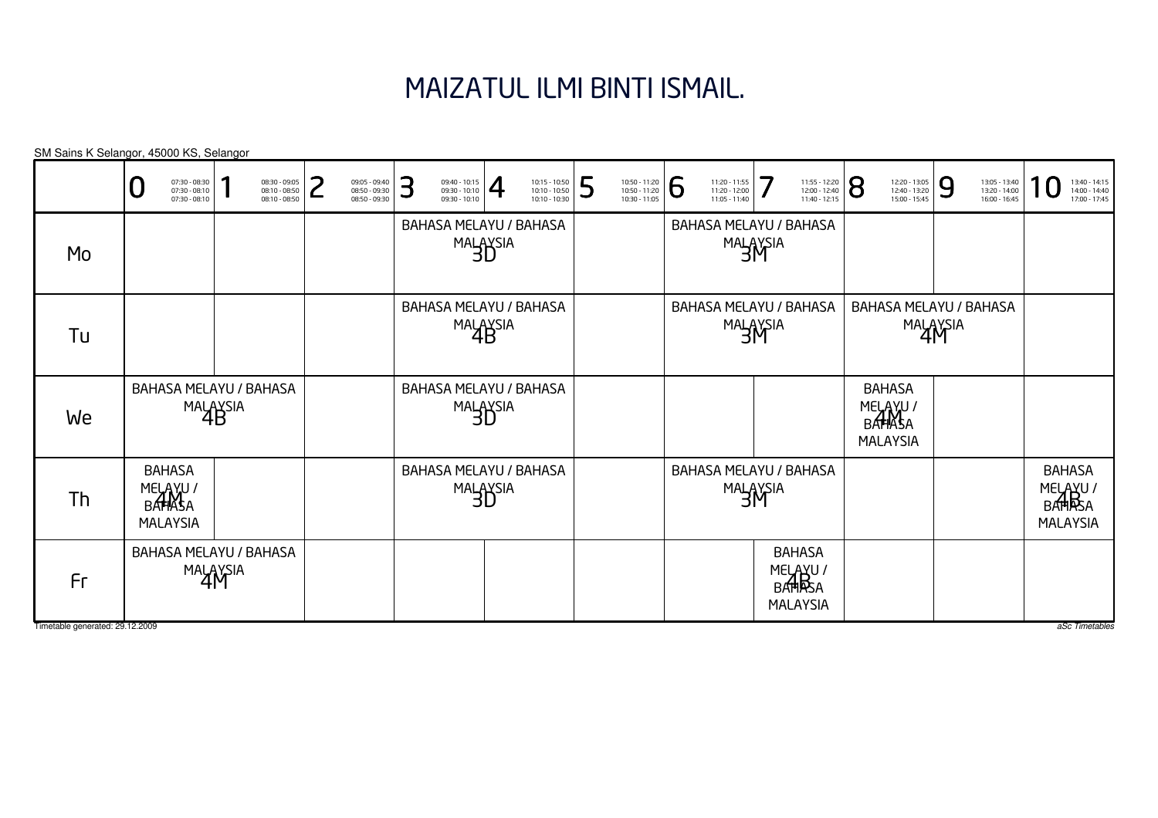# MAIZATUL ILMI BINTI ISMAIL.

|                                       | 07:30 - 08:30<br>07:30 - 08:10<br>$07:30 - 08:10$      | 08:30 - 09:05<br>08:10 - 08:50<br>08:10 - 08:50 | ว<br>09:05 - 09:40<br>08:50 - 09:30<br>08:50 - 09:30 | 3<br>$\frac{09:40 - 10:15}{09:30 - 10:10}$ | 10:15 - 10:50<br>10:10 - 10:50<br>10:10 - 10:30 | 5<br>10:50 - 11:20<br>10:50 - 11:20<br>10:30 - 11:05 | <b>6</b><br>11:20 - 11:55<br>11:20 - 12:00<br>11:05 - 11:40 | 7<br>11:55 - 12:20<br>12:00 - 12:40<br>11:40 - 12:15    | 8<br>12:20 - 13:05<br>12:40 - 13:20<br>15:00 - 15:45   | 9<br>13:05 - 13:40<br>13:20 - 14:00<br>16:00 - 16:45 | 13:40 - 14:15<br>14:00 - 14:40<br>17:00 - 17:45        |
|---------------------------------------|--------------------------------------------------------|-------------------------------------------------|------------------------------------------------------|--------------------------------------------|-------------------------------------------------|------------------------------------------------------|-------------------------------------------------------------|---------------------------------------------------------|--------------------------------------------------------|------------------------------------------------------|--------------------------------------------------------|
| Mo                                    |                                                        |                                                 |                                                      |                                            | <b>BAHASA MELAYU / BAHASA</b><br>MALAYSIA       |                                                      |                                                             | BAHASA MELAYU / BAHASA<br>MALAYSIA                      |                                                        |                                                      |                                                        |
| Tu                                    |                                                        |                                                 |                                                      |                                            | <b>BAHASA MELAYU / BAHASA</b><br>MALAYSIA       |                                                      |                                                             | BAHASA MELAYU / BAHASA<br>MALAYSIA                      |                                                        | BAHASA MELAYU / BAHASA<br>MALAYSIA                   |                                                        |
| We                                    |                                                        | <b>BAHASA MELAYU / BAHASA</b><br>MALAYSIA       |                                                      |                                            | <b>BAHASA MELAYU / BAHASA</b><br>MALAYSIA       |                                                      |                                                             |                                                         | <b>BAHASA</b><br>MELAYU /<br>BAHASA<br><b>MALAYSIA</b> |                                                      |                                                        |
| Th                                    | <b>BAHASA</b><br>MELAYU /<br>BAHASA<br><b>MALAYSIA</b> |                                                 |                                                      |                                            | <b>BAHASA MELAYU / BAHASA</b><br>MALAYSIA       |                                                      |                                                             | <b>BAHASA MELAYU / BAHASA</b><br>MALAYSIA               |                                                        |                                                      | <b>BAHASA</b><br>MELAYU /<br>BAHRSA<br><b>MALAYSIA</b> |
| Fr<br>Timetable generated: 29.12.2009 |                                                        | <b>BAHASA MELAYU / BAHASA</b><br>MALAYSIA       |                                                      |                                            |                                                 |                                                      |                                                             | <b>BAHASA</b><br>MELAYU /<br>BATHRSA<br><b>MALAYSIA</b> |                                                        |                                                      | aSc Timetables                                         |